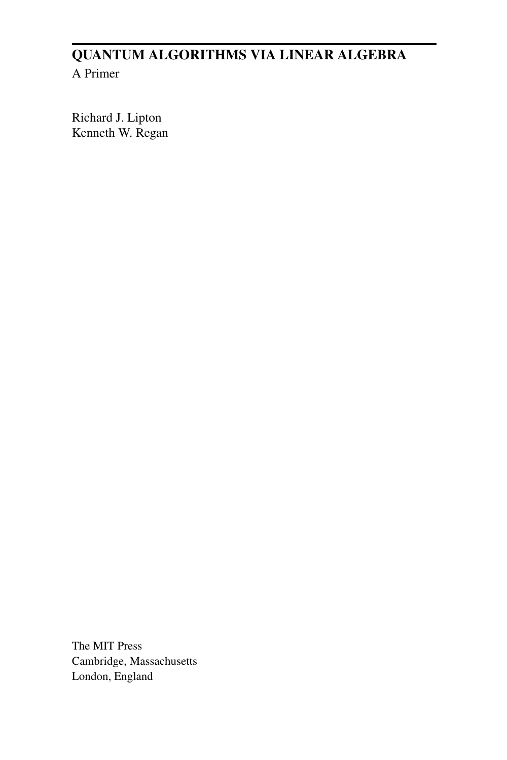### QUANTUM ALGORITHMS VIA LINEAR ALGEBRA A Primer

Richard J. Lipton Kenneth W. Regan

The MIT Press Cambridge, Massachusetts London, England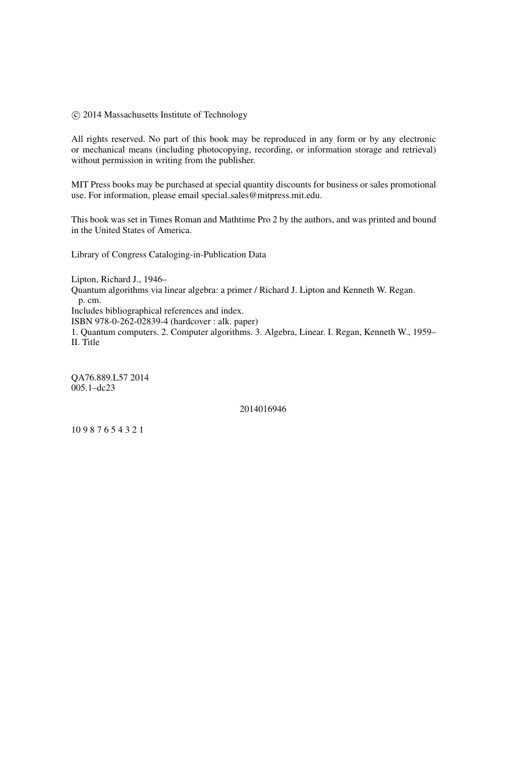-c 2014 Massachusetts Institute of Technology

All rights reserved. No part of this book may be reproduced in any form or by any electronic or mechanical means (including photocopying, recording, or information storage and retrieval) without permission in writing from the publisher.

MIT Press books may be purchased at special quantity discounts for business or sales promotional use. For information, please email special\_sales@mitpress.mit.edu.

This book was set in Times Roman and Mathtime Pro 2 by the authors, and was printed and bound in the United States of America.

Library of Congress Cataloging-in-Publication Data

Lipton, Richard J., 1946– Quantum algorithms via linear algebra: a primer / Richard J. Lipton and Kenneth W. Regan. p. cm. Includes bibliographical references and index. ISBN 978-0-262-02839-4 (hardcover : alk. paper) 1. Quantum computers. 2. Computer algorithms. 3. Algebra, Linear. I. Regan, Kenneth W., 1959– II. Title

QA76.889.L57 2014 005.1–dc23

2014016946

10 9 8 7 6 5 4 3 2 1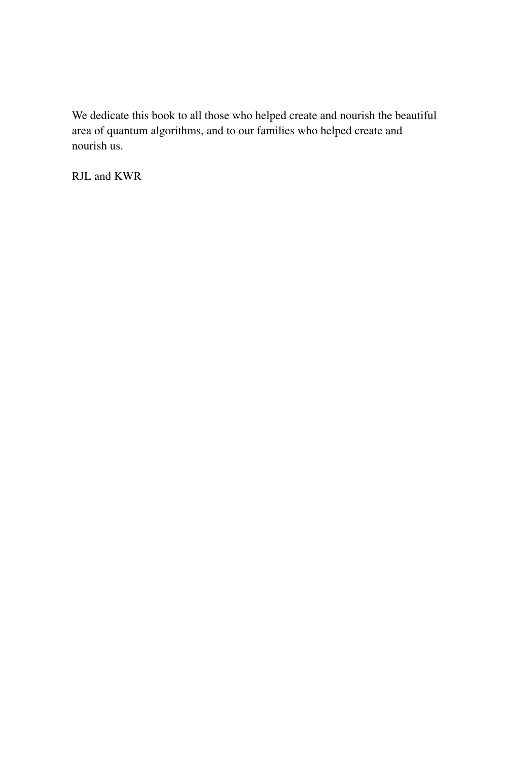We dedicate this book to all those who helped create and nourish the beautiful area of quantum algorithms, and to our families who helped create and nourish us.

RJL and KWR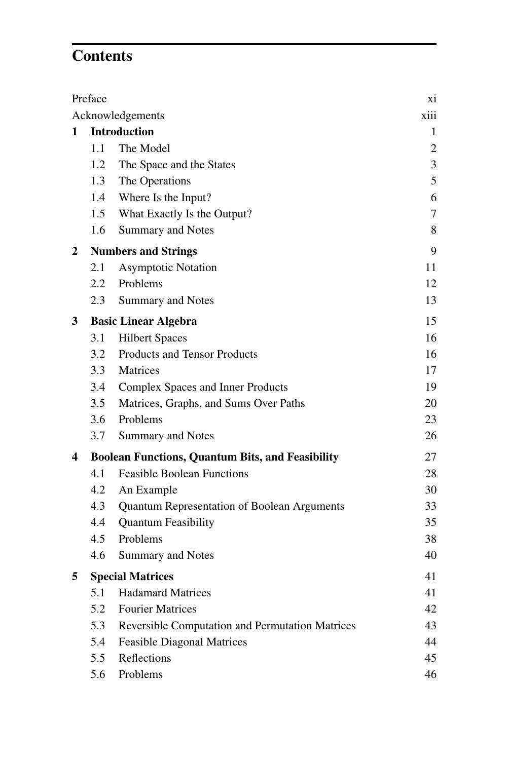## **Contents**

|   | Preface                                                 |                                                 | хi             |
|---|---------------------------------------------------------|-------------------------------------------------|----------------|
|   |                                                         | Acknowledgements                                | xiii           |
| 1 | Introduction                                            |                                                 |                |
|   | 1.1                                                     | The Model                                       | $\overline{2}$ |
|   | 1.2                                                     | The Space and the States                        | 3              |
|   | 1.3                                                     | The Operations                                  | 5              |
|   | 1.4                                                     | Where Is the Input?                             | 6              |
|   | 1.5                                                     | What Exactly Is the Output?                     | $\tau$         |
|   | 1.6                                                     | <b>Summary and Notes</b>                        | $\,8\,$        |
| 2 | <b>Numbers and Strings</b>                              |                                                 |                |
|   | 2.1                                                     | <b>Asymptotic Notation</b>                      | 11             |
|   |                                                         | 2.2 Problems                                    | 12             |
|   | 2.3                                                     | <b>Summary and Notes</b>                        | 13             |
| 3 | <b>Basic Linear Algebra</b>                             |                                                 |                |
|   | 3.1                                                     | <b>Hilbert Spaces</b>                           | 16             |
|   | 3.2                                                     | Products and Tensor Products                    | 16             |
|   | 3.3                                                     | Matrices                                        | 17             |
|   | 3.4                                                     | Complex Spaces and Inner Products               | 19             |
|   | 3.5                                                     | Matrices, Graphs, and Sums Over Paths           | 20             |
|   | 3.6                                                     | Problems                                        | 23             |
|   | 3.7                                                     | <b>Summary and Notes</b>                        | 26             |
| 4 | <b>Boolean Functions, Quantum Bits, and Feasibility</b> |                                                 |                |
|   | 4.1                                                     | <b>Feasible Boolean Functions</b>               | 28             |
|   | 4.2                                                     | An Example                                      | 30             |
|   | 4.3                                                     | Quantum Representation of Boolean Arguments     | 33             |
|   | 4.4                                                     | <b>Quantum Feasibility</b>                      | 35             |
|   | 4.5                                                     | Problems                                        | 38             |
|   | 4.6                                                     | <b>Summary and Notes</b>                        | 40             |
| 5 | <b>Special Matrices</b>                                 |                                                 |                |
|   | 5.1                                                     | <b>Hadamard Matrices</b>                        | 41             |
|   | 5.2                                                     | <b>Fourier Matrices</b>                         | 42             |
|   | 5.3                                                     | Reversible Computation and Permutation Matrices | 43             |
|   | 5.4                                                     | <b>Feasible Diagonal Matrices</b>               | 44             |
|   | 5.5                                                     | Reflections                                     | 45             |
|   | 5.6                                                     | Problems                                        | 46             |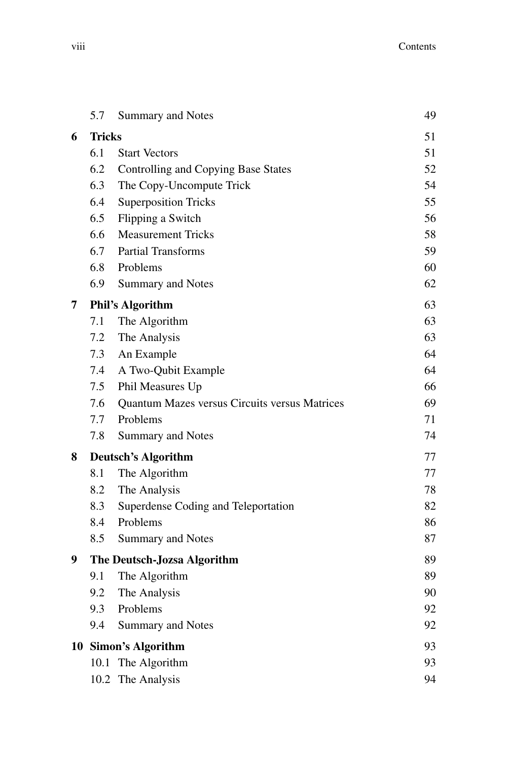|   | 5.7                        | <b>Summary and Notes</b>                      | 49 |
|---|----------------------------|-----------------------------------------------|----|
| 6 | <b>Tricks</b>              |                                               | 51 |
|   | 6.1                        | <b>Start Vectors</b>                          | 51 |
|   | 6.2                        | Controlling and Copying Base States           | 52 |
|   | 6.3                        | The Copy-Uncompute Trick                      | 54 |
|   | 6.4                        | <b>Superposition Tricks</b>                   | 55 |
|   | 6.5                        | Flipping a Switch                             | 56 |
|   | 6.6                        | <b>Measurement Tricks</b>                     | 58 |
|   | 6.7                        | <b>Partial Transforms</b>                     | 59 |
|   | 6.8                        | Problems                                      | 60 |
|   | 6.9                        | Summary and Notes                             | 62 |
| 7 |                            | <b>Phil's Algorithm</b>                       | 63 |
|   | 7.1                        | The Algorithm                                 | 63 |
|   | 7.2                        | The Analysis                                  | 63 |
|   | 7.3                        | An Example                                    | 64 |
|   | 7.4                        | A Two-Qubit Example                           | 64 |
|   | 7.5                        | Phil Measures Up                              | 66 |
|   | 7.6                        | Quantum Mazes versus Circuits versus Matrices | 69 |
|   | 7.7                        | Problems                                      | 71 |
|   | 7.8                        | <b>Summary and Notes</b>                      | 74 |
| 8 | <b>Deutsch's Algorithm</b> |                                               | 77 |
|   | 8.1                        | The Algorithm                                 | 77 |
|   | 8.2                        | The Analysis                                  | 78 |
|   | 8.3                        | Superdense Coding and Teleportation           | 82 |
|   | 8.4                        | Problems                                      | 86 |
|   | 8.5                        | <b>Summary and Notes</b>                      | 87 |
| 9 |                            | The Deutsch-Jozsa Algorithm                   | 89 |
|   | 9.1                        | The Algorithm                                 | 89 |
|   | 9.2                        | The Analysis                                  | 90 |
|   | 9.3                        | Problems                                      | 92 |
|   | 9.4                        | <b>Summary and Notes</b>                      | 92 |
|   |                            | 10 Simon's Algorithm                          | 93 |
|   | 10.1                       | The Algorithm                                 | 93 |
|   |                            | 10.2 The Analysis                             | 94 |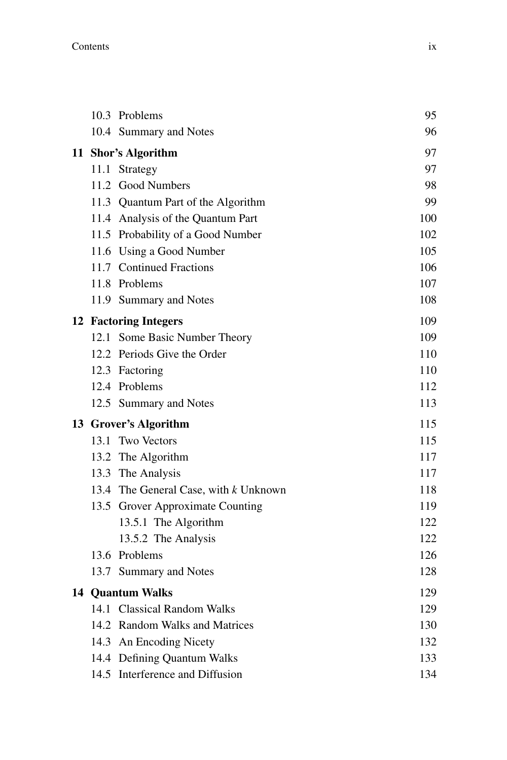|                              | 10.3 Problems                                | 95  |
|------------------------------|----------------------------------------------|-----|
|                              | 10.4 Summary and Notes                       | 96  |
| 11 Shor's Algorithm          | 97                                           |     |
|                              | 11.1 Strategy                                | 97  |
|                              | 11.2 Good Numbers                            | 98  |
|                              | 11.3 Quantum Part of the Algorithm           | 99  |
|                              | 11.4 Analysis of the Quantum Part            | 100 |
|                              | 11.5 Probability of a Good Number            | 102 |
|                              | 11.6 Using a Good Number                     | 105 |
|                              | 11.7 Continued Fractions                     | 106 |
|                              | 11.8 Problems                                | 107 |
|                              | 11.9 Summary and Notes                       | 108 |
| <b>12 Factoring Integers</b> | 109                                          |     |
|                              | 12.1 Some Basic Number Theory                | 109 |
|                              | 12.2 Periods Give the Order                  | 110 |
|                              | 12.3 Factoring                               | 110 |
|                              | 12.4 Problems                                | 112 |
|                              | 12.5 Summary and Notes                       | 113 |
|                              | 13 Grover's Algorithm                        | 115 |
|                              | 13.1 Two Vectors                             | 115 |
|                              | 13.2 The Algorithm                           | 117 |
|                              | 13.3 The Analysis                            | 117 |
|                              | 13.4 The General Case, with <i>k</i> Unknown | 118 |
|                              | 13.5 Grover Approximate Counting             | 119 |
|                              | 13.5.1 The Algorithm                         | 122 |
|                              | 13.5.2 The Analysis                          | 122 |
|                              | 13.6 Problems                                | 126 |
|                              | 13.7 Summary and Notes                       | 128 |
| <b>14 Quantum Walks</b>      | 129                                          |     |
|                              | 14.1 Classical Random Walks                  | 129 |
|                              | 14.2 Random Walks and Matrices               | 130 |
|                              | 14.3 An Encoding Nicety                      | 132 |
|                              | 14.4 Defining Quantum Walks                  | 133 |
|                              | 14.5 Interference and Diffusion              | 134 |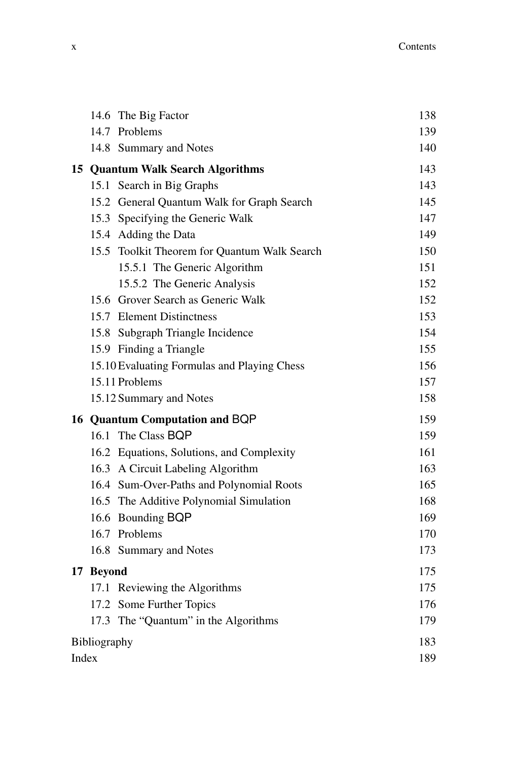|                                             | 14.6 The Big Factor                          | 138 |  |
|---------------------------------------------|----------------------------------------------|-----|--|
|                                             | 14.7 Problems                                | 139 |  |
|                                             | 14.8 Summary and Notes                       | 140 |  |
| 15 Quantum Walk Search Algorithms           | 143                                          |     |  |
|                                             | 15.1 Search in Big Graphs                    | 143 |  |
|                                             | 15.2 General Quantum Walk for Graph Search   | 145 |  |
|                                             | 15.3 Specifying the Generic Walk             | 147 |  |
|                                             | 15.4 Adding the Data                         | 149 |  |
|                                             | 15.5 Toolkit Theorem for Quantum Walk Search | 150 |  |
|                                             | 15.5.1 The Generic Algorithm                 | 151 |  |
|                                             | 15.5.2 The Generic Analysis                  | 152 |  |
|                                             | 15.6 Grover Search as Generic Walk           | 152 |  |
|                                             | 15.7 Element Distinctness                    | 153 |  |
|                                             | 15.8 Subgraph Triangle Incidence             | 154 |  |
|                                             | 15.9 Finding a Triangle                      | 155 |  |
| 15.10 Evaluating Formulas and Playing Chess | 156                                          |     |  |
| 15.11 Problems                              | 157                                          |     |  |
| 15.12 Summary and Notes                     | 158                                          |     |  |
|                                             | 16 Quantum Computation and BQP               | 159 |  |
|                                             | 16.1 The Class BQP                           | 159 |  |
|                                             | 16.2 Equations, Solutions, and Complexity    | 161 |  |
|                                             | 16.3 A Circuit Labeling Algorithm            | 163 |  |
|                                             | 16.4 Sum-Over-Paths and Polynomial Roots     | 165 |  |
|                                             | 16.5 The Additive Polynomial Simulation      | 168 |  |
|                                             | 16.6 Bounding BQP                            | 169 |  |
|                                             | 16.7 Problems                                | 170 |  |
|                                             | 16.8 Summary and Notes                       | 173 |  |
| 17 Beyond                                   | 175                                          |     |  |
|                                             | 17.1 Reviewing the Algorithms                | 175 |  |
|                                             | 17.2 Some Further Topics                     | 176 |  |
|                                             | 17.3 The "Quantum" in the Algorithms         | 179 |  |
| Bibliography                                |                                              |     |  |
| Index                                       |                                              |     |  |
|                                             |                                              |     |  |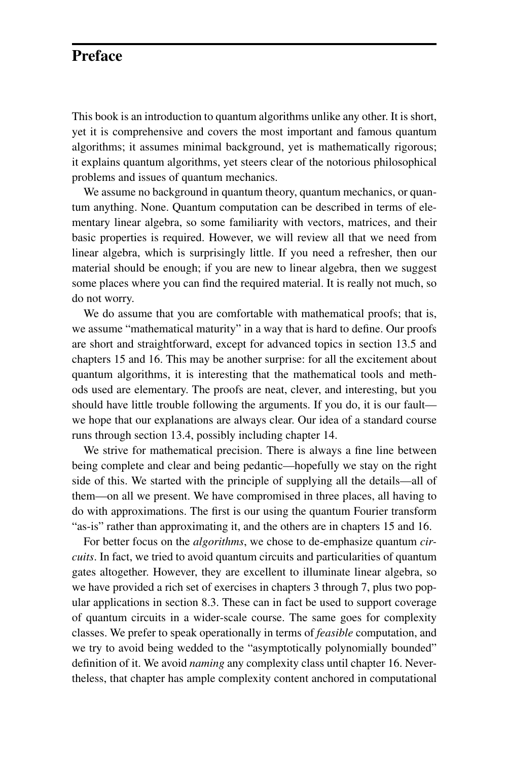### <span id="page-8-0"></span>Preface

This book is an introduction to quantum algorithms unlike any other. It is short, yet it is comprehensive and covers the most important and famous quantum algorithms; it assumes minimal background, yet is mathematically rigorous; it explains quantum algorithms, yet steers clear of the notorious philosophical problems and issues of quantum mechanics.

We assume no background in quantum theory, quantum mechanics, or quantum anything. None. Quantum computation can be described in terms of elementary linear algebra, so some familiarity with vectors, matrices, and their basic properties is required. However, we will review all that we need from linear algebra, which is surprisingly little. If you need a refresher, then our material should be enough; if you are new to linear algebra, then we suggest some places where you can find the required material. It is really not much, so do not worry.

We do assume that you are comfortable with mathematical proofs; that is, we assume "mathematical maturity" in a way that is hard to define. Our proofs are short and straightforward, except for advanced topics in section 13.5 and chapters 15 and 16. This may be another surprise: for all the excitement about quantum algorithms, it is interesting that the mathematical tools and methods used are elementary. The proofs are neat, clever, and interesting, but you should have little trouble following the arguments. If you do, it is our fault we hope that our explanations are always clear. Our idea of a standard course runs through section 13.4, possibly including chapter 14.

We strive for mathematical precision. There is always a fine line between being complete and clear and being pedantic—hopefully we stay on the right side of this. We started with the principle of supplying all the details—all of them—on all we present. We have compromised in three places, all having to do with approximations. The first is our using the quantum Fourier transform "as-is" rather than approximating it, and the others are in chapters 15 and 16.

For better focus on the *algorithms*, we chose to de-emphasize quantum *circuits*. In fact, we tried to avoid quantum circuits and particularities of quantum gates altogether. However, they are excellent to illuminate linear algebra, so we have provided a rich set of exercises in chapters 3 through 7, plus two popular applications in section 8.3. These can in fact be used to support coverage of quantum circuits in a wider-scale course. The same goes for complexity classes. We prefer to speak operationally in terms of *feasible* computation, and we try to avoid being wedded to the "asymptotically polynomially bounded" definition of it. We avoid *naming* any complexity class until chapter 16. Nevertheless, that chapter has ample complexity content anchored in computational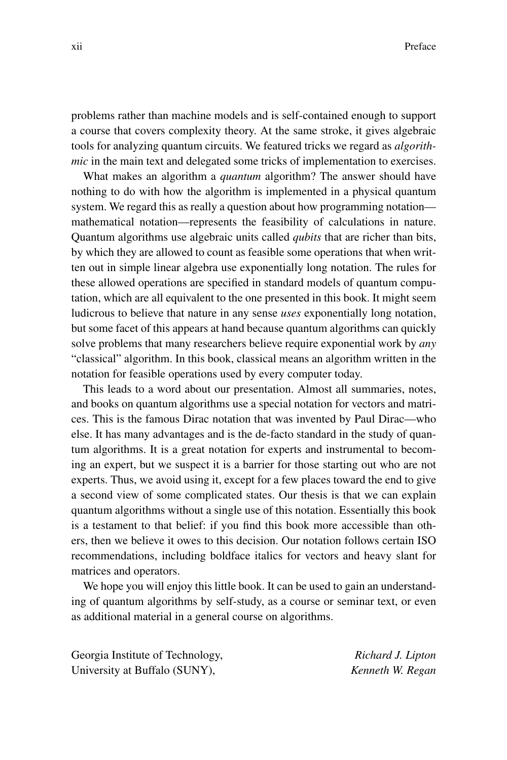problems rather than machine models and is self-contained enough to support a course that covers complexity theory. At the same stroke, it gives algebraic tools for analyzing quantum circuits. We featured tricks we regard as *algorithmic* in the main text and delegated some tricks of implementation to exercises.

What makes an algorithm a *quantum* algorithm? The answer should have nothing to do with how the algorithm is implemented in a physical quantum system. We regard this as really a question about how programming notation mathematical notation—represents the feasibility of calculations in nature. Quantum algorithms use algebraic units called *qubits* that are richer than bits, by which they are allowed to count as feasible some operations that when written out in simple linear algebra use exponentially long notation. The rules for these allowed operations are specified in standard models of quantum computation, which are all equivalent to the one presented in this book. It might seem ludicrous to believe that nature in any sense *uses* exponentially long notation, but some facet of this appears at hand because quantum algorithms can quickly solve problems that many researchers believe require exponential work by *any* "classical" algorithm. In this book, classical means an algorithm written in the notation for feasible operations used by every computer today.

This leads to a word about our presentation. Almost all summaries, notes, and books on quantum algorithms use a special notation for vectors and matrices. This is the famous Dirac notation that was invented by Paul Dirac—who else. It has many advantages and is the de-facto standard in the study of quantum algorithms. It is a great notation for experts and instrumental to becoming an expert, but we suspect it is a barrier for those starting out who are not experts. Thus, we avoid using it, except for a few places toward the end to give a second view of some complicated states. Our thesis is that we can explain quantum algorithms without a single use of this notation. Essentially this book is a testament to that belief: if you find this book more accessible than others, then we believe it owes to this decision. Our notation follows certain ISO recommendations, including boldface italics for vectors and heavy slant for matrices and operators.

We hope you will enjoy this little book. It can be used to gain an understanding of quantum algorithms by self-study, as a course or seminar text, or even as additional material in a general course on algorithms.

Georgia Institute of Technology, *Richard J. Lipton* University at Buffalo (SUNY), *Kenneth W. Regan*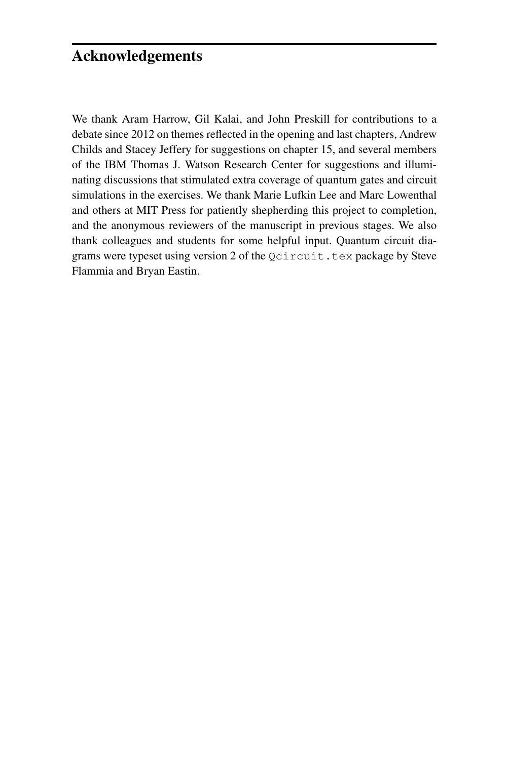## <span id="page-10-0"></span>Acknowledgements

We thank Aram Harrow, Gil Kalai, and John Preskill for contributions to a debate since 2012 on themes reflected in the opening and last chapters, Andrew Childs and Stacey Jeffery for suggestions on chapter 15, and several members of the IBM Thomas J. Watson Research Center for suggestions and illuminating discussions that stimulated extra coverage of quantum gates and circuit simulations in the exercises. We thank Marie Lufkin Lee and Marc Lowenthal and others at MIT Press for patiently shepherding this project to completion, and the anonymous reviewers of the manuscript in previous stages. We also thank colleagues and students for some helpful input. Quantum circuit diagrams were typeset using version 2 of the Qcircuit.tex package by Steve Flammia and Bryan Eastin.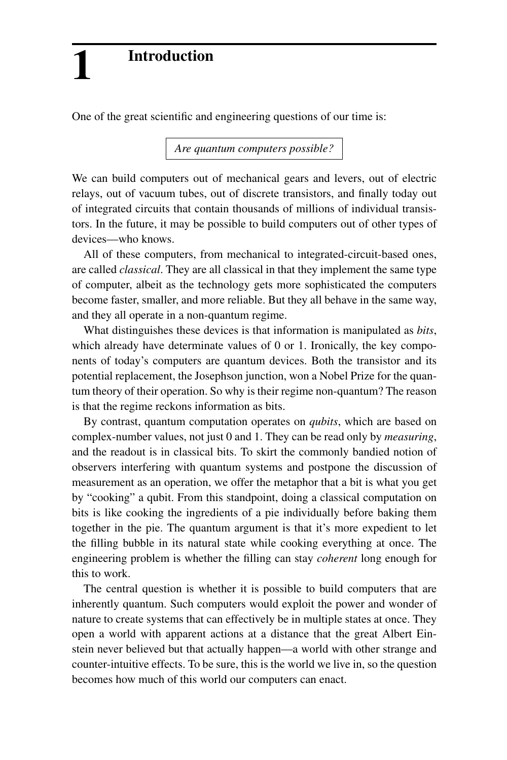# <span id="page-12-0"></span>**Introduction**

One of the great scientific and engineering questions of our time is:

*Are quantum computers possible?*

We can build computers out of mechanical gears and levers, out of electric relays, out of vacuum tubes, out of discrete transistors, and finally today out of integrated circuits that contain thousands of millions of individual transistors. In the future, it may be possible to build computers out of other types of devices—who knows.

All of these computers, from mechanical to integrated-circuit-based ones, are called *classical*. They are all classical in that they implement the same type of computer, albeit as the technology gets more sophisticated the computers become faster, smaller, and more reliable. But they all behave in the same way, and they all operate in a non-quantum regime.

What distinguishes these devices is that information is manipulated as *bits*, which already have determinate values of 0 or 1. Ironically, the key components of today's computers are quantum devices. Both the transistor and its potential replacement, the Josephson junction, won a Nobel Prize for the quantum theory of their operation. So why is their regime non-quantum? The reason is that the regime reckons information as bits.

By contrast, quantum computation operates on *qubits*, which are based on complex-number values, not just 0 and 1. They can be read only by *measuring*, and the readout is in classical bits. To skirt the commonly bandied notion of observers interfering with quantum systems and postpone the discussion of measurement as an operation, we offer the metaphor that a bit is what you get by "cooking" a qubit. From this standpoint, doing a classical computation on bits is like cooking the ingredients of a pie individually before baking them together in the pie. The quantum argument is that it's more expedient to let the filling bubble in its natural state while cooking everything at once. The engineering problem is whether the filling can stay *coherent* long enough for this to work.

The central question is whether it is possible to build computers that are inherently quantum. Such computers would exploit the power and wonder of nature to create systems that can effectively be in multiple states at once. They open a world with apparent actions at a distance that the great Albert Einstein never believed but that actually happen—a world with other strange and counter-intuitive effects. To be sure, this is the world we live in, so the question becomes how much of this world our computers can enact.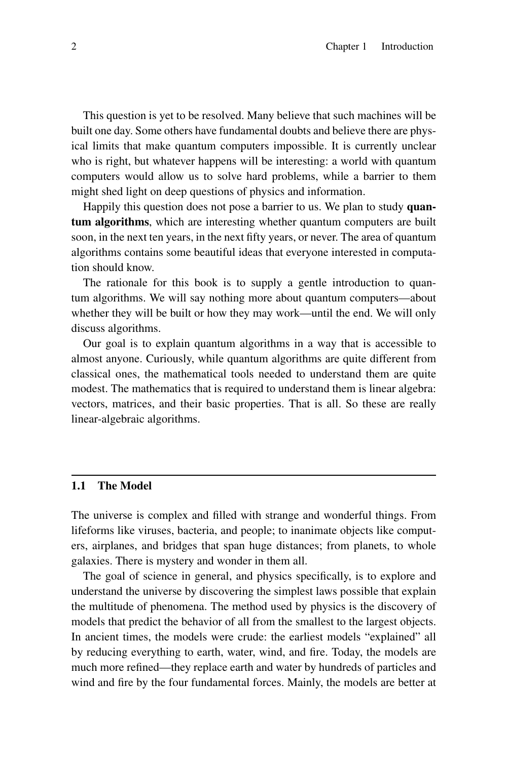This question is yet to be resolved. Many believe that such machines will be built one day. Some others have fundamental doubts and believe there are physical limits that make quantum computers impossible. It is currently unclear who is right, but whatever happens will be interesting: a world with quantum computers would allow us to solve hard problems, while a barrier to them might shed light on deep questions of physics and information.

Happily this question does not pose a barrier to us. We plan to study **quan**tum algorithms, which are interesting whether quantum computers are built soon, in the next ten years, in the next fifty years, or never. The area of quantum algorithms contains some beautiful ideas that everyone interested in computation should know.

The rationale for this book is to supply a gentle introduction to quantum algorithms. We will say nothing more about quantum computers—about whether they will be built or how they may work—until the end. We will only discuss algorithms.

Our goal is to explain quantum algorithms in a way that is accessible to almost anyone. Curiously, while quantum algorithms are quite different from classical ones, the mathematical tools needed to understand them are quite modest. The mathematics that is required to understand them is linear algebra: vectors, matrices, and their basic properties. That is all. So these are really linear-algebraic algorithms.

#### 1.1 The Model

The universe is complex and filled with strange and wonderful things. From lifeforms like viruses, bacteria, and people; to inanimate objects like computers, airplanes, and bridges that span huge distances; from planets, to whole galaxies. There is mystery and wonder in them all.

The goal of science in general, and physics specifically, is to explore and understand the universe by discovering the simplest laws possible that explain the multitude of phenomena. The method used by physics is the discovery of models that predict the behavior of all from the smallest to the largest objects. In ancient times, the models were crude: the earliest models "explained" all by reducing everything to earth, water, wind, and fire. Today, the models are much more refined—they replace earth and water by hundreds of particles and wind and fire by the four fundamental forces. Mainly, the models are better at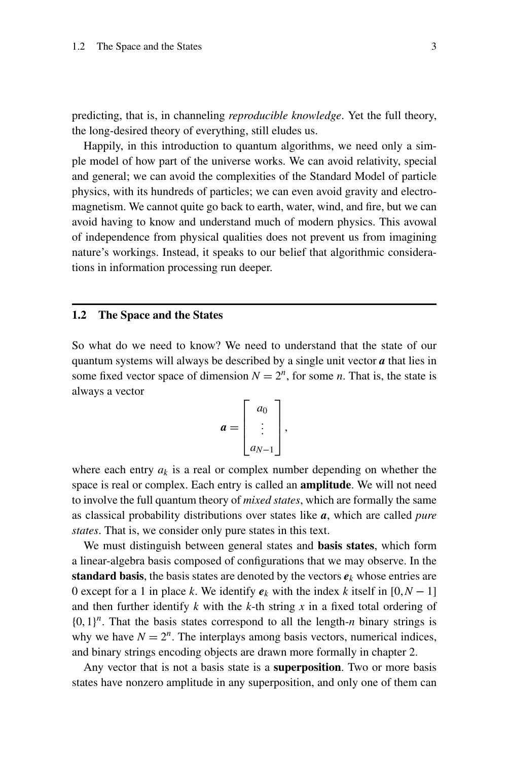predicting, that is, in channeling *reproducible knowledge*. Yet the full theory, the long-desired theory of everything, still eludes us.

Happily, in this introduction to quantum algorithms, we need only a simple model of how part of the universe works. We can avoid relativity, special and general; we can avoid the complexities of the Standard Model of particle physics, with its hundreds of particles; we can even avoid gravity and electromagnetism. We cannot quite go back to earth, water, wind, and fire, but we can avoid having to know and understand much of modern physics. This avowal of independence from physical qualities does not prevent us from imagining nature's workings. Instead, it speaks to our belief that algorithmic considerations in information processing run deeper.

#### 1.2 The Space and the States

So what do we need to know? We need to understand that the state of our quantum systems will always be described by a single unit vector *a* that lies in some fixed vector space of dimension  $N = 2<sup>n</sup>$ , for some *n*. That is, the state is always a vector

$$
\boldsymbol{a} = \begin{bmatrix} a_0 \\ \vdots \\ a_{N-1} \end{bmatrix},
$$

where each entry *ak* is a real or complex number depending on whether the space is real or complex. Each entry is called an amplitude. We will not need to involve the full quantum theory of *mixed states*, which are formally the same as classical probability distributions over states like *a*, which are called *pure states*. That is, we consider only pure states in this text.

We must distinguish between general states and **basis states**, which form a linear-algebra basis composed of configurations that we may observe. In the **standard basis**, the basis states are denoted by the vectors  $e_k$  whose entries are 0 except for a 1 in place *k*. We identify  $e_k$  with the index *k* itself in [0, *N* − 1] and then further identify *k* with the *k*-th string *x* in a fixed total ordering of  ${0, 1}<sup>n</sup>$ . That the basis states correspond to all the length-*n* binary strings is why we have  $N = 2<sup>n</sup>$ . The interplays among basis vectors, numerical indices, and binary strings encoding objects are drawn more formally in chapter 2.

Any vector that is not a basis state is a **superposition**. Two or more basis states have nonzero amplitude in any superposition, and only one of them can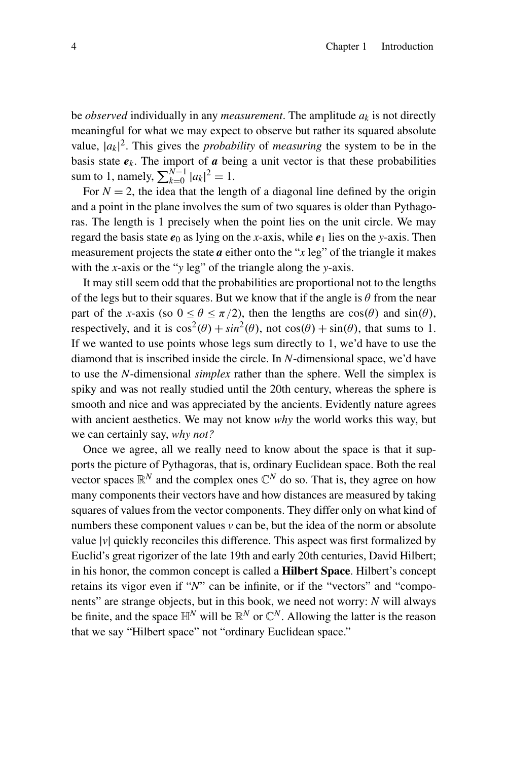be *observed* individually in any *measurement*. The amplitude *ak* is not directly meaningful for what we may expect to observe but rather its squared absolute value,  $|a_k|^2$ . This gives the *probability* of *measuring* the system to be in the basis state  $e_k$ . The import of *a* being a unit vector is that these probabilities sum to 1, namely,  $\sum_{k=0}^{N-1} |a_k|^2 = 1$ .

For  $N = 2$ , the idea that the length of a diagonal line defined by the origin and a point in the plane involves the sum of two squares is older than Pythagoras. The length is 1 precisely when the point lies on the unit circle. We may regard the basis state  $e_0$  as lying on the *x*-axis, while  $e_1$  lies on the *y*-axis. Then measurement projects the state  $\boldsymbol{a}$  either onto the " $\boldsymbol{x}$  leg" of the triangle it makes with the *x*-axis or the "*y* leg" of the triangle along the *y*-axis.

It may still seem odd that the probabilities are proportional not to the lengths of the legs but to their squares. But we know that if the angle is  $\theta$  from the near part of the *x*-axis (so  $0 \le \theta \le \pi/2$ ), then the lengths are  $\cos(\theta)$  and  $\sin(\theta)$ , respectively, and it is  $\cos^2(\theta) + \sin^2(\theta)$ , not  $\cos(\theta) + \sin(\theta)$ , that sums to 1. If we wanted to use points whose legs sum directly to 1, we'd have to use the diamond that is inscribed inside the circle. In *N*-dimensional space, we'd have to use the *N*-dimensional *simplex* rather than the sphere. Well the simplex is spiky and was not really studied until the 20th century, whereas the sphere is smooth and nice and was appreciated by the ancients. Evidently nature agrees with ancient aesthetics. We may not know *why* the world works this way, but we can certainly say, *why not?*

Once we agree, all we really need to know about the space is that it supports the picture of Pythagoras, that is, ordinary Euclidean space. Both the real vector spaces  $\mathbb{R}^N$  and the complex ones  $\mathbb{C}^N$  do so. That is, they agree on how many components their vectors have and how distances are measured by taking squares of values from the vector components. They differ only on what kind of numbers these component values *v* can be, but the idea of the norm or absolute value |*v*| quickly reconciles this difference. This aspect was first formalized by Euclid's great rigorizer of the late 19th and early 20th centuries, David Hilbert; in his honor, the common concept is called a Hilbert Space. Hilbert's concept retains its vigor even if "*N*" can be infinite, or if the "vectors" and "components" are strange objects, but in this book, we need not worry: *N* will always be finite, and the space  $\mathbb{H}^N$  will be  $\mathbb{R}^N$  or  $\mathbb{C}^N$ . Allowing the latter is the reason that we say "Hilbert space" not "ordinary Euclidean space."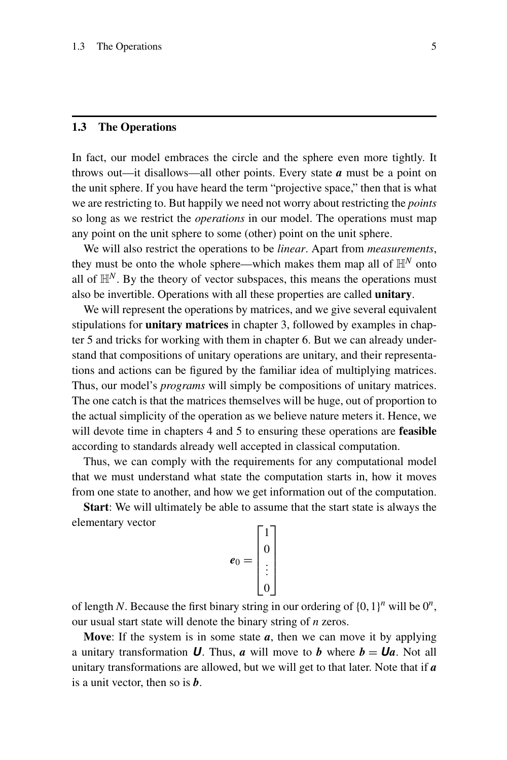#### 1.3 The Operations

In fact, our model embraces the circle and the sphere even more tightly. It throws out—it disallows—all other points. Every state *a* must be a point on the unit sphere. If you have heard the term "projective space," then that is what we are restricting to. But happily we need not worry about restricting the *points* so long as we restrict the *operations* in our model. The operations must map any point on the unit sphere to some (other) point on the unit sphere.

We will also restrict the operations to be *linear*. Apart from *measurements*, they must be onto the whole sphere—which makes them map all of  $\mathbb{H}^N$  onto all of  $\mathbb{H}^N$ . By the theory of vector subspaces, this means the operations must also be invertible. Operations with all these properties are called unitary.

We will represent the operations by matrices, and we give several equivalent stipulations for **unitary matrices** in chapter 3, followed by examples in chapter 5 and tricks for working with them in chapter 6. But we can already understand that compositions of unitary operations are unitary, and their representations and actions can be figured by the familiar idea of multiplying matrices. Thus, our model's *programs* will simply be compositions of unitary matrices. The one catch is that the matrices themselves will be huge, out of proportion to the actual simplicity of the operation as we believe nature meters it. Hence, we will devote time in chapters 4 and 5 to ensuring these operations are **feasible** according to standards already well accepted in classical computation.

Thus, we can comply with the requirements for any computational model that we must understand what state the computation starts in, how it moves from one state to another, and how we get information out of the computation.

Start: We will ultimately be able to assume that the start state is always the elementary vector

$$
e_0 = \begin{bmatrix} 1 \\ 0 \\ \vdots \\ 0 \end{bmatrix}
$$

of length *N*. Because the first binary string in our ordering of  $\{0, 1\}^n$  will be  $0^n$ , our usual start state will denote the binary string of *n* zeros.

**Move:** If the system is in some state  $a$ , then we can move it by applying a unitary transformation **U**. Thus,  $\boldsymbol{a}$  will move to  $\boldsymbol{b}$  where  $\boldsymbol{b} = \boldsymbol{U}\boldsymbol{a}$ . Not all unitary transformations are allowed, but we will get to that later. Note that if *a* is a unit vector, then so is *b*.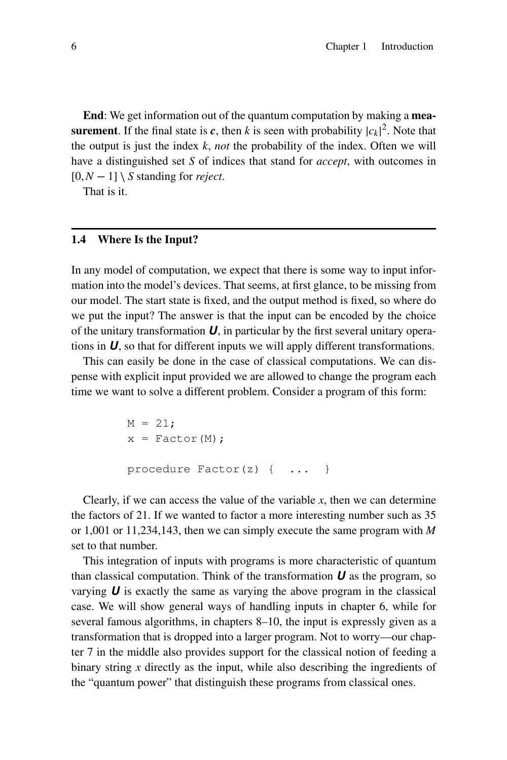End: We get information out of the quantum computation by making a mea**surement**. If the final state is *c*, then *k* is seen with probability  $|c_k|^2$ . Note that the output is just the index *k*, *not* the probability of the index. Often we will have a distinguished set *S* of indices that stand for *accept*, with outcomes in  $[0, N - 1] \setminus S$  standing for *reject*.

That is it.

#### 1.4 Where Is the Input?

In any model of computation, we expect that there is some way to input information into the model's devices. That seems, at first glance, to be missing from our model. The start state is fixed, and the output method is fixed, so where do we put the input? The answer is that the input can be encoded by the choice of the unitary transformation *U*, in particular by the first several unitary operations in *U*, so that for different inputs we will apply different transformations.

This can easily be done in the case of classical computations. We can dispense with explicit input provided we are allowed to change the program each time we want to solve a different problem. Consider a program of this form:

```
M = 21;x = Factor(M);procedure Factor(z) { ... }
```
Clearly, if we can access the value of the variable  $x$ , then we can determine the factors of 21. If we wanted to factor a more interesting number such as 35 or 1,001 or 11,234,143, then we can simply execute the same program with *M* set to that number.

This integration of inputs with programs is more characteristic of quantum than classical computation. Think of the transformation  $\boldsymbol{U}$  as the program, so varying  $U$  is exactly the same as varying the above program in the classical case. We will show general ways of handling inputs in chapter 6, while for several famous algorithms, in chapters 8–10, the input is expressly given as a transformation that is dropped into a larger program. Not to worry—our chapter 7 in the middle also provides support for the classical notion of feeding a binary string *x* directly as the input, while also describing the ingredients of the "quantum power" that distinguish these programs from classical ones.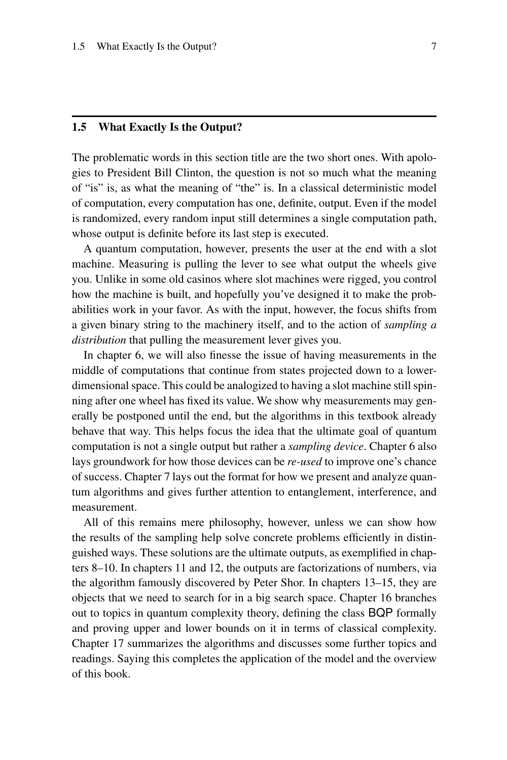#### 1.5 What Exactly Is the Output?

The problematic words in this section title are the two short ones. With apologies to President Bill Clinton, the question is not so much what the meaning of "is" is, as what the meaning of "the" is. In a classical deterministic model of computation, every computation has one, definite, output. Even if the model is randomized, every random input still determines a single computation path, whose output is definite before its last step is executed.

A quantum computation, however, presents the user at the end with a slot machine. Measuring is pulling the lever to see what output the wheels give you. Unlike in some old casinos where slot machines were rigged, you control how the machine is built, and hopefully you've designed it to make the probabilities work in your favor. As with the input, however, the focus shifts from a given binary string to the machinery itself, and to the action of *sampling a distribution* that pulling the measurement lever gives you.

In chapter 6, we will also finesse the issue of having measurements in the middle of computations that continue from states projected down to a lowerdimensional space. This could be analogized to having a slot machine still spinning after one wheel has fixed its value. We show why measurements may generally be postponed until the end, but the algorithms in this textbook already behave that way. This helps focus the idea that the ultimate goal of quantum computation is not a single output but rather a *sampling device*. Chapter 6 also lays groundwork for how those devices can be *re-used* to improve one's chance of success. Chapter 7 lays out the format for how we present and analyze quantum algorithms and gives further attention to entanglement, interference, and measurement.

All of this remains mere philosophy, however, unless we can show how the results of the sampling help solve concrete problems efficiently in distinguished ways. These solutions are the ultimate outputs, as exemplified in chapters 8–10. In chapters 11 and 12, the outputs are factorizations of numbers, via the algorithm famously discovered by Peter Shor. In chapters 13–15, they are objects that we need to search for in a big search space. Chapter 16 branches out to topics in quantum complexity theory, defining the class BQP formally and proving upper and lower bounds on it in terms of classical complexity. Chapter 17 summarizes the algorithms and discusses some further topics and readings. Saying this completes the application of the model and the overview of this book.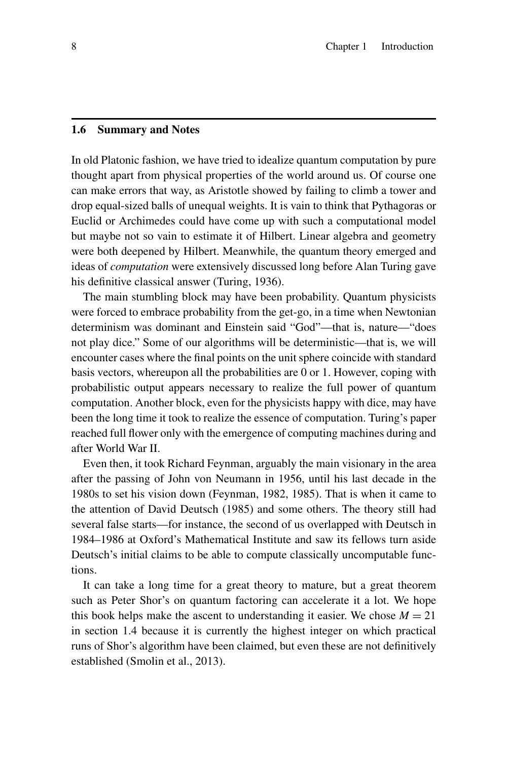#### 1.6 Summary and Notes

In old Platonic fashion, we have tried to idealize quantum computation by pure thought apart from physical properties of the world around us. Of course one can make errors that way, as Aristotle showed by failing to climb a tower and drop equal-sized balls of unequal weights. It is vain to think that Pythagoras or Euclid or Archimedes could have come up with such a computational model but maybe not so vain to estimate it of Hilbert. Linear algebra and geometry were both deepened by Hilbert. Meanwhile, the quantum theory emerged and ideas of *computation* were extensively discussed long before Alan Turing gave his definitive classical answer (Turing, 1936).

The main stumbling block may have been probability. Quantum physicists were forced to embrace probability from the get-go, in a time when Newtonian determinism was dominant and Einstein said "God"—that is, nature—"does not play dice." Some of our algorithms will be deterministic—that is, we will encounter cases where the final points on the unit sphere coincide with standard basis vectors, whereupon all the probabilities are 0 or 1. However, coping with probabilistic output appears necessary to realize the full power of quantum computation. Another block, even for the physicists happy with dice, may have been the long time it took to realize the essence of computation. Turing's paper reached full flower only with the emergence of computing machines during and after World War II.

Even then, it took Richard Feynman, arguably the main visionary in the area after the passing of John von Neumann in 1956, until his last decade in the 1980s to set his vision down (Feynman, 1982, 1985). That is when it came to the attention of David Deutsch (1985) and some others. The theory still had several false starts—for instance, the second of us overlapped with Deutsch in 1984–1986 at Oxford's Mathematical Institute and saw its fellows turn aside Deutsch's initial claims to be able to compute classically uncomputable functions.

It can take a long time for a great theory to mature, but a great theorem such as Peter Shor's on quantum factoring can accelerate it a lot. We hope this book helps make the ascent to understanding it easier. We chose  $M = 21$ in section 1.4 because it is currently the highest integer on which practical runs of Shor's algorithm have been claimed, but even these are not definitively established (Smolin et al., 2013).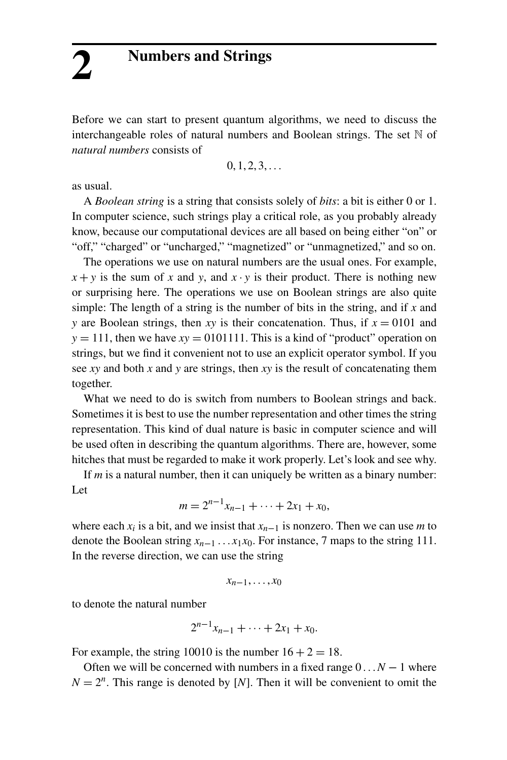## <span id="page-20-0"></span>**Numbers and Strings**

Before we can start to present quantum algorithms, we need to discuss the interchangeable roles of natural numbers and Boolean strings. The set  $\mathbb N$  of *natural numbers* consists of

 $0, 1, 2, 3, \ldots$ 

as usual.

A *Boolean string* is a string that consists solely of *bits*: a bit is either 0 or 1. In computer science, such strings play a critical role, as you probably already know, because our computational devices are all based on being either "on" or "off," "charged" or "uncharged," "magnetized" or "unmagnetized," and so on.

The operations we use on natural numbers are the usual ones. For example,  $x + y$  is the sum of *x* and *y*, and  $x \cdot y$  is their product. There is nothing new or surprising here. The operations we use on Boolean strings are also quite simple: The length of a string is the number of bits in the string, and if *x* and *y* are Boolean strings, then *xy* is their concatenation. Thus, if  $x = 0101$  and  $y = 111$ , then we have  $xy = 0101111$ . This is a kind of "product" operation on strings, but we find it convenient not to use an explicit operator symbol. If you see *xy* and both *x* and *y* are strings, then *xy* is the result of concatenating them together.

What we need to do is switch from numbers to Boolean strings and back. Sometimes it is best to use the number representation and other times the string representation. This kind of dual nature is basic in computer science and will be used often in describing the quantum algorithms. There are, however, some hitches that must be regarded to make it work properly. Let's look and see why.

If *m* is a natural number, then it can uniquely be written as a binary number: Let

$$
m = 2^{n-1}x_{n-1} + \cdots + 2x_1 + x_0,
$$

where each *xi* is a bit, and we insist that *xn*−<sup>1</sup> is nonzero. Then we can use *m* to denote the Boolean string  $x_{n-1}$ ...  $x_1x_0$ . For instance, 7 maps to the string 111. In the reverse direction, we can use the string

$$
x_{n-1},\ldots,x_0
$$

to denote the natural number

$$
2^{n-1}x_{n-1} + \cdots + 2x_1 + x_0.
$$

For example, the string 10010 is the number  $16 + 2 = 18$ .

Often we will be concerned with numbers in a fixed range  $0 \dots N - 1$  where  $N = 2<sup>n</sup>$ . This range is denoted by [N]. Then it will be convenient to omit the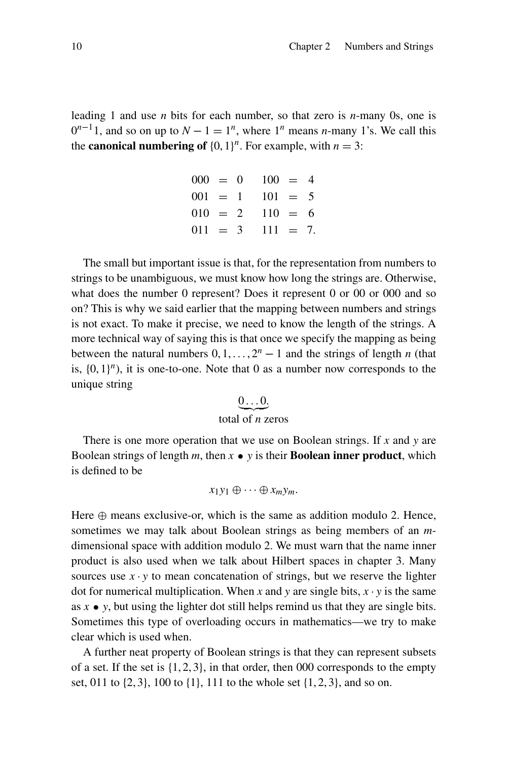leading 1 and use *n* bits for each number, so that zero is *n*-many 0s, one is  $0^{n-1}$ 1, and so on up to  $N - 1 = 1^n$ , where  $1^n$  means *n*-many 1's. We call this the **canonical numbering of**  $\{0, 1\}^n$ . For example, with  $n = 3$ :

|  | $000 = 0$<br>$010 = 2$ | $100 = 4$<br>$001 = 1$ $101 = 5$<br>$110 = 6$<br>$011 = 3$ $111 = 7$ . |
|--|------------------------|------------------------------------------------------------------------|

The small but important issue is that, for the representation from numbers to strings to be unambiguous, we must know how long the strings are. Otherwise, what does the number 0 represent? Does it represent 0 or 00 or 000 and so on? This is why we said earlier that the mapping between numbers and strings is not exact. To make it precise, we need to know the length of the strings. A more technical way of saying this is that once we specify the mapping as being between the natural numbers  $0, 1, \ldots, 2^n - 1$  and the strings of length *n* (that is,  $\{0, 1\}^n$ ), it is one-to-one. Note that 0 as a number now corresponds to the unique string

### $0 \dots 0.$   total of *n* zeros

There is one more operation that we use on Boolean strings. If *x* and *y* are Boolean strings of length  $m$ , then  $x \bullet y$  is their **Boolean inner product**, which is defined to be

$$
x_1y_1\oplus\cdots\oplus x_my_m.
$$

Here  $\oplus$  means exclusive-or, which is the same as addition modulo 2. Hence, sometimes we may talk about Boolean strings as being members of an *m*dimensional space with addition modulo 2. We must warn that the name inner product is also used when we talk about Hilbert spaces in chapter 3. Many sources use  $x \cdot y$  to mean concatenation of strings, but we reserve the lighter dot for numerical multiplication. When *x* and *y* are single bits,  $x \cdot y$  is the same as  $x \bullet y$ , but using the lighter dot still helps remind us that they are single bits. Sometimes this type of overloading occurs in mathematics—we try to make clear which is used when.

A further neat property of Boolean strings is that they can represent subsets of a set. If the set is  $\{1, 2, 3\}$ , in that order, then 000 corresponds to the empty set, 011 to {2, 3}, 100 to {1}, 111 to the whole set {1, 2, 3}, and so on.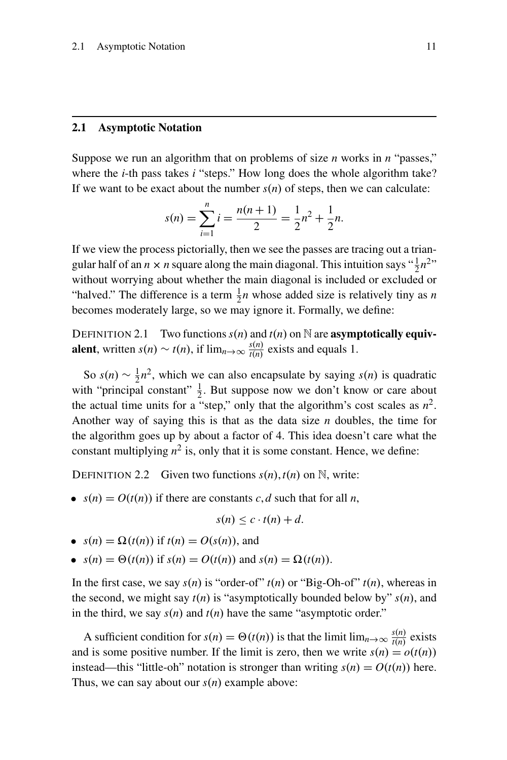#### 2.1 Asymptotic Notation

Suppose we run an algorithm that on problems of size *n* works in *n* "passes," where the *i*-th pass takes *i* "steps." How long does the whole algorithm take? If we want to be exact about the number  $s(n)$  of steps, then we can calculate:

$$
s(n) = \sum_{i=1}^{n} i = \frac{n(n+1)}{2} = \frac{1}{2}n^2 + \frac{1}{2}n.
$$

If we view the process pictorially, then we see the passes are tracing out a triangular half of an  $n \times n$  square along the main diagonal. This intuition says " $\frac{1}{2}n^2$ " without worrying about whether the main diagonal is included or excluded or "halved." The difference is a term  $\frac{1}{2}n$  whose added size is relatively tiny as *n* becomes moderately large, so we may ignore it. Formally, we define:

DEFINITION 2.1 Two functions  $s(n)$  and  $t(n)$  on N are **asymptotically equivalent**, written *s*(*n*) ∼ *t*(*n*), if  $\lim_{n\to\infty} \frac{s(n)}{t(n)}$  exists and equals 1.

So *s*(*n*) ∼  $\frac{1}{2}$ *n*<sup>2</sup>, which we can also encapsulate by saying *s*(*n*) is quadratic with "principal constant"  $\frac{1}{2}$ . But suppose now we don't know or care about the actual time units for a "step," only that the algorithm's cost scales as  $n^2$ . Another way of saying this is that as the data size *n* doubles, the time for the algorithm goes up by about a factor of 4. This idea doesn't care what the constant multiplying  $n^2$  is, only that it is some constant. Hence, we define:

DEFINITION 2.2 Given two functions  $s(n)$ ,  $t(n)$  on N, write:

•  $s(n) = O(t(n))$  if there are constants *c*, *d* such that for all *n*,

$$
s(n) \leq c \cdot t(n) + d.
$$

- $s(n) = \Omega(t(n))$  if  $t(n) = O(s(n))$ , and
- $s(n) = \Theta(t(n))$  if  $s(n) = O(t(n))$  and  $s(n) = \Omega(t(n))$ .

In the first case, we say  $s(n)$  is "order-of"  $t(n)$  or "Big-Oh-of"  $t(n)$ , whereas in the second, we might say  $t(n)$  is "asymptotically bounded below by"  $s(n)$ , and in the third, we say  $s(n)$  and  $t(n)$  have the same "asymptotic order."

A sufficient condition for  $s(n) = \Theta(t(n))$  is that the limit  $\lim_{n\to\infty} \frac{s(n)}{t(n)}$  exists and is some positive number. If the limit is zero, then we write  $s(n) = o(t(n))$ instead—this "little-oh" notation is stronger than writing  $s(n) = O(t(n))$  here. Thus, we can say about our *s*(*n*) example above: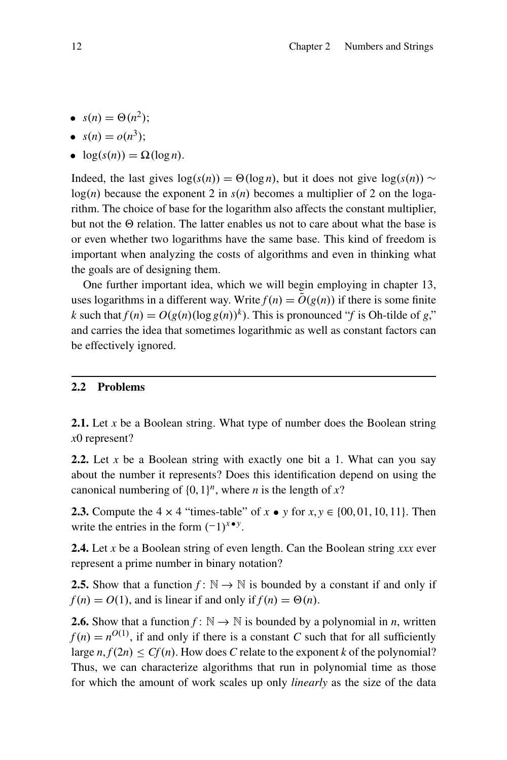- $s(n) = \Theta(n^2)$ ;
- $s(n) = o(n^3)$ ;
- $\log(s(n)) = \Omega(\log n).$

Indeed, the last gives  $log(s(n)) = \Theta(log n)$ , but it does not give  $log(s(n)) \sim$  $log(n)$  because the exponent 2 in  $s(n)$  becomes a multiplier of 2 on the logarithm. The choice of base for the logarithm also affects the constant multiplier, but not the  $\Theta$  relation. The latter enables us not to care about what the base is or even whether two logarithms have the same base. This kind of freedom is important when analyzing the costs of algorithms and even in thinking what the goals are of designing them.

One further important idea, which we will begin employing in chapter 13, uses logarithms in a different way. Write  $f(n) = O(g(n))$  if there is some finite *k* such that  $f(n) = O(g(n)(\log g(n))^k)$ . This is pronounced "*f* is Oh-tilde of *g*," and carries the idea that sometimes logarithmic as well as constant factors can be effectively ignored.

#### 2.2 Problems

2.1. Let *x* be a Boolean string. What type of number does the Boolean string *x*0 represent?

2.2. Let *x* be a Boolean string with exactly one bit a 1. What can you say about the number it represents? Does this identification depend on using the canonical numbering of  $\{0, 1\}^n$ , where *n* is the length of *x*?

2.3. Compute the  $4 \times 4$  "times-table" of  $x \bullet y$  for  $x, y \in \{00, 01, 10, 11\}$ . Then write the entries in the form  $(-1)^{x \cdot y}$ .

2.4. Let *x* be a Boolean string of even length. Can the Boolean string *xxx* ever represent a prime number in binary notation?

**2.5.** Show that a function  $f: \mathbb{N} \to \mathbb{N}$  is bounded by a constant if and only if  $f(n) = O(1)$ , and is linear if and only if  $f(n) = \Theta(n)$ .

**2.6.** Show that a function  $f: \mathbb{N} \to \mathbb{N}$  is bounded by a polynomial in *n*, written  $f(n) = n^{O(1)}$ , if and only if there is a constant *C* such that for all sufficiently large  $n, f(2n) \leq Cf(n)$ . How does C relate to the exponent k of the polynomial? Thus, we can characterize algorithms that run in polynomial time as those for which the amount of work scales up only *linearly* as the size of the data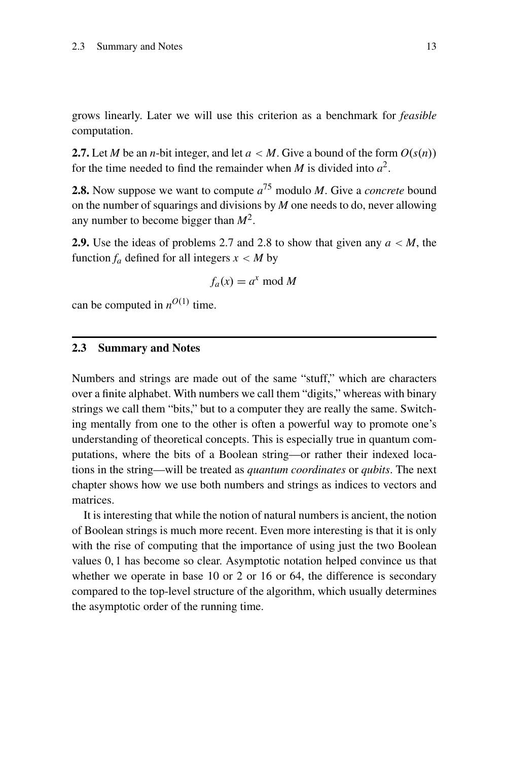grows linearly. Later we will use this criterion as a benchmark for *feasible* computation.

**2.7.** Let *M* be an *n*-bit integer, and let  $a < M$ . Give a bound of the form  $O(s(n))$ for the time needed to find the remainder when *M* is divided into  $a^2$ .

2.8. Now suppose we want to compute *a*<sup>75</sup> modulo *M*. Give a *concrete* bound on the number of squarings and divisions by *M* one needs to do, never allowing any number to become bigger than *M*2.

**2.9.** Use the ideas of problems 2.7 and 2.8 to show that given any  $a < M$ , the function  $f_a$  defined for all integers  $x < M$  by

$$
f_a(x) = a^x \bmod M
$$

can be computed in  $n^{O(1)}$  time.

#### 2.3 Summary and Notes

Numbers and strings are made out of the same "stuff," which are characters over a finite alphabet. With numbers we call them "digits," whereas with binary strings we call them "bits," but to a computer they are really the same. Switching mentally from one to the other is often a powerful way to promote one's understanding of theoretical concepts. This is especially true in quantum computations, where the bits of a Boolean string—or rather their indexed locations in the string—will be treated as *quantum coordinates* or *qubits*. The next chapter shows how we use both numbers and strings as indices to vectors and matrices.

It is interesting that while the notion of natural numbers is ancient, the notion of Boolean strings is much more recent. Even more interesting is that it is only with the rise of computing that the importance of using just the two Boolean values 0, 1 has become so clear. Asymptotic notation helped convince us that whether we operate in base 10 or 2 or 16 or 64, the difference is secondary compared to the top-level structure of the algorithm, which usually determines the asymptotic order of the running time.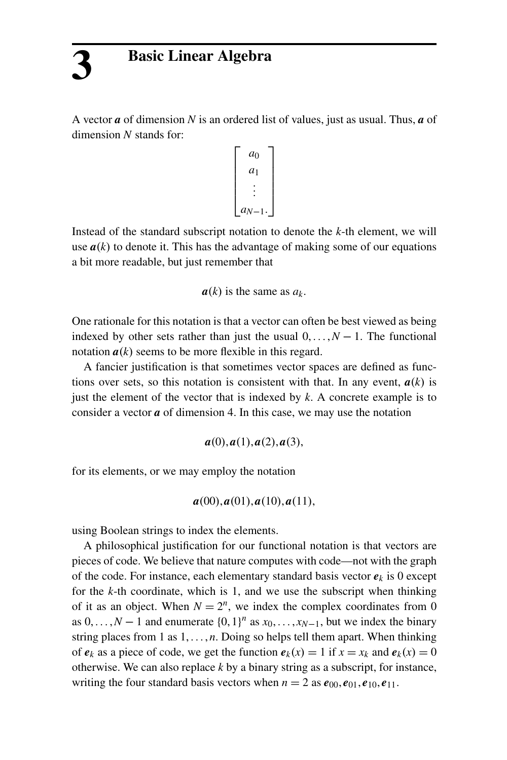## <span id="page-26-0"></span>**Basic Linear Algebra**

A vector *a* of dimension *N* is an ordered list of values, just as usual. Thus, *a* of dimension *N* stands for:

$$
\begin{bmatrix} a_0 \\ a_1 \\ \vdots \\ a_{N-1} \end{bmatrix}
$$

Instead of the standard subscript notation to denote the *k*-th element, we will use  $a(k)$  to denote it. This has the advantage of making some of our equations a bit more readable, but just remember that

 $a(k)$  is the same as  $a_k$ .

One rationale for this notation is that a vector can often be best viewed as being indexed by other sets rather than just the usual  $0, \ldots, N-1$ . The functional notation  $a(k)$  seems to be more flexible in this regard.

A fancier justification is that sometimes vector spaces are defined as functions over sets, so this notation is consistent with that. In any event,  $a(k)$  is just the element of the vector that is indexed by *k*. A concrete example is to consider a vector *a* of dimension 4. In this case, we may use the notation

$$
a(0), a(1), a(2), a(3),
$$

for its elements, or we may employ the notation

$$
a(00), a(01), a(10), a(11),
$$

using Boolean strings to index the elements.

A philosophical justification for our functional notation is that vectors are pieces of code. We believe that nature computes with code—not with the graph of the code. For instance, each elementary standard basis vector  $e_k$  is 0 except for the *k*-th coordinate, which is 1, and we use the subscript when thinking of it as an object. When  $N = 2^n$ , we index the complex coordinates from 0 as  $0, \ldots, N-1$  and enumerate  $\{0, 1\}^n$  as  $x_0, \ldots, x_{N-1}$ , but we index the binary string places from 1 as  $1, \ldots, n$ . Doing so helps tell them apart. When thinking of  $e_k$  as a piece of code, we get the function  $e_k(x) = 1$  if  $x = x_k$  and  $e_k(x) = 0$ otherwise. We can also replace *k* by a binary string as a subscript, for instance, writing the four standard basis vectors when  $n = 2$  as  $e_{00}, e_{01}, e_{10}, e_{11}$ .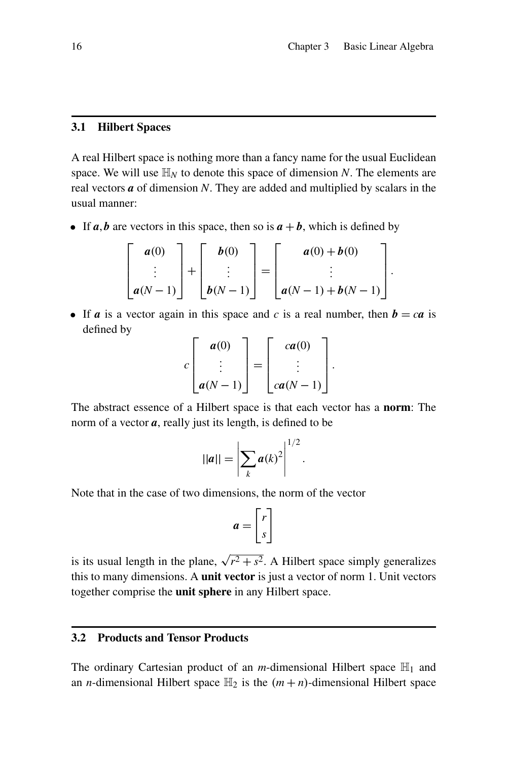#### 3.1 Hilbert Spaces

A real Hilbert space is nothing more than a fancy name for the usual Euclidean space. We will use  $\mathbb{H}_N$  to denote this space of dimension N. The elements are real vectors *a* of dimension *N*. They are added and multiplied by scalars in the usual manner:

• If  $a, b$  are vectors in this space, then so is  $a + b$ , which is defined by

$$
\begin{bmatrix}\n a(0) \\
 \vdots \\
 a(N-1)\n\end{bmatrix} +\n\begin{bmatrix}\n b(0) \\
 \vdots \\
 b(N-1)\n\end{bmatrix} =\n\begin{bmatrix}\n a(0) + b(0) \\
 \vdots \\
 a(N-1) + b(N-1)\n\end{bmatrix}.
$$

• If *a* is a vector again in this space and *c* is a real number, then  $\mathbf{b} = c\mathbf{a}$  is defined by

$$
c\begin{bmatrix} a(0) \\ \vdots \\ a(N-1) \end{bmatrix} = \begin{bmatrix} ca(0) \\ \vdots \\ ca(N-1) \end{bmatrix}.
$$

The abstract essence of a Hilbert space is that each vector has a norm: The norm of a vector *a*, really just its length, is defined to be

$$
||\mathbf{a}|| = \left|\sum_{k} \mathbf{a}(k)^2\right|^{1/2}.
$$

Note that in the case of two dimensions, the norm of the vector

$$
a = \begin{bmatrix} r \\ s \end{bmatrix}
$$

is its usual length in the plane,  $\sqrt{r^2 + s^2}$ . A Hilbert space simply generalizes this to many dimensions. A **unit vector** is just a vector of norm 1. Unit vectors together comprise the unit sphere in any Hilbert space.

#### 3.2 Products and Tensor Products

The ordinary Cartesian product of an *m*-dimensional Hilbert space  $\mathbb{H}_1$  and an *n*-dimensional Hilbert space  $\mathbb{H}_2$  is the  $(m+n)$ -dimensional Hilbert space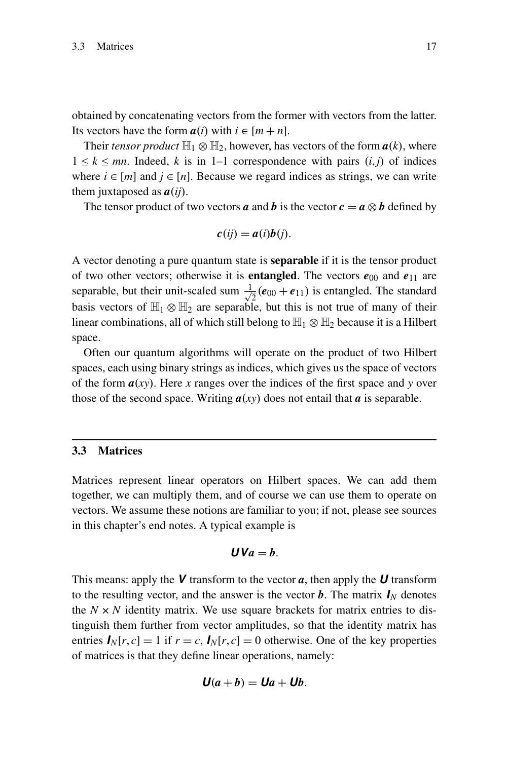obtained by concatenating vectors from the former with vectors from the latter. Its vectors have the form  $a(i)$  with  $i \in [m+n]$ .

Their *tensor product*  $\mathbb{H}_1 \otimes \mathbb{H}_2$ , however, has vectors of the form  $a(k)$ , where  $1 \leq k \leq mn$ . Indeed, k is in 1–1 correspondence with pairs  $(i, j)$  of indices where  $i \in [m]$  and  $j \in [n]$ . Because we regard indices as strings, we can write them juxtaposed as *a*(*ij*).

The tensor product of two vectors *a* and *b* is the vector  $c = a \otimes b$  defined by

$$
c(ij) = a(i)b(j).
$$

A vector denoting a pure quantum state is separable if it is the tensor product of two other vectors; otherwise it is **entangled**. The vectors  $e_{00}$  and  $e_{11}$  are separable, but their unit-scaled sum  $\frac{1}{\sqrt{2}}$  $\frac{1}{2}(e_{00}+e_{11})$  is entangled. The standard basis vectors of  $\mathbb{H}_1 \otimes \mathbb{H}_2$  are separable, but this is not true of many of their linear combinations, all of which still belong to  $\mathbb{H}_1 \otimes \mathbb{H}_2$  because it is a Hilbert space.

Often our quantum algorithms will operate on the product of two Hilbert spaces, each using binary strings as indices, which gives us the space of vectors of the form  $a(xy)$ . Here *x* ranges over the indices of the first space and *y* over those of the second space. Writing  $a(xy)$  does not entail that  $a$  is separable.

#### 3.3 Matrices

Matrices represent linear operators on Hilbert spaces. We can add them together, we can multiply them, and of course we can use them to operate on vectors. We assume these notions are familiar to you; if not, please see sources in this chapter's end notes. A typical example is

$$
UVa=b.
$$

This means: apply the  $V$  transform to the vector  $a$ , then apply the  $U$  transform to the resulting vector, and the answer is the vector *b*. The matrix  $I_N$  denotes the  $N \times N$  identity matrix. We use square brackets for matrix entries to distinguish them further from vector amplitudes, so that the identity matrix has entries  $I_N[r, c] = 1$  if  $r = c$ ,  $I_N[r, c] = 0$  otherwise. One of the key properties of matrices is that they define linear operations, namely:

$$
U(a+b)=Ua+Ub.
$$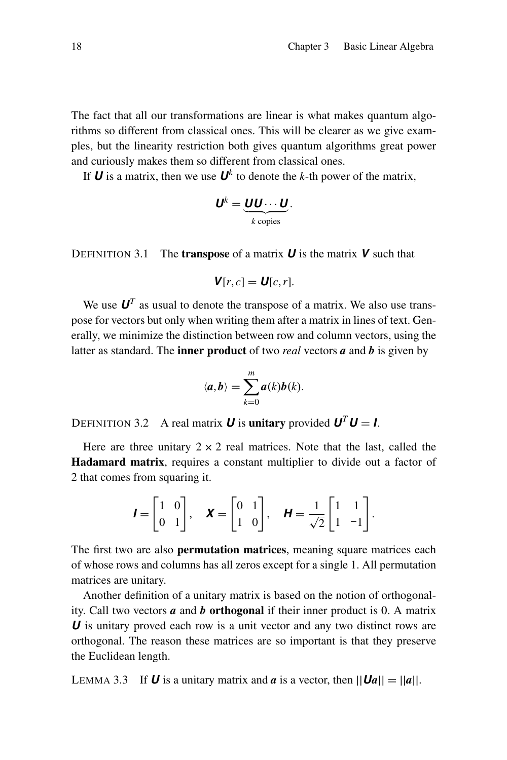The fact that all our transformations are linear is what makes quantum algorithms so different from classical ones. This will be clearer as we give examples, but the linearity restriction both gives quantum algorithms great power and curiously makes them so different from classical ones.

If  $U$  is a matrix, then we use  $U^k$  to denote the *k*-th power of the matrix,

$$
\boldsymbol{U}^k = \underbrace{\boldsymbol{U}\boldsymbol{U}\cdots\boldsymbol{U}}_{k \text{ copies}}.
$$

DEFINITION 3.1 The **transpose** of a matrix  $U$  is the matrix  $V$  such that

$$
\mathbf{V}[r,c] = \mathbf{U}[c,r].
$$

We use  $U^T$  as usual to denote the transpose of a matrix. We also use transpose for vectors but only when writing them after a matrix in lines of text. Generally, we minimize the distinction between row and column vectors, using the latter as standard. The inner product of two *real* vectors *a* and *b* is given by

$$
\langle \boldsymbol{a},\boldsymbol{b}\rangle=\sum_{k=0}^m \boldsymbol{a}(k)\boldsymbol{b}(k).
$$

DEFINITION 3.2 A real matrix *U* is unitary provided  $U^T U = I$ .

Here are three unitary  $2 \times 2$  real matrices. Note that the last, called the Hadamard matrix, requires a constant multiplier to divide out a factor of 2 that comes from squaring it.

$$
\boldsymbol{I} = \begin{bmatrix} 1 & 0 \\ 0 & 1 \end{bmatrix}, \quad \boldsymbol{X} = \begin{bmatrix} 0 & 1 \\ 1 & 0 \end{bmatrix}, \quad \boldsymbol{H} = \frac{1}{\sqrt{2}} \begin{bmatrix} 1 & 1 \\ 1 & -1 \end{bmatrix}.
$$

The first two are also permutation matrices, meaning square matrices each of whose rows and columns has all zeros except for a single 1. All permutation matrices are unitary.

Another definition of a unitary matrix is based on the notion of orthogonality. Call two vectors *a* and *b* orthogonal if their inner product is 0. A matrix *U* is unitary proved each row is a unit vector and any two distinct rows are orthogonal. The reason these matrices are so important is that they preserve the Euclidean length.

LEMMA 3.3 If **U** is a unitary matrix and **a** is a vector, then  $||Ua|| = ||a||$ .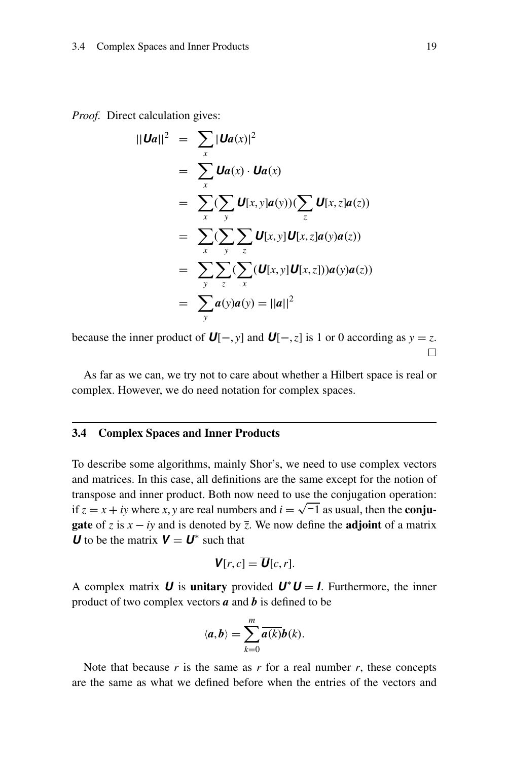*Proof.* Direct calculation gives:

$$
\begin{aligned}\n||\boldsymbol{U}\boldsymbol{a}||^2 &= \sum_{x} |\boldsymbol{U}\boldsymbol{a}(x)|^2 \\
&= \sum_{x} \boldsymbol{U}\boldsymbol{a}(x) \cdot \boldsymbol{U}\boldsymbol{a}(x) \\
&= \sum_{x} (\sum_{y} \boldsymbol{U}[x, y] \boldsymbol{a}(y)) (\sum_{z} \boldsymbol{U}[x, z] \boldsymbol{a}(z)) \\
&= \sum_{x} (\sum_{y} \sum_{z} \boldsymbol{U}[x, y] \boldsymbol{U}[x, z] \boldsymbol{a}(y) \boldsymbol{a}(z)) \\
&= \sum_{y} \sum_{z} (\sum_{x} (\boldsymbol{U}[x, y] \boldsymbol{U}[x, z]) \boldsymbol{a}(y) \boldsymbol{a}(z)) \\
&= \sum_{y} \boldsymbol{a}(y) \boldsymbol{a}(y) = ||\boldsymbol{a}||^2\n\end{aligned}
$$

because the inner product of  $\boldsymbol{U}[-, y]$  and  $\boldsymbol{U}[-, z]$  is 1 or 0 according as  $y = z$ .  $\Box$ 

As far as we can, we try not to care about whether a Hilbert space is real or complex. However, we do need notation for complex spaces.

#### 3.4 Complex Spaces and Inner Products

To describe some algorithms, mainly Shor's, we need to use complex vectors and matrices. In this case, all definitions are the same except for the notion of transpose and inner product. Both now need to use the conjugation operation: if  $z = x + iy$  where *x*, *y* are real numbers and  $i = \sqrt{-1}$  as usual, then the **conjugate** of *z* is  $x - iy$  and is denoted by  $\overline{z}$ . We now define the **adjoint** of a matrix *U* to be the matrix  $V = U^*$  such that

$$
\mathbf{V}[r,c] = \mathbf{U}[c,r].
$$

A complex matrix *U* is unitary provided  $U^*U = I$ . Furthermore, the inner product of two complex vectors *a* and *b* is defined to be

$$
\langle \boldsymbol{a},\boldsymbol{b}\rangle=\sum_{k=0}^m\overline{\boldsymbol{a}(k)}\boldsymbol{b}(k).
$$

Note that because  $\bar{r}$  is the same as  $r$  for a real number  $r$ , these concepts are the same as what we defined before when the entries of the vectors and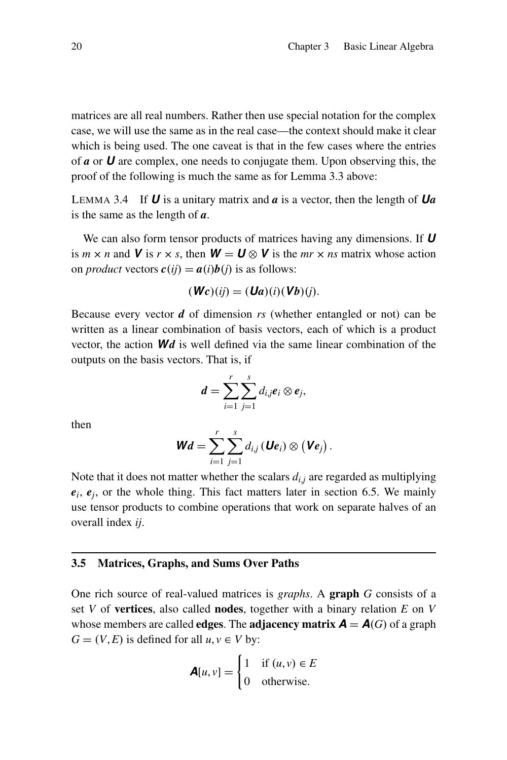matrices are all real numbers. Rather then use special notation for the complex case, we will use the same as in the real case—the context should make it clear which is being used. The one caveat is that in the few cases where the entries of *a* or *U* are complex, one needs to conjugate them. Upon observing this, the proof of the following is much the same as for Lemma 3.3 above:

LEMMA 3.4 If **U** is a unitary matrix and  $\boldsymbol{a}$  is a vector, then the length of **U** $\boldsymbol{a}$ is the same as the length of *a*.

We can also form tensor products of matrices having any dimensions. If *U* is *m* × *n* and **V** is *r* × *s*, then  $W = U \otimes V$  is the *mr* × *ns* matrix whose action on *product* vectors  $c(ij) = a(i)b(j)$  is as follows:

$$
(\mathbf{W}\mathbf{c})(ij) = (\mathbf{U}\mathbf{a})(i)(\mathbf{V}\mathbf{b})(j).
$$

Because every vector *d* of dimension *rs* (whether entangled or not) can be written as a linear combination of basis vectors, each of which is a product vector, the action *Wd* is well defined via the same linear combination of the outputs on the basis vectors. That is, if

$$
\boldsymbol{d}=\sum_{i=1}^r\sum_{j=1}^s d_{i,j}\boldsymbol{e}_i\otimes \boldsymbol{e}_j,
$$

then

$$
\mathbf{W}\mathbf{d}=\sum_{i=1}^r\sum_{j=1}^s d_{i,j}\left(\mathbf{U}\mathbf{e}_i\right)\otimes\left(\mathbf{V}\mathbf{e}_j\right).
$$

Note that it does not matter whether the scalars  $d_{i,j}$  are regarded as multiplying  $e_i$ ,  $e_i$ , or the whole thing. This fact matters later in section 6.5. We mainly use tensor products to combine operations that work on separate halves of an overall index *ij*.

#### 3.5 Matrices, Graphs, and Sums Over Paths

One rich source of real-valued matrices is *graphs*. A graph *G* consists of a set *V* of vertices, also called nodes, together with a binary relation *E* on *V* whose members are called **edges**. The **adjacency matrix**  $A = A(G)$  of a graph  $G = (V, E)$  is defined for all  $u, v \in V$  by:

$$
\mathbf{A}[u, v] = \begin{cases} 1 & \text{if } (u, v) \in E \\ 0 & \text{otherwise.} \end{cases}
$$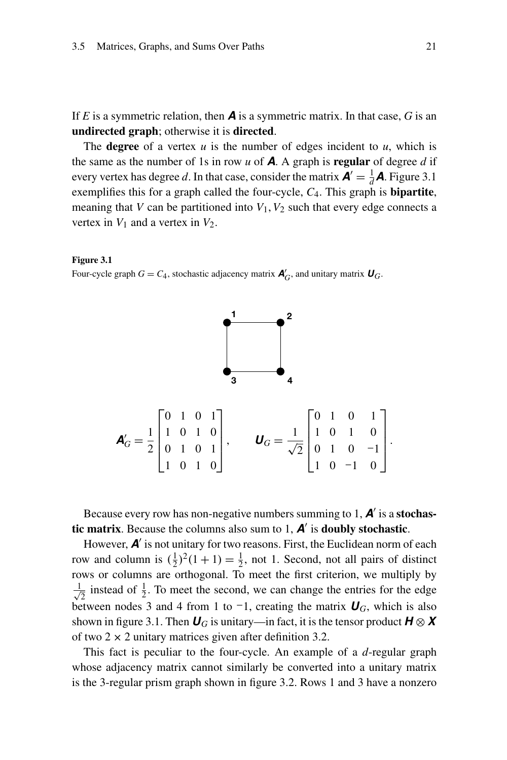If *E* is a symmetric relation, then *A* is a symmetric matrix. In that case, *G* is an undirected graph; otherwise it is directed.

The **degree** of a vertex  $u$  is the number of edges incident to  $u$ , which is the same as the number of 1s in row  $u$  of  $A$ . A graph is **regular** of degree  $d$  if every vertex has degree *d*. In that case, consider the matrix  $\mathbf{A}' = \frac{1}{d}\mathbf{A}$ . Figure 3.1 exemplifies this for a graph called the four-cycle, *C*4. This graph is bipartite, meaning that *V* can be partitioned into  $V_1$ ,  $V_2$  such that every edge connects a vertex in  $V_1$  and a vertex in  $V_2$ .

#### Figure 3.1

Four-cycle graph  $G = C_4$ , stochastic adjacency matrix  $\mathbf{A}'_G$ , and unitary matrix  $\mathbf{U}_G$ .



Because every row has non-negative numbers summing to 1,  $\mathbf{A}'$  is a **stochas**tic matrix. Because the columns also sum to  $1$ ,  $\mathbf{A}'$  is doubly stochastic.

However, **A** is not unitary for two reasons. First, the Euclidean norm of each row and column is  $(\frac{1}{2})^2(1+1) = \frac{1}{2}$ , not 1. Second, not all pairs of distinct rows or columns are orthogonal. To meet the first criterion, we multiply by  $\frac{1}{4}$  $\frac{1}{2}$  instead of  $\frac{1}{2}$ . To meet the second, we can change the entries for the edge between nodes 3 and 4 from 1 to  $-1$ , creating the matrix **, which is also** shown in figure 3.1. Then  $U_G$  is unitary—in fact, it is the tensor product  $H \otimes X$ of two  $2 \times 2$  unitary matrices given after definition 3.2.

This fact is peculiar to the four-cycle. An example of a *d*-regular graph whose adjacency matrix cannot similarly be converted into a unitary matrix is the 3-regular prism graph shown in figure 3.2. Rows 1 and 3 have a nonzero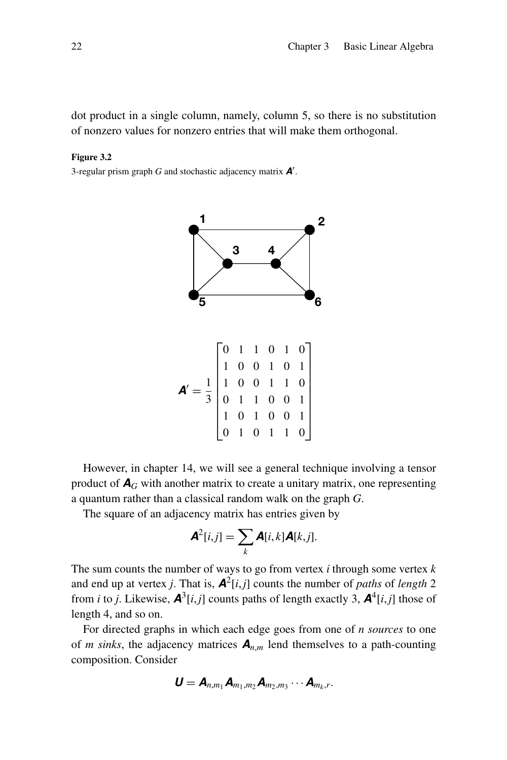dot product in a single column, namely, column 5, so there is no substitution of nonzero values for nonzero entries that will make them orthogonal.

#### Figure 3.2

3-regular prism graph *G* and stochastic adjacency matrix *A* .



However, in chapter 14, we will see a general technique involving a tensor product of  $\mathbf{A}_G$  with another matrix to create a unitary matrix, one representing a quantum rather than a classical random walk on the graph *G*.

The square of an adjacency matrix has entries given by

$$
\mathbf{A}^2[i,j] = \sum_k \mathbf{A}[i,k] \mathbf{A}[k,j].
$$

The sum counts the number of ways to go from vertex *i* through some vertex *k* and end up at vertex *j*. That is,  $\mathbf{A}^2[i, j]$  counts the number of *paths* of *length* 2 from *i* to *j*. Likewise,  $\mathbf{A}^3[i, j]$  counts paths of length exactly 3,  $\mathbf{A}^4[i, j]$  those of length 4, and so on.

For directed graphs in which each edge goes from one of *n sources* to one of *m sinks*, the adjacency matrices  $A_{n,m}$  lend themselves to a path-counting composition. Consider

$$
\boldsymbol{U} = \boldsymbol{A}_{n,m_1} \boldsymbol{A}_{m_1,m_2} \boldsymbol{A}_{m_2,m_3} \cdots \boldsymbol{A}_{m_k,r}.
$$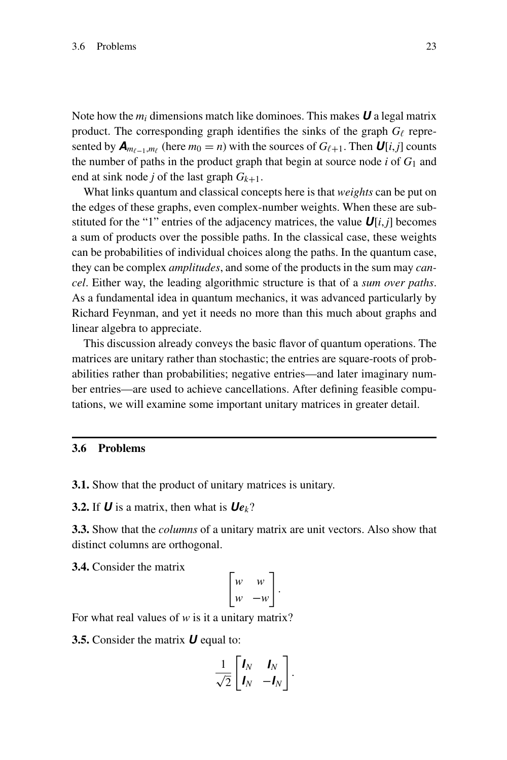Note how the  $m_i$  dimensions match like dominoes. This makes  $\boldsymbol{U}$  a legal matrix product. The corresponding graph identifies the sinks of the graph  $G_{\ell}$  represented by  $\mathbf{A}_{m_{\ell-1},m_{\ell}}$  (here  $m_0 = n$ ) with the sources of  $G_{\ell+1}$ . Then  $\mathbf{U}[i,j]$  counts the number of paths in the product graph that begin at source node *i* of *G*<sup>1</sup> and end at sink node *j* of the last graph  $G_{k+1}$ .

What links quantum and classical concepts here is that *weights* can be put on the edges of these graphs, even complex-number weights. When these are substituted for the "1" entries of the adjacency matrices, the value  $U[i, j]$  becomes a sum of products over the possible paths. In the classical case, these weights can be probabilities of individual choices along the paths. In the quantum case, they can be complex *amplitudes*, and some of the products in the sum may *cancel*. Either way, the leading algorithmic structure is that of a *sum over paths*. As a fundamental idea in quantum mechanics, it was advanced particularly by Richard Feynman, and yet it needs no more than this much about graphs and linear algebra to appreciate.

This discussion already conveys the basic flavor of quantum operations. The matrices are unitary rather than stochastic; the entries are square-roots of probabilities rather than probabilities; negative entries—and later imaginary number entries—are used to achieve cancellations. After defining feasible computations, we will examine some important unitary matrices in greater detail.

#### 3.6 Problems

3.1. Show that the product of unitary matrices is unitary.

**3.2.** If *U* is a matrix, then what is  $Ue_k$ ?

3.3. Show that the *columns* of a unitary matrix are unit vectors. Also show that distinct columns are orthogonal.

3.4. Consider the matrix

$$
\begin{bmatrix} w & w \\ w & -w \end{bmatrix}.
$$

For what real values of *w* is it a unitary matrix?

3.5. Consider the matrix *U* equal to:

$$
\frac{1}{\sqrt{2}}\begin{bmatrix} \mathbf{I}_N & \mathbf{I}_N \\ \mathbf{I}_N & -\mathbf{I}_N \end{bmatrix}.
$$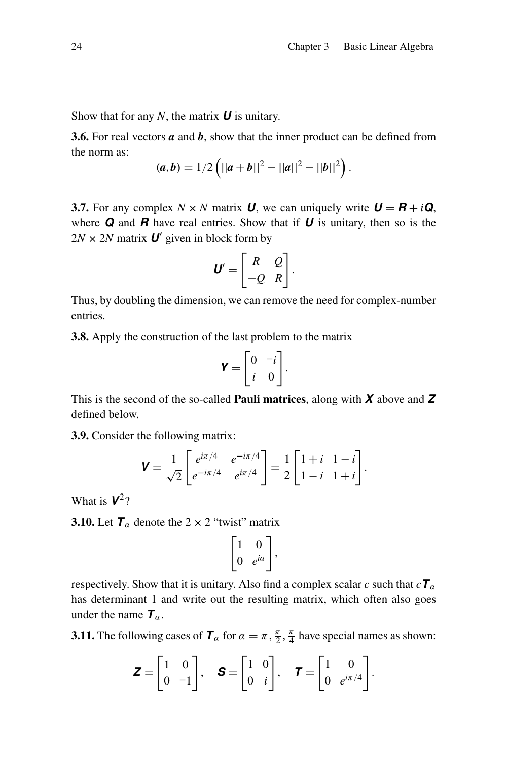Show that for any  $N$ , the matrix  $\boldsymbol{U}$  is unitary.

3.6. For real vectors *a* and *b*, show that the inner product can be defined from the norm as:

$$
(a,b) = 1/2 (||a+b||^2 - ||a||^2 - ||b||^2).
$$

3.7. For any complex  $N \times N$  matrix **U**, we can uniquely write  $U = R + iQ$ , where  $Q$  and  $R$  have real entries. Show that if  $U$  is unitary, then so is the  $2N \times 2N$  matrix *U'* given in block form by

$$
\boldsymbol{U}' = \begin{bmatrix} R & Q \\ -Q & R \end{bmatrix}.
$$

Thus, by doubling the dimension, we can remove the need for complex-number entries.

3.8. Apply the construction of the last problem to the matrix

$$
\mathbf{Y} = \begin{bmatrix} 0 & -i \\ i & 0 \end{bmatrix}.
$$

This is the second of the so-called Pauli matrices, along with *X* above and *Z* defined below.

3.9. Consider the following matrix:

$$
\mathbf{V} = \frac{1}{\sqrt{2}} \begin{bmatrix} e^{i\pi/4} & e^{-i\pi/4} \\ e^{-i\pi/4} & e^{i\pi/4} \end{bmatrix} = \frac{1}{2} \begin{bmatrix} 1+i & 1-i \\ 1-i & 1+i \end{bmatrix}.
$$

What is  $V^2$ ?

**3.10.** Let  $T_\alpha$  denote the 2  $\times$  2 "twist" matrix

$$
\begin{bmatrix} 1 & 0 \\ 0 & e^{i\alpha} \end{bmatrix},
$$

respectively. Show that it is unitary. Also find a complex scalar *c* such that  $cT_a$ has determinant 1 and write out the resulting matrix, which often also goes under the name  $\mathcal{T}_a$ .

**3.11.** The following cases of  $\mathbf{T}_{\alpha}$  for  $\alpha = \pi$ ,  $\frac{\pi}{2}$ ,  $\frac{\pi}{4}$  have special names as shown:

$$
\mathbf{Z} = \begin{bmatrix} 1 & 0 \\ 0 & -1 \end{bmatrix}, \quad \mathbf{S} = \begin{bmatrix} 1 & 0 \\ 0 & i \end{bmatrix}, \quad \mathbf{T} = \begin{bmatrix} 1 & 0 \\ 0 & e^{i\pi/4} \end{bmatrix}.
$$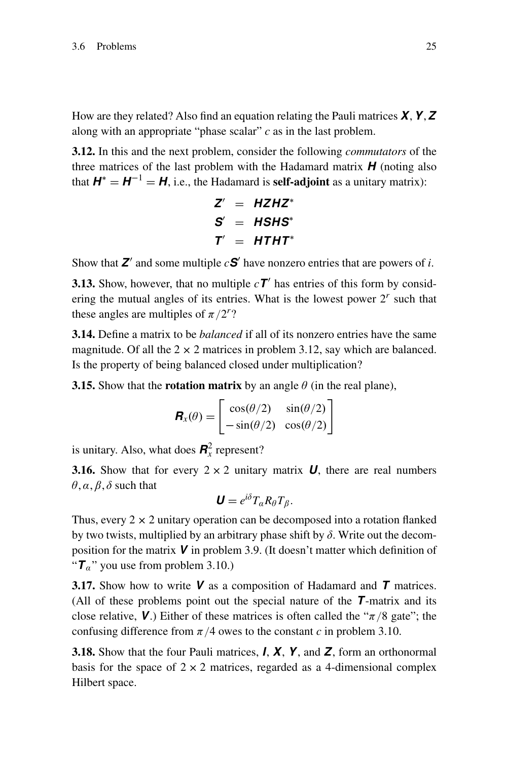How are they related? Also find an equation relating the Pauli matrices *X*,*Y*,*Z* along with an appropriate "phase scalar" *c* as in the last problem.

3.12. In this and the next problem, consider the following *commutators* of the three matrices of the last problem with the Hadamard matrix  $H$  (noting also that  $H^* = H^{-1} = H$ , i.e., the Hadamard is **self-adjoint** as a unitary matrix):

$$
Z' = HZHZ^*
$$
  

$$
S' = HSHS^*
$$
  

$$
T' = HTHT^*
$$

Show that  $Z'$  and some multiple  $cS'$  have nonzero entries that are powers of *i*.

**3.13.** Show, however, that no multiple  $cT'$  has entries of this form by considering the mutual angles of its entries. What is the lowest power  $2<sup>r</sup>$  such that these angles are multiples of  $\pi/2^r$ ?

3.14. Define a matrix to be *balanced* if all of its nonzero entries have the same magnitude. Of all the  $2 \times 2$  matrices in problem 3.12, say which are balanced. Is the property of being balanced closed under multiplication?

**3.15.** Show that the **rotation matrix** by an angle  $\theta$  (in the real plane),

$$
\mathbf{R}_{x}(\theta) = \begin{bmatrix} \cos(\theta/2) & \sin(\theta/2) \\ -\sin(\theta/2) & \cos(\theta/2) \end{bmatrix}
$$

is unitary. Also, what does  $\mathbf{R}_x^2$  represent?

**3.16.** Show that for every  $2 \times 2$  unitary matrix **U**, there are real numbers  $\theta$ ,  $\alpha$ ,  $\beta$ ,  $\delta$  such that

$$
\mathbf{U}=e^{i\delta}T_{\alpha}R_{\theta}T_{\beta}.
$$

Thus, every  $2 \times 2$  unitary operation can be decomposed into a rotation flanked by two twists, multiplied by an arbitrary phase shift by  $\delta$ . Write out the decomposition for the matrix *V* in problem 3.9. (It doesn't matter which definition of " $T_a$ " you use from problem 3.10.)"

3.17. Show how to write *V* as a composition of Hadamard and *T* matrices. (All of these problems point out the special nature of the *T*-matrix and its close relative, **V**.) Either of these matrices is often called the " $\pi/8$  gate"; the confusing difference from  $\pi/4$  owes to the constant *c* in problem 3.10.

3.18. Show that the four Pauli matrices, *I*, *X*, *Y*, and *Z*, form an orthonormal basis for the space of  $2 \times 2$  matrices, regarded as a 4-dimensional complex Hilbert space.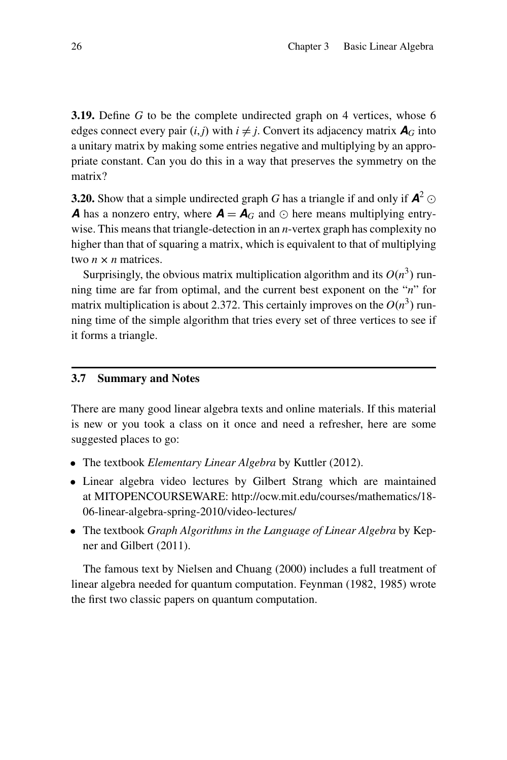**3.19.** Define *G* to be the complete undirected graph on 4 vertices, whose 6 edges connect every pair  $(i, j)$  with  $i \neq j$ . Convert its adjacency matrix  $\mathbf{A}_G$  into a unitary matrix by making some entries negative and multiplying by an appropriate constant. Can you do this in a way that preserves the symmetry on the matrix?

**3.20.** Show that a simple undirected graph *G* has a triangle if and only if  $A^2 \odot$ *A* has a nonzero entry, where  $A = A_G$  and  $\odot$  here means multiplying entrywise. This means that triangle-detection in an *n*-vertex graph has complexity no higher than that of squaring a matrix, which is equivalent to that of multiplying two  $n \times n$  matrices.

Surprisingly, the obvious matrix multiplication algorithm and its  $O(n^3)$  running time are far from optimal, and the current best exponent on the "*n*" for matrix multiplication is about 2.372. This certainly improves on the  $O(n^3)$  running time of the simple algorithm that tries every set of three vertices to see if it forms a triangle.

#### 3.7 Summary and Notes

There are many good linear algebra texts and online materials. If this material is new or you took a class on it once and need a refresher, here are some suggested places to go:

- The textbook *Elementary Linear Algebra* by Kuttler (2012).
- Linear algebra video lectures by Gilbert Strang which are maintained at MITOPENCOURSEWARE: http://ocw.mit.edu/courses/mathematics/18- 06-linear-algebra-spring-2010/video-lectures/
- The textbook *Graph Algorithms in the Language of Linear Algebra* by Kepner and Gilbert (2011).

The famous text by Nielsen and Chuang (2000) includes a full treatment of linear algebra needed for quantum computation. Feynman (1982, 1985) wrote the first two classic papers on quantum computation.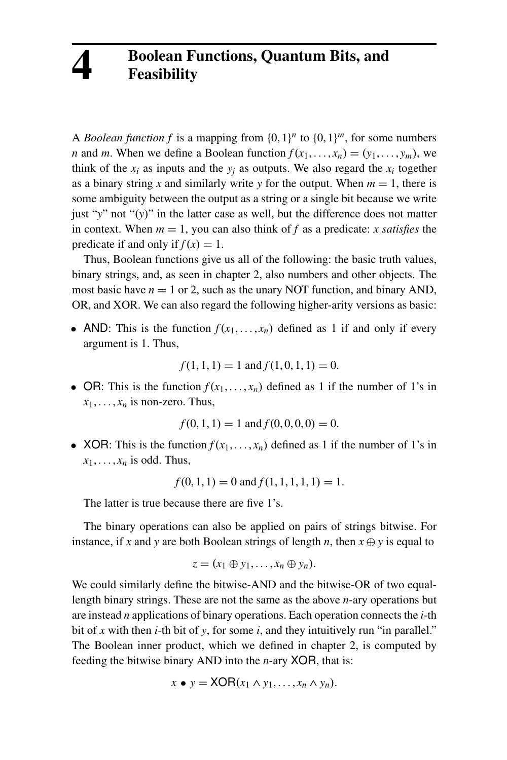### 4 Boolean Functions, Quantum Bits, and Feasibility

A *Boolean function f* is a mapping from  $\{0, 1\}^n$  to  $\{0, 1\}^m$ , for some numbers *n* and *m*. When we define a Boolean function  $f(x_1, \ldots, x_n) = (y_1, \ldots, y_m)$ , we think of the  $x_i$  as inputs and the  $y_i$  as outputs. We also regard the  $x_i$  together as a binary string *x* and similarly write *y* for the output. When  $m = 1$ , there is some ambiguity between the output as a string or a single bit because we write just " $y$ " not " $(y)$ " in the latter case as well, but the difference does not matter in context. When  $m = 1$ , you can also think of f as a predicate: *x satisfies* the predicate if and only if  $f(x) = 1$ .

Thus, Boolean functions give us all of the following: the basic truth values, binary strings, and, as seen in chapter 2, also numbers and other objects. The most basic have  $n = 1$  or 2, such as the unary NOT function, and binary AND, OR, and XOR. We can also regard the following higher-arity versions as basic:

• AND: This is the function  $f(x_1, \ldots, x_n)$  defined as 1 if and only if every argument is 1. Thus,

$$
f(1,1,1) = 1 \text{ and } f(1,0,1,1) = 0.
$$

• OR: This is the function  $f(x_1, \ldots, x_n)$  defined as 1 if the number of 1's in  $x_1, \ldots, x_n$  is non-zero. Thus,

$$
f(0, 1, 1) = 1 \text{ and } f(0, 0, 0, 0) = 0.
$$

• XOR: This is the function  $f(x_1, \ldots, x_n)$  defined as 1 if the number of 1's in  $x_1, \ldots, x_n$  is odd. Thus,

$$
f(0, 1, 1) = 0
$$
 and  $f(1, 1, 1, 1, 1) = 1$ .

The latter is true because there are five 1's.

The binary operations can also be applied on pairs of strings bitwise. For instance, if *x* and *y* are both Boolean strings of length *n*, then  $x \oplus y$  is equal to

$$
z=(x_1\oplus y_1,\ldots,x_n\oplus y_n).
$$

We could similarly define the bitwise-AND and the bitwise-OR of two equallength binary strings. These are not the same as the above *n*-ary operations but are instead *n* applications of binary operations. Each operation connects the *i*-th bit of *x* with then *i*-th bit of *y*, for some *i*, and they intuitively run "in parallel." The Boolean inner product, which we defined in chapter 2, is computed by feeding the bitwise binary AND into the *n*-ary XOR, that is:

$$
x \bullet y = XOR(x_1 \land y_1, \ldots, x_n \land y_n).
$$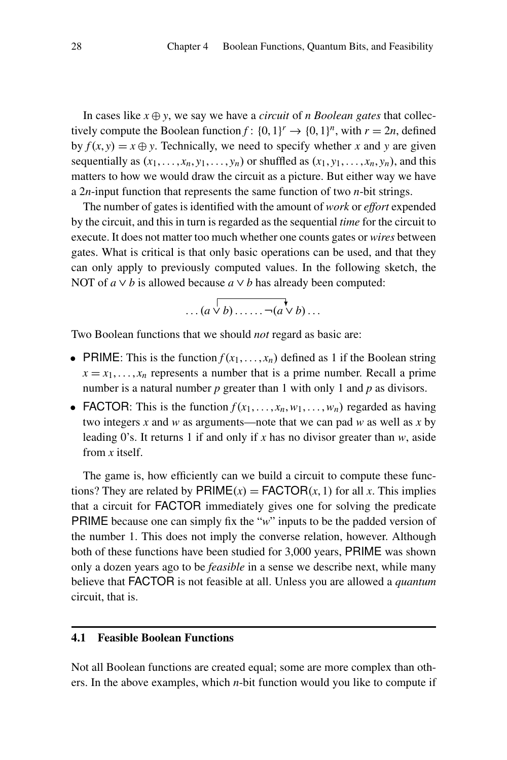In cases like  $x \oplus y$ , we say we have a *circuit* of *n Boolean gates* that collectively compute the Boolean function  $f: \{0, 1\}^r \rightarrow \{0, 1\}^n$ , with  $r = 2n$ , defined by  $f(x, y) = x \oplus y$ . Technically, we need to specify whether *x* and *y* are given sequentially as  $(x_1, \ldots, x_n, y_1, \ldots, y_n)$  or shuffled as  $(x_1, y_1, \ldots, x_n, y_n)$ , and this matters to how we would draw the circuit as a picture. But either way we have a 2*n*-input function that represents the same function of two *n*-bit strings.

The number of gates is identified with the amount of *work* or *effort* expended by the circuit, and this in turn is regarded as the sequential *time* for the circuit to execute. It does not matter too much whether one counts gates or *wires* between gates. What is critical is that only basic operations can be used, and that they can only apply to previously computed values. In the following sketch, the NOT of  $a \vee b$  is allowed because  $a \vee b$  has already been computed:

$$
\ldots (a \vee b) \ldots \ldots \neg (a \vee b) \ldots
$$

Two Boolean functions that we should *not* regard as basic are:

- PRIME: This is the function  $f(x_1, \ldots, x_n)$  defined as 1 if the Boolean string  $x = x_1, \ldots, x_n$  represents a number that is a prime number. Recall a prime number is a natural number *p* greater than 1 with only 1 and *p* as divisors.
- FACTOR: This is the function  $f(x_1, \ldots, x_n, w_1, \ldots, w_n)$  regarded as having two integers *x* and *w* as arguments—note that we can pad *w* as well as *x* by leading 0's. It returns 1 if and only if *x* has no divisor greater than *w*, aside from *x* itself.

The game is, how efficiently can we build a circuit to compute these functions? They are related by  $\text{PRIME}(x) = \text{FACTOR}(x, 1)$  for all *x*. This implies that a circuit for FACTOR immediately gives one for solving the predicate PRIME because one can simply fix the "*w*" inputs to be the padded version of the number 1. This does not imply the converse relation, however. Although both of these functions have been studied for 3,000 years, PRIME was shown only a dozen years ago to be *feasible* in a sense we describe next, while many believe that FACTOR is not feasible at all. Unless you are allowed a *quantum* circuit, that is.

#### 4.1 Feasible Boolean Functions

Not all Boolean functions are created equal; some are more complex than others. In the above examples, which *n*-bit function would you like to compute if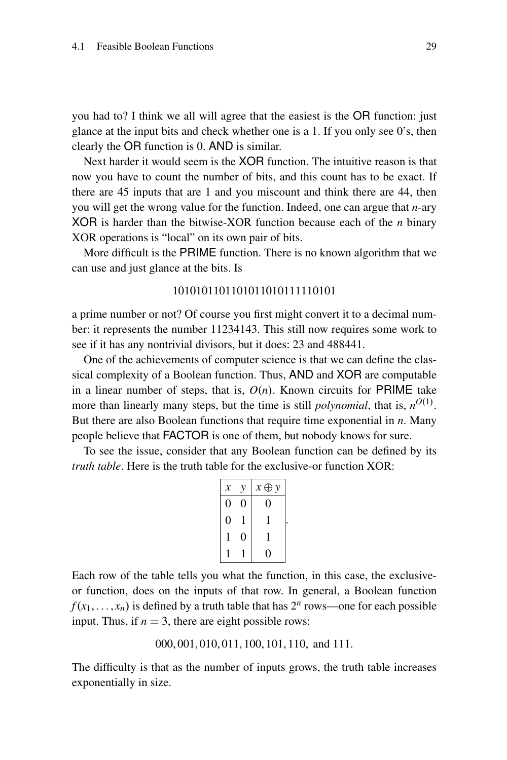you had to? I think we all will agree that the easiest is the OR function: just glance at the input bits and check whether one is a 1. If you only see 0's, then clearly the OR function is 0. AND is similar.

Next harder it would seem is the XOR function. The intuitive reason is that now you have to count the number of bits, and this count has to be exact. If there are 45 inputs that are 1 and you miscount and think there are 44, then you will get the wrong value for the function. Indeed, one can argue that *n*-ary XOR is harder than the bitwise-XOR function because each of the *n* binary XOR operations is "local" on its own pair of bits.

More difficult is the PRIME function. There is no known algorithm that we can use and just glance at the bits. Is

#### 1010101101101011010111110101

a prime number or not? Of course you first might convert it to a decimal number: it represents the number 11234143. This still now requires some work to see if it has any nontrivial divisors, but it does: 23 and 488441.

One of the achievements of computer science is that we can define the classical complexity of a Boolean function. Thus, AND and XOR are computable in a linear number of steps, that is,  $O(n)$ . Known circuits for PRIME take more than linearly many steps, but the time is still *polynomial*, that is,  $n^{O(1)}$ . But there are also Boolean functions that require time exponential in *n*. Many people believe that FACTOR is one of them, but nobody knows for sure.

To see the issue, consider that any Boolean function can be defined by its *truth table*. Here is the truth table for the exclusive-or function XOR:

| х |   | $x \oplus y$ |  |
|---|---|--------------|--|
| 0 | 0 | 0            |  |
| 0 |   |              |  |
| 1 | 0 | ı            |  |
|   |   | 0            |  |

Each row of the table tells you what the function, in this case, the exclusiveor function, does on the inputs of that row. In general, a Boolean function  $f(x_1, \ldots, x_n)$  is defined by a truth table that has  $2^n$  rows—one for each possible input. Thus, if  $n = 3$ , there are eight possible rows:

```
000, 001, 010, 011, 100, 101, 110, and 111.
```
The difficulty is that as the number of inputs grows, the truth table increases exponentially in size.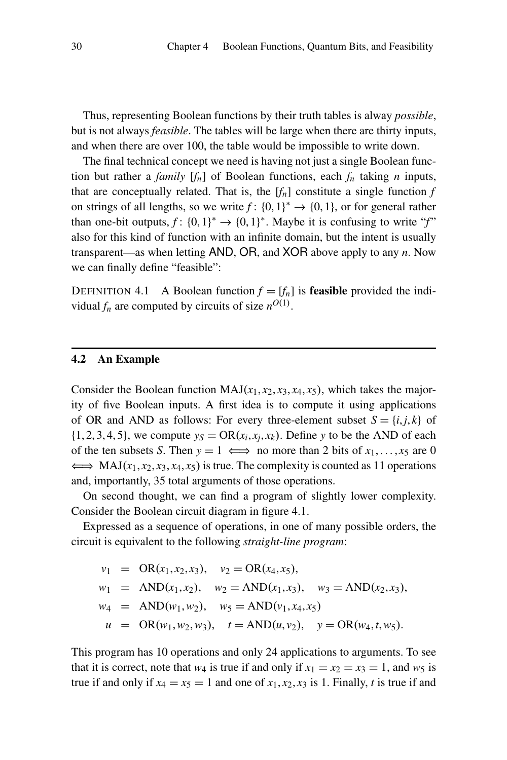Thus, representing Boolean functions by their truth tables is alway *possible*, but is not always *feasible*. The tables will be large when there are thirty inputs, and when there are over 100, the table would be impossible to write down.

The final technical concept we need is having not just a single Boolean function but rather a *family*  $[f_n]$  of Boolean functions, each  $f_n$  taking *n* inputs, that are conceptually related. That is, the  $[f_n]$  constitute a single function  $f$ on strings of all lengths, so we write  $f: \{0, 1\}^* \to \{0, 1\}$ , or for general rather than one-bit outputs,  $f: \{0, 1\}^* \to \{0, 1\}^*$ . Maybe it is confusing to write "f" also for this kind of function with an infinite domain, but the intent is usually transparent—as when letting AND, OR, and XOR above apply to any *n*. Now we can finally define "feasible":

DEFINITION 4.1 A Boolean function  $f = [f_n]$  is **feasible** provided the individual  $f_n$  are computed by circuits of size  $n^{O(1)}$ .

#### 4.2 An Example

Consider the Boolean function  $MAJ(x_1, x_2, x_3, x_4, x_5)$ , which takes the majority of five Boolean inputs. A first idea is to compute it using applications of OR and AND as follows: For every three-element subset  $S = \{i, j, k\}$  of  $\{1, 2, 3, 4, 5\}$ , we compute  $y_S = \text{OR}(x_i, x_j, x_k)$ . Define *y* to be the AND of each of the ten subsets *S*. Then  $y = 1 \iff$  no more than 2 bits of  $x_1, \ldots, x_5$  are 0  $\iff$  MAJ( $x_1, x_2, x_3, x_4, x_5$ ) is true. The complexity is counted as 11 operations and, importantly, 35 total arguments of those operations.

On second thought, we can find a program of slightly lower complexity. Consider the Boolean circuit diagram in figure 4.1.

Expressed as a sequence of operations, in one of many possible orders, the circuit is equivalent to the following *straight-line program*:

$$
v_1 = OR(x_1, x_2, x_3), v_2 = OR(x_4, x_5),
$$
  
\n
$$
w_1 = AND(x_1, x_2), w_2 = AND(x_1, x_3), w_3 = AND(x_2, x_3),
$$
  
\n
$$
w_4 = AND(w_1, w_2), w_5 = AND(v_1, x_4, x_5)
$$
  
\n
$$
u = OR(w_1, w_2, w_3), t = AND(u, v_2), y = OR(w_4, t, w_5).
$$

This program has 10 operations and only 24 applications to arguments. To see that it is correct, note that  $w_4$  is true if and only if  $x_1 = x_2 = x_3 = 1$ , and  $w_5$  is true if and only if  $x_4 = x_5 = 1$  and one of  $x_1, x_2, x_3$  is 1. Finally, *t* is true if and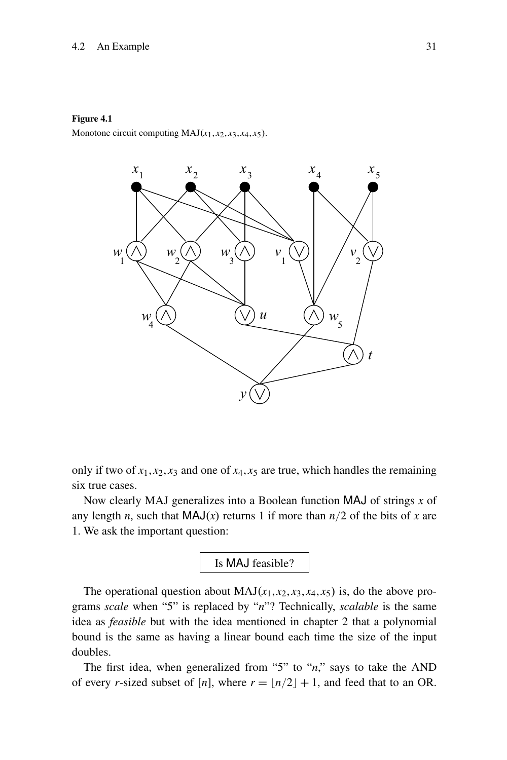#### 4.2 An Example 31

#### Figure 4.1

Monotone circuit computing  $MAJ(x_1, x_2, x_3, x_4, x_5)$ .



only if two of  $x_1, x_2, x_3$  and one of  $x_4, x_5$  are true, which handles the remaining six true cases.

Now clearly MAJ generalizes into a Boolean function MAJ of strings *x* of any length *n*, such that  $MAJ(x)$  returns 1 if more than  $n/2$  of the bits of *x* are 1. We ask the important question:

Is MAJ feasible?

The operational question about  $MAJ(x_1, x_2, x_3, x_4, x_5)$  is, do the above programs *scale* when "5" is replaced by "*n*"? Technically, *scalable* is the same idea as *feasible* but with the idea mentioned in chapter 2 that a polynomial bound is the same as having a linear bound each time the size of the input doubles.

The first idea, when generalized from "5" to "*n*," says to take the AND of every *r*-sized subset of [*n*], where  $r = \lfloor n/2 \rfloor + 1$ , and feed that to an OR.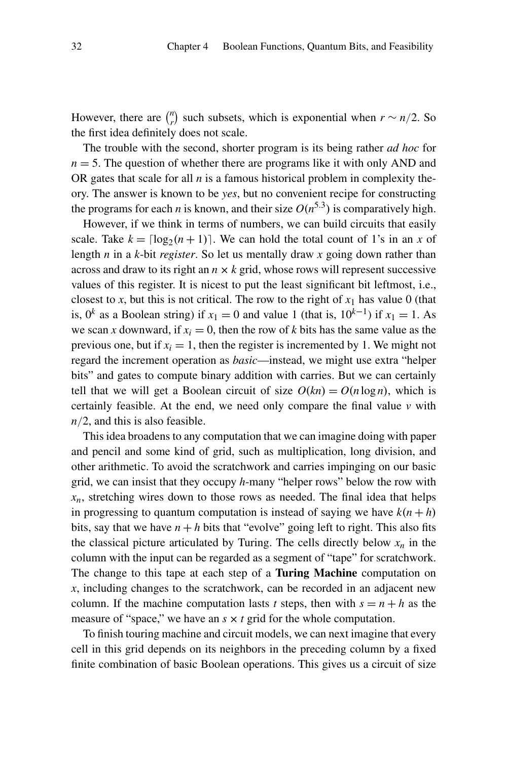However, there are  $\binom{n}{r}$  such subsets, which is exponential when  $r \sim n/2$ . So the first idea definitely does not scale.

The trouble with the second, shorter program is its being rather *ad hoc* for  $n = 5$ . The question of whether there are programs like it with only AND and OR gates that scale for all *n* is a famous historical problem in complexity theory. The answer is known to be *yes*, but no convenient recipe for constructing the programs for each *n* is known, and their size  $O(n^{5.3})$  is comparatively high.

However, if we think in terms of numbers, we can build circuits that easily scale. Take  $k = \lfloor \log_2(n+1) \rfloor$ . We can hold the total count of 1's in an *x* of length *n* in a *k*-bit *register*. So let us mentally draw *x* going down rather than across and draw to its right an  $n \times k$  grid, whose rows will represent successive values of this register. It is nicest to put the least significant bit leftmost, i.e., closest to *x*, but this is not critical. The row to the right of  $x_1$  has value 0 (that is,  $0^k$  as a Boolean string) if  $x_1 = 0$  and value 1 (that is,  $10^{k-1}$ ) if  $x_1 = 1$ . As we scan *x* downward, if  $x_i = 0$ , then the row of *k* bits has the same value as the previous one, but if  $x_i = 1$ , then the register is incremented by 1. We might not regard the increment operation as *basic*—instead, we might use extra "helper bits" and gates to compute binary addition with carries. But we can certainly tell that we will get a Boolean circuit of size  $O(kn) = O(n \log n)$ , which is certainly feasible. At the end, we need only compare the final value *v* with *n*/2, and this is also feasible.

This idea broadens to any computation that we can imagine doing with paper and pencil and some kind of grid, such as multiplication, long division, and other arithmetic. To avoid the scratchwork and carries impinging on our basic grid, we can insist that they occupy *h*-many "helper rows" below the row with  $x_n$ , stretching wires down to those rows as needed. The final idea that helps in progressing to quantum computation is instead of saying we have  $k(n + h)$ bits, say that we have  $n + h$  bits that "evolve" going left to right. This also fits the classical picture articulated by Turing. The cells directly below  $x_n$  in the column with the input can be regarded as a segment of "tape" for scratchwork. The change to this tape at each step of a Turing Machine computation on *x*, including changes to the scratchwork, can be recorded in an adjacent new column. If the machine computation lasts *t* steps, then with  $s = n + h$  as the measure of "space," we have an  $s \times t$  grid for the whole computation.

To finish touring machine and circuit models, we can next imagine that every cell in this grid depends on its neighbors in the preceding column by a fixed finite combination of basic Boolean operations. This gives us a circuit of size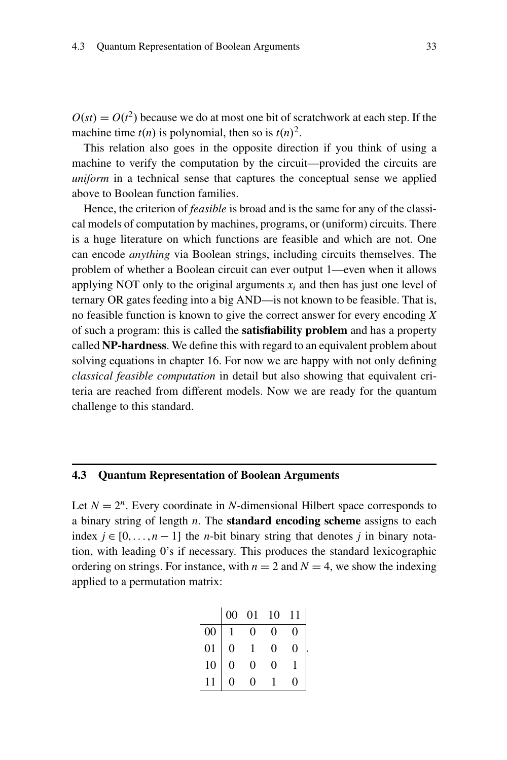$O(st) = O(t^2)$  because we do at most one bit of scratchwork at each step. If the machine time  $t(n)$  is polynomial, then so is  $t(n)^2$ .

This relation also goes in the opposite direction if you think of using a machine to verify the computation by the circuit—provided the circuits are *uniform* in a technical sense that captures the conceptual sense we applied above to Boolean function families.

Hence, the criterion of *feasible* is broad and is the same for any of the classical models of computation by machines, programs, or (uniform) circuits. There is a huge literature on which functions are feasible and which are not. One can encode *anything* via Boolean strings, including circuits themselves. The problem of whether a Boolean circuit can ever output 1—even when it allows applying NOT only to the original arguments  $x_i$  and then has just one level of ternary OR gates feeding into a big AND—is not known to be feasible. That is, no feasible function is known to give the correct answer for every encoding *X* of such a program: this is called the satisfiability problem and has a property called NP-hardness. We define this with regard to an equivalent problem about solving equations in chapter 16. For now we are happy with not only defining *classical feasible computation* in detail but also showing that equivalent criteria are reached from different models. Now we are ready for the quantum challenge to this standard.

#### 4.3 Quantum Representation of Boolean Arguments

Let  $N = 2^n$ . Every coordinate in *N*-dimensional Hilbert space corresponds to a binary string of length *n*. The standard encoding scheme assigns to each index  $j \in [0, \ldots, n-1]$  the *n*-bit binary string that denotes *j* in binary notation, with leading 0's if necessary. This produces the standard lexicographic ordering on strings. For instance, with  $n = 2$  and  $N = 4$ , we show the indexing applied to a permutation matrix:

|                 | 0 <sub>0</sub> | 01 | 10       |          |  |
|-----------------|----------------|----|----------|----------|--|
| $\overline{00}$ |                | 0  | 0        |          |  |
| $\overline{01}$ | 0              |    | 0        | $\Omega$ |  |
| 10              | 0              | 0  | $\Omega$ |          |  |
| 11              | O              | 0  |          |          |  |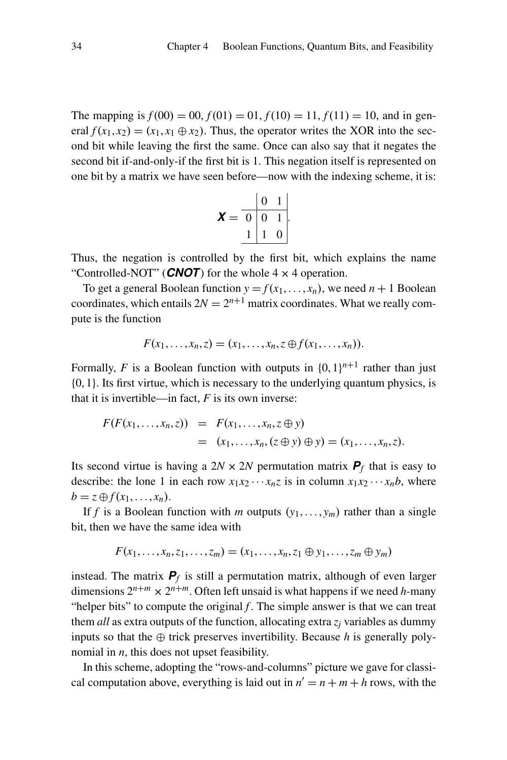The mapping is  $f(00) = 00$ ,  $f(01) = 01$ ,  $f(10) = 11$ ,  $f(11) = 10$ , and in general  $f(x_1, x_2) = (x_1, x_1 \oplus x_2)$ . Thus, the operator writes the XOR into the second bit while leaving the first the same. Once can also say that it negates the second bit if-and-only-if the first bit is 1. This negation itself is represented on one bit by a matrix we have seen before—now with the indexing scheme, it is:

$$
\mathbf{X} = \begin{array}{c|cc} & 0 & 1 \\ \hline 0 & 0 & 1 \\ 1 & 1 & 0 \end{array}.
$$

Thus, the negation is controlled by the first bit, which explains the name "Controlled-NOT" (*CNOT*) for the whole 4 × 4 operation.

To get a general Boolean function  $y = f(x_1, \ldots, x_n)$ , we need  $n + 1$  Boolean coordinates, which entails  $2N = 2^{n+1}$  matrix coordinates. What we really compute is the function

$$
F(x_1,\ldots,x_n,z)=(x_1,\ldots,x_n,z\oplus f(x_1,\ldots,x_n)).
$$

Formally, *F* is a Boolean function with outputs in  $\{0, 1\}^{n+1}$  rather than just {0, 1}. Its first virtue, which is necessary to the underlying quantum physics, is that it is invertible—in fact,  $F$  is its own inverse:

$$
F(F(x_1,\ldots,x_n,z)) = F(x_1,\ldots,x_n,z\oplus y)
$$
  
=  $(x_1,\ldots,x_n,(z\oplus y)\oplus y) = (x_1,\ldots,x_n,z).$ 

Its second virtue is having a  $2N \times 2N$  permutation matrix  $P_f$  that is easy to describe: the lone 1 in each row  $x_1x_2 \cdots x_nz$  is in column  $x_1x_2 \cdots x_nb$ , where  $b = z \oplus f(x_1, \ldots, x_n).$ 

If *f* is a Boolean function with *m* outputs  $(y_1, \ldots, y_m)$  rather than a single bit, then we have the same idea with

$$
F(x_1,\ldots,x_n,z_1,\ldots,z_m)=(x_1,\ldots,x_n,z_1\oplus y_1,\ldots,z_m\oplus y_m)
$$

instead. The matrix  $P_f$  is still a permutation matrix, although of even larger dimensions  $2^{n+m} \times 2^{n+m}$ . Often left unsaid is what happens if we need *h*-many "helper bits" to compute the original  $f$ . The simple answer is that we can treat them *all* as extra outputs of the function, allocating extra *zj* variables as dummy inputs so that the  $oplus$  trick preserves invertibility. Because *h* is generally polynomial in *n*, this does not upset feasibility.

In this scheme, adopting the "rows-and-columns" picture we gave for classical computation above, everything is laid out in  $n' = n + m + h$  rows, with the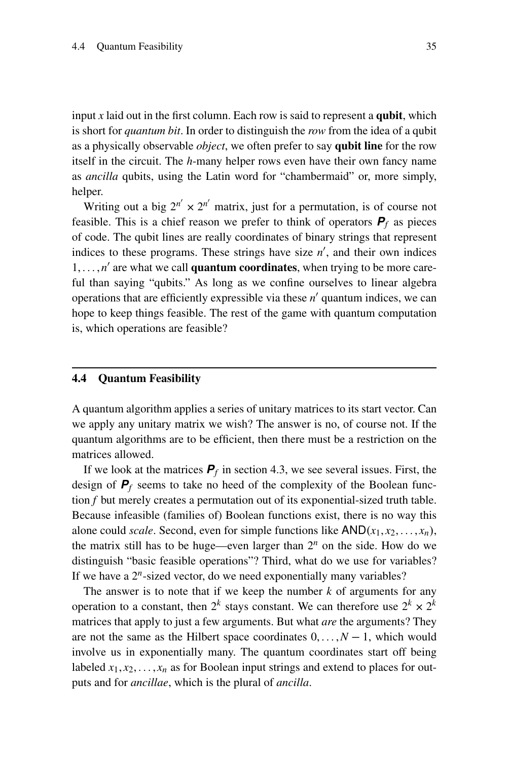input  $x$  laid out in the first column. Each row is said to represent a **qubit**, which is short for *quantum bit*. In order to distinguish the *row* from the idea of a qubit as a physically observable *object*, we often prefer to say qubit line for the row itself in the circuit. The *h*-many helper rows even have their own fancy name as *ancilla* qubits, using the Latin word for "chambermaid" or, more simply, helper.

Writing out a big  $2^{n'} \times 2^{n'}$  matrix, just for a permutation, is of course not feasible. This is a chief reason we prefer to think of operators  $P_f$  as pieces of code. The qubit lines are really coordinates of binary strings that represent indices to these programs. These strings have size *n* , and their own indices  $1, \ldots, n'$  are what we call **quantum coordinates**, when trying to be more careful than saying "qubits." As long as we confine ourselves to linear algebra operations that are efficiently expressible via these  $n'$  quantum indices, we can hope to keep things feasible. The rest of the game with quantum computation is, which operations are feasible?

#### 4.4 Quantum Feasibility

A quantum algorithm applies a series of unitary matrices to its start vector. Can we apply any unitary matrix we wish? The answer is no, of course not. If the quantum algorithms are to be efficient, then there must be a restriction on the matrices allowed.

If we look at the matrices  $P_f$  in section 4.3, we see several issues. First, the design of  $P_f$  seems to take no heed of the complexity of the Boolean function *f* but merely creates a permutation out of its exponential-sized truth table. Because infeasible (families of) Boolean functions exist, there is no way this alone could *scale*. Second, even for simple functions like  $AND(x_1, x_2, \ldots, x_n)$ , the matrix still has to be huge—even larger than  $2^n$  on the side. How do we distinguish "basic feasible operations"? Third, what do we use for variables? If we have a 2*n*-sized vector, do we need exponentially many variables?

The answer is to note that if we keep the number  $k$  of arguments for any operation to a constant, then  $2^k$  stays constant. We can therefore use  $2^k \times 2^k$ matrices that apply to just a few arguments. But what *are* the arguments? They are not the same as the Hilbert space coordinates  $0, \ldots, N-1$ , which would involve us in exponentially many. The quantum coordinates start off being labeled  $x_1, x_2, \ldots, x_n$  as for Boolean input strings and extend to places for outputs and for *ancillae*, which is the plural of *ancilla*.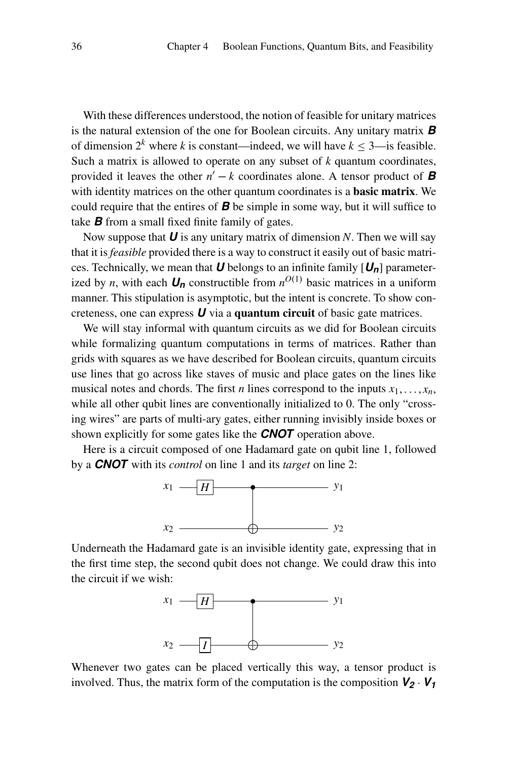With these differences understood, the notion of feasible for unitary matrices is the natural extension of the one for Boolean circuits. Any unitary matrix *B* of dimension  $2^k$  where *k* is constant—indeed, we will have  $k \leq 3$ —is feasible. Such a matrix is allowed to operate on any subset of *k* quantum coordinates, provided it leaves the other  $n' - k$  coordinates alone. A tensor product of **B** with identity matrices on the other quantum coordinates is a **basic matrix**. We could require that the entires of  $\boldsymbol{B}$  be simple in some way, but it will suffice to take *B* from a small fixed finite family of gates.

Now suppose that  $U$  is any unitary matrix of dimension N. Then we will say that it is*feasible* provided there is a way to construct it easily out of basic matrices. Technically, we mean that *U* belongs to an infinite family  $[U_n]$  parameterized by *n*, with each  $U_n$  constructible from  $n^{O(1)}$  basic matrices in a uniform manner. This stipulation is asymptotic, but the intent is concrete. To show concreteness, one can express *U* via a quantum circuit of basic gate matrices.

We will stay informal with quantum circuits as we did for Boolean circuits while formalizing quantum computations in terms of matrices. Rather than grids with squares as we have described for Boolean circuits, quantum circuits use lines that go across like staves of music and place gates on the lines like musical notes and chords. The first *n* lines correspond to the inputs  $x_1, \ldots, x_n$ , while all other qubit lines are conventionally initialized to 0. The only "crossing wires" are parts of multi-ary gates, either running invisibly inside boxes or shown explicitly for some gates like the *CNOT* operation above.

Here is a circuit composed of one Hadamard gate on qubit line 1, followed by a *CNOT* with its *control* on line 1 and its *target* on line 2:



Underneath the Hadamard gate is an invisible identity gate, expressing that in the first time step, the second qubit does not change. We could draw this into the circuit if we wish:



Whenever two gates can be placed vertically this way, a tensor product is involved. Thus, the matrix form of the computation is the composition  $V_2 \cdot V_1$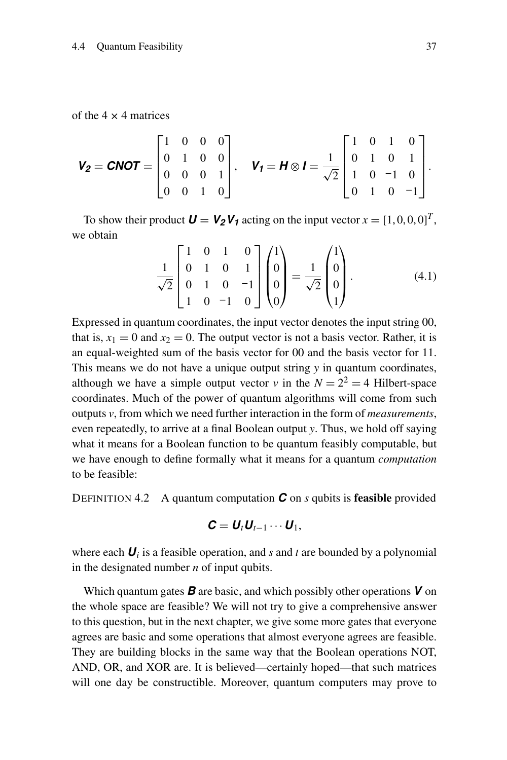of the  $4 \times 4$  matrices

$$
\mathbf{V}_2 = \mathbf{CNOT} = \begin{bmatrix} 1 & 0 & 0 & 0 \\ 0 & 1 & 0 & 0 \\ 0 & 0 & 0 & 1 \\ 0 & 0 & 1 & 0 \end{bmatrix}, \quad \mathbf{V}_1 = \mathbf{H} \otimes \mathbf{I} = \frac{1}{\sqrt{2}} \begin{bmatrix} 1 & 0 & 1 & 0 \\ 0 & 1 & 0 & 1 \\ 1 & 0 & -1 & 0 \\ 0 & 1 & 0 & -1 \end{bmatrix}.
$$

To show their product  $U = V_2V_1$  acting on the input vector  $x = [1, 0, 0, 0]^T$ . we obtain

$$
\frac{1}{\sqrt{2}} \begin{bmatrix} 1 & 0 & 1 & 0 \\ 0 & 1 & 0 & 1 \\ 0 & 1 & 0 & -1 \\ 1 & 0 & -1 & 0 \end{bmatrix} \begin{pmatrix} 1 \\ 0 \\ 0 \\ 0 \end{pmatrix} = \frac{1}{\sqrt{2}} \begin{pmatrix} 1 \\ 0 \\ 0 \\ 1 \end{pmatrix}.
$$
 (4.1)

Expressed in quantum coordinates, the input vector denotes the input string 00, that is,  $x_1 = 0$  and  $x_2 = 0$ . The output vector is not a basis vector. Rather, it is an equal-weighted sum of the basis vector for 00 and the basis vector for 11. This means we do not have a unique output string *y* in quantum coordinates, although we have a simple output vector *v* in the  $N = 2^2 = 4$  Hilbert-space coordinates. Much of the power of quantum algorithms will come from such outputs *v*, from which we need further interaction in the form of *measurements*, even repeatedly, to arrive at a final Boolean output *y*. Thus, we hold off saying what it means for a Boolean function to be quantum feasibly computable, but we have enough to define formally what it means for a quantum *computation* to be feasible:

DEFINITION 4.2 A quantum computation *C* on *s* qubits is feasible provided

$$
\boldsymbol{C} = \boldsymbol{U}_t \boldsymbol{U}_{t-1} \cdots \boldsymbol{U}_1,
$$

where each  $U_i$  is a feasible operation, and *s* and *t* are bounded by a polynomial in the designated number *n* of input qubits.

Which quantum gates *B* are basic, and which possibly other operations *V* on the whole space are feasible? We will not try to give a comprehensive answer to this question, but in the next chapter, we give some more gates that everyone agrees are basic and some operations that almost everyone agrees are feasible. They are building blocks in the same way that the Boolean operations NOT, AND, OR, and XOR are. It is believed—certainly hoped—that such matrices will one day be constructible. Moreover, quantum computers may prove to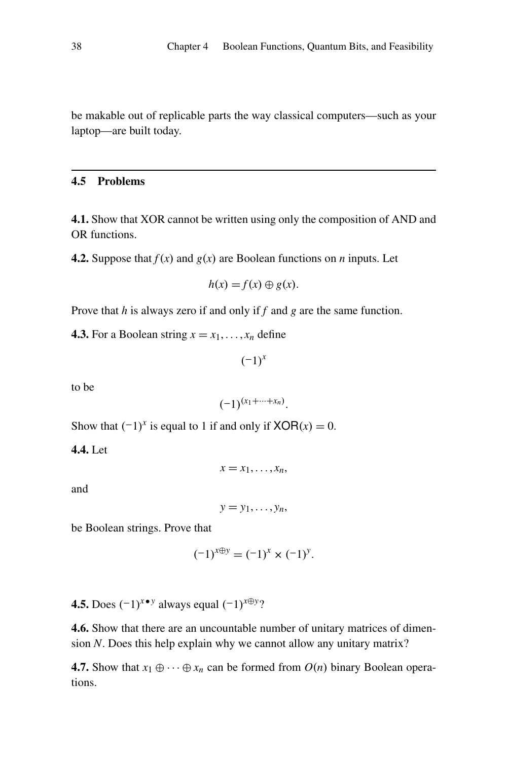be makable out of replicable parts the way classical computers—such as your laptop—are built today.

#### 4.5 Problems

4.1. Show that XOR cannot be written using only the composition of AND and OR functions.

**4.2.** Suppose that  $f(x)$  and  $g(x)$  are Boolean functions on *n* inputs. Let

$$
h(x) = f(x) \oplus g(x).
$$

Prove that *h* is always zero if and only if *f* and *g* are the same function.

**4.3.** For a Boolean string  $x = x_1, \ldots, x_n$  define

 $(-1)^x$ 

to be

$$
(-1)^{(x_1+\cdots+x_n)}.
$$

Show that  $(-1)^x$  is equal to 1 if and only if  $XOR(x) = 0$ .

4.4. Let

 $x = x_1, \ldots, x_n$ 

and

 $y = y_1, \ldots, y_n$ 

be Boolean strings. Prove that

$$
(-1)^{x \oplus y} = (-1)^x \times (-1)^y.
$$

4.5. Does (−1)*<sup>x</sup>* • *<sup>y</sup>* always equal (−1)*x*⊕*y*?

4.6. Show that there are an uncountable number of unitary matrices of dimension *N*. Does this help explain why we cannot allow any unitary matrix?

**4.7.** Show that  $x_1 \oplus \cdots \oplus x_n$  can be formed from  $O(n)$  binary Boolean operations.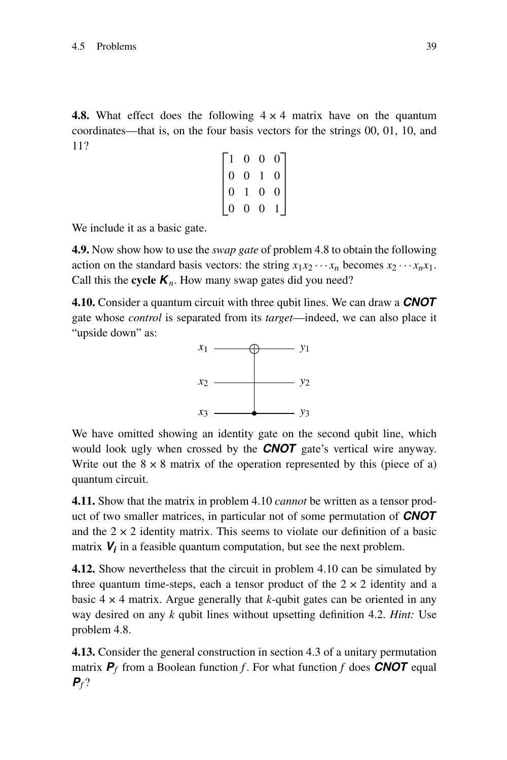**4.8.** What effect does the following  $4 \times 4$  matrix have on the quantum coordinates—that is, on the four basis vectors for the strings 00, 01, 10, and 11?

| $\lceil 1 \rceil$                      | $\boldsymbol{0}$ | $\boldsymbol{0}$ |                                                  |
|----------------------------------------|------------------|------------------|--------------------------------------------------|
| $\Big 0$                               | $\overline{0}$   | $\mathbf{1}$     | $\begin{bmatrix} 0 \\ 0 \\ 0 \\ 1 \end{bmatrix}$ |
| $\begin{bmatrix} 0 \\ 0 \end{bmatrix}$ | $\mathbf{1}$     | $\overline{0}$   |                                                  |
|                                        | $\overline{0}$   | $\overline{0}$   |                                                  |

We include it as a basic gate.

4.9. Now show how to use the *swap gate* of problem 4.8 to obtain the following action on the standard basis vectors: the string  $x_1x_2 \cdots x_n$  becomes  $x_2 \cdots x_nx_1$ . Call this the cycle  $K_n$ . How many swap gates did you need?

4.10. Consider a quantum circuit with three qubit lines. We can draw a *CNOT* gate whose *control* is separated from its *target*—indeed, we can also place it "upside down" as:



We have omitted showing an identity gate on the second qubit line, which would look ugly when crossed by the *CNOT* gate's vertical wire anyway. Write out the  $8 \times 8$  matrix of the operation represented by this (piece of a) quantum circuit.

4.11. Show that the matrix in problem 4.10 *cannot* be written as a tensor product of two smaller matrices, in particular not of some permutation of *CNOT* and the  $2 \times 2$  identity matrix. This seems to violate our definition of a basic matrix  $V_i$  in a feasible quantum computation, but see the next problem.

4.12. Show nevertheless that the circuit in problem 4.10 can be simulated by three quantum time-steps, each a tensor product of the  $2 \times 2$  identity and a basic  $4 \times 4$  matrix. Argue generally that *k*-qubit gates can be oriented in any way desired on any *k* qubit lines without upsetting definition 4.2. *Hint:* Use problem 4.8.

4.13. Consider the general construction in section 4.3 of a unitary permutation matrix  $P_f$  from a Boolean function *f*. For what function *f* does **CNOT** equal  $P_f$ ?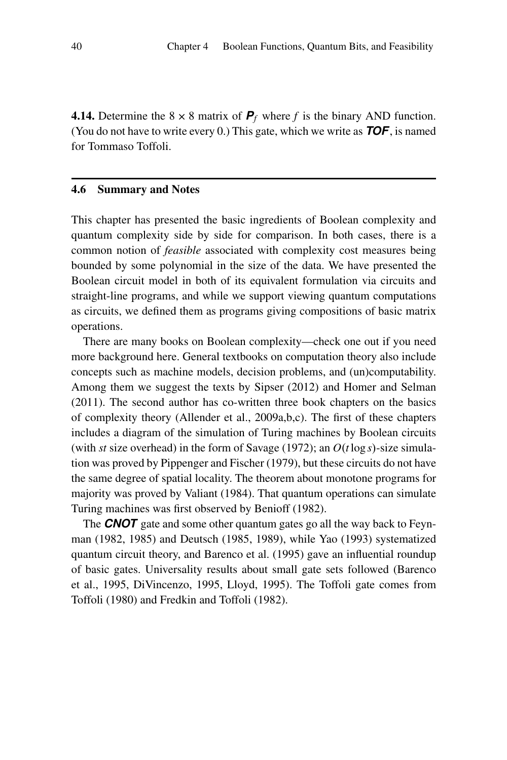**4.14.** Determine the  $8 \times 8$  matrix of  $P_f$  where f is the binary AND function. (You do not have to write every 0.) This gate, which we write as *TOF*, is named for Tommaso Toffoli.

#### 4.6 Summary and Notes

This chapter has presented the basic ingredients of Boolean complexity and quantum complexity side by side for comparison. In both cases, there is a common notion of *feasible* associated with complexity cost measures being bounded by some polynomial in the size of the data. We have presented the Boolean circuit model in both of its equivalent formulation via circuits and straight-line programs, and while we support viewing quantum computations as circuits, we defined them as programs giving compositions of basic matrix operations.

There are many books on Boolean complexity—check one out if you need more background here. General textbooks on computation theory also include concepts such as machine models, decision problems, and (un)computability. Among them we suggest the texts by Sipser (2012) and Homer and Selman (2011). The second author has co-written three book chapters on the basics of complexity theory (Allender et al., 2009a,b,c). The first of these chapters includes a diagram of the simulation of Turing machines by Boolean circuits (with *st* size overhead) in the form of Savage (1972); an  $O(t \log s)$ -size simulation was proved by Pippenger and Fischer (1979), but these circuits do not have the same degree of spatial locality. The theorem about monotone programs for majority was proved by Valiant (1984). That quantum operations can simulate Turing machines was first observed by Benioff (1982).

The *CNOT* gate and some other quantum gates go all the way back to Feynman (1982, 1985) and Deutsch (1985, 1989), while Yao (1993) systematized quantum circuit theory, and Barenco et al. (1995) gave an influential roundup of basic gates. Universality results about small gate sets followed (Barenco et al., 1995, DiVincenzo, 1995, Lloyd, 1995). The Toffoli gate comes from Toffoli (1980) and Fredkin and Toffoli (1982).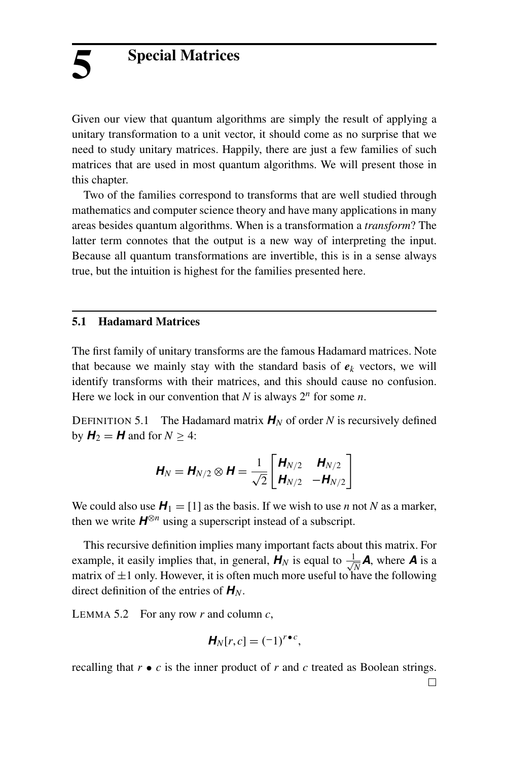## **Special Matrices**

Given our view that quantum algorithms are simply the result of applying a unitary transformation to a unit vector, it should come as no surprise that we need to study unitary matrices. Happily, there are just a few families of such matrices that are used in most quantum algorithms. We will present those in this chapter.

Two of the families correspond to transforms that are well studied through mathematics and computer science theory and have many applications in many areas besides quantum algorithms. When is a transformation a *transform*? The latter term connotes that the output is a new way of interpreting the input. Because all quantum transformations are invertible, this is in a sense always true, but the intuition is highest for the families presented here.

#### 5.1 Hadamard Matrices

The first family of unitary transforms are the famous Hadamard matrices. Note that because we mainly stay with the standard basis of  $e_k$  vectors, we will identify transforms with their matrices, and this should cause no confusion. Here we lock in our convention that *N* is always  $2^n$  for some *n*.

DEFINITION 5.1 The Hadamard matrix  $H_N$  of order *N* is recursively defined by  $H_2 = H$  and for  $N \geq 4$ :

$$
\boldsymbol{H}_{N} = \boldsymbol{H}_{N/2} \otimes \boldsymbol{H} = \frac{1}{\sqrt{2}} \begin{bmatrix} \boldsymbol{H}_{N/2} & \boldsymbol{H}_{N/2} \\ \boldsymbol{H}_{N/2} & -\boldsymbol{H}_{N/2} \end{bmatrix}
$$

We could also use  $H_1 = [1]$  as the basis. If we wish to use *n* not *N* as a marker, then we write  $H^{\otimes n}$  using a superscript instead of a subscript.

This recursive definition implies many important facts about this matrix. For example, it easily implies that, in general,  $H_N$  is equal to  $\frac{1}{\sqrt{2}}$  $\frac{1}{N}$ **A**, where **A** is a matrix of  $\pm 1$  only. However, it is often much more useful to have the following direct definition of the entries of *HN*.

LEMMA 5.2 For any row *r* and column *c*,

$$
\mathbf{H}_N[r,c] = (-1)^{r \cdot c},
$$

recalling that *r* • *c* is the inner product of *r* and *c* treated as Boolean strings.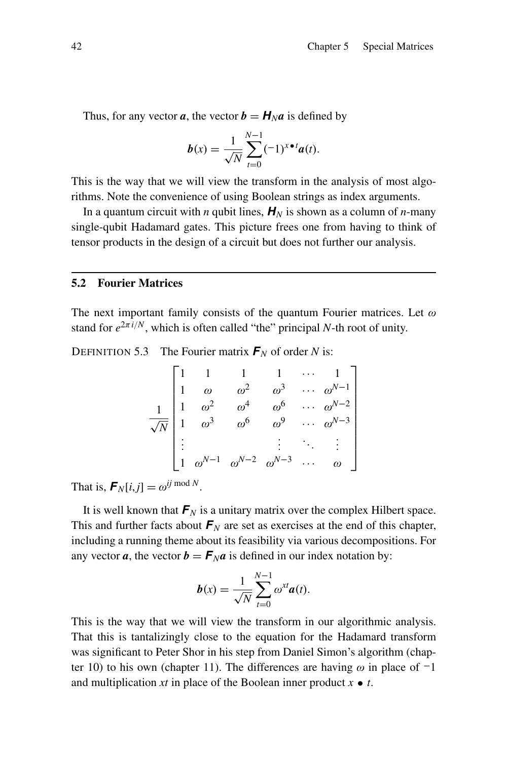Thus, for any vector *a*, the vector  $\mathbf{b} = \mathbf{H}_N \mathbf{a}$  is defined by

$$
\boldsymbol{b}(x) = \frac{1}{\sqrt{N}} \sum_{t=0}^{N-1} (-1)^{x \cdot t} \boldsymbol{a}(t).
$$

This is the way that we will view the transform in the analysis of most algorithms. Note the convenience of using Boolean strings as index arguments.

In a quantum circuit with *n* qubit lines,  $H_N$  is shown as a column of *n*-many single-qubit Hadamard gates. This picture frees one from having to think of tensor products in the design of a circuit but does not further our analysis.

#### 5.2 Fourier Matrices

The next important family consists of the quantum Fourier matrices. Let  $\omega$ stand for  $e^{2\pi i/N}$ , which is often called "the" principal *N*-th root of unity.

DEFINITION 5.3 The Fourier matrix  $\boldsymbol{F}_N$  of order *N* is:

$$
\frac{1}{\sqrt{N}}\begin{bmatrix} 1 & 1 & 1 & 1 & \cdots & 1 \\ 1 & \omega & \omega^2 & \omega^3 & \cdots & \omega^{N-1} \\ 1 & \omega^2 & \omega^4 & \omega^6 & \cdots & \omega^{N-2} \\ 1 & \omega^3 & \omega^6 & \omega^9 & \cdots & \omega^{N-3} \\ \vdots & & & & \vdots & \ddots & \vdots \\ 1 & \omega^{N-1} & \omega^{N-2} & \omega^{N-3} & \cdots & \omega \end{bmatrix}
$$

That is,  $\boldsymbol{F}_N[i, j] = \omega^{ij \bmod N}$ .

It is well known that  $\boldsymbol{F}_N$  is a unitary matrix over the complex Hilbert space. This and further facts about  $\boldsymbol{F}_N$  are set as exercises at the end of this chapter, including a running theme about its feasibility via various decompositions. For any vector *a*, the vector  $\mathbf{b} = \mathbf{F}_N \mathbf{a}$  is defined in our index notation by:

$$
\boldsymbol{b}(x) = \frac{1}{\sqrt{N}} \sum_{t=0}^{N-1} \omega^{xt} \boldsymbol{a}(t).
$$

This is the way that we will view the transform in our algorithmic analysis. That this is tantalizingly close to the equation for the Hadamard transform was significant to Peter Shor in his step from Daniel Simon's algorithm (chapter 10) to his own (chapter 11). The differences are having  $\omega$  in place of  $-1$ and multiplication *xt* in place of the Boolean inner product *x* • *t*.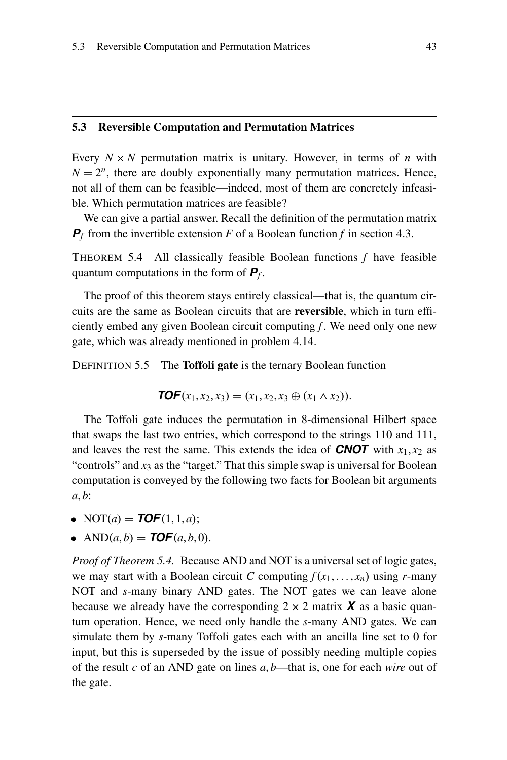#### 5.3 Reversible Computation and Permutation Matrices

Every  $N \times N$  permutation matrix is unitary. However, in terms of *n* with  $N = 2<sup>n</sup>$ , there are doubly exponentially many permutation matrices. Hence, not all of them can be feasible—indeed, most of them are concretely infeasible. Which permutation matrices are feasible?

We can give a partial answer. Recall the definition of the permutation matrix  $P_f$  from the invertible extension *F* of a Boolean function *f* in section 4.3.

THEOREM 5.4 All classically feasible Boolean functions *f* have feasible quantum computations in the form of *P<sup>f</sup>* .

The proof of this theorem stays entirely classical—that is, the quantum circuits are the same as Boolean circuits that are reversible, which in turn efficiently embed any given Boolean circuit computing *f* . We need only one new gate, which was already mentioned in problem 4.14.

DEFINITION 5.5 The **Toffoli gate** is the ternary Boolean function

$$
TOF(x_1, x_2, x_3) = (x_1, x_2, x_3 \oplus (x_1 \wedge x_2)).
$$

The Toffoli gate induces the permutation in 8-dimensional Hilbert space that swaps the last two entries, which correspond to the strings 110 and 111, and leaves the rest the same. This extends the idea of **CNOT** with  $x_1, x_2$  as "controls" and  $x_3$  as the "target." That this simple swap is universal for Boolean computation is conveyed by the following two facts for Boolean bit arguments *a*, *b*:

- NOT $(a) = TOF(1, 1, a);$
- AND $(a, b) = \text{TOF}(a, b, 0)$ .

*Proof of Theorem 5.4.* Because AND and NOT is a universal set of logic gates, we may start with a Boolean circuit *C* computing  $f(x_1, \ldots, x_n)$  using *r*-many NOT and *s*-many binary AND gates. The NOT gates we can leave alone because we already have the corresponding  $2 \times 2$  matrix *X* as a basic quantum operation. Hence, we need only handle the *s*-many AND gates. We can simulate them by *s*-many Toffoli gates each with an ancilla line set to 0 for input, but this is superseded by the issue of possibly needing multiple copies of the result *c* of an AND gate on lines *a*, *b*—that is, one for each *wire* out of the gate.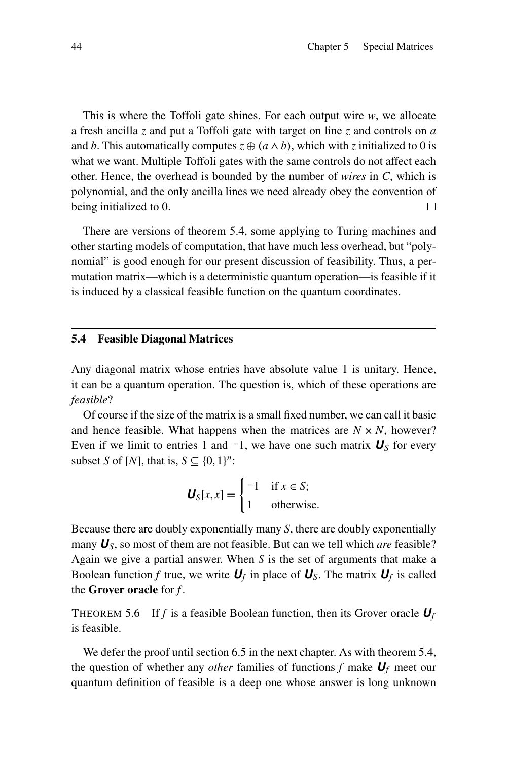This is where the Toffoli gate shines. For each output wire *w*, we allocate a fresh ancilla *z* and put a Toffoli gate with target on line *z* and controls on *a* and *b*. This automatically computes  $z \oplus (a \wedge b)$ , which with *z* initialized to 0 is what we want. Multiple Toffoli gates with the same controls do not affect each other. Hence, the overhead is bounded by the number of *wires* in *C*, which is polynomial, and the only ancilla lines we need already obey the convention of being initialized to 0.  $\Box$ 

There are versions of theorem 5.4, some applying to Turing machines and other starting models of computation, that have much less overhead, but "polynomial" is good enough for our present discussion of feasibility. Thus, a permutation matrix—which is a deterministic quantum operation—is feasible if it is induced by a classical feasible function on the quantum coordinates.

#### 5.4 Feasible Diagonal Matrices

Any diagonal matrix whose entries have absolute value 1 is unitary. Hence, it can be a quantum operation. The question is, which of these operations are *feasible*?

Of course if the size of the matrix is a small fixed number, we can call it basic and hence feasible. What happens when the matrices are  $N \times N$ , however? Even if we limit to entries 1 and  $-1$ , we have one such matrix  **for every** subset *S* of [*N*], that is,  $S \subseteq \{0, 1\}^n$ :

$$
\boldsymbol{U}_{S}[x,x] = \begin{cases} -1 & \text{if } x \in S; \\ 1 & \text{otherwise.} \end{cases}
$$

Because there are doubly exponentially many *S*, there are doubly exponentially many  $U_s$ , so most of them are not feasible. But can we tell which *are* feasible? Again we give a partial answer. When *S* is the set of arguments that make a Boolean function *f* true, we write  $U_f$  in place of  $U_s$ . The matrix  $U_f$  is called the Grover oracle for *f* .

THEOREM 5.6 If *f* is a feasible Boolean function, then its Grover oracle  $U_f$ is feasible.

We defer the proof until section 6.5 in the next chapter. As with theorem 5.4, the question of whether any *other* families of functions  $f$  make  $U_f$  meet our quantum definition of feasible is a deep one whose answer is long unknown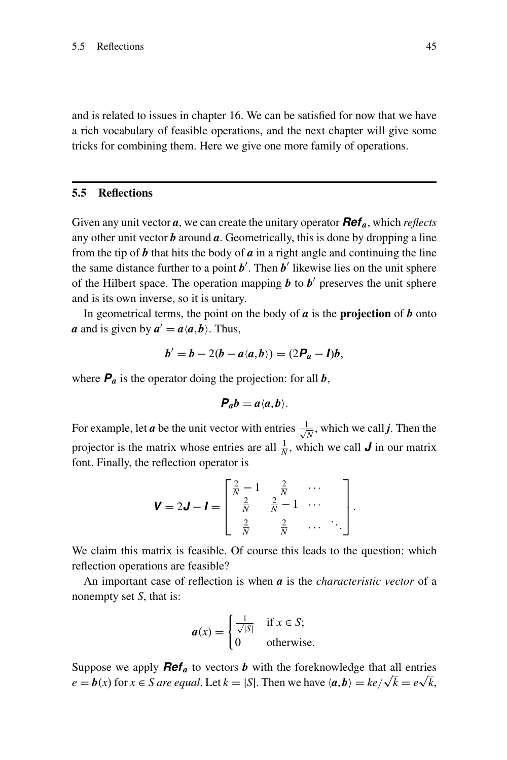and is related to issues in chapter 16. We can be satisfied for now that we have a rich vocabulary of feasible operations, and the next chapter will give some tricks for combining them. Here we give one more family of operations.

#### 5.5 Reflections

Given any unit vector *a*, we can create the unitary operator **Ref**<sub>a</sub>, which *reflects* any other unit vector  $\boldsymbol{b}$  around  $\boldsymbol{a}$ . Geometrically, this is done by dropping a line from the tip of  $\boldsymbol{b}$  that hits the body of  $\boldsymbol{a}$  in a right angle and continuing the line the same distance further to a point  $b'$ . Then  $b'$  likewise lies on the unit sphere of the Hilbert space. The operation mapping  $\boldsymbol{b}$  to  $\boldsymbol{b}'$  preserves the unit sphere and is its own inverse, so it is unitary.

In geometrical terms, the point on the body of  $\boldsymbol{a}$  is the **projection** of  $\boldsymbol{b}$  onto *a* and is given by  $a' = a \langle a, b \rangle$ . Thus,

$$
b'=b-2(b-a\langle a,b\rangle)=(2P_a-1)b,
$$

where  $P_a$  is the operator doing the projection: for all  $b$ ,

$$
P_a b = a \langle a, b \rangle.
$$

For example, let *a* be the unit vector with entries  $\frac{1}{\sqrt{N}}$ , which we call *j*. Then the projector is the matrix whose entries are all  $\frac{1}{N}$ , which we call **J** in our matrix font. Finally, the reflection operator is

$$
\mathbf{V} = 2\mathbf{J} - \mathbf{I} = \begin{bmatrix} \frac{2}{N} - 1 & \frac{2}{N} & \cdots \\ \frac{2}{N} & \frac{2}{N} - 1 & \cdots \\ \frac{2}{N} & \frac{2}{N} & \cdots & \ddots \end{bmatrix}.
$$

We claim this matrix is feasible. Of course this leads to the question: which reflection operations are feasible?

An important case of reflection is when *a* is the *characteristic vector* of a nonempty set *S*, that is:

$$
a(x) = \begin{cases} \frac{1}{\sqrt{|S|}} & \text{if } x \in S; \\ 0 & \text{otherwise.} \end{cases}
$$

Suppose we apply  $\text{Ref}_a$  to vectors  $b$  with the foreknowledge that all entries  $e = b(x)$  for  $x \in S$  *are equal.* Let  $k = |S|$ . Then we have  $\langle a, b \rangle = ke/\sqrt{k} = e\sqrt{k}$ ,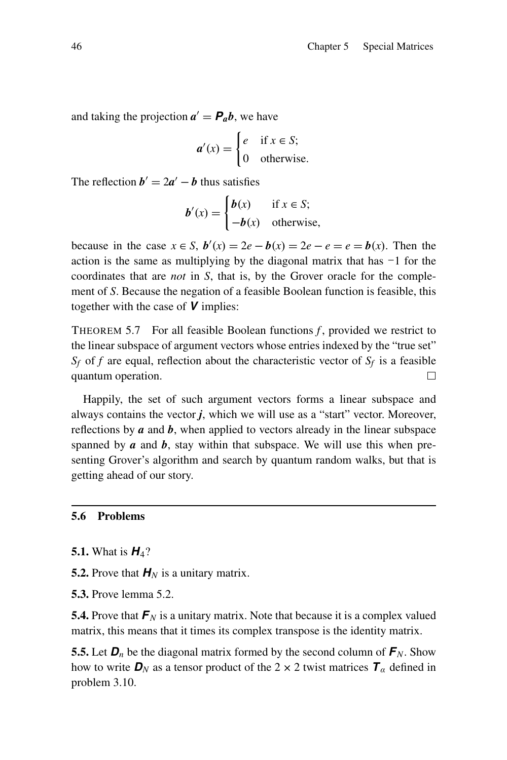and taking the projection  $a' = P_a b$ , we have

$$
a'(x) = \begin{cases} e & \text{if } x \in S; \\ 0 & \text{otherwise.} \end{cases}
$$

The reflection  $b' = 2a' - b$  thus satisfies

$$
b'(x) = \begin{cases} b(x) & \text{if } x \in S; \\ -b(x) & \text{otherwise,} \end{cases}
$$

because in the case *x* ∈ *S*,  $b'(x) = 2e - b(x) = 2e - e = e = b(x)$ . Then the action is the same as multiplying by the diagonal matrix that has −1 for the coordinates that are *not* in *S*, that is, by the Grover oracle for the complement of *S*. Because the negation of a feasible Boolean function is feasible, this together with the case of *V* implies:

THEOREM 5.7 For all feasible Boolean functions *f*, provided we restrict to the linear subspace of argument vectors whose entries indexed by the "true set"  $S_f$  of *f* are equal, reflection about the characteristic vector of  $S_f$  is a feasible quantum operation.  $\Box$ 

Happily, the set of such argument vectors forms a linear subspace and always contains the vector *j*, which we will use as a "start" vector. Moreover, reflections by  $\boldsymbol{a}$  and  $\boldsymbol{b}$ , when applied to vectors already in the linear subspace spanned by  $a$  and  $b$ , stay within that subspace. We will use this when presenting Grover's algorithm and search by quantum random walks, but that is getting ahead of our story.

#### 5.6 Problems

- 5.1. What is  $H_4$ ?
- **5.2.** Prove that  $H_N$  is a unitary matrix.
- 5.3. Prove lemma 5.2.

**5.4.** Prove that  $\boldsymbol{F}_N$  is a unitary matrix. Note that because it is a complex valued matrix, this means that it times its complex transpose is the identity matrix.

5.5. Let  $D_n$  be the diagonal matrix formed by the second column of  $F_N$ . Show how to write  $D_N$  as a tensor product of the 2  $\times$  2 twist matrices  $\mathcal{T}_{\alpha}$  defined in problem 3.10.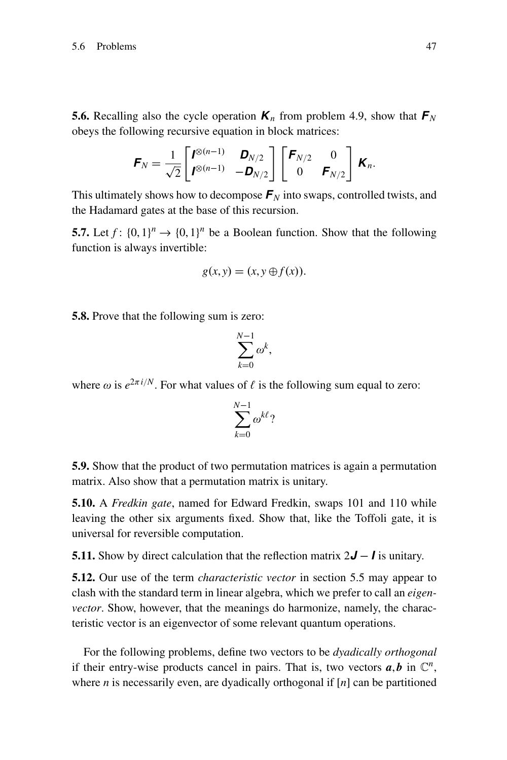5.6. Recalling also the cycle operation  $K_n$  from problem 4.9, show that  $F_N$ obeys the following recursive equation in block matrices:

$$
\boldsymbol{F}_N = \frac{1}{\sqrt{2}} \begin{bmatrix} \boldsymbol{I}^{\otimes (n-1)} & \boldsymbol{D}_{N/2} \\ \boldsymbol{I}^{\otimes (n-1)} & -\boldsymbol{D}_{N/2} \end{bmatrix} \begin{bmatrix} \boldsymbol{F}_{N/2} & 0 \\ 0 & \boldsymbol{F}_{N/2} \end{bmatrix} \boldsymbol{K}_n.
$$

This ultimately shows how to decompose  $\boldsymbol{F}_N$  into swaps, controlled twists, and the Hadamard gates at the base of this recursion.

**5.7.** Let  $f$ :  $\{0, 1\}^n \rightarrow \{0, 1\}^n$  be a Boolean function. Show that the following function is always invertible:

$$
g(x, y) = (x, y \oplus f(x)).
$$

5.8. Prove that the following sum is zero:

$$
\sum_{k=0}^{N-1} \omega^k,
$$

where  $\omega$  is  $e^{2\pi i/N}$ . For what values of  $\ell$  is the following sum equal to zero:

$$
\sum_{k=0}^{N-1} \omega^{k\ell}?
$$

5.9. Show that the product of two permutation matrices is again a permutation matrix. Also show that a permutation matrix is unitary.

5.10. A *Fredkin gate*, named for Edward Fredkin, swaps 101 and 110 while leaving the other six arguments fixed. Show that, like the Toffoli gate, it is universal for reversible computation.

5.11. Show by direct calculation that the reflection matrix 2*J* − *I* is unitary.

5.12. Our use of the term *characteristic vector* in section 5.5 may appear to clash with the standard term in linear algebra, which we prefer to call an *eigenvector*. Show, however, that the meanings do harmonize, namely, the characteristic vector is an eigenvector of some relevant quantum operations.

For the following problems, define two vectors to be *dyadically orthogonal* if their entry-wise products cancel in pairs. That is, two vectors  $a, b$  in  $\mathbb{C}^n$ , where *n* is necessarily even, are dyadically orthogonal if [*n*] can be partitioned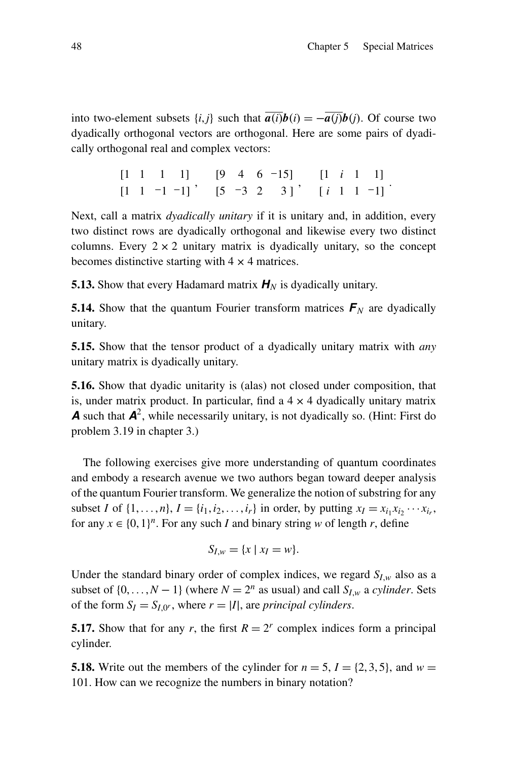into two-element subsets  $\{i,j\}$  such that  $a(i)b(i) = -a(j)b(j)$ . Of course two dyadically orthogonal vectors are orthogonal. Here are some pairs of dyadically orthogonal real and complex vectors:

[1 1 1 1] [9 4 6 −15] [1 *i* 1 1]<br>[1 1 −1 −1], [5 −3 2 3], [*i* 1 1 −1].

Next, call a matrix *dyadically unitary* if it is unitary and, in addition, every two distinct rows are dyadically orthogonal and likewise every two distinct columns. Every  $2 \times 2$  unitary matrix is dyadically unitary, so the concept becomes distinctive starting with  $4 \times 4$  matrices.

**5.13.** Show that every Hadamard matrix  $H_N$  is dyadically unitary.

**5.14.** Show that the quantum Fourier transform matrices  $\boldsymbol{F}_N$  are dyadically unitary.

5.15. Show that the tensor product of a dyadically unitary matrix with *any* unitary matrix is dyadically unitary.

5.16. Show that dyadic unitarity is (alas) not closed under composition, that is, under matrix product. In particular, find a  $4 \times 4$  dyadically unitary matrix *A* such that *A*2, while necessarily unitary, is not dyadically so. (Hint: First do problem 3.19 in chapter 3.)

The following exercises give more understanding of quantum coordinates and embody a research avenue we two authors began toward deeper analysis of the quantum Fourier transform. We generalize the notion of substring for any subset *I* of  $\{1, ..., n\}$ ,  $I = \{i_1, i_2, ..., i_r\}$  in order, by putting  $x_I = x_{i_1} x_{i_2} \cdots x_{i_r}$ , for any  $x \in \{0, 1\}^n$ . For any such *I* and binary string *w* of length *r*, define

$$
S_{I,w} = \{x \mid x_I = w\}.
$$

Under the standard binary order of complex indices, we regard  $S_{I,w}$  also as a subset of  $\{0, \ldots, N-1\}$  (where  $N = 2^n$  as usual) and call  $S_{I,w}$  a *cylinder*. Sets of the form  $S_I = S_{I,0r}$ , where  $r = |I|$ , are *principal cylinders*.

**5.17.** Show that for any *r*, the first  $R = 2<sup>r</sup>$  complex indices form a principal cylinder.

**5.18.** Write out the members of the cylinder for  $n = 5$ ,  $I = \{2, 3, 5\}$ , and  $w =$ 101. How can we recognize the numbers in binary notation?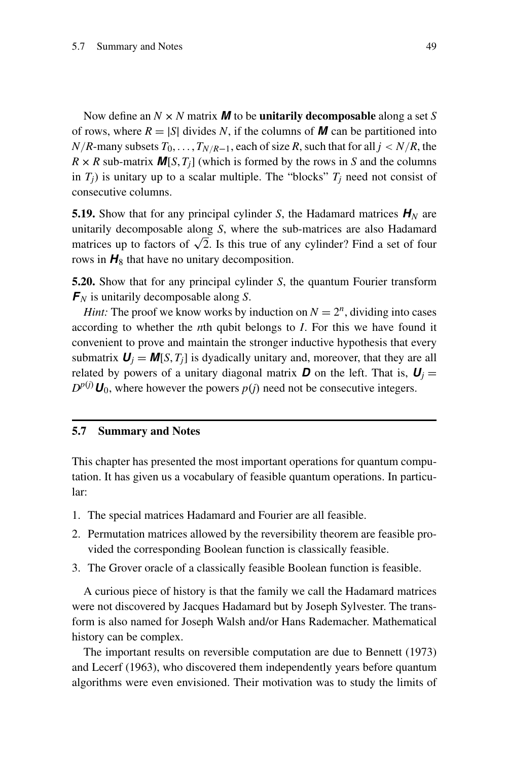Now define an  $N \times N$  matrix *M* to be **unitarily decomposable** along a set *S* of rows, where  $R = |S|$  divides N, if the columns of **M** can be partitioned into *N*/*R*-many subsets  $T_0$ , ...,  $T_{N/R-1}$ , each of size *R*, such that for all  $j < N/R$ , the  $R \times R$  sub-matrix  $M[S, T_j]$  (which is formed by the rows in *S* and the columns in  $T_i$ ) is unitary up to a scalar multiple. The "blocks"  $T_i$  need not consist of consecutive columns.

**5.19.** Show that for any principal cylinder *S*, the Hadamard matrices  $H_N$  are unitarily decomposable along *S*, where the sub-matrices are also Hadamard matrices up to factors of  $\sqrt{2}$ . Is this true of any cylinder? Find a set of four rows in  $H_8$  that have no unitary decomposition.

5.20. Show that for any principal cylinder *S*, the quantum Fourier transform  $\mathbf{F}_N$  is unitarily decomposable along *S*.

*Hint:* The proof we know works by induction on  $N = 2<sup>n</sup>$ , dividing into cases according to whether the *n*th qubit belongs to *I*. For this we have found it convenient to prove and maintain the stronger inductive hypothesis that every submatrix  $U_i = M[S, T_i]$  is dyadically unitary and, moreover, that they are all related by powers of a unitary diagonal matrix  $\boldsymbol{D}$  on the left. That is,  $\boldsymbol{U}_i =$  $D^{p(j)}$   $U_0$ , where however the powers  $p(j)$  need not be consecutive integers.

#### 5.7 Summary and Notes

This chapter has presented the most important operations for quantum computation. It has given us a vocabulary of feasible quantum operations. In particular:

- 1. The special matrices Hadamard and Fourier are all feasible.
- 2. Permutation matrices allowed by the reversibility theorem are feasible provided the corresponding Boolean function is classically feasible.
- 3. The Grover oracle of a classically feasible Boolean function is feasible.

A curious piece of history is that the family we call the Hadamard matrices were not discovered by Jacques Hadamard but by Joseph Sylvester. The transform is also named for Joseph Walsh and/or Hans Rademacher. Mathematical history can be complex.

The important results on reversible computation are due to Bennett (1973) and Lecerf (1963), who discovered them independently years before quantum algorithms were even envisioned. Their motivation was to study the limits of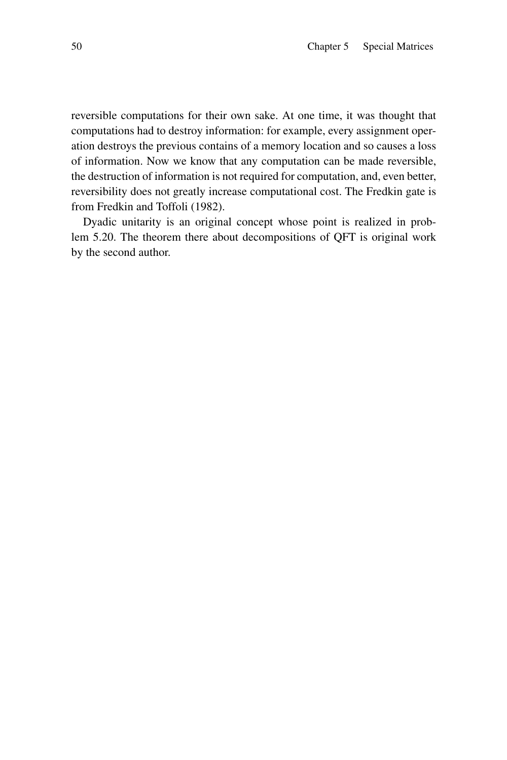reversible computations for their own sake. At one time, it was thought that computations had to destroy information: for example, every assignment operation destroys the previous contains of a memory location and so causes a loss of information. Now we know that any computation can be made reversible, the destruction of information is not required for computation, and, even better, reversibility does not greatly increase computational cost. The Fredkin gate is from Fredkin and Toffoli (1982).

Dyadic unitarity is an original concept whose point is realized in problem 5.20. The theorem there about decompositions of QFT is original work by the second author.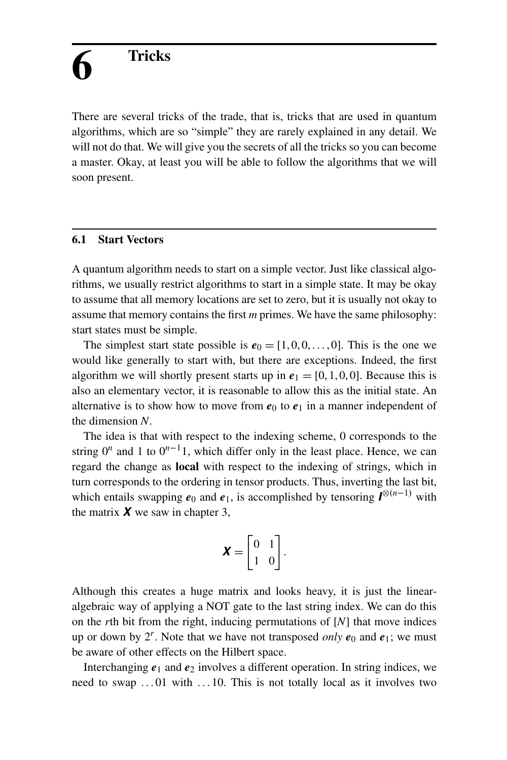# **Tricks**

There are several tricks of the trade, that is, tricks that are used in quantum algorithms, which are so "simple" they are rarely explained in any detail. We will not do that. We will give you the secrets of all the tricks so you can become a master. Okay, at least you will be able to follow the algorithms that we will soon present.

#### 6.1 Start Vectors

A quantum algorithm needs to start on a simple vector. Just like classical algorithms, we usually restrict algorithms to start in a simple state. It may be okay to assume that all memory locations are set to zero, but it is usually not okay to assume that memory contains the first *m* primes. We have the same philosophy: start states must be simple.

The simplest start state possible is  $e_0 = [1, 0, 0, \ldots, 0]$ . This is the one we would like generally to start with, but there are exceptions. Indeed, the first algorithm we will shortly present starts up in  $e_1 = [0, 1, 0, 0]$ . Because this is also an elementary vector, it is reasonable to allow this as the initial state. An alternative is to show how to move from  $e_0$  to  $e_1$  in a manner independent of the dimension *N*.

The idea is that with respect to the indexing scheme, 0 corresponds to the string  $0^n$  and 1 to  $0^{n-1}$ , which differ only in the least place. Hence, we can regard the change as local with respect to the indexing of strings, which in turn corresponds to the ordering in tensor products. Thus, inverting the last bit, which entails swapping  $e_0$  and  $e_1$ , is accomplished by tensoring  $I^{\otimes (n-1)}$  with the matrix  $\boldsymbol{X}$  we saw in chapter 3,

$$
\mathbf{X} = \begin{bmatrix} 0 & 1 \\ 1 & 0 \end{bmatrix}.
$$

Although this creates a huge matrix and looks heavy, it is just the linearalgebraic way of applying a NOT gate to the last string index. We can do this on the *r*th bit from the right, inducing permutations of [*N*] that move indices up or down by 2<sup>*r*</sup>. Note that we have not transposed *only*  $e_0$  and  $e_1$ ; we must be aware of other effects on the Hilbert space.

Interchanging  $e_1$  and  $e_2$  involves a different operation. In string indices, we need to swap ... 01 with ... 10. This is not totally local as it involves two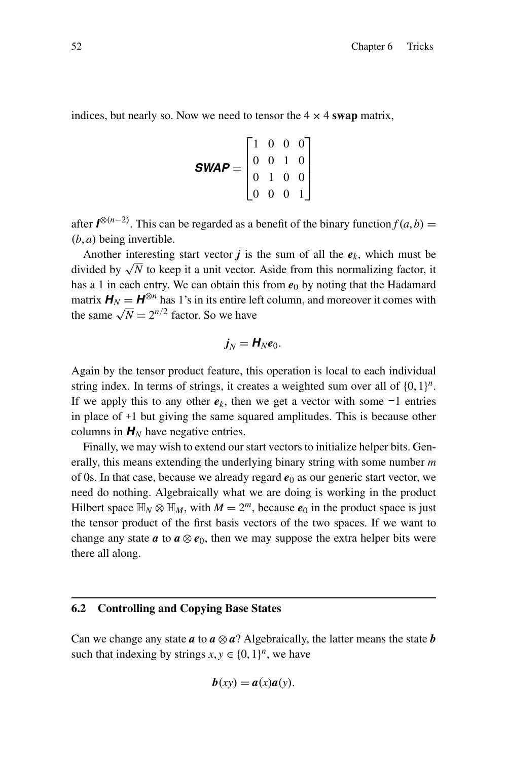indices, but nearly so. Now we need to tensor the  $4 \times 4$  swap matrix,

$$
\text{SWAP} = \begin{bmatrix} 1 & 0 & 0 & 0 \\ 0 & 0 & 1 & 0 \\ 0 & 1 & 0 & 0 \\ 0 & 0 & 0 & 1 \end{bmatrix}
$$

after  $I^{\otimes (n-2)}$ . This can be regarded as a benefit of the binary function  $f(a, b) =$ (*b*, *a*) being invertible.

Another interesting start vector  $j$  is the sum of all the  $e_k$ , which must be divided by  $\sqrt{N}$  to keep it a unit vector. Aside from this normalizing factor, it has a 1 in each entry. We can obtain this from  $e_0$  by noting that the Hadamard matrix  $H_N = H^{\otimes n}$  has 1's in its entire left column, and moreover it comes with the same  $\sqrt{N} = 2^{n/2}$  factor. So we have

$$
j_N = H_N e_0.
$$

Again by the tensor product feature, this operation is local to each individual string index. In terms of strings, it creates a weighted sum over all of  $\{0, 1\}^n$ . If we apply this to any other  $e_k$ , then we get a vector with some  $-1$  entries in place of <sup>+</sup>1 but giving the same squared amplitudes. This is because other columns in  $H_N$  have negative entries.

Finally, we may wish to extend our start vectors to initialize helper bits. Generally, this means extending the underlying binary string with some number *m* of 0s. In that case, because we already regard  $e_0$  as our generic start vector, we need do nothing. Algebraically what we are doing is working in the product Hilbert space  $\mathbb{H}_N \otimes \mathbb{H}_M$ , with  $M = 2^m$ , because  $e_0$  in the product space is just the tensor product of the first basis vectors of the two spaces. If we want to change any state  $\boldsymbol{a}$  to  $\boldsymbol{a} \otimes \boldsymbol{e}_0$ , then we may suppose the extra helper bits were there all along.

#### 6.2 Controlling and Copying Base States

Can we change any state  $a \text{ to } a \otimes a$ ? Algebraically, the latter means the state  $b$ such that indexing by strings  $x, y \in \{0, 1\}^n$ , we have

$$
b(xy) = a(x)a(y).
$$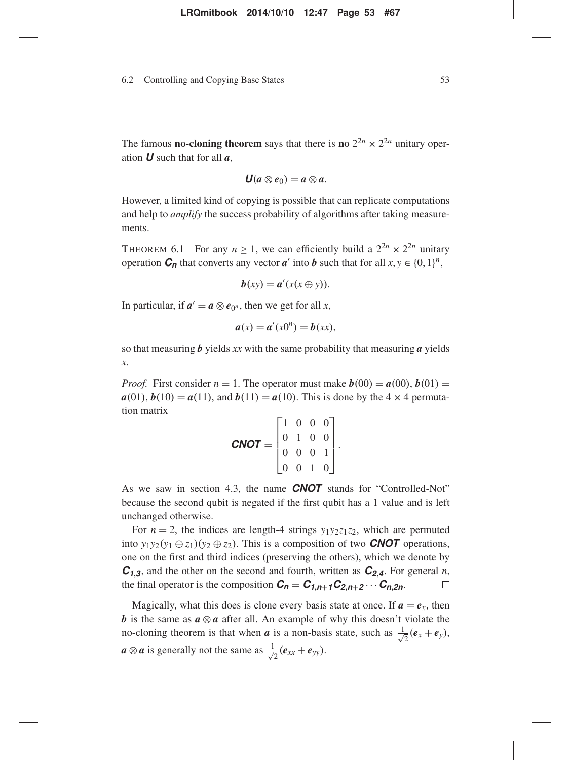6.2 Controlling and Copying Base States 53

The famous **no-cloning theorem** says that there is **no**  $2^{2n} \times 2^{2n}$  unitary operation *U* such that for all *a*,

$$
U(a\otimes e_0)=a\otimes a.
$$

However, a limited kind of copying is possible that can replicate computations and help to *amplify* the success probability of algorithms after taking measurements.

THEOREM 6.1 For any  $n \ge 1$ , we can efficiently build a  $2^{2n} \times 2^{2n}$  unitary operation  $C_n$  that converts any vector  $a'$  into  $b$  such that for all  $x, y \in \{0, 1\}^n$ ,

$$
b(xy) = a'(x(x \oplus y)).
$$

In particular, if  $a' = a \otimes e_{0^n}$ , then we get for all *x*,

$$
a(x) = a'(x0^n) = b(xx),
$$

so that measuring *b* yields *xx* with the same probability that measuring *a* yields *x*.

*Proof.* First consider  $n = 1$ . The operator must make  $\mathbf{b}(00) = \mathbf{a}(00)$ ,  $\mathbf{b}(01) =$  $a(01)$ ,  $b(10) = a(11)$ , and  $b(11) = a(10)$ . This is done by the 4  $\times$  4 permutation matrix

$$
CNOT = \begin{bmatrix} 1 & 0 & 0 & 0 \\ 0 & 1 & 0 & 0 \\ 0 & 0 & 0 & 1 \\ 0 & 0 & 1 & 0 \end{bmatrix}.
$$

As we saw in section 4.3, the name *CNOT* stands for "Controlled-Not" because the second qubit is negated if the first qubit has a 1 value and is left unchanged otherwise.

For  $n = 2$ , the indices are length-4 strings  $y_1y_2z_1z_2$ , which are permuted into  $y_1y_2(y_1 \oplus z_1)(y_2 \oplus z_2)$ . This is a composition of two **CNOT** operations, one on the first and third indices (preserving the others), which we denote by  $C_{1,3}$ , and the other on the second and fourth, written as  $C_{2,4}$ . For general *n*, the final operator is the composition  $C_n = C_{1,n+1}C_{2,n+2}\cdots C_{n,2n}$ . the final operator is the composition  $C_n = C_{1,n+1}C_{2,n+2}\cdots C_{n,2n}$ .

Magically, what this does is clone every basis state at once. If  $a = e_x$ , then *b* is the same as *a* ⊗ *a* after all. An example of why this doesn't violate the no-cloning theorem is that when *a* is a non-basis state, such as  $\frac{1}{4}$  $\frac{1}{2}(e_x + e_y),$  $a \otimes a$  is generally not the same as  $\frac{1}{4}$  $\frac{1}{2}(e_{xx}+e_{yy}).$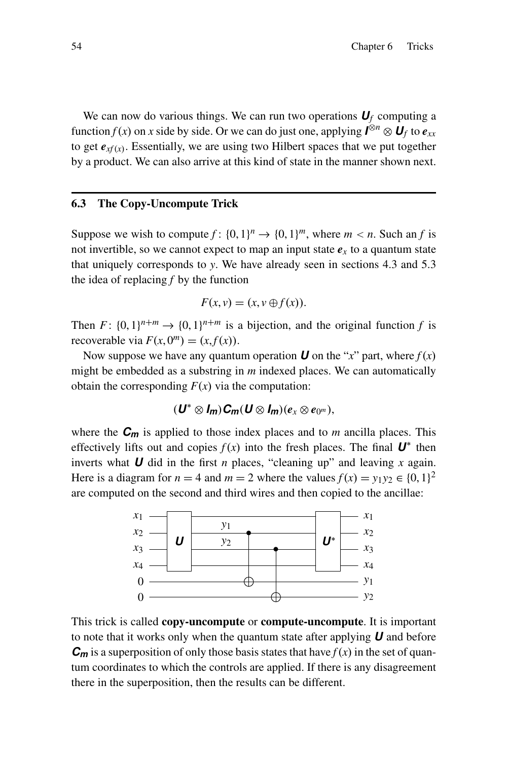We can now do various things. We can run two operations  $U_f$  computing a function *f*(*x*) on *x* side by side. Or we can do just one, applying  $I^{\otimes n} \otimes U_f$  to  $e_{xx}$ to get  $e_{xf(x)}$ . Essentially, we are using two Hilbert spaces that we put together by a product. We can also arrive at this kind of state in the manner shown next.

#### 6.3 The Copy-Uncompute Trick

Suppose we wish to compute  $f: \{0, 1\}^n \to \{0, 1\}^m$ , where  $m < n$ . Such an f is not invertible, so we cannot expect to map an input state  $e_x$  to a quantum state that uniquely corresponds to *y*. We have already seen in sections 4.3 and 5.3 the idea of replacing *f* by the function

$$
F(x, v) = (x, v \oplus f(x)).
$$

Then  $F: \{0, 1\}^{n+m} \to \{0, 1\}^{n+m}$  is a bijection, and the original function *f* is recoverable via  $F(x, 0^m) = (x, f(x))$ .

Now suppose we have any quantum operation  $\boldsymbol{U}$  on the "*x*" part, where  $f(x)$ might be embedded as a substring in *m* indexed places. We can automatically obtain the corresponding  $F(x)$  via the computation:

$$
(\boldsymbol{U}^* \otimes \boldsymbol{I}_m) \boldsymbol{C}_m (\boldsymbol{U} \otimes \boldsymbol{I}_m) (\boldsymbol{e}_x \otimes \boldsymbol{e}_{0^m}),
$$

where the *Cm* is applied to those index places and to *m* ancilla places. This effectively lifts out and copies  $f(x)$  into the fresh places. The final  $U^*$  then inverts what **U** did in the first *n* places, "cleaning up" and leaving *x* again. Here is a diagram for  $n = 4$  and  $m = 2$  where the values  $f(x) = y_1y_2 \in \{0, 1\}^2$ are computed on the second and third wires and then copied to the ancillae:



This trick is called copy-uncompute or compute-uncompute. It is important to note that it works only when the quantum state after applying *U* and before  $C_m$  is a superposition of only those basis states that have  $f(x)$  in the set of quantum coordinates to which the controls are applied. If there is any disagreement there in the superposition, then the results can be different.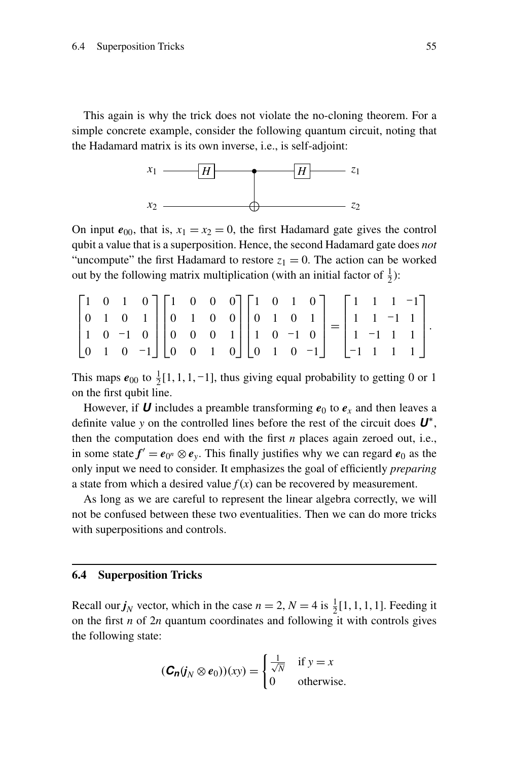This again is why the trick does not violate the no-cloning theorem. For a simple concrete example, consider the following quantum circuit, noting that the Hadamard matrix is its own inverse, i.e., is self-adjoint:



On input  $e_{00}$ , that is,  $x_1 = x_2 = 0$ , the first Hadamard gate gives the control qubit a value that is a superposition. Hence, the second Hadamard gate does *not* "uncompute" the first Hadamard to restore  $z_1 = 0$ . The action can be worked out by the following matrix multiplication (with an initial factor of  $\frac{1}{2}$ ):

$$
\begin{bmatrix} 1 & 0 & 1 & 0 \ 0 & 1 & 0 & 1 \ 1 & 0 & -1 & 0 \ 0 & 1 & 0 & -1 \end{bmatrix} \begin{bmatrix} 1 & 0 & 0 & 0 \ 0 & 1 & 0 & 0 \ 0 & 0 & 0 & 1 \ 0 & 0 & 1 & 0 \end{bmatrix} \begin{bmatrix} 1 & 0 & 1 & 0 \ 0 & 1 & 0 & 1 \ 1 & 0 & -1 & 0 \ 0 & 1 & 0 & -1 \end{bmatrix} = \begin{bmatrix} 1 & 1 & 1 & -1 \ 1 & 1 & -1 & 1 \ 1 & -1 & 1 & 1 \ -1 & 1 & 1 & 1 \end{bmatrix}.
$$

This maps  $e_{00}$  to  $\frac{1}{2}$ [1, 1, 1, -1], thus giving equal probability to getting 0 or 1 on the first qubit line.

However, if *U* includes a preamble transforming  $e_0$  to  $e_x$  and then leaves a definite value *y* on the controlled lines before the rest of the circuit does *U*∗, then the computation does end with the first *n* places again zeroed out, i.e., in some state  $f' = e_{0^n} \otimes e_y$ . This finally justifies why we can regard  $e_0$  as the only input we need to consider. It emphasizes the goal of efficiently *preparing* a state from which a desired value  $f(x)$  can be recovered by measurement.

As long as we are careful to represent the linear algebra correctly, we will not be confused between these two eventualities. Then we can do more tricks with superpositions and controls.

#### 6.4 Superposition Tricks

Recall our  $j_N$  vector, which in the case  $n = 2$ ,  $N = 4$  is  $\frac{1}{2}[1, 1, 1, 1]$ . Feeding it on the first *n* of 2*n* quantum coordinates and following it with controls gives the following state:

$$
(\mathbf{C}_{\mathbf{n}}(j_N \otimes \mathbf{e}_0))(xy) = \begin{cases} \frac{1}{\sqrt{N}} & \text{if } y = x \\ 0 & \text{otherwise.} \end{cases}
$$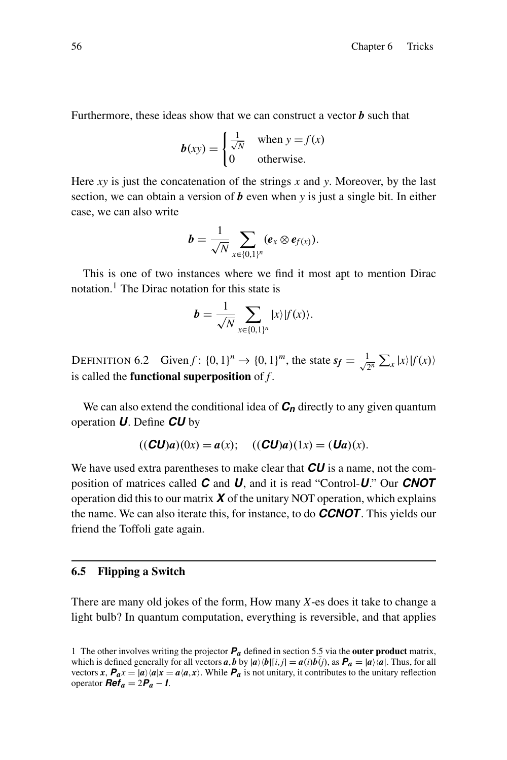Furthermore, these ideas show that we can construct a vector *b* such that

$$
\boldsymbol{b}(xy) = \begin{cases} \frac{1}{\sqrt{N}} & \text{when } y = f(x) \\ 0 & \text{otherwise.} \end{cases}
$$

Here *xy* is just the concatenation of the strings *x* and *y*. Moreover, by the last section, we can obtain a version of *b* even when *y* is just a single bit. In either case, we can also write

$$
\boldsymbol{b} = \frac{1}{\sqrt{N}} \sum_{x \in \{0,1\}^n} (\boldsymbol{e}_x \otimes \boldsymbol{e}_{f(x)}).
$$

This is one of two instances where we find it most apt to mention Dirac notation.<sup>1</sup> The Dirac notation for this state is

$$
\boldsymbol{b} = \frac{1}{\sqrt{N}} \sum_{x \in \{0,1\}^n} |x\rangle |f(x)\rangle.
$$

DEFINITION 6.2 Given  $f$ :  $\{0, 1\}^n \rightarrow \{0, 1\}^m$ , the state  $s_f = \frac{1}{\sqrt{2}}$  $\frac{1}{2^n} \sum_{x} |x\rangle |f(x)\rangle$ is called the functional superposition of *f* .

We can also extend the conditional idea of  $C_n$  directly to any given quantum operation *U*. Define *CU* by

$$
((CU)a)(0x) = a(x);
$$
  $((CU)a)(1x) = (Ua)(x).$ 

We have used extra parentheses to make clear that *CU* is a name, not the composition of matrices called *C* and *U*, and it is read "Control-*U*." Our *CNOT* operation did this to our matrix *X* of the unitary NOT operation, which explains the name. We can also iterate this, for instance, to do *CCNOT*. This yields our friend the Toffoli gate again.

#### 6.5 Flipping a Switch

There are many old jokes of the form, How many *X*-es does it take to change a light bulb? In quantum computation, everything is reversible, and that applies

<sup>1</sup> The other involves writing the projector  $P_a$  defined in section 5.5 via the **outer product** matrix, which is defined generally for all vectors  $\bf{a}, \bf{b}$  by  $|\bf{a}\rangle\langle\bf{b}|[i,j] = \bf{a}(i)\bf{b}(j)$ , as  $\bf{P}_a = |\bf{a}\rangle\langle\bf{a}|$ . Thus, for all vectors  $x$ ,  $P_a x = |a\rangle \langle a|x = a\langle a, x \rangle$ . While  $P_a$  is not unitary, it contributes to the unitary reflection operator  $\text{Ref}_a = 2P_a - I$ .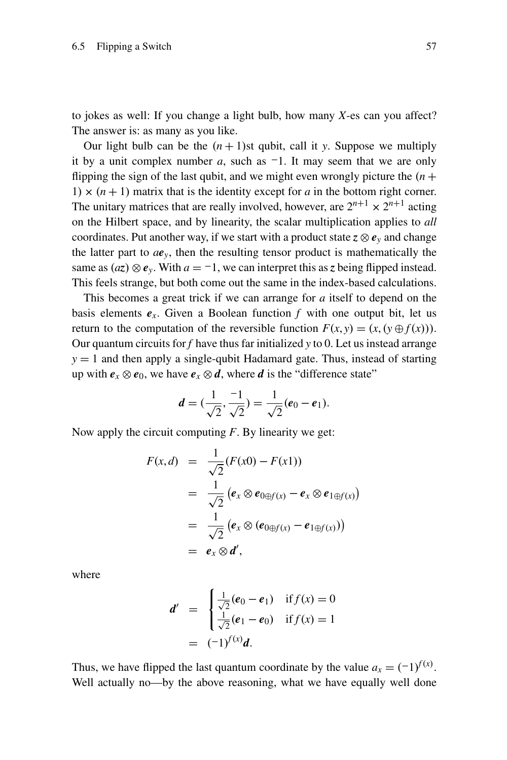to jokes as well: If you change a light bulb, how many *X*-es can you affect? The answer is: as many as you like.

Our light bulb can be the  $(n + 1)$ st qubit, call it *y*. Suppose we multiply it by a unit complex number *a*, such as −1. It may seem that we are only flipping the sign of the last qubit, and we might even wrongly picture the  $(n +$ 1)  $\times$  ( $n + 1$ ) matrix that is the identity except for *a* in the bottom right corner. The unitary matrices that are really involved, however, are  $2^{n+1} \times 2^{n+1}$  acting on the Hilbert space, and by linearity, the scalar multiplication applies to *all* coordinates. Put another way, if we start with a product state  $z \otimes e_y$  and change the latter part to  $ae<sub>y</sub>$ , then the resulting tensor product is mathematically the same as  $(az) \otimes e_v$ . With  $a = -1$ , we can interpret this as *z* being flipped instead. This feels strange, but both come out the same in the index-based calculations.

This becomes a great trick if we can arrange for *a* itself to depend on the basis elements  $e_x$ . Given a Boolean function  $f$  with one output bit, let us return to the computation of the reversible function  $F(x, y) = (x, (y \oplus f(x)))$ . Our quantum circuits for *f* have thus far initialized *y* to 0. Let us instead arrange  $y = 1$  and then apply a single-qubit Hadamard gate. Thus, instead of starting up with  $e_x \otimes e_0$ , we have  $e_x \otimes d$ , where *d* is the "difference state"

$$
d = (\frac{1}{\sqrt{2}}, \frac{-1}{\sqrt{2}}) = \frac{1}{\sqrt{2}}(e_0 - e_1).
$$

Now apply the circuit computing *F*. By linearity we get:

$$
F(x,d) = \frac{1}{\sqrt{2}} (F(x0) - F(x1))
$$
  
= 
$$
\frac{1}{\sqrt{2}} (e_x \otimes e_{0 \oplus f(x)} - e_x \otimes e_{1 \oplus f(x)})
$$
  
= 
$$
\frac{1}{\sqrt{2}} (e_x \otimes (e_{0 \oplus f(x)} - e_{1 \oplus f(x)}))
$$
  
= 
$$
e_x \otimes d',
$$

where

$$
d' = \begin{cases} \frac{1}{\sqrt{2}}(e_0 - e_1) & \text{if } f(x) = 0\\ \frac{1}{\sqrt{2}}(e_1 - e_0) & \text{if } f(x) = 1 \end{cases}
$$
  
=  $(-1)^{f(x)}d$ .

Thus, we have flipped the last quantum coordinate by the value  $a_x = (-1)^{f(x)}$ . Well actually no—by the above reasoning, what we have equally well done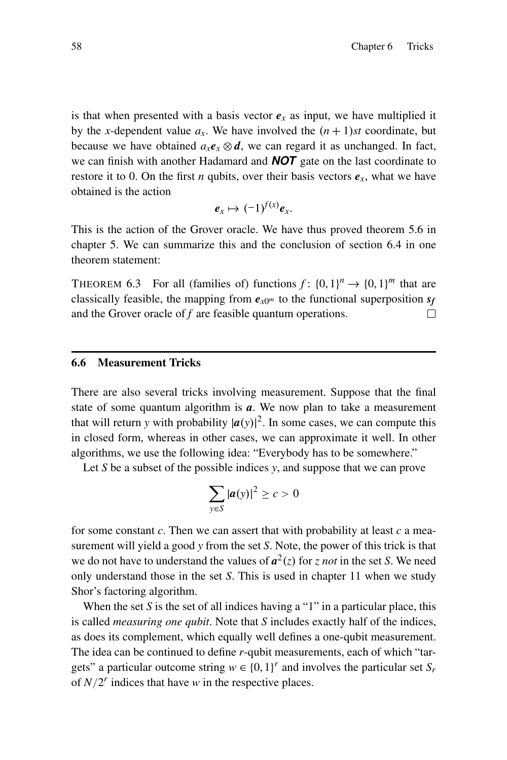is that when presented with a basis vector  $e<sub>x</sub>$  as input, we have multiplied it by the *x*-dependent value  $a_x$ . We have involved the  $(n + 1)$ st coordinate, but because we have obtained  $a_x e_x \otimes d$ , we can regard it as unchanged. In fact, we can finish with another Hadamard and *NOT* gate on the last coordinate to restore it to 0. On the first *n* qubits, over their basis vectors  $e_x$ , what we have obtained is the action

$$
\mathbf{e}_x \mapsto (-1)^{f(x)} \mathbf{e}_x.
$$

This is the action of the Grover oracle. We have thus proved theorem 5.6 in chapter 5. We can summarize this and the conclusion of section 6.4 in one theorem statement:

THEOREM 6.3 For all (families of) functions  $f: \{0, 1\}^n \rightarrow \{0, 1\}^m$  that are classically feasible, the mapping from  $e_{x0^m}$  to the functional superposition  $s_f$ and the Grover oracle of *f* are feasible quantum operations. П

#### 6.6 Measurement Tricks

There are also several tricks involving measurement. Suppose that the final state of some quantum algorithm is *a*. We now plan to take a measurement that will return *y* with probability  $|a(y)|^2$ . In some cases, we can compute this in closed form, whereas in other cases, we can approximate it well. In other algorithms, we use the following idea: "Everybody has to be somewhere."

Let *S* be a subset of the possible indices *y*, and suppose that we can prove

$$
\sum_{y\in S} |a(y)|^2 \ge c > 0
$$

for some constant *c*. Then we can assert that with probability at least *c* a measurement will yield a good *y* from the set *S*. Note, the power of this trick is that we do not have to understand the values of  $a^2(z)$  for *z not* in the set *S*. We need only understand those in the set *S*. This is used in chapter 11 when we study Shor's factoring algorithm.

When the set  $S$  is the set of all indices having a "1" in a particular place, this is called *measuring one qubit*. Note that *S* includes exactly half of the indices, as does its complement, which equally well defines a one-qubit measurement. The idea can be continued to define *r*-qubit measurements, each of which "targets" a particular outcome string  $w \in \{0, 1\}^r$  and involves the particular set  $S_r$ of  $N/2<sup>r</sup>$  indices that have *w* in the respective places.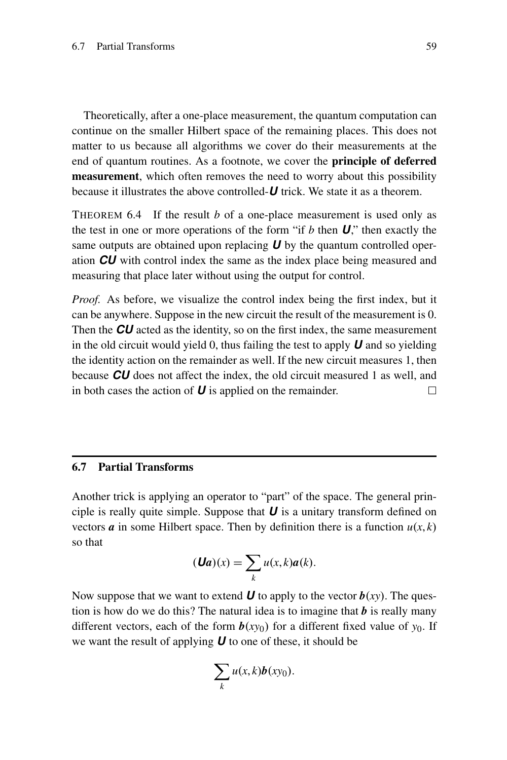Theoretically, after a one-place measurement, the quantum computation can continue on the smaller Hilbert space of the remaining places. This does not matter to us because all algorithms we cover do their measurements at the end of quantum routines. As a footnote, we cover the principle of deferred measurement, which often removes the need to worry about this possibility because it illustrates the above controlled-*U* trick. We state it as a theorem.

THEOREM 6.4 If the result *b* of a one-place measurement is used only as the test in one or more operations of the form "if  $b$  then  $U$ ," then exactly the same outputs are obtained upon replacing  $U$  by the quantum controlled operation *CU* with control index the same as the index place being measured and measuring that place later without using the output for control.

*Proof.* As before, we visualize the control index being the first index, but it can be anywhere. Suppose in the new circuit the result of the measurement is 0. Then the **CU** acted as the identity, so on the first index, the same measurement in the old circuit would yield 0, thus failing the test to apply *U* and so yielding the identity action on the remainder as well. If the new circuit measures 1, then because *CU* does not affect the index, the old circuit measured 1 as well, and in both cases the action of  $U$  is applied on the remainder.  $\Box$ 

#### 6.7 Partial Transforms

Another trick is applying an operator to "part" of the space. The general principle is really quite simple. Suppose that  $U$  is a unitary transform defined on vectors  $\boldsymbol{a}$  in some Hilbert space. Then by definition there is a function  $u(x, k)$ so that

$$
(\mathbf{U}\mathbf{a})(x) = \sum_{k} u(x,k)\mathbf{a}(k).
$$

Now suppose that we want to extend  $\boldsymbol{U}$  to apply to the vector  $\boldsymbol{b}(xy)$ . The question is how do we do this? The natural idea is to imagine that *b* is really many different vectors, each of the form  $\mathbf{b}(xy_0)$  for a different fixed value of  $y_0$ . If we want the result of applying *U* to one of these, it should be

$$
\sum_k u(x,k) \mathbf{b}(xy_0).
$$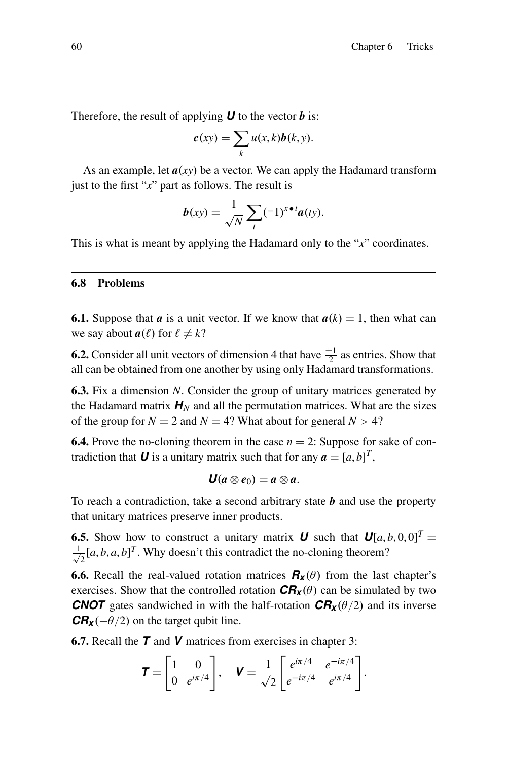Therefore, the result of applying  $U$  to the vector  $b$  is:

$$
c(xy) = \sum_{k} u(x,k)b(k,y).
$$

As an example, let  $a(xy)$  be a vector. We can apply the Hadamard transform just to the first "*x*" part as follows. The result is

$$
b(xy) = \frac{1}{\sqrt{N}} \sum_{t} (-1)^{x \bullet t} a(ty).
$$

This is what is meant by applying the Hadamard only to the "*x*" coordinates.

#### 6.8 Problems

**6.1.** Suppose that *a* is a unit vector. If we know that  $a(k) = 1$ , then what can we say about  $a(\ell)$  for  $\ell \neq k$ ?

**6.2.** Consider all unit vectors of dimension 4 that have  $\frac{\pm 1}{2}$  as entries. Show that all can be obtained from one another by using only Hadamard transformations.

6.3. Fix a dimension *N*. Consider the group of unitary matrices generated by the Hadamard matrix  $H_N$  and all the permutation matrices. What are the sizes of the group for  $N = 2$  and  $N = 4$ ? What about for general  $N > 4$ ?

**6.4.** Prove the no-cloning theorem in the case  $n = 2$ : Suppose for sake of contradiction that *U* is a unitary matrix such that for any  $a = [a, b]^T$ ,

$$
U(a\otimes e_0)=a\otimes a.
$$

To reach a contradiction, take a second arbitrary state *b* and use the property that unitary matrices preserve inner products.

6.5. Show how to construct a unitary matrix *U* such that  $U[a, b, 0, 0]^T =$ √ 1  $\frac{1}{2}[a, b, a, b]^T$ . Why doesn't this contradict the no-cloning theorem?

**6.6.** Recall the real-valued rotation matrices  $\mathbf{R}_{\mathbf{X}}(\theta)$  from the last chapter's exercises. Show that the controlled rotation  $CR_{x}(\theta)$  can be simulated by two *CNOT* gates sandwiched in with the half-rotation  $CR_x(\theta/2)$  and its inverse  $CR<sub>x</sub>(-\theta/2)$  on the target qubit line.

6.7. Recall the *T* and *V* matrices from exercises in chapter 3:

$$
\mathbf{T} = \begin{bmatrix} 1 & 0 \\ 0 & e^{i\pi/4} \end{bmatrix}, \quad \mathbf{V} = \frac{1}{\sqrt{2}} \begin{bmatrix} e^{i\pi/4} & e^{-i\pi/4} \\ e^{-i\pi/4} & e^{i\pi/4} \end{bmatrix}.
$$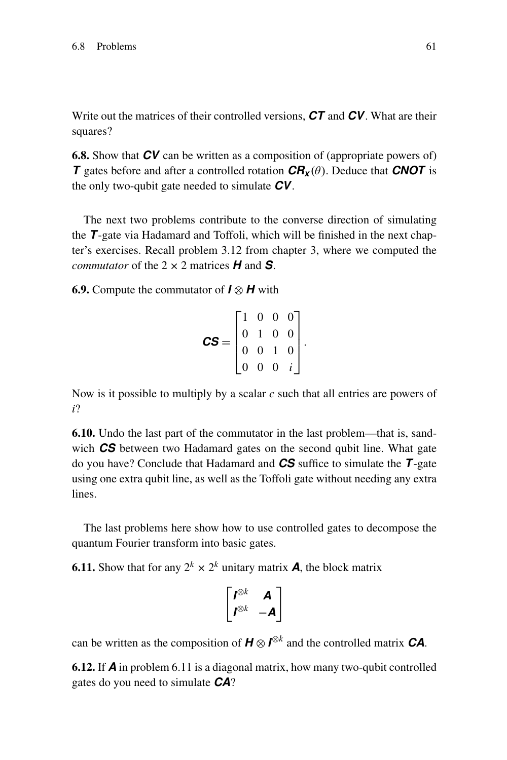Write out the matrices of their controlled versions, *CT* and *CV*. What are their squares?

6.8. Show that *CV* can be written as a composition of (appropriate powers of) *T* gates before and after a controlled rotation *CRx* (θ ). Deduce that *CNOT* is the only two-qubit gate needed to simulate *CV*.

The next two problems contribute to the converse direction of simulating the *T*-gate via Hadamard and Toffoli, which will be finished in the next chapter's exercises. Recall problem 3.12 from chapter 3, where we computed the *commutator* of the  $2 \times 2$  matrices *H* and **S**.

6.9. Compute the commutator of *I* ⊗ *H* with

$$
\mathbf{CS} = \begin{bmatrix} 1 & 0 & 0 & 0 \\ 0 & 1 & 0 & 0 \\ 0 & 0 & 1 & 0 \\ 0 & 0 & 0 & i \end{bmatrix}.
$$

Now is it possible to multiply by a scalar *c* such that all entries are powers of *i*?

6.10. Undo the last part of the commutator in the last problem—that is, sandwich *CS* between two Hadamard gates on the second qubit line. What gate do you have? Conclude that Hadamard and *CS* suffice to simulate the *T*-gate using one extra qubit line, as well as the Toffoli gate without needing any extra lines.

The last problems here show how to use controlled gates to decompose the quantum Fourier transform into basic gates.

**6.11.** Show that for any  $2^k \times 2^k$  unitary matrix **A**, the block matrix

$$
\begin{bmatrix} I^{\otimes k} & \mathbf{A} \\ I^{\otimes k} & -\mathbf{A} \end{bmatrix}
$$

can be written as the composition of  $H \otimes I^{\otimes k}$  and the controlled matrix *CA*.

6.12. If *A* in problem 6.11 is a diagonal matrix, how many two-qubit controlled gates do you need to simulate *CA*?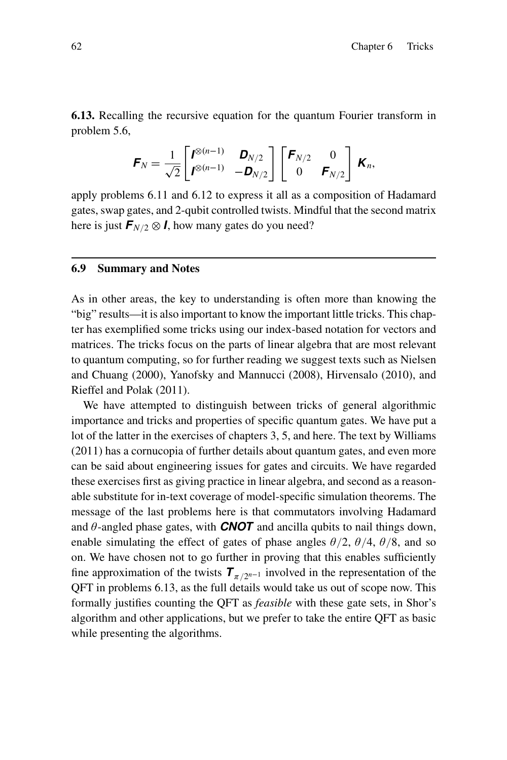6.13. Recalling the recursive equation for the quantum Fourier transform in problem 5.6,

$$
\boldsymbol{F}_N = \frac{1}{\sqrt{2}} \begin{bmatrix} \boldsymbol{I}^{\otimes (n-1)} & \boldsymbol{D}_{N/2} \\ \boldsymbol{I}^{\otimes (n-1)} & -\boldsymbol{D}_{N/2} \end{bmatrix} \begin{bmatrix} \boldsymbol{F}_{N/2} & 0 \\ 0 & \boldsymbol{F}_{N/2} \end{bmatrix} \boldsymbol{K}_n,
$$

apply problems 6.11 and 6.12 to express it all as a composition of Hadamard gates, swap gates, and 2-qubit controlled twists. Mindful that the second matrix here is just  $F_{N/2} \otimes I$ , how many gates do you need?

# 6.9 Summary and Notes

As in other areas, the key to understanding is often more than knowing the "big" results—it is also important to know the important little tricks. This chapter has exemplified some tricks using our index-based notation for vectors and matrices. The tricks focus on the parts of linear algebra that are most relevant to quantum computing, so for further reading we suggest texts such as Nielsen and Chuang (2000), Yanofsky and Mannucci (2008), Hirvensalo (2010), and Rieffel and Polak (2011).

We have attempted to distinguish between tricks of general algorithmic importance and tricks and properties of specific quantum gates. We have put a lot of the latter in the exercises of chapters 3, 5, and here. The text by Williams (2011) has a cornucopia of further details about quantum gates, and even more can be said about engineering issues for gates and circuits. We have regarded these exercises first as giving practice in linear algebra, and second as a reasonable substitute for in-text coverage of model-specific simulation theorems. The message of the last problems here is that commutators involving Hadamard and  $\theta$ -angled phase gates, with **CNOT** and ancilla qubits to nail things down, enable simulating the effect of gates of phase angles  $\theta/2$ ,  $\theta/4$ ,  $\theta/8$ , and so on. We have chosen not to go further in proving that this enables sufficiently fine approximation of the twists  $T_{\pi/2^{n-1}}$  involved in the representation of the QFT in problems 6.13, as the full details would take us out of scope now. This formally justifies counting the QFT as *feasible* with these gate sets, in Shor's algorithm and other applications, but we prefer to take the entire QFT as basic while presenting the algorithms.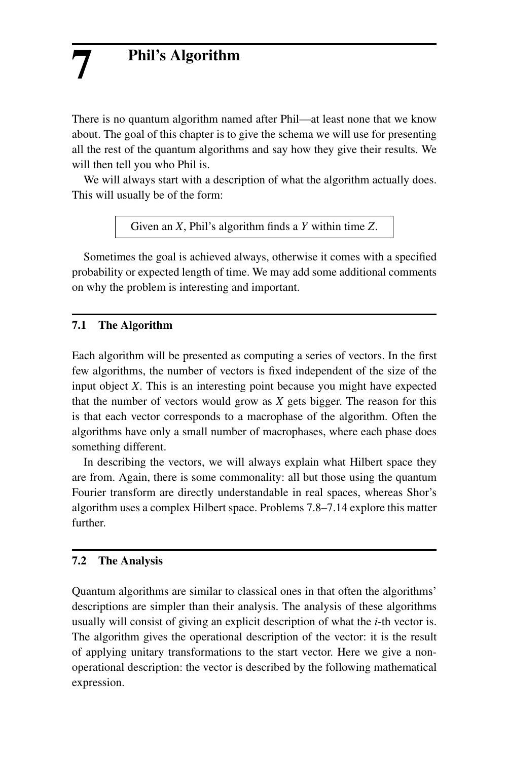# Phil's Algorithm

There is no quantum algorithm named after Phil—at least none that we know about. The goal of this chapter is to give the schema we will use for presenting all the rest of the quantum algorithms and say how they give their results. We will then tell you who Phil is.

We will always start with a description of what the algorithm actually does. This will usually be of the form:

Given an *X*, Phil's algorithm finds a *Y* within time *Z*.

Sometimes the goal is achieved always, otherwise it comes with a specified probability or expected length of time. We may add some additional comments on why the problem is interesting and important.

# 7.1 The Algorithm

Each algorithm will be presented as computing a series of vectors. In the first few algorithms, the number of vectors is fixed independent of the size of the input object *X*. This is an interesting point because you might have expected that the number of vectors would grow as *X* gets bigger. The reason for this is that each vector corresponds to a macrophase of the algorithm. Often the algorithms have only a small number of macrophases, where each phase does something different.

In describing the vectors, we will always explain what Hilbert space they are from. Again, there is some commonality: all but those using the quantum Fourier transform are directly understandable in real spaces, whereas Shor's algorithm uses a complex Hilbert space. Problems 7.8–7.14 explore this matter further.

# 7.2 The Analysis

Quantum algorithms are similar to classical ones in that often the algorithms' descriptions are simpler than their analysis. The analysis of these algorithms usually will consist of giving an explicit description of what the *i*-th vector is. The algorithm gives the operational description of the vector: it is the result of applying unitary transformations to the start vector. Here we give a nonoperational description: the vector is described by the following mathematical expression.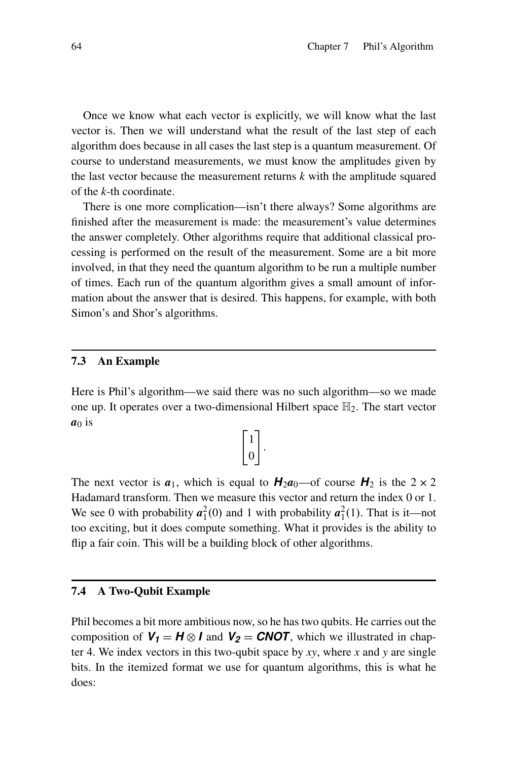Once we know what each vector is explicitly, we will know what the last vector is. Then we will understand what the result of the last step of each algorithm does because in all cases the last step is a quantum measurement. Of course to understand measurements, we must know the amplitudes given by the last vector because the measurement returns *k* with the amplitude squared of the *k*-th coordinate.

There is one more complication—isn't there always? Some algorithms are finished after the measurement is made: the measurement's value determines the answer completely. Other algorithms require that additional classical processing is performed on the result of the measurement. Some are a bit more involved, in that they need the quantum algorithm to be run a multiple number of times. Each run of the quantum algorithm gives a small amount of information about the answer that is desired. This happens, for example, with both Simon's and Shor's algorithms.

# 7.3 An Example

Here is Phil's algorithm—we said there was no such algorithm—so we made one up. It operates over a two-dimensional Hilbert space  $\mathbb{H}_2$ . The start vector  $a_0$  is

The next vector is  $a_1$ , which is equal to  $H_2a_0$ —of course  $H_2$  is the  $2 \times 2$ Hadamard transform. Then we measure this vector and return the index 0 or 1. We see 0 with probability  $a_1^2(0)$  and 1 with probability  $a_1^2(1)$ . That is it—not too exciting, but it does compute something. What it provides is the ability to flip a fair coin. This will be a building block of other algorithms.

# 7.4 A Two-Qubit Example

Phil becomes a bit more ambitious now, so he has two qubits. He carries out the composition of  $V_1 = H \otimes I$  and  $V_2 = CNOT$ , which we illustrated in chapter 4. We index vectors in this two-qubit space by *xy*, where *x* and *y* are single bits. In the itemized format we use for quantum algorithms, this is what he does: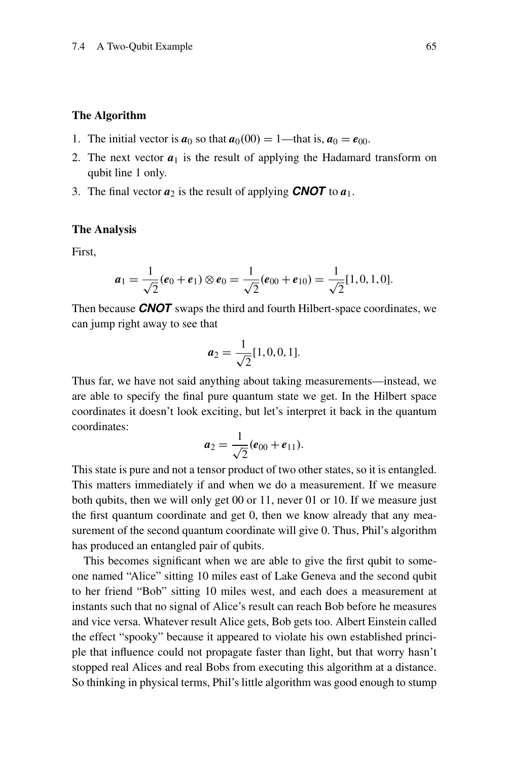#### The Algorithm

- 1. The initial vector is  $a_0$  so that  $a_0(00) = 1$ —that is,  $a_0 = e_{00}$ .
- 2. The next vector  $a_1$  is the result of applying the Hadamard transform on qubit line 1 only.
- 3. The final vector  $a_2$  is the result of applying **CNOT** to  $a_1$ .

#### The Analysis

First,

$$
a_1 = \frac{1}{\sqrt{2}} (e_0 + e_1) \otimes e_0 = \frac{1}{\sqrt{2}} (e_{00} + e_{10}) = \frac{1}{\sqrt{2}} [1, 0, 1, 0].
$$

Then because *CNOT* swaps the third and fourth Hilbert-space coordinates, we can jump right away to see that

$$
a_2 = \frac{1}{\sqrt{2}}[1,0,0,1].
$$

Thus far, we have not said anything about taking measurements—instead, we are able to specify the final pure quantum state we get. In the Hilbert space coordinates it doesn't look exciting, but let's interpret it back in the quantum coordinates:

$$
a_2=\frac{1}{\sqrt{2}}(e_{00}+e_{11}).
$$

This state is pure and not a tensor product of two other states, so it is entangled. This matters immediately if and when we do a measurement. If we measure both qubits, then we will only get 00 or 11, never 01 or 10. If we measure just the first quantum coordinate and get 0, then we know already that any measurement of the second quantum coordinate will give 0. Thus, Phil's algorithm has produced an entangled pair of qubits.

This becomes significant when we are able to give the first qubit to someone named "Alice" sitting 10 miles east of Lake Geneva and the second qubit to her friend "Bob" sitting 10 miles west, and each does a measurement at instants such that no signal of Alice's result can reach Bob before he measures and vice versa. Whatever result Alice gets, Bob gets too. Albert Einstein called the effect "spooky" because it appeared to violate his own established principle that influence could not propagate faster than light, but that worry hasn't stopped real Alices and real Bobs from executing this algorithm at a distance. So thinking in physical terms, Phil's little algorithm was good enough to stump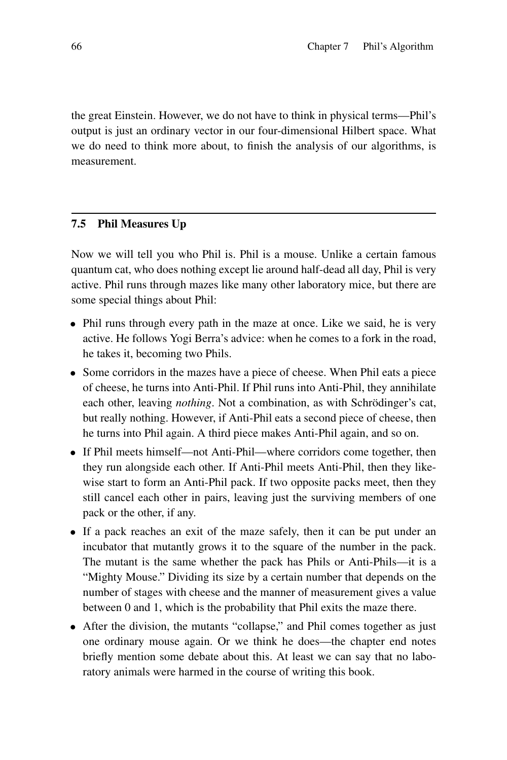the great Einstein. However, we do not have to think in physical terms—Phil's output is just an ordinary vector in our four-dimensional Hilbert space. What we do need to think more about, to finish the analysis of our algorithms, is measurement.

# 7.5 Phil Measures Up

Now we will tell you who Phil is. Phil is a mouse. Unlike a certain famous quantum cat, who does nothing except lie around half-dead all day, Phil is very active. Phil runs through mazes like many other laboratory mice, but there are some special things about Phil:

- Phil runs through every path in the maze at once. Like we said, he is very active. He follows Yogi Berra's advice: when he comes to a fork in the road, he takes it, becoming two Phils.
- Some corridors in the mazes have a piece of cheese. When Phil eats a piece of cheese, he turns into Anti-Phil. If Phil runs into Anti-Phil, they annihilate each other, leaving *nothing*. Not a combination, as with Schrödinger's cat, but really nothing. However, if Anti-Phil eats a second piece of cheese, then he turns into Phil again. A third piece makes Anti-Phil again, and so on.
- If Phil meets himself—not Anti-Phil—where corridors come together, then they run alongside each other. If Anti-Phil meets Anti-Phil, then they likewise start to form an Anti-Phil pack. If two opposite packs meet, then they still cancel each other in pairs, leaving just the surviving members of one pack or the other, if any.
- If a pack reaches an exit of the maze safely, then it can be put under an incubator that mutantly grows it to the square of the number in the pack. The mutant is the same whether the pack has Phils or Anti-Phils—it is a "Mighty Mouse." Dividing its size by a certain number that depends on the number of stages with cheese and the manner of measurement gives a value between 0 and 1, which is the probability that Phil exits the maze there.
- After the division, the mutants "collapse," and Phil comes together as just one ordinary mouse again. Or we think he does—the chapter end notes briefly mention some debate about this. At least we can say that no laboratory animals were harmed in the course of writing this book.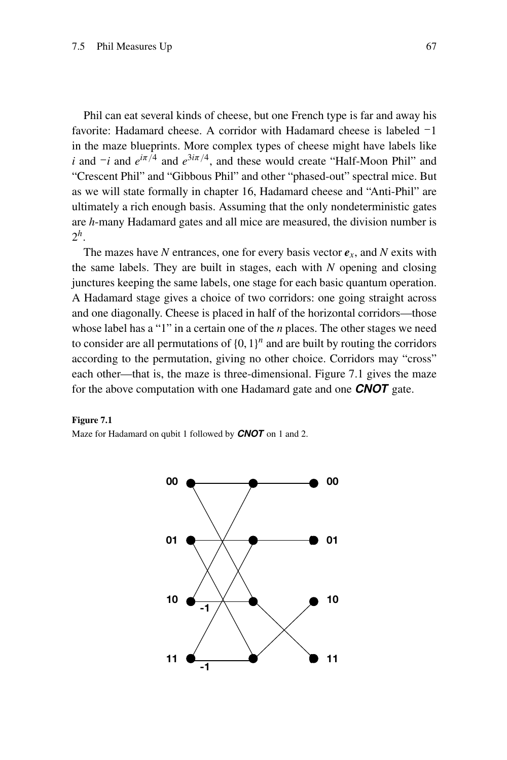Phil can eat several kinds of cheese, but one French type is far and away his favorite: Hadamard cheese. A corridor with Hadamard cheese is labeled −1 in the maze blueprints. More complex types of cheese might have labels like *i* and  $-i$  and  $e^{i\pi/4}$  and  $e^{3i\pi/4}$ , and these would create "Half-Moon Phil" and "Crescent Phil" and "Gibbous Phil" and other "phased-out" spectral mice. But as we will state formally in chapter 16, Hadamard cheese and "Anti-Phil" are ultimately a rich enough basis. Assuming that the only nondeterministic gates are *h*-many Hadamard gates and all mice are measured, the division number is  $2<sup>h</sup>$ 

The mazes have *N* entrances, one for every basis vector  $e<sub>x</sub>$ , and *N* exits with the same labels. They are built in stages, each with *N* opening and closing junctures keeping the same labels, one stage for each basic quantum operation. A Hadamard stage gives a choice of two corridors: one going straight across and one diagonally. Cheese is placed in half of the horizontal corridors—those whose label has a "1" in a certain one of the *n* places. The other stages we need to consider are all permutations of  $\{0, 1\}^n$  and are built by routing the corridors according to the permutation, giving no other choice. Corridors may "cross" each other—that is, the maze is three-dimensional. Figure 7.1 gives the maze for the above computation with one Hadamard gate and one *CNOT* gate.

#### Figure 7.1

Maze for Hadamard on qubit 1 followed by *CNOT* on 1 and 2.

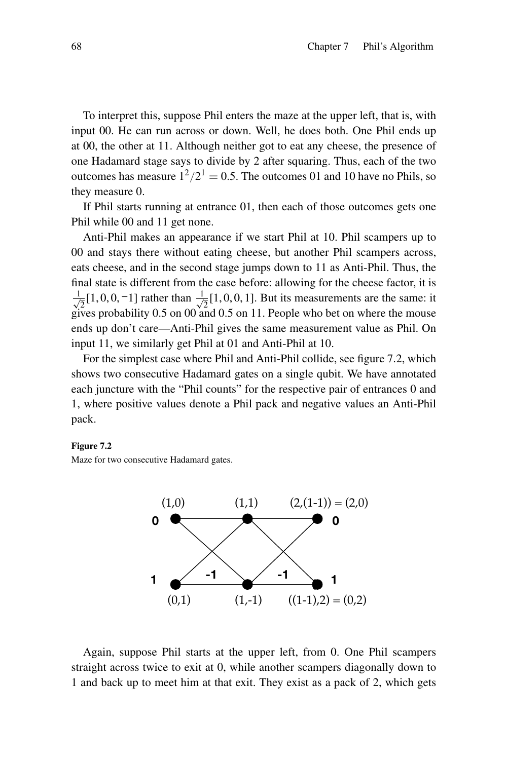To interpret this, suppose Phil enters the maze at the upper left, that is, with input 00. He can run across or down. Well, he does both. One Phil ends up at 00, the other at 11. Although neither got to eat any cheese, the presence of one Hadamard stage says to divide by 2 after squaring. Thus, each of the two outcomes has measure  $1^2/2^1 = 0.5$ . The outcomes 01 and 10 have no Phils, so they measure 0.

If Phil starts running at entrance 01, then each of those outcomes gets one Phil while 00 and 11 get none.

Anti-Phil makes an appearance if we start Phil at 10. Phil scampers up to 00 and stays there without eating cheese, but another Phil scampers across, eats cheese, and in the second stage jumps down to 11 as Anti-Phil. Thus, the final state is different from the case before: allowing for the cheese factor, it is √ 1  $\frac{1}{2}[1, 0, 0, -1]$  rather than  $\frac{1}{\sqrt{2}}$  $\frac{1}{2}[1, 0, 0, 1]$ . But its measurements are the same: it gives probability 0.5 on 00 and 0.5 on 11. People who bet on where the mouse ends up don't care—Anti-Phil gives the same measurement value as Phil. On input 11, we similarly get Phil at 01 and Anti-Phil at 10.

For the simplest case where Phil and Anti-Phil collide, see figure 7.2, which shows two consecutive Hadamard gates on a single qubit. We have annotated each juncture with the "Phil counts" for the respective pair of entrances 0 and 1, where positive values denote a Phil pack and negative values an Anti-Phil pack.

#### Figure 7.2

Maze for two consecutive Hadamard gates.



Again, suppose Phil starts at the upper left, from 0. One Phil scampers straight across twice to exit at 0, while another scampers diagonally down to 1 and back up to meet him at that exit. They exist as a pack of 2, which gets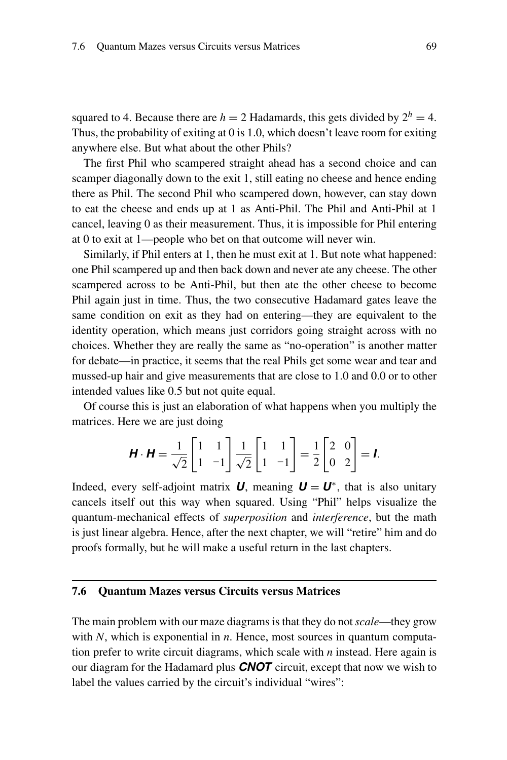squared to 4. Because there are  $h = 2$  Hadamards, this gets divided by  $2^h = 4$ . Thus, the probability of exiting at 0 is 1.0, which doesn't leave room for exiting anywhere else. But what about the other Phils?

The first Phil who scampered straight ahead has a second choice and can scamper diagonally down to the exit 1, still eating no cheese and hence ending there as Phil. The second Phil who scampered down, however, can stay down to eat the cheese and ends up at 1 as Anti-Phil. The Phil and Anti-Phil at 1 cancel, leaving 0 as their measurement. Thus, it is impossible for Phil entering at 0 to exit at 1—people who bet on that outcome will never win.

Similarly, if Phil enters at 1, then he must exit at 1. But note what happened: one Phil scampered up and then back down and never ate any cheese. The other scampered across to be Anti-Phil, but then ate the other cheese to become Phil again just in time. Thus, the two consecutive Hadamard gates leave the same condition on exit as they had on entering—they are equivalent to the identity operation, which means just corridors going straight across with no choices. Whether they are really the same as "no-operation" is another matter for debate—in practice, it seems that the real Phils get some wear and tear and mussed-up hair and give measurements that are close to 1.0 and 0.0 or to other intended values like 0.5 but not quite equal.

Of course this is just an elaboration of what happens when you multiply the matrices. Here we are just doing

$$
\mathbf{H} \cdot \mathbf{H} = \frac{1}{\sqrt{2}} \begin{bmatrix} 1 & 1 \\ 1 & -1 \end{bmatrix} \frac{1}{\sqrt{2}} \begin{bmatrix} 1 & 1 \\ 1 & -1 \end{bmatrix} = \frac{1}{2} \begin{bmatrix} 2 & 0 \\ 0 & 2 \end{bmatrix} = \mathbf{I}.
$$

Indeed, every self-adjoint matrix  $U$ , meaning  $U = U^*$ , that is also unitary cancels itself out this way when squared. Using "Phil" helps visualize the quantum-mechanical effects of *superposition* and *interference*, but the math is just linear algebra. Hence, after the next chapter, we will "retire" him and do proofs formally, but he will make a useful return in the last chapters.

## 7.6 Quantum Mazes versus Circuits versus Matrices

The main problem with our maze diagrams is that they do not*scale*—they grow with *N*, which is exponential in *n*. Hence, most sources in quantum computation prefer to write circuit diagrams, which scale with *n* instead. Here again is our diagram for the Hadamard plus *CNOT* circuit, except that now we wish to label the values carried by the circuit's individual "wires":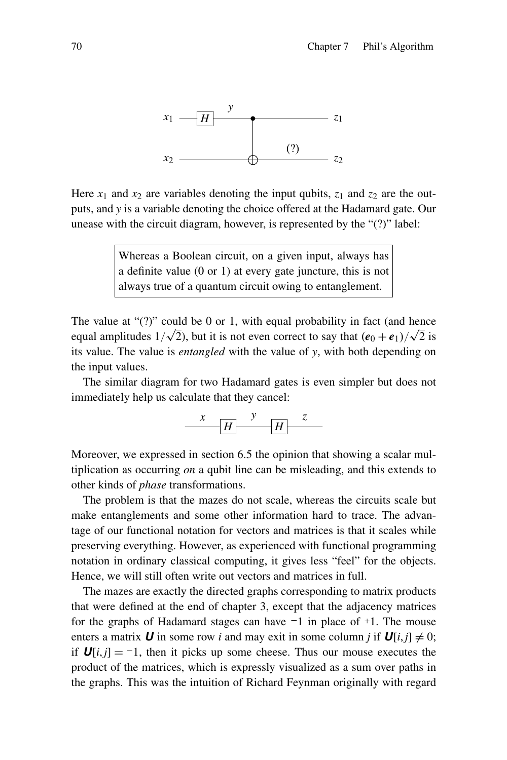

Here  $x_1$  and  $x_2$  are variables denoting the input qubits,  $z_1$  and  $z_2$  are the outputs, and *y* is a variable denoting the choice offered at the Hadamard gate. Our unease with the circuit diagram, however, is represented by the "(?)" label:

> Whereas a Boolean circuit, on a given input, always has a definite value (0 or 1) at every gate juncture, this is not always true of a quantum circuit owing to entanglement.

The value at " $(?)$ " could be 0 or 1, with equal probability in fact (and hence equal amplitudes  $1/\sqrt{2}$ , but it is not even correct to say that  $(e_0 + e_1)/\sqrt{2}$  is its value. The value is *entangled* with the value of *y*, with both depending on the input values.

The similar diagram for two Hadamard gates is even simpler but does not immediately help us calculate that they cancel:



Moreover, we expressed in section 6.5 the opinion that showing a scalar multiplication as occurring *on* a qubit line can be misleading, and this extends to other kinds of *phase* transformations.

The problem is that the mazes do not scale, whereas the circuits scale but make entanglements and some other information hard to trace. The advantage of our functional notation for vectors and matrices is that it scales while preserving everything. However, as experienced with functional programming notation in ordinary classical computing, it gives less "feel" for the objects. Hence, we will still often write out vectors and matrices in full.

The mazes are exactly the directed graphs corresponding to matrix products that were defined at the end of chapter 3, except that the adjacency matrices for the graphs of Hadamard stages can have −1 in place of <sup>+</sup>1. The mouse enters a matrix **U** in some row *i* and may exit in some column *j* if  $U[i, j] \neq 0$ ; if *U*[*i*,*j*] = <sup>−</sup>1, then it picks up some cheese. Thus our mouse executes the product of the matrices, which is expressly visualized as a sum over paths in the graphs. This was the intuition of Richard Feynman originally with regard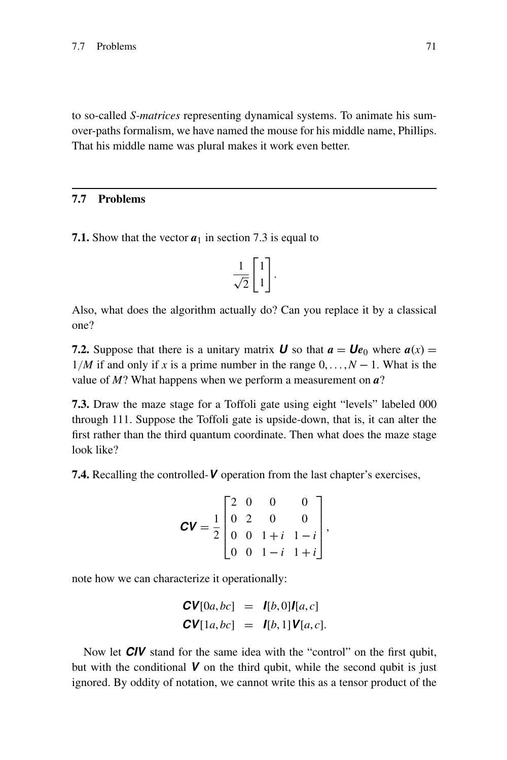to so-called *S-matrices* representing dynamical systems. To animate his sumover-paths formalism, we have named the mouse for his middle name, Phillips. That his middle name was plural makes it work even better.

### 7.7 Problems

**7.1.** Show that the vector  $a_1$  in section 7.3 is equal to

$$
\frac{1}{\sqrt{2}}\begin{bmatrix}1\\1\end{bmatrix}.
$$

Also, what does the algorithm actually do? Can you replace it by a classical one?

7.2. Suppose that there is a unitary matrix *U* so that  $a = Ue_0$  where  $a(x) =$  $1/M$  if and only if *x* is a prime number in the range  $0, \ldots, N-1$ . What is the value of *M*? What happens when we perform a measurement on *a*?

7.3. Draw the maze stage for a Toffoli gate using eight "levels" labeled 000 through 111. Suppose the Toffoli gate is upside-down, that is, it can alter the first rather than the third quantum coordinate. Then what does the maze stage look like?

7.4. Recalling the controlled-*V* operation from the last chapter's exercises,

$$
CV = \frac{1}{2} \begin{bmatrix} 2 & 0 & 0 & 0 \\ 0 & 2 & 0 & 0 \\ 0 & 0 & 1+i & 1-i \\ 0 & 0 & 1-i & 1+i \end{bmatrix},
$$

note how we can characterize it operationally:

$$
CV[0a, bc] = I[b, 0]I[a, c]
$$
  

$$
CV[1a, bc] = I[b, 1]V[a, c].
$$

Now let **CIV** stand for the same idea with the "control" on the first qubit, but with the conditional  $\boldsymbol{V}$  on the third qubit, while the second qubit is just ignored. By oddity of notation, we cannot write this as a tensor product of the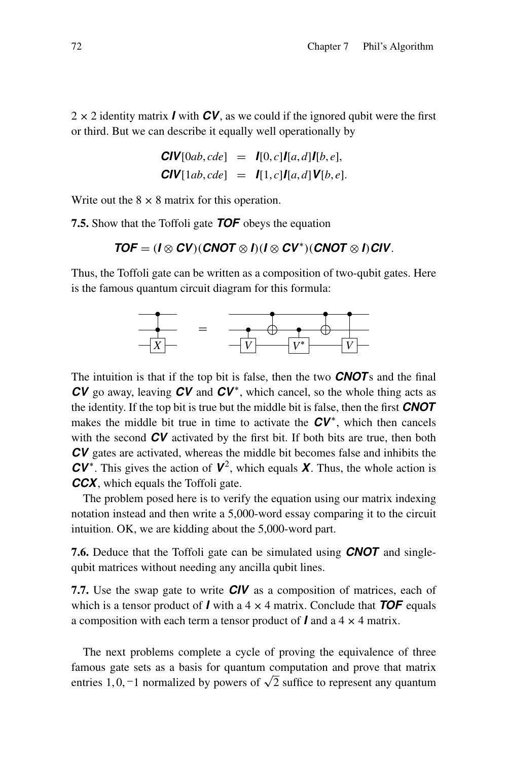$2 \times 2$  identity matrix *I* with **CV**, as we could if the ignored qubit were the first or third. But we can describe it equally well operationally by

**ClV**[0ab, cde] = 
$$
I[0, c]I[a, d]I[b, e]
$$
,  
**ClV**[1ab, cde] =  $I[1, c]I[a, d]V[b, e]$ .

Write out the  $8 \times 8$  matrix for this operation.

7.5. Show that the Toffoli gate *TOF* obeys the equation

$$
TOF = (I \otimes CV)(CNOT \otimes I)(I \otimes CV^*)(CNOT \otimes I)CIV.
$$

Thus, the Toffoli gate can be written as a composition of two-qubit gates. Here is the famous quantum circuit diagram for this formula:



The intuition is that if the top bit is false, then the two *CNOT*s and the final *CV* go away, leaving *CV* and *CV*∗ , which cancel, so the whole thing acts as the identity. If the top bit is true but the middle bit is false, then the first *CNOT* makes the middle bit true in time to activate the *CV*∗ , which then cancels with the second **CV** activated by the first bit. If both bits are true, then both *CV* gates are activated, whereas the middle bit becomes false and inhibits the *CV*∗ . This gives the action of *V*2, which equals *X*. Thus, the whole action is *CCX*, which equals the Toffoli gate.

The problem posed here is to verify the equation using our matrix indexing notation instead and then write a 5,000-word essay comparing it to the circuit intuition. OK, we are kidding about the 5,000-word part.

7.6. Deduce that the Toffoli gate can be simulated using *CNOT* and singlequbit matrices without needing any ancilla qubit lines.

7.7. Use the swap gate to write *CIV* as a composition of matrices, each of which is a tensor product of  $\bf{l}$  with a 4  $\times$  4 matrix. Conclude that **TOF** equals a composition with each term a tensor product of  $\boldsymbol{I}$  and a  $4 \times 4$  matrix.

The next problems complete a cycle of proving the equivalence of three famous gate sets as a basis for quantum computation and prove that matrix entries 1, 0,  $-1$  normalized by powers of  $\sqrt{2}$  suffice to represent any quantum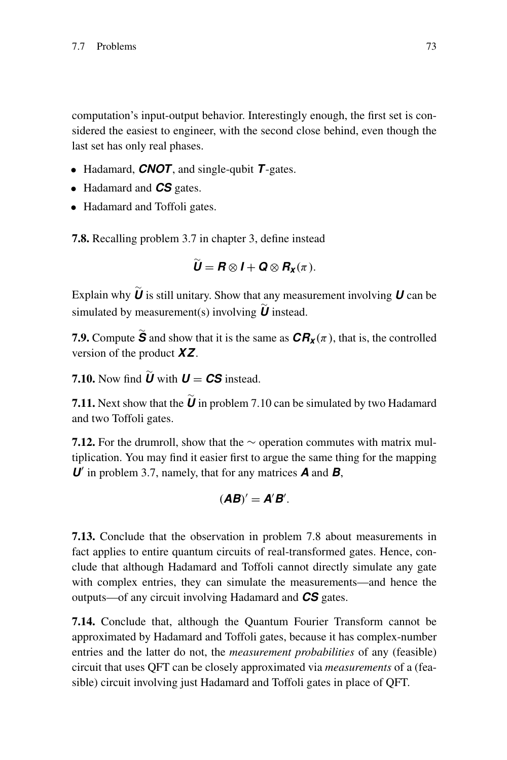computation's input-output behavior. Interestingly enough, the first set is considered the easiest to engineer, with the second close behind, even though the last set has only real phases.

- Hadamard, *CNOT*, and single-qubit *T*-gates.
- Hadamard and *CS* gates.
- Hadamard and Toffoli gates.

7.8. Recalling problem 3.7 in chapter 3, define instead

$$
\widetilde{\boldsymbol{U}} = \boldsymbol{R} \otimes \boldsymbol{I} + \boldsymbol{Q} \otimes \boldsymbol{R}_{\boldsymbol{X}}(\pi).
$$

Explain why <sup>∼</sup> *U* is still unitary. Show that any measurement involving *U* can be simulated by measurement(s) involving  $\widetilde{\boldsymbol{U}}$  instead.

**7.9.** Compute  $\widetilde{S}$  and show that it is the same as  $\mathbf{CR}_{\mathbf{x}}(\pi)$ , that is, the controlled version of the product *X Z*.

7.10. Now find  $\widetilde{U}$  with  $U = CS$  instead.

**7.11.** Next show that the  $\widetilde{\boldsymbol{U}}$  in problem 7.10 can be simulated by two Hadamard and two Toffoli gates.

**7.12.** For the drumroll, show that the  $\sim$  operation commutes with matrix multiplication. You may find it easier first to argue the same thing for the mapping *U* in problem 3.7, namely, that for any matrices *A* and *B*,

$$
(\mathbf{A}\mathbf{B})'=\mathbf{A}'\mathbf{B}'.
$$

7.13. Conclude that the observation in problem 7.8 about measurements in fact applies to entire quantum circuits of real-transformed gates. Hence, conclude that although Hadamard and Toffoli cannot directly simulate any gate with complex entries, they can simulate the measurements—and hence the outputs—of any circuit involving Hadamard and *CS* gates.

7.14. Conclude that, although the Quantum Fourier Transform cannot be approximated by Hadamard and Toffoli gates, because it has complex-number entries and the latter do not, the *measurement probabilities* of any (feasible) circuit that uses QFT can be closely approximated via *measurements* of a (feasible) circuit involving just Hadamard and Toffoli gates in place of QFT.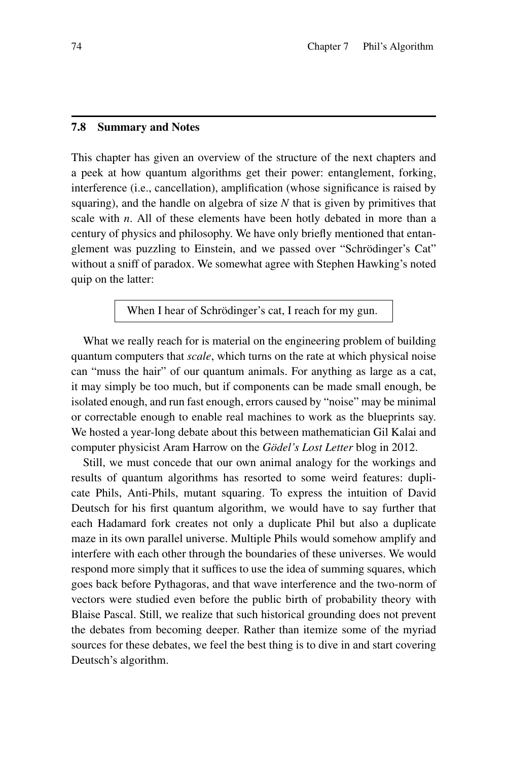# 7.8 Summary and Notes

This chapter has given an overview of the structure of the next chapters and a peek at how quantum algorithms get their power: entanglement, forking, interference (i.e., cancellation), amplification (whose significance is raised by squaring), and the handle on algebra of size *N* that is given by primitives that scale with *n*. All of these elements have been hotly debated in more than a century of physics and philosophy. We have only briefly mentioned that entanglement was puzzling to Einstein, and we passed over "Schrödinger's Cat" without a sniff of paradox. We somewhat agree with Stephen Hawking's noted quip on the latter:

When I hear of Schrödinger's cat, I reach for my gun.

What we really reach for is material on the engineering problem of building quantum computers that *scale*, which turns on the rate at which physical noise can "muss the hair" of our quantum animals. For anything as large as a cat, it may simply be too much, but if components can be made small enough, be isolated enough, and run fast enough, errors caused by "noise" may be minimal or correctable enough to enable real machines to work as the blueprints say. We hosted a year-long debate about this between mathematician Gil Kalai and computer physicist Aram Harrow on the *Gödel's Lost Letter* blog in 2012.

Still, we must concede that our own animal analogy for the workings and results of quantum algorithms has resorted to some weird features: duplicate Phils, Anti-Phils, mutant squaring. To express the intuition of David Deutsch for his first quantum algorithm, we would have to say further that each Hadamard fork creates not only a duplicate Phil but also a duplicate maze in its own parallel universe. Multiple Phils would somehow amplify and interfere with each other through the boundaries of these universes. We would respond more simply that it suffices to use the idea of summing squares, which goes back before Pythagoras, and that wave interference and the two-norm of vectors were studied even before the public birth of probability theory with Blaise Pascal. Still, we realize that such historical grounding does not prevent the debates from becoming deeper. Rather than itemize some of the myriad sources for these debates, we feel the best thing is to dive in and start covering Deutsch's algorithm.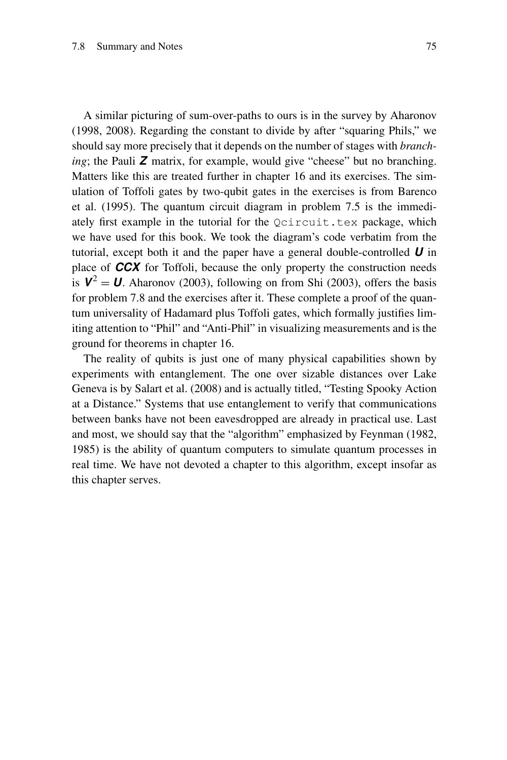A similar picturing of sum-over-paths to ours is in the survey by Aharonov (1998, 2008). Regarding the constant to divide by after "squaring Phils," we should say more precisely that it depends on the number of stages with *branching*; the Pauli **Z** matrix, for example, would give "cheese" but no branching. Matters like this are treated further in chapter 16 and its exercises. The simulation of Toffoli gates by two-qubit gates in the exercises is from Barenco et al. (1995). The quantum circuit diagram in problem 7.5 is the immediately first example in the tutorial for the Ocircuit.tex package, which we have used for this book. We took the diagram's code verbatim from the tutorial, except both it and the paper have a general double-controlled *U* in place of *CCX* for Toffoli, because the only property the construction needs is  $V^2 = U$ . Aharonov (2003), following on from Shi (2003), offers the basis for problem 7.8 and the exercises after it. These complete a proof of the quantum universality of Hadamard plus Toffoli gates, which formally justifies limiting attention to "Phil" and "Anti-Phil" in visualizing measurements and is the ground for theorems in chapter 16.

The reality of qubits is just one of many physical capabilities shown by experiments with entanglement. The one over sizable distances over Lake Geneva is by Salart et al. (2008) and is actually titled, "Testing Spooky Action at a Distance." Systems that use entanglement to verify that communications between banks have not been eavesdropped are already in practical use. Last and most, we should say that the "algorithm" emphasized by Feynman (1982, 1985) is the ability of quantum computers to simulate quantum processes in real time. We have not devoted a chapter to this algorithm, except insofar as this chapter serves.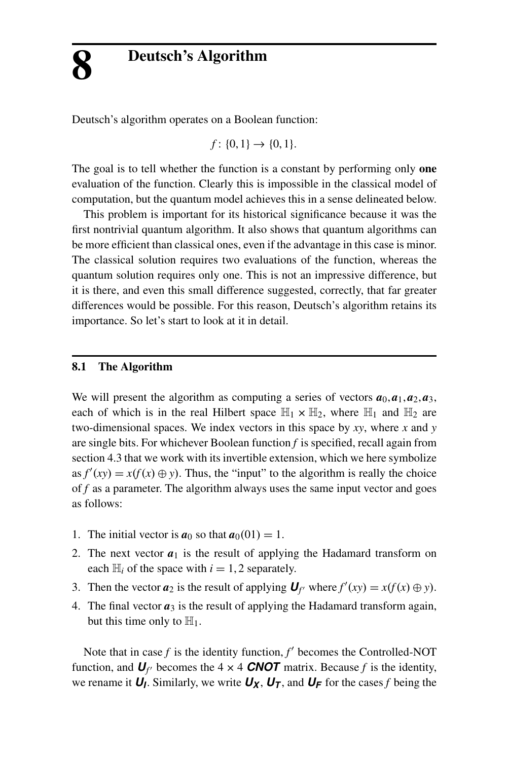# Deutsch's Algorithm

Deutsch's algorithm operates on a Boolean function:

 $f: \{0, 1\} \rightarrow \{0, 1\}.$ 

The goal is to tell whether the function is a constant by performing only **one** evaluation of the function. Clearly this is impossible in the classical model of computation, but the quantum model achieves this in a sense delineated below.

This problem is important for its historical significance because it was the first nontrivial quantum algorithm. It also shows that quantum algorithms can be more efficient than classical ones, even if the advantage in this case is minor. The classical solution requires two evaluations of the function, whereas the quantum solution requires only one. This is not an impressive difference, but it is there, and even this small difference suggested, correctly, that far greater differences would be possible. For this reason, Deutsch's algorithm retains its importance. So let's start to look at it in detail.

# 8.1 The Algorithm

We will present the algorithm as computing a series of vectors  $a_0, a_1, a_2, a_3$ , each of which is in the real Hilbert space  $\mathbb{H}_1 \times \mathbb{H}_2$ , where  $\mathbb{H}_1$  and  $\mathbb{H}_2$  are two-dimensional spaces. We index vectors in this space by *xy*, where *x* and *y* are single bits. For whichever Boolean function *f* is specified, recall again from section 4.3 that we work with its invertible extension, which we here symbolize as  $f'(xy) = x(f(x) \oplus y)$ . Thus, the "input" to the algorithm is really the choice of *f* as a parameter. The algorithm always uses the same input vector and goes as follows:

- 1. The initial vector is  $a_0$  so that  $a_0(01) = 1$ .
- 2. The next vector  $a_1$  is the result of applying the Hadamard transform on each  $\mathbb{H}_i$  of the space with  $i = 1, 2$  separately.
- 3. Then the vector  $a_2$  is the result of applying  $U_f$  where  $f'(xy) = x(f(x) \oplus y)$ .
- 4. The final vector  $a_3$  is the result of applying the Hadamard transform again, but this time only to  $\mathbb{H}_1$ .

Note that in case  $f$  is the identity function,  $f'$  becomes the Controlled-NOT function, and  $U_f$  becomes the 4  $\times$  4 **CNOT** matrix. Because f is the identity, we rename it  $U_I$ . Similarly, we write  $U_X$ ,  $U_T$ , and  $U_F$  for the cases f being the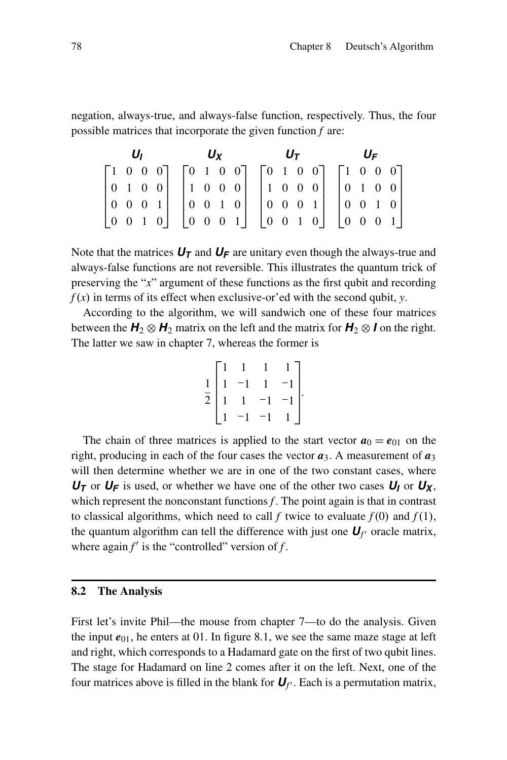negation, always-true, and always-false function, respectively. Thus, the four possible matrices that incorporate the given function *f* are:

| Uı |  |  |  |  |  | $U_X$                                                                                                                                                                                   |  |  |  |  | $U_T$ |  |  |  |  |  | $U_{\mathsf{F}}$ |  |  |  |  |
|----|--|--|--|--|--|-----------------------------------------------------------------------------------------------------------------------------------------------------------------------------------------|--|--|--|--|-------|--|--|--|--|--|------------------|--|--|--|--|
|    |  |  |  |  |  | $\begin{bmatrix} 1 & 0 & 0 & 0 \end{bmatrix}$ $\begin{bmatrix} 0 & 1 & 0 & 0 \end{bmatrix}$ $\begin{bmatrix} 0 & 1 & 0 & 0 \end{bmatrix}$ $\begin{bmatrix} 1 & 0 & 0 & 0 \end{bmatrix}$ |  |  |  |  |       |  |  |  |  |  |                  |  |  |  |  |
|    |  |  |  |  |  |                                                                                                                                                                                         |  |  |  |  |       |  |  |  |  |  |                  |  |  |  |  |
|    |  |  |  |  |  |                                                                                                                                                                                         |  |  |  |  |       |  |  |  |  |  |                  |  |  |  |  |
|    |  |  |  |  |  | $\begin{bmatrix} 0 & 0 & 1 & 0 \end{bmatrix}$ $\begin{bmatrix} 0 & 0 & 0 & 1 \end{bmatrix}$ $\begin{bmatrix} 0 & 0 & 1 & 0 \end{bmatrix}$ $\begin{bmatrix} 0 & 0 & 0 & 1 \end{bmatrix}$ |  |  |  |  |       |  |  |  |  |  |                  |  |  |  |  |

Note that the matrices  $U_T$  and  $U_F$  are unitary even though the always-true and always-false functions are not reversible. This illustrates the quantum trick of preserving the "*x*" argument of these functions as the first qubit and recording  $f(x)$  in terms of its effect when exclusive-or'ed with the second qubit, *y*.

According to the algorithm, we will sandwich one of these four matrices between the  $H_2 \otimes H_2$  matrix on the left and the matrix for  $H_2 \otimes I$  on the right. The latter we saw in chapter 7, whereas the former is

$$
\frac{1}{2} \begin{bmatrix} 1 & 1 & 1 & 1 \\ 1 & -1 & 1 & -1 \\ 1 & 1 & -1 & -1 \\ 1 & -1 & -1 & 1 \end{bmatrix}.
$$

The chain of three matrices is applied to the start vector  $a_0 = e_{01}$  on the right, producing in each of the four cases the vector  $a_3$ . A measurement of  $a_3$ will then determine whether we are in one of the two constant cases, where  $U_T$  or  $U_F$  is used, or whether we have one of the other two cases  $U_I$  or  $U_X$ , which represent the nonconstant functions  $f$ . The point again is that in contrast to classical algorithms, which need to call  $f$  twice to evaluate  $f(0)$  and  $f(1)$ , the quantum algorithm can tell the difference with just one  $U_f$  oracle matrix, where again  $f'$  is the "controlled" version of  $f$ .

# 8.2 The Analysis

First let's invite Phil—the mouse from chapter 7—to do the analysis. Given the input  $e_{01}$ , he enters at 01. In figure 8.1, we see the same maze stage at left and right, which corresponds to a Hadamard gate on the first of two qubit lines. The stage for Hadamard on line 2 comes after it on the left. Next, one of the four matrices above is filled in the blank for  $U_f$ . Each is a permutation matrix,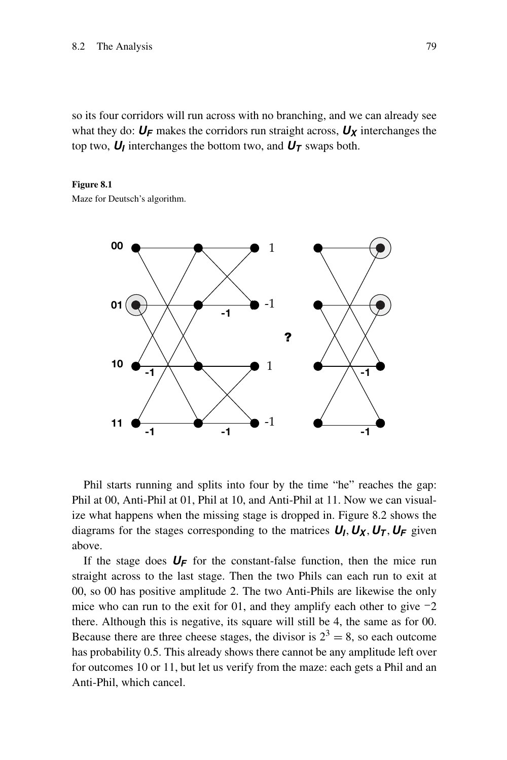so its four corridors will run across with no branching, and we can already see what they do:  $U_F$  makes the corridors run straight across,  $U_X$  interchanges the top two,  $U_I$  interchanges the bottom two, and  $U_T$  swaps both.

#### Figure 8.1

Maze for Deutsch's algorithm.



Phil starts running and splits into four by the time "he" reaches the gap: Phil at 00, Anti-Phil at 01, Phil at 10, and Anti-Phil at 11. Now we can visualize what happens when the missing stage is dropped in. Figure 8.2 shows the diagrams for the stages corresponding to the matrices  $U_1, U_X, U_T, U_F$  given above.

If the stage does  $U_F$  for the constant-false function, then the mice run straight across to the last stage. Then the two Phils can each run to exit at 00, so 00 has positive amplitude 2. The two Anti-Phils are likewise the only mice who can run to the exit for 01, and they amplify each other to give  $-2$ there. Although this is negative, its square will still be 4, the same as for 00. Because there are three cheese stages, the divisor is  $2^3 = 8$ , so each outcome has probability 0.5. This already shows there cannot be any amplitude left over for outcomes 10 or 11, but let us verify from the maze: each gets a Phil and an Anti-Phil, which cancel.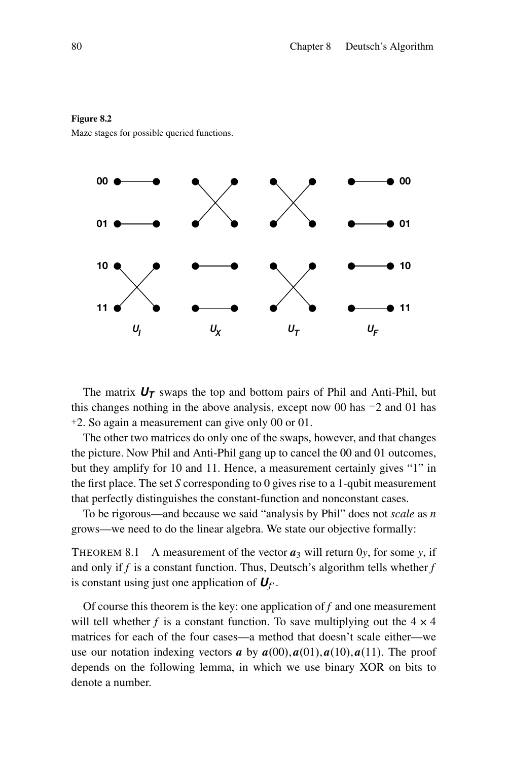#### Figure 8.2

Maze stages for possible queried functions.



The matrix  $U_T$  swaps the top and bottom pairs of Phil and Anti-Phil, but this changes nothing in the above analysis, except now 00 has −2 and 01 has <sup>+</sup>2. So again a measurement can give only 00 or 01.

The other two matrices do only one of the swaps, however, and that changes the picture. Now Phil and Anti-Phil gang up to cancel the 00 and 01 outcomes, but they amplify for 10 and 11. Hence, a measurement certainly gives "1" in the first place. The set *S* corresponding to 0 gives rise to a 1-qubit measurement that perfectly distinguishes the constant-function and nonconstant cases.

To be rigorous—and because we said "analysis by Phil" does not *scale* as *n* grows—we need to do the linear algebra. We state our objective formally:

THEOREM 8.1 A measurement of the vector  $a_3$  will return 0*y*, for some *y*, if and only if *f* is a constant function. Thus, Deutsch's algorithm tells whether *f* is constant using just one application of  $U_f$ .

Of course this theorem is the key: one application of *f* and one measurement will tell whether f is a constant function. To save multiplying out the  $4 \times 4$ matrices for each of the four cases—a method that doesn't scale either—we use our notation indexing vectors  $\boldsymbol{a}$  by  $\boldsymbol{a}(00), \boldsymbol{a}(01), \boldsymbol{a}(10), \boldsymbol{a}(11)$ . The proof depends on the following lemma, in which we use binary XOR on bits to denote a number.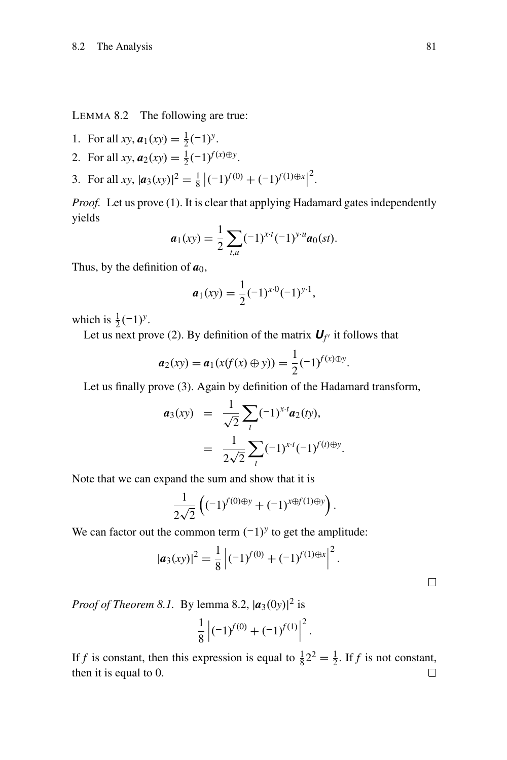LEMMA 8.2 The following are true:

- 1. For all *xy*,  $a_1(xy) = \frac{1}{2}(-1)^y$ .
- 2. For all  $xy$ ,  $a_2(xy) = \frac{1}{2}(-1)^{f(x) \oplus y}$ .
- 3. For all *xy*,  $|\boldsymbol{a}_3(xy)|^2 = \frac{1}{8} |(-1)^{f(0)} + (-1)^{f(1)\oplus x}|$ 2 .

*Proof.* Let us prove (1). It is clear that applying Hadamard gates independently yields

$$
a_1(xy) = \frac{1}{2} \sum_{t,u} (-1)^{x \cdot t} (-1)^{y \cdot u} a_0(st).
$$

Thus, by the definition of  $a_0$ ,

$$
a_1(xy) = \frac{1}{2}(-1)^{x\cdot 0}(-1)^{y\cdot 1},
$$

which is  $\frac{1}{2}(-1)^y$ .

Let us next prove (2). By definition of the matrix  $U_f$  it follows that

$$
\boldsymbol{a}_2(xy) = \boldsymbol{a}_1(x(f(x) \oplus y)) = \frac{1}{2}(-1)^{f(x) \oplus y}
$$

.

Let us finally prove (3). Again by definition of the Hadamard transform,

$$
a_3(xy) = \frac{1}{\sqrt{2}} \sum_{t} (-1)^{x \cdot t} a_2(ty),
$$
  
= 
$$
\frac{1}{2\sqrt{2}} \sum_{t} (-1)^{x \cdot t} (-1)^{f(t) \oplus y}.
$$

Note that we can expand the sum and show that it is

$$
\frac{1}{2\sqrt{2}}\left((-1)^{f(0)\oplus y}+(-1)^{x\oplus f(1)\oplus y}\right).
$$

We can factor out the common term  $(-1)^y$  to get the amplitude:

$$
|\boldsymbol{a}_3(xy)|^2 = \frac{1}{8} |(-1)^{f(0)} + (-1)^{f(1)\oplus x}|^2.
$$

*Proof of Theorem 8.1.* By lemma 8.2,  $|a_3(0y)|^2$  is

$$
\frac{1}{8}\left|(-1)^{f(0)}+(-1)^{f(1)}\right|^2.
$$

If *f* is constant, then this expression is equal to  $\frac{1}{8}2^2 = \frac{1}{2}$ . If *f* is not constant, then it is equal to 0. $\Box$ 

 $\Box$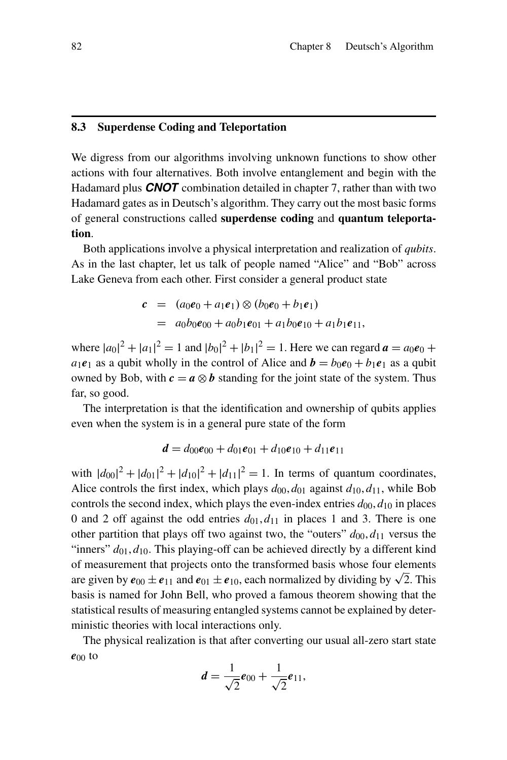# 8.3 Superdense Coding and Teleportation

We digress from our algorithms involving unknown functions to show other actions with four alternatives. Both involve entanglement and begin with the Hadamard plus *CNOT* combination detailed in chapter 7, rather than with two Hadamard gates as in Deutsch's algorithm. They carry out the most basic forms of general constructions called superdense coding and quantum teleportation.

Both applications involve a physical interpretation and realization of *qubits*. As in the last chapter, let us talk of people named "Alice" and "Bob" across Lake Geneva from each other. First consider a general product state

$$
c = (a_0e_0 + a_1e_1) \otimes (b_0e_0 + b_1e_1)
$$
  
=  $a_0b_0e_{00} + a_0b_1e_{01} + a_1b_0e_{10} + a_1b_1e_{11}$ ,

where  $|a_0|^2 + |a_1|^2 = 1$  and  $|b_0|^2 + |b_1|^2 = 1$ . Here we can regard  $\mathbf{a} = a_0 \mathbf{e}_0 + \mathbf{a}_1 \mathbf{e}_1$  $a_1e_1$  as a qubit wholly in the control of Alice and  $\mathbf{b} = b_0e_0 + b_1e_1$  as a qubit owned by Bob, with  $c = a \otimes b$  standing for the joint state of the system. Thus far, so good.

The interpretation is that the identification and ownership of qubits applies even when the system is in a general pure state of the form

$$
d = d_{00}e_{00} + d_{01}e_{01} + d_{10}e_{10} + d_{11}e_{11}
$$

with  $|d_{00}|^2 + |d_{01}|^2 + |d_{10}|^2 + |d_{11}|^2 = 1$ . In terms of quantum coordinates, Alice controls the first index, which plays  $d_{00}$ ,  $d_{01}$  against  $d_{10}$ ,  $d_{11}$ , while Bob controls the second index, which plays the even-index entries  $d_{00}$ ,  $d_{10}$  in places 0 and 2 off against the odd entries  $d_{01}$ ,  $d_{11}$  in places 1 and 3. There is one other partition that plays off two against two, the "outers"  $d_{00}, d_{11}$  versus the "inners"  $d_{01}$ ,  $d_{10}$ . This playing-off can be achieved directly by a different kind of measurement that projects onto the transformed basis whose four elements are given by  $e_{00} \pm e_{11}$  and  $e_{01} \pm e_{10}$ , each normalized by dividing by  $\sqrt{2}$ . This basis is named for John Bell, who proved a famous theorem showing that the statistical results of measuring entangled systems cannot be explained by deterministic theories with local interactions only.

The physical realization is that after converting our usual all-zero start state  $e_{00}$  to

$$
d=\frac{1}{\sqrt{2}}e_{00}+\frac{1}{\sqrt{2}}e_{11},
$$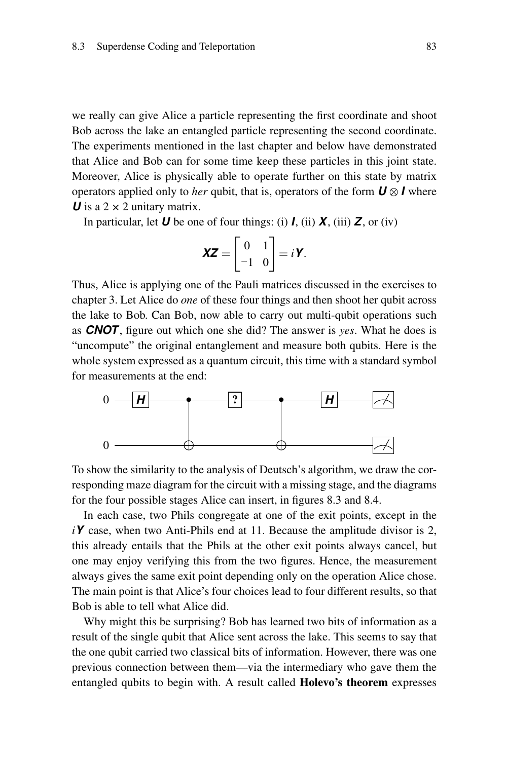we really can give Alice a particle representing the first coordinate and shoot Bob across the lake an entangled particle representing the second coordinate. The experiments mentioned in the last chapter and below have demonstrated that Alice and Bob can for some time keep these particles in this joint state. Moreover, Alice is physically able to operate further on this state by matrix operators applied only to *her* qubit, that is, operators of the form  $U \otimes I$  where  **is a 2**  $\times$  **2 unitary matrix.** 

In particular, let *U* be one of four things: (i) *I*, (ii) *X*, (iii) *Z*, or (iv)

$$
\mathbf{XZ} = \begin{bmatrix} 0 & 1 \\ -1 & 0 \end{bmatrix} = i\mathbf{Y}.
$$

Thus, Alice is applying one of the Pauli matrices discussed in the exercises to chapter 3. Let Alice do *one* of these four things and then shoot her qubit across the lake to Bob. Can Bob, now able to carry out multi-qubit operations such as *CNOT*, figure out which one she did? The answer is *yes*. What he does is "uncompute" the original entanglement and measure both qubits. Here is the whole system expressed as a quantum circuit, this time with a standard symbol for measurements at the end:



To show the similarity to the analysis of Deutsch's algorithm, we draw the corresponding maze diagram for the circuit with a missing stage, and the diagrams for the four possible stages Alice can insert, in figures 8.3 and 8.4.

In each case, two Phils congregate at one of the exit points, except in the *iY* case, when two Anti-Phils end at 11. Because the amplitude divisor is 2, this already entails that the Phils at the other exit points always cancel, but one may enjoy verifying this from the two figures. Hence, the measurement always gives the same exit point depending only on the operation Alice chose. The main point is that Alice's four choices lead to four different results, so that Bob is able to tell what Alice did.

Why might this be surprising? Bob has learned two bits of information as a result of the single qubit that Alice sent across the lake. This seems to say that the one qubit carried two classical bits of information. However, there was one previous connection between them—via the intermediary who gave them the entangled qubits to begin with. A result called Holevo's theorem expresses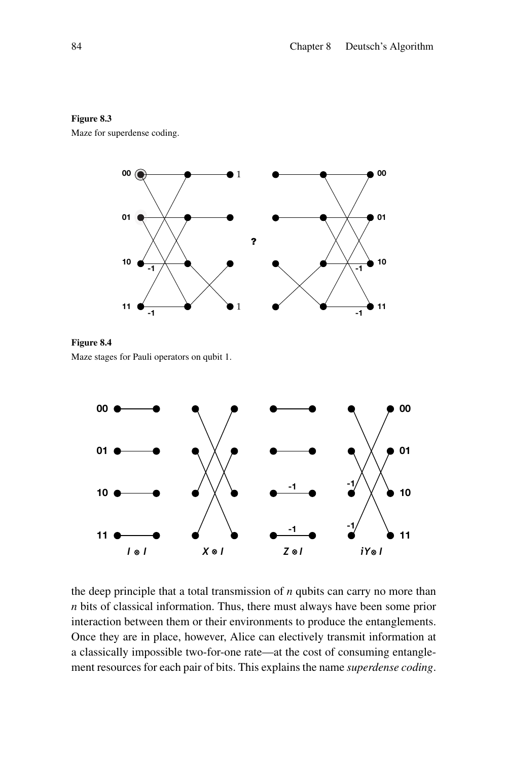#### Figure 8.3

Maze for superdense coding.



Figure 8.4 Maze stages for Pauli operators on qubit 1.



the deep principle that a total transmission of *n* qubits can carry no more than *n* bits of classical information. Thus, there must always have been some prior interaction between them or their environments to produce the entanglements. Once they are in place, however, Alice can electively transmit information at a classically impossible two-for-one rate—at the cost of consuming entanglement resources for each pair of bits. This explains the name *superdense coding*.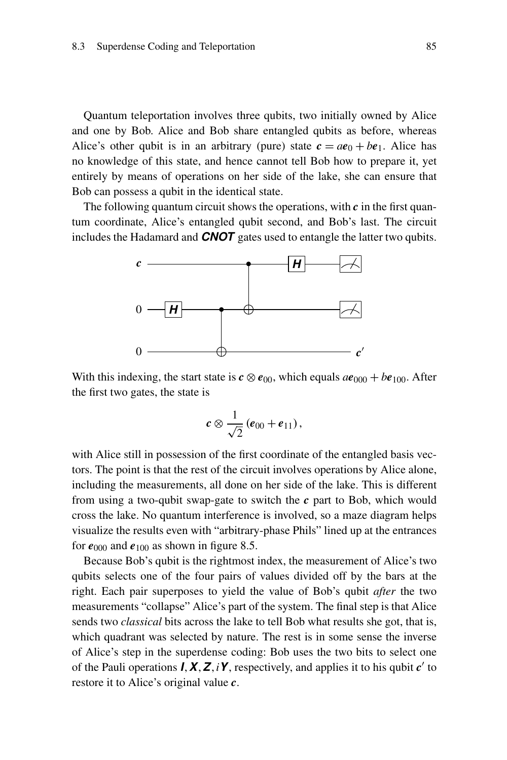Quantum teleportation involves three qubits, two initially owned by Alice and one by Bob. Alice and Bob share entangled qubits as before, whereas Alice's other qubit is in an arbitrary (pure) state  $c = ae_0 + be_1$ . Alice has no knowledge of this state, and hence cannot tell Bob how to prepare it, yet entirely by means of operations on her side of the lake, she can ensure that Bob can possess a qubit in the identical state.

The following quantum circuit shows the operations, with *c* in the first quantum coordinate, Alice's entangled qubit second, and Bob's last. The circuit includes the Hadamard and *CNOT* gates used to entangle the latter two qubits.



With this indexing, the start state is  $c \otimes e_{00}$ , which equals  $ae_{000} + be_{100}$ . After the first two gates, the state is

$$
c\otimes\frac{1}{\sqrt{2}}\left(e_{00}+e_{11}\right),\,
$$

with Alice still in possession of the first coordinate of the entangled basis vectors. The point is that the rest of the circuit involves operations by Alice alone, including the measurements, all done on her side of the lake. This is different from using a two-qubit swap-gate to switch the *c* part to Bob, which would cross the lake. No quantum interference is involved, so a maze diagram helps visualize the results even with "arbitrary-phase Phils" lined up at the entrances for  $e_{000}$  and  $e_{100}$  as shown in figure 8.5.

Because Bob's qubit is the rightmost index, the measurement of Alice's two qubits selects one of the four pairs of values divided off by the bars at the right. Each pair superposes to yield the value of Bob's qubit *after* the two measurements "collapse" Alice's part of the system. The final step is that Alice sends two *classical* bits across the lake to tell Bob what results she got, that is, which quadrant was selected by nature. The rest is in some sense the inverse of Alice's step in the superdense coding: Bob uses the two bits to select one of the Pauli operations  $\mathbf{I}, \mathbf{X}, \mathbf{Z}, i\mathbf{Y}$ , respectively, and applies it to his qubit  $c'$  to restore it to Alice's original value *c*.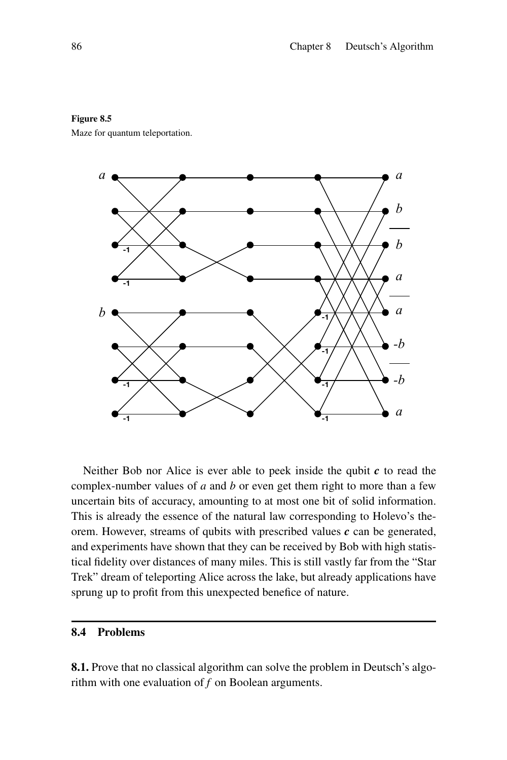#### Figure 8.5

Maze for quantum teleportation.



Neither Bob nor Alice is ever able to peek inside the qubit *c* to read the complex-number values of *a* and *b* or even get them right to more than a few uncertain bits of accuracy, amounting to at most one bit of solid information. This is already the essence of the natural law corresponding to Holevo's theorem. However, streams of qubits with prescribed values *c* can be generated, and experiments have shown that they can be received by Bob with high statistical fidelity over distances of many miles. This is still vastly far from the "Star Trek" dream of teleporting Alice across the lake, but already applications have sprung up to profit from this unexpected benefice of nature.

# 8.4 Problems

8.1. Prove that no classical algorithm can solve the problem in Deutsch's algorithm with one evaluation of *f* on Boolean arguments.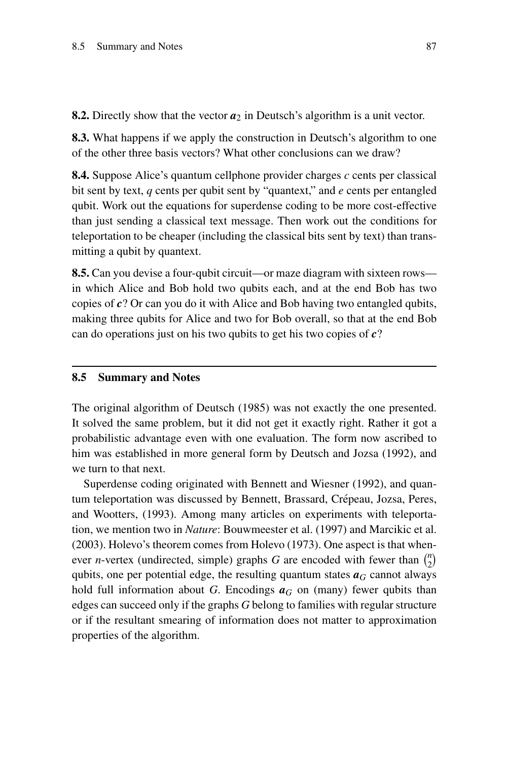8.2. Directly show that the vector  $a_2$  in Deutsch's algorithm is a unit vector.

8.3. What happens if we apply the construction in Deutsch's algorithm to one of the other three basis vectors? What other conclusions can we draw?

8.4. Suppose Alice's quantum cellphone provider charges *c* cents per classical bit sent by text, *q* cents per qubit sent by "quantext," and *e* cents per entangled qubit. Work out the equations for superdense coding to be more cost-effective than just sending a classical text message. Then work out the conditions for teleportation to be cheaper (including the classical bits sent by text) than transmitting a qubit by quantext.

8.5. Can you devise a four-qubit circuit—or maze diagram with sixteen rows in which Alice and Bob hold two qubits each, and at the end Bob has two copies of *c*? Or can you do it with Alice and Bob having two entangled qubits, making three qubits for Alice and two for Bob overall, so that at the end Bob can do operations just on his two qubits to get his two copies of *c*?

#### 8.5 Summary and Notes

The original algorithm of Deutsch (1985) was not exactly the one presented. It solved the same problem, but it did not get it exactly right. Rather it got a probabilistic advantage even with one evaluation. The form now ascribed to him was established in more general form by Deutsch and Jozsa (1992), and we turn to that next.

Superdense coding originated with Bennett and Wiesner (1992), and quantum teleportation was discussed by Bennett, Brassard, Crépeau, Jozsa, Peres, and Wootters, (1993). Among many articles on experiments with teleportation, we mention two in *Nature*: Bouwmeester et al. (1997) and Marcikic et al. (2003). Holevo's theorem comes from Holevo (1973). One aspect is that whenever *n*-vertex (undirected, simple) graphs *G* are encoded with fewer than  $\binom{n}{2}$ qubits, one per potential edge, the resulting quantum states  $a_G$  cannot always hold full information about *G*. Encodings  $a_G$  on (many) fewer qubits than edges can succeed only if the graphs *G* belong to families with regular structure or if the resultant smearing of information does not matter to approximation properties of the algorithm.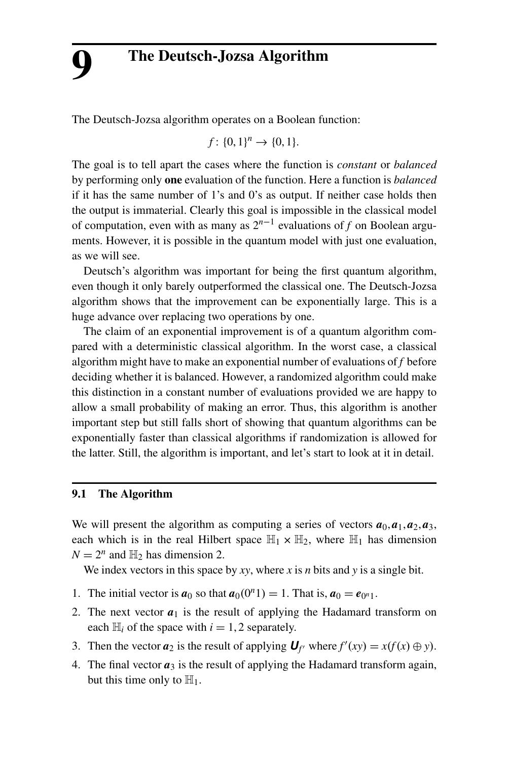# The Deutsch-Jozsa Algorithm

The Deutsch-Jozsa algorithm operates on a Boolean function:

$$
f\colon \{0,1\}^n \to \{0,1\}.
$$

The goal is to tell apart the cases where the function is *constant* or *balanced* by performing only one evaluation of the function. Here a function is *balanced* if it has the same number of 1's and 0's as output. If neither case holds then the output is immaterial. Clearly this goal is impossible in the classical model of computation, even with as many as 2*n*−<sup>1</sup> evaluations of *f* on Boolean arguments. However, it is possible in the quantum model with just one evaluation, as we will see.

Deutsch's algorithm was important for being the first quantum algorithm, even though it only barely outperformed the classical one. The Deutsch-Jozsa algorithm shows that the improvement can be exponentially large. This is a huge advance over replacing two operations by one.

The claim of an exponential improvement is of a quantum algorithm compared with a deterministic classical algorithm. In the worst case, a classical algorithm might have to make an exponential number of evaluations of *f* before deciding whether it is balanced. However, a randomized algorithm could make this distinction in a constant number of evaluations provided we are happy to allow a small probability of making an error. Thus, this algorithm is another important step but still falls short of showing that quantum algorithms can be exponentially faster than classical algorithms if randomization is allowed for the latter. Still, the algorithm is important, and let's start to look at it in detail.

#### 9.1 The Algorithm

We will present the algorithm as computing a series of vectors  $a_0$ ,  $a_1$ ,  $a_2$ ,  $a_3$ , each which is in the real Hilbert space  $\mathbb{H}_1 \times \mathbb{H}_2$ , where  $\mathbb{H}_1$  has dimension  $N = 2^n$  and  $\mathbb{H}_2$  has dimension 2.

We index vectors in this space by  $xy$ , where  $x$  is  $n$  bits and  $y$  is a single bit.

- 1. The initial vector is  $a_0$  so that  $a_0(0^n1) = 1$ . That is,  $a_0 = e_{0^n1}$ .
- 2. The next vector  $a_1$  is the result of applying the Hadamard transform on each  $\mathbb{H}_i$  of the space with  $i = 1, 2$  separately.
- 3. Then the vector  $a_2$  is the result of applying  $U_f$  where  $f'(xy) = x(f(x) \oplus y)$ .
- 4. The final vector  $a_3$  is the result of applying the Hadamard transform again, but this time only to  $\mathbb{H}_1$ .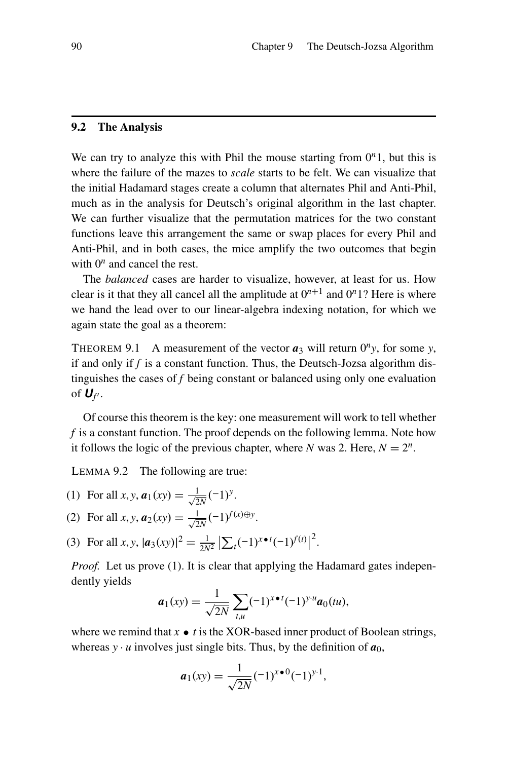# 9.2 The Analysis

We can try to analyze this with Phil the mouse starting from  $0<sup>n</sup>1$ , but this is where the failure of the mazes to *scale* starts to be felt. We can visualize that the initial Hadamard stages create a column that alternates Phil and Anti-Phil, much as in the analysis for Deutsch's original algorithm in the last chapter. We can further visualize that the permutation matrices for the two constant functions leave this arrangement the same or swap places for every Phil and Anti-Phil, and in both cases, the mice amplify the two outcomes that begin with  $0^n$  and cancel the rest.

The *balanced* cases are harder to visualize, however, at least for us. How clear is it that they all cancel all the amplitude at  $0^{n+1}$  and  $0^n1$ ? Here is where we hand the lead over to our linear-algebra indexing notation, for which we again state the goal as a theorem:

THEOREM 9.1 A measurement of the vector  $a_3$  will return  $0^n y$ , for some *y*, if and only if *f* is a constant function. Thus, the Deutsch-Jozsa algorithm distinguishes the cases of *f* being constant or balanced using only one evaluation of  $U_{f'}$ .

Of course this theorem is the key: one measurement will work to tell whether *f* is a constant function. The proof depends on the following lemma. Note how it follows the logic of the previous chapter, where *N* was 2. Here,  $N = 2^n$ .

LEMMA 9.2 The following are true:

- (1) For all *x*, *y*,  $a_1(xy) = \frac{1}{\sqrt{2N}}(-1)^y$ .
- (2) For all *x*, *y*,  $a_2(xy) = \frac{1}{\sqrt{2N}}(-1)^{f(x)}\oplus y$ .

(3) For all 
$$
x, y, |\mathbf{a}_3(xy)|^2 = \frac{1}{2N^2} \left| \sum_l (-1)^{x \cdot t} (-1)^{f(t)} \right|^2
$$
.

*Proof.* Let us prove (1). It is clear that applying the Hadamard gates independently yields

$$
a_1(xy) = \frac{1}{\sqrt{2N}} \sum_{t,u} (-1)^{x \bullet t} (-1)^{y \cdot u} a_0(tu),
$$

where we remind that  $x \bullet t$  is the XOR-based inner product of Boolean strings, whereas  $y \cdot u$  involves just single bits. Thus, by the definition of  $a_0$ ,

$$
a_1(xy) = \frac{1}{\sqrt{2N}} (-1)^{x \cdot 0} (-1)^{y \cdot 1},
$$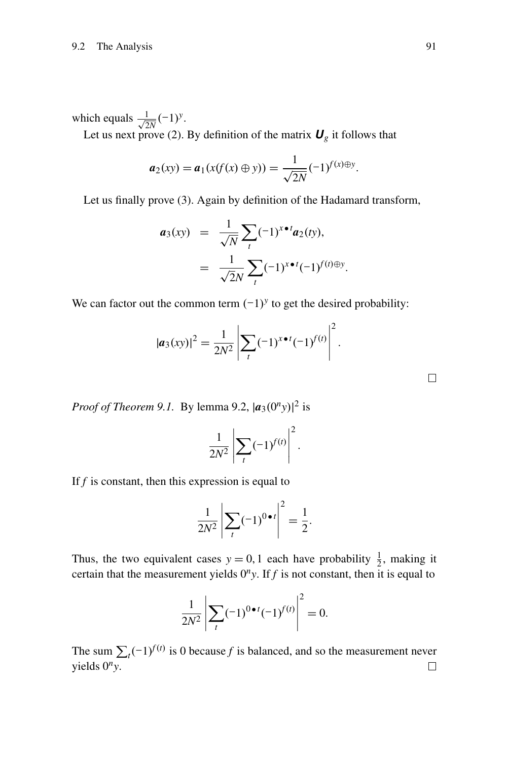which equals  $\frac{1}{\sqrt{2N}}(-1)^y$ .

Let us next prove (2). By definition of the matrix  $U_g$  it follows that

$$
\boldsymbol{a}_2(xy) = \boldsymbol{a}_1(x(f(x) \oplus y)) = \frac{1}{\sqrt{2N}}(-1)^{f(x) \oplus y}.
$$

Let us finally prove (3). Again by definition of the Hadamard transform,

$$
a_3(xy) = \frac{1}{\sqrt{N}} \sum_{t} (-1)^{x \cdot t} a_2(ty),
$$
  
= 
$$
\frac{1}{\sqrt{2}N} \sum_{t} (-1)^{x \cdot t} (-1)^{f(t) \oplus y}
$$

.

We can factor out the common term  $(-1)^y$  to get the desired probability:

$$
|\boldsymbol{a}_3(xy)|^2 = \frac{1}{2N^2} \left| \sum_t (-1)^{x \bullet t} (-1)^{f(t)} \right|^2.
$$

*Proof of Theorem 9.1.* By lemma 9.2,  $|a_3(0^n y)|^2$  is

$$
\frac{1}{2N^2}\left|\sum_t(-1)^{f(t)}\right|^2.
$$

If  $f$  is constant, then this expression is equal to

$$
\frac{1}{2N^2} \left| \sum_{t} (-1)^{0 \bullet t} \right|^2 = \frac{1}{2}.
$$

Thus, the two equivalent cases  $y = 0, 1$  each have probability  $\frac{1}{2}$ , making it certain that the measurement yields  $0<sup>n</sup>y$ . If *f* is not constant, then it is equal to

$$
\frac{1}{2N^2} \left| \sum_{t} (-1)^{0 \cdot t} (-1)^{f(t)} \right|^2 = 0.
$$

The sum  $\sum_{t}$ (-1)<sup>*f*(*t*)</sup> is 0 because *f* is balanced, and so the measurement never yields 0*ny*. $\Box$ 

 $\Box$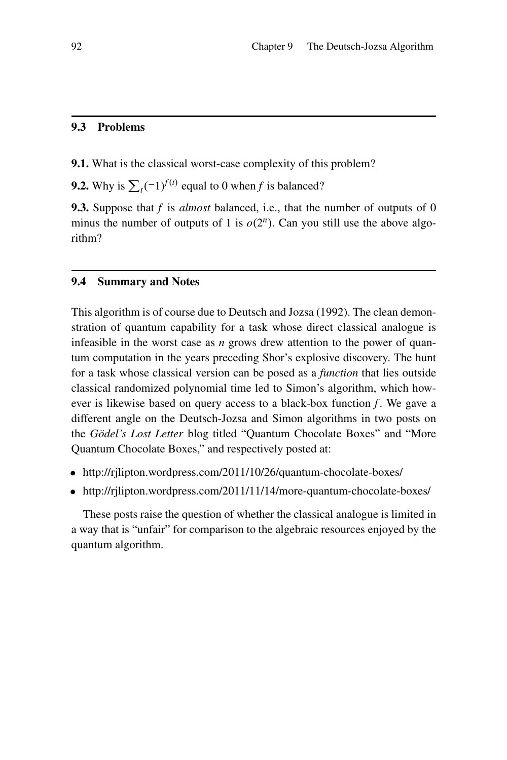# 9.3 Problems

9.1. What is the classical worst-case complexity of this problem?

**9.2.** Why is  $\sum_{t}$  (-1)<sup> $f(t)$ </sup> equal to 0 when *f* is balanced?

9.3. Suppose that *f* is *almost* balanced, i.e., that the number of outputs of 0 minus the number of outputs of 1 is  $o(2^n)$ . Can you still use the above algorithm?

#### 9.4 Summary and Notes

This algorithm is of course due to Deutsch and Jozsa (1992). The clean demonstration of quantum capability for a task whose direct classical analogue is infeasible in the worst case as *n* grows drew attention to the power of quantum computation in the years preceding Shor's explosive discovery. The hunt for a task whose classical version can be posed as a *function* that lies outside classical randomized polynomial time led to Simon's algorithm, which however is likewise based on query access to a black-box function *f*. We gave a different angle on the Deutsch-Jozsa and Simon algorithms in two posts on the *Gödel's Lost Letter* blog titled "Quantum Chocolate Boxes" and "More Quantum Chocolate Boxes," and respectively posted at:

- http://rilipton.wordpress.com/2011/10/26/quantum-chocolate-boxes/
- http://rjlipton.wordpress.com/2011/11/14/more-quantum-chocolate-boxes/

These posts raise the question of whether the classical analogue is limited in a way that is "unfair" for comparison to the algebraic resources enjoyed by the quantum algorithm.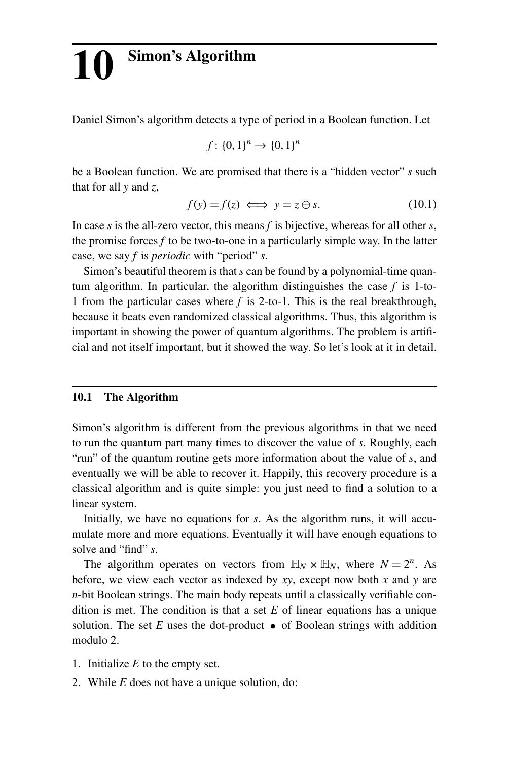# **Simon's Algorithm**

Daniel Simon's algorithm detects a type of period in a Boolean function. Let

$$
f\colon \{0,1\}^n \to \{0,1\}^n
$$

be a Boolean function. We are promised that there is a "hidden vector" *s* such that for all *y* and *z*,

$$
f(y) = f(z) \iff y = z \oplus s. \tag{10.1}
$$

In case *s* is the all-zero vector, this means *f* is bijective, whereas for all other *s*, the promise forces  $f$  to be two-to-one in a particularly simple way. In the latter case, we say *f* is *periodic* with "period" *s*.

Simon's beautiful theorem is that *s* can be found by a polynomial-time quantum algorithm. In particular, the algorithm distinguishes the case *f* is 1-to-1 from the particular cases where *f* is 2-to-1. This is the real breakthrough, because it beats even randomized classical algorithms. Thus, this algorithm is important in showing the power of quantum algorithms. The problem is artificial and not itself important, but it showed the way. So let's look at it in detail.

# 10.1 The Algorithm

Simon's algorithm is different from the previous algorithms in that we need to run the quantum part many times to discover the value of *s*. Roughly, each "run" of the quantum routine gets more information about the value of *s*, and eventually we will be able to recover it. Happily, this recovery procedure is a classical algorithm and is quite simple: you just need to find a solution to a linear system.

Initially, we have no equations for *s*. As the algorithm runs, it will accumulate more and more equations. Eventually it will have enough equations to solve and "find" *s*.

The algorithm operates on vectors from  $\mathbb{H}_N \times \mathbb{H}_N$ , where  $N = 2^n$ . As before, we view each vector as indexed by *xy*, except now both *x* and *y* are *n*-bit Boolean strings. The main body repeats until a classically verifiable condition is met. The condition is that a set *E* of linear equations has a unique solution. The set  $E$  uses the dot-product  $\bullet$  of Boolean strings with addition modulo 2.

- 1. Initialize  $E$  to the empty set.
- 2. While *E* does not have a unique solution, do: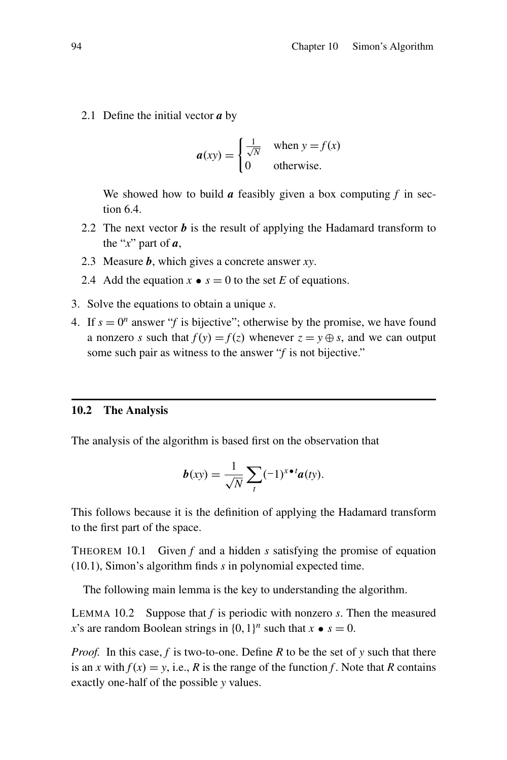2.1 Define the initial vector *a* by

$$
a(xy) = \begin{cases} \frac{1}{\sqrt{N}} & \text{when } y = f(x) \\ 0 & \text{otherwise.} \end{cases}
$$

We showed how to build *a* feasibly given a box computing *f* in section 6.4.

- 2.2 The next vector *b* is the result of applying the Hadamard transform to the "*x*" part of *a*,
- 2.3 Measure *b*, which gives a concrete answer *xy*.
- 2.4 Add the equation  $x \bullet s = 0$  to the set *E* of equations.
- 3. Solve the equations to obtain a unique *s*.
- 4. If  $s = 0^n$  answer "*f* is bijective"; otherwise by the promise, we have found a nonzero *s* such that  $f(y) = f(z)$  whenever  $z = y \oplus s$ , and we can output some such pair as witness to the answer "*f* is not bijective."

# 10.2 The Analysis

The analysis of the algorithm is based first on the observation that

$$
b(xy) = \frac{1}{\sqrt{N}} \sum_{t} (-1)^{x \bullet t} a(ty).
$$

This follows because it is the definition of applying the Hadamard transform to the first part of the space.

THEOREM 10.1 Given *f* and a hidden *s* satisfying the promise of equation (10.1), Simon's algorithm finds *s* in polynomial expected time.

The following main lemma is the key to understanding the algorithm.

LEMMA 10.2 Suppose that *f* is periodic with nonzero *s*. Then the measured *x*'s are random Boolean strings in  $\{0, 1\}^n$  such that  $x \bullet s = 0$ .

*Proof.* In this case, *f* is two-to-one. Define *R* to be the set of *y* such that there is an *x* with  $f(x) = y$ , i.e., *R* is the range of the function *f*. Note that *R* contains exactly one-half of the possible *y* values.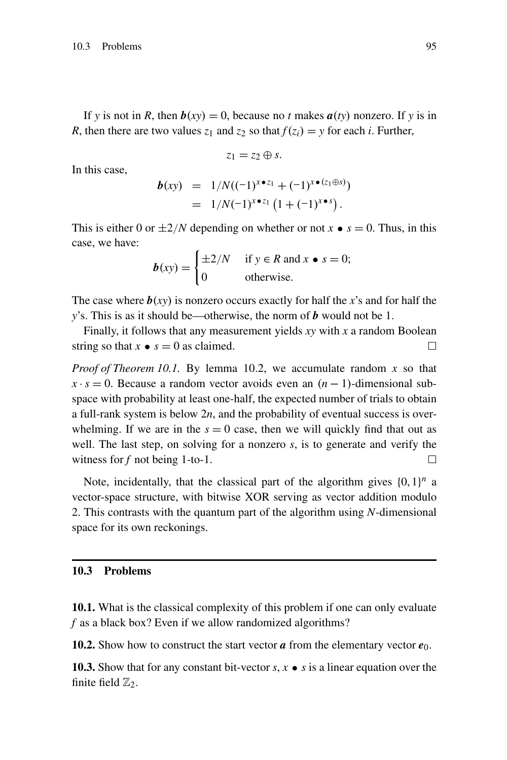If *y* is not in *R*, then  $b(xy) = 0$ , because no *t* makes  $a(ty)$  nonzero. If *y* is in *R*, then there are two values  $z_1$  and  $z_2$  so that  $f(z_i) = y$  for each *i*. Further,

$$
z_1=z_2\oplus s.
$$

In this case,

$$
b(xy) = 1/N((-1)^{x \bullet z_1} + (-1)^{x \bullet (z_1 \oplus s)})
$$
  
= 1/N(-1)^{x \bullet z\_1} (1 + (-1)^{x \bullet s}).

This is either 0 or  $\pm 2/N$  depending on whether or not  $x \bullet s = 0$ . Thus, in this case, we have:

$$
b(xy) = \begin{cases} \pm 2/N & \text{if } y \in R \text{ and } x \bullet s = 0; \\ 0 & \text{otherwise.} \end{cases}
$$

The case where  $\mathbf{b}(xy)$  is nonzero occurs exactly for half the *x*'s and for half the *y*'s. This is as it should be—otherwise, the norm of *b* would not be 1.

Finally, it follows that any measurement yields *xy* with *x* a random Boolean string so that  $x \bullet s = 0$  as claimed.  $\Box$ 

*Proof of Theorem 10.1.* By lemma 10.2, we accumulate random *x* so that  $x \cdot s = 0$ . Because a random vector avoids even an  $(n - 1)$ -dimensional subspace with probability at least one-half, the expected number of trials to obtain a full-rank system is below 2*n*, and the probability of eventual success is overwhelming. If we are in the  $s = 0$  case, then we will quickly find that out as well. The last step, on solving for a nonzero *s*, is to generate and verify the witness for *f* not being 1-to-1. П

Note, incidentally, that the classical part of the algorithm gives  $\{0, 1\}^n$  a vector-space structure, with bitwise XOR serving as vector addition modulo 2. This contrasts with the quantum part of the algorithm using *N*-dimensional space for its own reckonings.

# 10.3 Problems

10.1. What is the classical complexity of this problem if one can only evaluate *f* as a black box? Even if we allow randomized algorithms?

10.2. Show how to construct the start vector  $\boldsymbol{a}$  from the elementary vector  $\boldsymbol{e}_0$ .

10.3. Show that for any constant bit-vector *s*, *x* • *s* is a linear equation over the finite field  $\mathbb{Z}_2$ .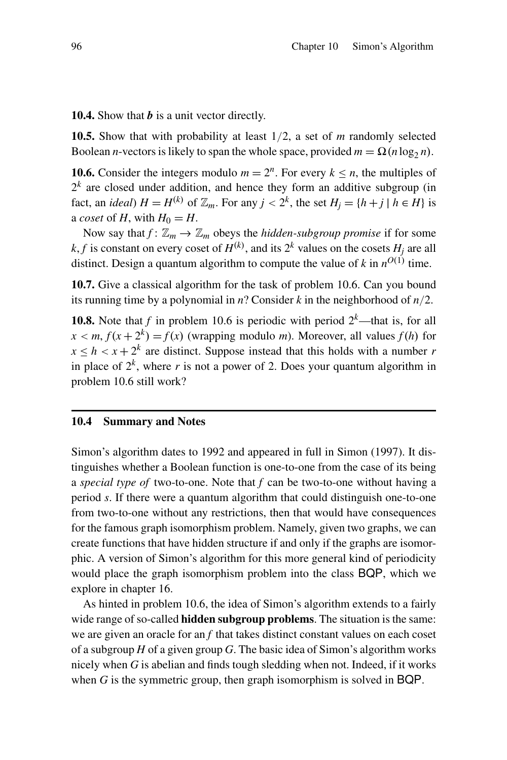10.4. Show that *b* is a unit vector directly.

10.5. Show that with probability at least 1/2, a set of *m* randomly selected Boolean *n*-vectors is likely to span the whole space, provided  $m = \Omega(n \log_2 n)$ .

10.6. Consider the integers modulo  $m = 2^n$ . For every  $k \le n$ , the multiples of  $2<sup>k</sup>$  are closed under addition, and hence they form an additive subgroup (in fact, an *ideal*)  $H = H^{(k)}$  of  $\mathbb{Z}_m$ . For any  $j < 2^k$ , the set  $H_j = \{h + j \mid h \in H\}$  is a *coset* of *H*, with  $H_0 = H$ .

Now say that  $f: \mathbb{Z}_m \to \mathbb{Z}_m$  obeys the *hidden-subgroup promise* if for some  $k$ ,  $f$  is constant on every coset of  $H^{(k)}$ , and its  $2^k$  values on the cosets  $H_j$  are all distinct. Design a quantum algorithm to compute the value of  $k$  in  $n^{O(1)}$  time.

10.7. Give a classical algorithm for the task of problem 10.6. Can you bound its running time by a polynomial in *n*? Consider *k* in the neighborhood of *n*/2.

**10.8.** Note that f in problem 10.6 is periodic with period  $2<sup>k</sup>$ —that is, for all  $x < m$ ,  $f(x+2^k) = f(x)$  (wrapping modulo *m*). Moreover, all values  $f(h)$  for  $x \leq h \leq x + 2^k$  are distinct. Suppose instead that this holds with a number *r* in place of  $2^k$ , where *r* is not a power of 2. Does your quantum algorithm in problem 10.6 still work?

## 10.4 Summary and Notes

Simon's algorithm dates to 1992 and appeared in full in Simon (1997). It distinguishes whether a Boolean function is one-to-one from the case of its being a *special type of* two-to-one. Note that *f* can be two-to-one without having a period *s*. If there were a quantum algorithm that could distinguish one-to-one from two-to-one without any restrictions, then that would have consequences for the famous graph isomorphism problem. Namely, given two graphs, we can create functions that have hidden structure if and only if the graphs are isomorphic. A version of Simon's algorithm for this more general kind of periodicity would place the graph isomorphism problem into the class BQP, which we explore in chapter 16.

As hinted in problem 10.6, the idea of Simon's algorithm extends to a fairly wide range of so-called **hidden subgroup problems**. The situation is the same: we are given an oracle for an *f* that takes distinct constant values on each coset of a subgroup *H* of a given group *G*. The basic idea of Simon's algorithm works nicely when *G* is abelian and finds tough sledding when not. Indeed, if it works when *G* is the symmetric group, then graph isomorphism is solved in BQP.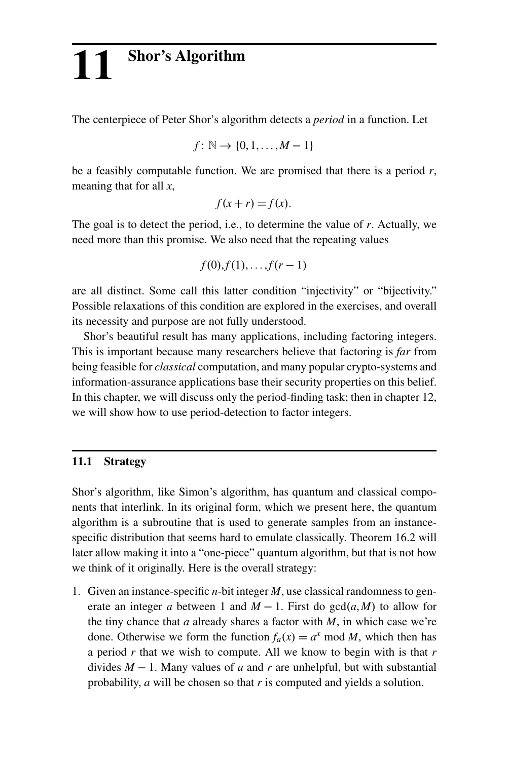# **Shor's Algorithm**

The centerpiece of Peter Shor's algorithm detects a *period* in a function. Let

$$
f\colon \mathbb{N}\to \{0,1,\ldots,M-1\}
$$

be a feasibly computable function. We are promised that there is a period *r*, meaning that for all *x*,

$$
f(x+r) = f(x).
$$

The goal is to detect the period, i.e., to determine the value of *r*. Actually, we need more than this promise. We also need that the repeating values

$$
f(0), f(1), \ldots, f(r-1)
$$

are all distinct. Some call this latter condition "injectivity" or "bijectivity." Possible relaxations of this condition are explored in the exercises, and overall its necessity and purpose are not fully understood.

Shor's beautiful result has many applications, including factoring integers. This is important because many researchers believe that factoring is *far* from being feasible for *classical* computation, and many popular crypto-systems and information-assurance applications base their security properties on this belief. In this chapter, we will discuss only the period-finding task; then in chapter 12, we will show how to use period-detection to factor integers.

## 11.1 Strategy

Shor's algorithm, like Simon's algorithm, has quantum and classical components that interlink. In its original form, which we present here, the quantum algorithm is a subroutine that is used to generate samples from an instancespecific distribution that seems hard to emulate classically. Theorem 16.2 will later allow making it into a "one-piece" quantum algorithm, but that is not how we think of it originally. Here is the overall strategy:

1. Given an instance-specific *n*-bit integer *M*, use classical randomness to generate an integer *a* between 1 and  $M - 1$ . First do  $gcd(a, M)$  to allow for the tiny chance that *a* already shares a factor with *M*, in which case we're done. Otherwise we form the function  $f_a(x) = a^x \text{ mod } M$ , which then has a period *r* that we wish to compute. All we know to begin with is that *r* divides  $M − 1$ . Many values of *a* and *r* are unhelpful, but with substantial probability, *a* will be chosen so that *r* is computed and yields a solution.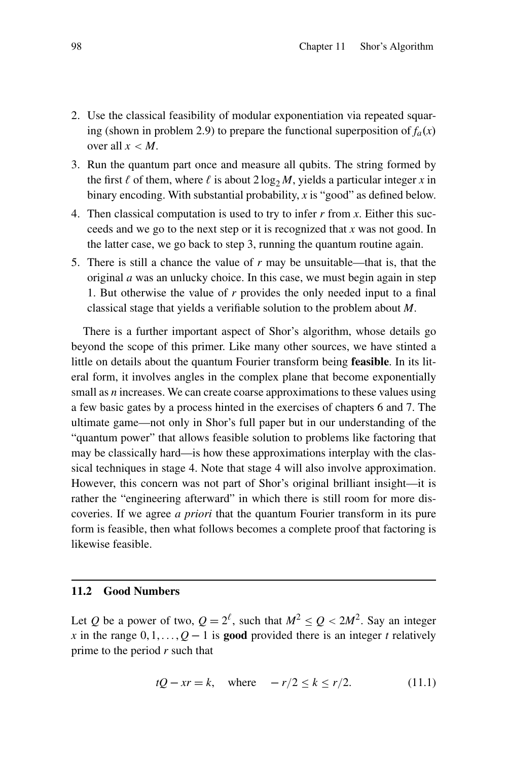- 2. Use the classical feasibility of modular exponentiation via repeated squaring (shown in problem 2.9) to prepare the functional superposition of  $f_a(x)$ over all  $x < M$ .
- 3. Run the quantum part once and measure all qubits. The string formed by the first  $\ell$  of them, where  $\ell$  is about  $2 \log_2 M$ , yields a particular integer *x* in binary encoding. With substantial probability, *x* is "good" as defined below.
- 4. Then classical computation is used to try to infer *r* from *x*. Either this succeeds and we go to the next step or it is recognized that *x* was not good. In the latter case, we go back to step 3, running the quantum routine again.
- 5. There is still a chance the value of *r* may be unsuitable—that is, that the original *a* was an unlucky choice. In this case, we must begin again in step 1. But otherwise the value of *r* provides the only needed input to a final classical stage that yields a verifiable solution to the problem about *M*.

There is a further important aspect of Shor's algorithm, whose details go beyond the scope of this primer. Like many other sources, we have stinted a little on details about the quantum Fourier transform being feasible. In its literal form, it involves angles in the complex plane that become exponentially small as *n* increases. We can create coarse approximations to these values using a few basic gates by a process hinted in the exercises of chapters 6 and 7. The ultimate game—not only in Shor's full paper but in our understanding of the "quantum power" that allows feasible solution to problems like factoring that may be classically hard—is how these approximations interplay with the classical techniques in stage 4. Note that stage 4 will also involve approximation. However, this concern was not part of Shor's original brilliant insight—it is rather the "engineering afterward" in which there is still room for more discoveries. If we agree *a priori* that the quantum Fourier transform in its pure form is feasible, then what follows becomes a complete proof that factoring is likewise feasible.

### 11.2 Good Numbers

Let *Q* be a power of two,  $Q = 2^{\ell}$ , such that  $M^2 \le Q < 2M^2$ . Say an integer *x* in the range  $0, 1, \ldots, Q - 1$  is **good** provided there is an integer *t* relatively prime to the period *r* such that

$$
tQ - xr = k
$$
, where  $-r/2 \le k \le r/2$ . (11.1)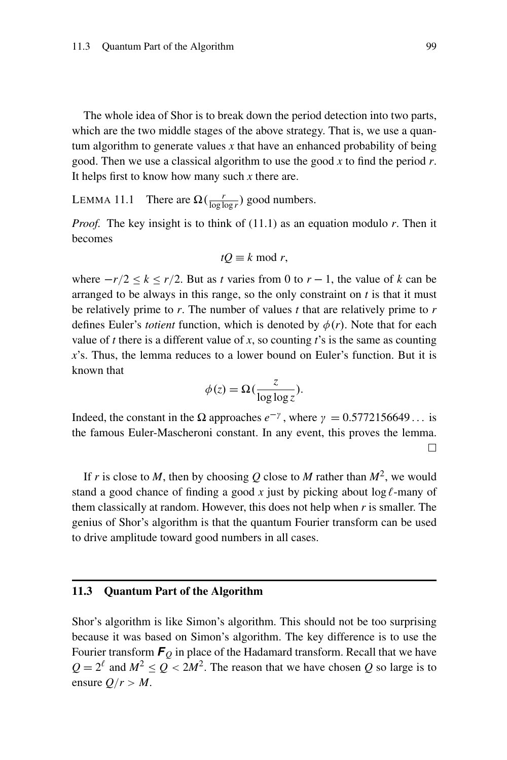The whole idea of Shor is to break down the period detection into two parts, which are the two middle stages of the above strategy. That is, we use a quantum algorithm to generate values *x* that have an enhanced probability of being good. Then we use a classical algorithm to use the good *x* to find the period *r*. It helps first to know how many such *x* there are.

LEMMA 11.1 There are  $\Omega(\frac{r}{\log \log r})$  good numbers.

*Proof.* The key insight is to think of (11.1) as an equation modulo *r*. Then it becomes

$$
tQ \equiv k \bmod r,
$$

where  $-r/2 \le k \le r/2$ . But as *t* varies from 0 to *r* − 1, the value of *k* can be arranged to be always in this range, so the only constraint on *t* is that it must be relatively prime to *r*. The number of values *t* that are relatively prime to *r* defines Euler's *totient* function, which is denoted by  $\phi(r)$ . Note that for each value of *t* there is a different value of *x*, so counting *t*'s is the same as counting *x*'s. Thus, the lemma reduces to a lower bound on Euler's function. But it is known that

$$
\phi(z) = \Omega(\frac{z}{\log \log z}).
$$

Indeed, the constant in the  $\Omega$  approaches  $e^{-\gamma}$ , where  $\gamma = 0.5772156649...$  is the famous Euler-Mascheroni constant. In any event, this proves the lemma.  $\Box$ 

If *r* is close to *M*, then by choosing *Q* close to *M* rather than  $M^2$ , we would stand a good chance of finding a good  $x$  just by picking about  $\log \ell$ -many of them classically at random. However, this does not help when *r* is smaller. The genius of Shor's algorithm is that the quantum Fourier transform can be used to drive amplitude toward good numbers in all cases.

## 11.3 Quantum Part of the Algorithm

Shor's algorithm is like Simon's algorithm. This should not be too surprising because it was based on Simon's algorithm. The key difference is to use the Fourier transform  $\boldsymbol{F}_O$  in place of the Hadamard transform. Recall that we have  $Q = 2^{\ell}$  and  $M^2 \le Q < 2M^2$ . The reason that we have chosen *Q* so large is to ensure  $Q/r > M$ .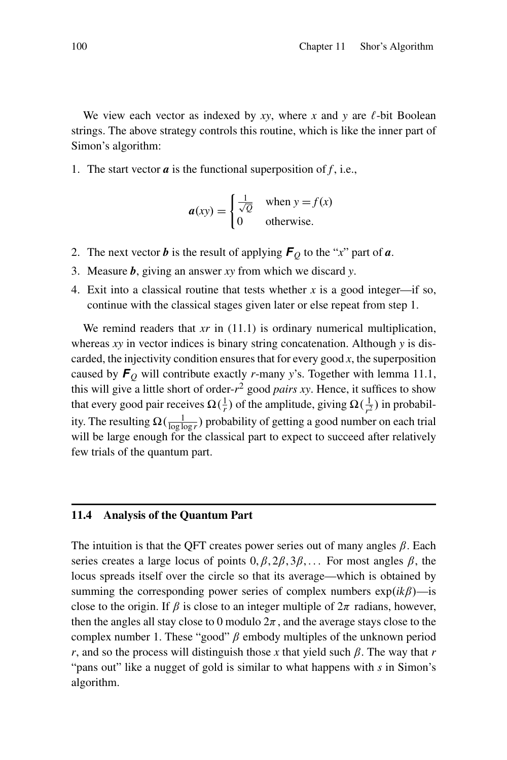We view each vector as indexed by *xy*, where *x* and *y* are  $\ell$ -bit Boolean strings. The above strategy controls this routine, which is like the inner part of Simon's algorithm:

1. The start vector  $\boldsymbol{a}$  is the functional superposition of  $f$ , i.e.,

$$
a(xy) = \begin{cases} \frac{1}{\sqrt{Q}} & \text{when } y = f(x) \\ 0 & \text{otherwise.} \end{cases}
$$

- 2. The next vector *b* is the result of applying  $\mathbf{F}_0$  to the "*x*" part of *a*.
- 3. Measure *b*, giving an answer *xy* from which we discard *y*.
- 4. Exit into a classical routine that tests whether  $x$  is a good integer—if so, continue with the classical stages given later or else repeat from step 1.

We remind readers that *xr* in (11.1) is ordinary numerical multiplication, whereas *xy* in vector indices is binary string concatenation. Although *y* is discarded, the injectivity condition ensures that for every good  $x$ , the superposition caused by  $\boldsymbol{F}_0$  will contribute exactly *r*-many *y*'s. Together with lemma 11.1, this will give a little short of order- $r^2$  good *pairs xy*. Hence, it suffices to show that every good pair receives  $\Omega(\frac{1}{r})$  of the amplitude, giving  $\Omega(\frac{1}{r^2})$  in probability. The resulting  $\Omega(\frac{1}{\log\log r})$  probability of getting a good number on each trial will be large enough for the classical part to expect to succeed after relatively few trials of the quantum part.

#### 11.4 Analysis of the Quantum Part

The intuition is that the QFT creates power series out of many angles  $\beta$ . Each series creates a large locus of points  $0, \beta, 2\beta, 3\beta, \ldots$  For most angles  $\beta$ , the locus spreads itself over the circle so that its average—which is obtained by summing the corresponding power series of complex numbers exp(*ik*β)—is close to the origin. If  $\beta$  is close to an integer multiple of  $2\pi$  radians, however, then the angles all stay close to 0 modulo  $2\pi$ , and the average stays close to the complex number 1. These "good"  $\beta$  embody multiples of the unknown period *r*, and so the process will distinguish those *x* that yield such  $\beta$ . The way that *r* "pans out" like a nugget of gold is similar to what happens with *s* in Simon's algorithm.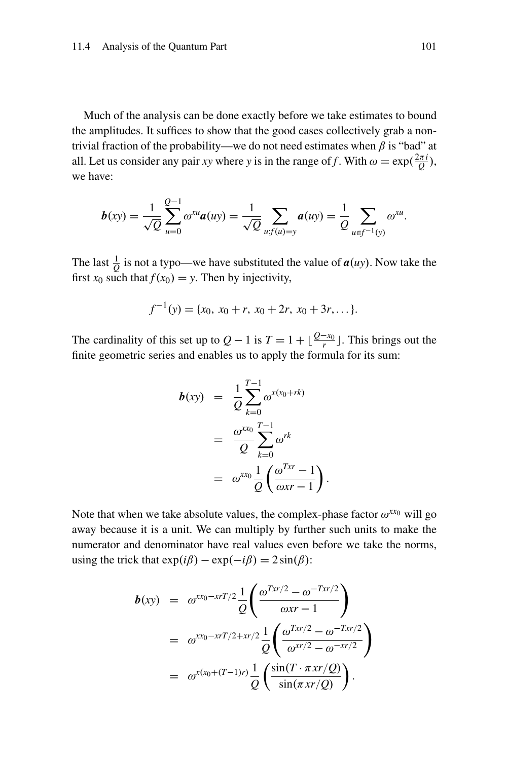Much of the analysis can be done exactly before we take estimates to bound the amplitudes. It suffices to show that the good cases collectively grab a nontrivial fraction of the probability—we do not need estimates when  $\beta$  is "bad" at all. Let us consider any pair *xy* where *y* is in the range of *f*. With  $\omega = \exp(\frac{2\pi i}{Q})$ , we have:

$$
\boldsymbol{b}(xy) = \frac{1}{\sqrt{Q}} \sum_{u=0}^{Q-1} \omega^{xu} \boldsymbol{a}(uy) = \frac{1}{\sqrt{Q}} \sum_{u: f(u)=y} \boldsymbol{a}(uy) = \frac{1}{Q} \sum_{u \in f^{-1}(y)} \omega^{xu}.
$$

The last  $\frac{1}{Q}$  is not a typo—we have substituted the value of  $a(uy)$ . Now take the first  $x_0$  such that  $f(x_0) = y$ . Then by injectivity,

$$
f^{-1}(y) = \{x_0, x_0 + r, x_0 + 2r, x_0 + 3r, \dots\}.
$$

The cardinality of this set up to  $Q - 1$  is  $T = 1 + \lfloor \frac{Q - x_0}{r} \rfloor$ . This brings out the finite geometric series and enables us to apply the formula for its sum:

$$
b(xy) = \frac{1}{Q} \sum_{k=0}^{T-1} \omega^{x(x_0 + rk)}
$$
  
= 
$$
\frac{\omega^{xx_0}}{Q} \sum_{k=0}^{T-1} \omega^{rk}
$$
  
= 
$$
\omega^{xx_0} \frac{1}{Q} \left( \frac{\omega^{Txr} - 1}{\omega xr - 1} \right)
$$

.

Note that when we take absolute values, the complex-phase factor  $\omega^{xx_0}$  will go away because it is a unit. We can multiply by further such units to make the numerator and denominator have real values even before we take the norms, using the trick that  $exp(i\beta) - exp(-i\beta) = 2 sin(\beta)$ :

$$
b(xy) = \omega^{xx_0 - xrT/2} \frac{1}{Q} \left( \frac{\omega^{Txr/2} - \omega^{-Txr/2}}{\omega xr - 1} \right)
$$
  
=  $\omega^{xx_0 - xrT/2 + xr/2} \frac{1}{Q} \left( \frac{\omega^{Txr/2} - \omega^{-Txr/2}}{\omega^{xr/2} - \omega^{-xr/2}} \right)$   
=  $\omega^{x(x_0 + (T-1)r)} \frac{1}{Q} \left( \frac{\sin(T \cdot \pi xr/Q)}{\sin(\pi xr/Q)} \right).$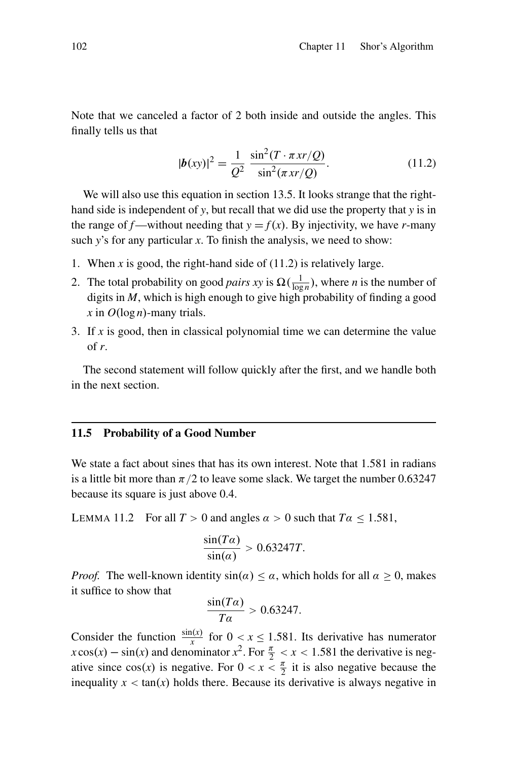Note that we canceled a factor of 2 both inside and outside the angles. This finally tells us that

$$
|\bm{b}(xy)|^2 = \frac{1}{Q^2} \frac{\sin^2(T \cdot \pi xr/Q)}{\sin^2(\pi xr/Q)}.
$$
 (11.2)

We will also use this equation in section 13.5. It looks strange that the righthand side is independent of *y*, but recall that we did use the property that *y* is in the range of *f*—without needing that  $y = f(x)$ . By injectivity, we have *r*-many such *y*'s for any particular *x*. To finish the analysis, we need to show:

- 1. When *x* is good, the right-hand side of (11.2) is relatively large.
- 2. The total probability on good *pairs xy* is  $\Omega(\frac{1}{\log n})$ , where *n* is the number of digits in *M*, which is high enough to give high probability of finding a good  $\chi$  in  $O(\log n)$ -many trials.
- 3. If *x* is good, then in classical polynomial time we can determine the value of *r*.

The second statement will follow quickly after the first, and we handle both in the next section.

### 11.5 Probability of a Good Number

We state a fact about sines that has its own interest. Note that 1.581 in radians is a little bit more than  $\pi/2$  to leave some slack. We target the number 0.63247 because its square is just above 0.4.

LEMMA 11.2 For all  $T > 0$  and angles  $\alpha > 0$  such that  $T\alpha \le 1.581$ ,

$$
\frac{\sin(T\alpha)}{\sin(\alpha)} > 0.63247T.
$$

*Proof.* The well-known identity  $sin(\alpha) \leq \alpha$ , which holds for all  $\alpha \geq 0$ , makes it suffice to show that

$$
\frac{\sin(T\alpha)}{Ta} > 0.63247.
$$

Consider the function  $\frac{\sin(x)}{x}$  for  $0 < x \le 1.581$ . Its derivative has numerator  $x\cos(x) - \sin(x)$  and denominator  $x^2$ . For  $\frac{\pi}{2} < x < 1.581$  the derivative is negative since  $cos(x)$  is negative. For  $0 < x < \frac{\pi}{2}$  it is also negative because the inequality  $x < \tan(x)$  holds there. Because its derivative is always negative in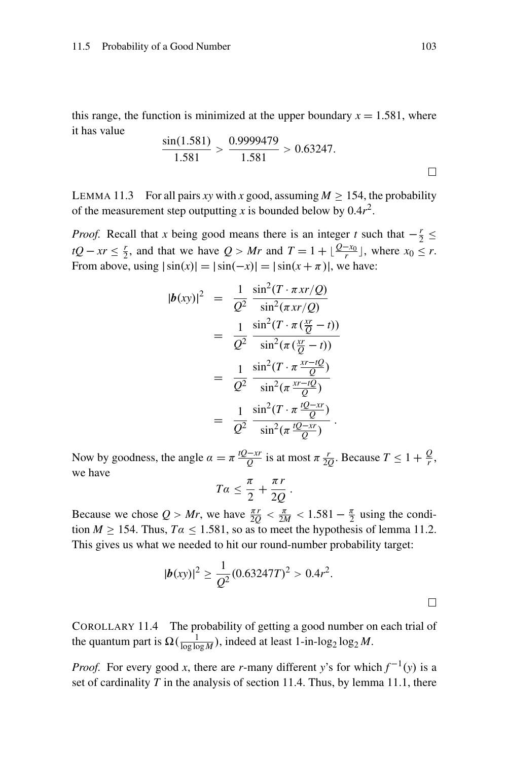this range, the function is minimized at the upper boundary  $x = 1.581$ , where it has value

$$
\frac{\sin(1.581)}{1.581} > \frac{0.9999479}{1.581} > 0.63247.
$$

LEMMA 11.3 For all pairs *xy* with *x* good, assuming  $M \ge 154$ , the probability of the measurement step outputting *x* is bounded below by  $0.4r^2$ .

*Proof.* Recall that *x* being good means there is an integer *t* such that  $-\frac{r}{2} \le$ *tQ* − *xr* ≤  $\frac{r}{2}$ , and that we have *Q* > *Mr* and *T* = 1 +  $\lfloor \frac{Q-x_0}{r} \rfloor$ , where *x*<sub>0</sub> ≤ *r*. From above, using  $|\sin(x)| = |\sin(-x)| = |\sin(x + \pi)|$ , we have:

$$
|\boldsymbol{b}(xy)|^2 = \frac{1}{Q^2} \frac{\sin^2(T \cdot \pi xr/Q)}{\sin^2(\pi xr/Q)}
$$
  
= 
$$
\frac{1}{Q^2} \frac{\sin^2(T \cdot \pi(\frac{sr}{Q} - t))}{\sin^2(\pi(\frac{sr}{Q} - t))}
$$
  
= 
$$
\frac{1}{Q^2} \frac{\sin^2(T \cdot \pi \frac{xr-tQ}{Q})}{\sin^2(\pi \frac{xr-tQ}{Q})}
$$
  
= 
$$
\frac{1}{Q^2} \frac{\sin^2(T \cdot \pi \frac{rQ-rr}{Q})}{\sin^2(\pi \frac{rQ-rr}{Q})}
$$
.

Now by goodness, the angle  $\alpha = \pi \frac{iQ - xr}{Q}$  is at most  $\pi \frac{r}{2Q}$ . Because  $T \leq 1 + \frac{Q}{r}$ , we have

$$
T\alpha \leq \frac{\pi}{2} + \frac{\pi r}{2Q} .
$$

Because we chose  $Q > Mr$ , we have  $\frac{\pi r}{2Q} < \frac{\pi}{2M} < 1.581 - \frac{\pi}{2}$  using the condition  $M \ge 154$ . Thus,  $T\alpha \le 1.581$ , so as to meet the hypothesis of lemma 11.2. This gives us what we needed to hit our round-number probability target:

$$
|\boldsymbol{b}(xy)|^2 \ge \frac{1}{Q^2} (0.63247T)^2 > 0.4r^2.
$$

COROLLARY 11.4 The probability of getting a good number on each trial of the quantum part is  $\Omega(\frac{1}{\log \log M})$ , indeed at least 1-in-log<sub>2</sub> log<sub>2</sub> *M*.

*Proof.* For every good *x*, there are *r*-many different *y*'s for which  $f^{-1}(y)$  is a set of cardinality  $T$  in the analysis of section 11.4. Thus, by lemma 11.1, there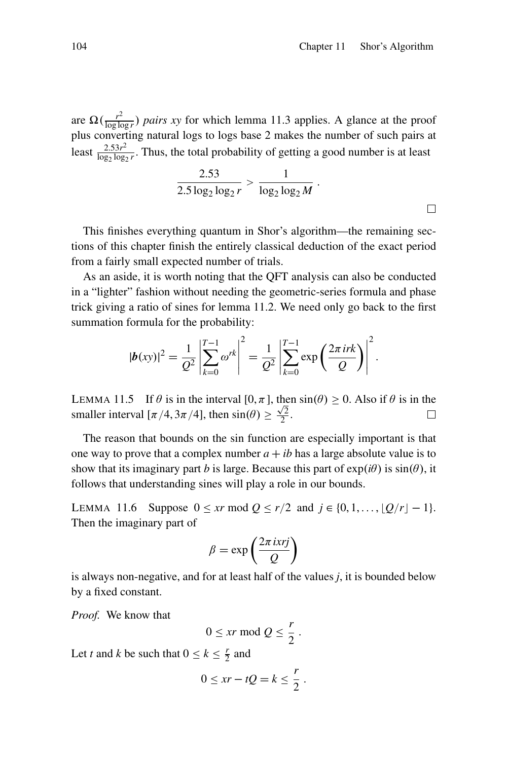are  $\Omega(\frac{r^2}{\log \log r})$  *pairs xy* for which lemma 11.3 applies. A glance at the proof plus converting natural logs to logs base 2 makes the number of such pairs at least  $\frac{2.53r^2}{\log_2 \log_2 r}$ . Thus, the total probability of getting a good number is at least

$$
\frac{2.53}{2.5 \log_2 \log_2 r} > \frac{1}{\log_2 \log_2 M}.
$$

This finishes everything quantum in Shor's algorithm—the remaining sections of this chapter finish the entirely classical deduction of the exact period from a fairly small expected number of trials.

As an aside, it is worth noting that the QFT analysis can also be conducted in a "lighter" fashion without needing the geometric-series formula and phase trick giving a ratio of sines for lemma 11.2. We need only go back to the first summation formula for the probability:

$$
|\boldsymbol{b}(xy)|^2 = \frac{1}{Q^2} \left| \sum_{k=0}^{T-1} \omega^{rk} \right|^2 = \frac{1}{Q^2} \left| \sum_{k=0}^{T-1} \exp\left(\frac{2\pi i rk}{Q}\right) \right|^2.
$$

LEMMA 11.5 If  $\theta$  is in the interval  $[0, \pi]$ , then  $\sin(\theta) \ge 0$ . Also if  $\theta$  is in the smaller interval  $[\pi/4, 3\pi/4]$ , then  $\sin(\theta) \ge \frac{\sqrt{2}}{2}$ . П

The reason that bounds on the sin function are especially important is that one way to prove that a complex number  $a + ib$  has a large absolute value is to show that its imaginary part *b* is large. Because this part of  $exp(i\theta)$  is  $sin(\theta)$ , it follows that understanding sines will play a role in our bounds.

LEMMA 11.6 Suppose  $0 \leq xr \mod Q \leq r/2$  and  $j \in \{0, 1, ..., \lfloor Q/r \rfloor - 1\}.$ Then the imaginary part of

$$
\beta = \exp\left(\frac{2\pi i x r j}{Q}\right)
$$

is always non-negative, and for at least half of the values *j*, it is bounded below by a fixed constant.

*Proof.* We know that

$$
0 \leq xr \bmod Q \leq \frac{r}{2}.
$$

Let *t* and *k* be such that  $0 \le k \le \frac{r}{2}$  and

$$
0 \le xr - tQ = k \le \frac{r}{2}.
$$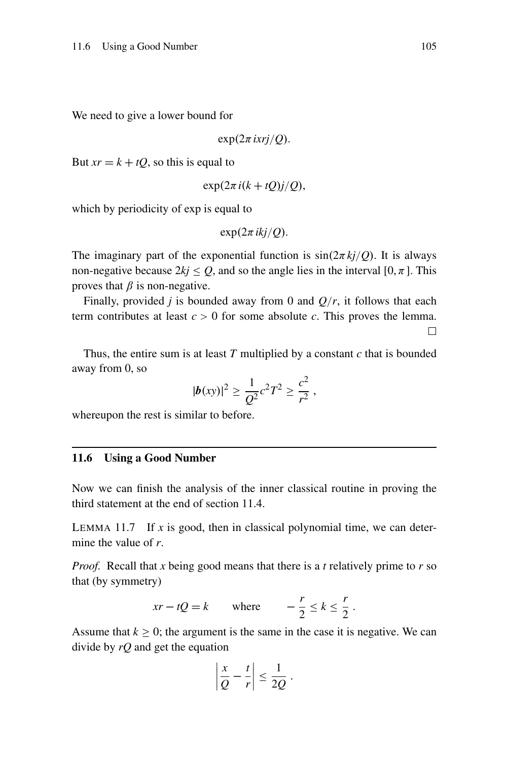We need to give a lower bound for

$$
\exp(2\pi i x r j/Q).
$$

But  $xr = k + tQ$ , so this is equal to

$$
\exp(2\pi i(k+tQ)j/Q),
$$

which by periodicity of exp is equal to

$$
\exp(2\pi i kj/Q).
$$

The imaginary part of the exponential function is  $sin(2\pi k j/Q)$ . It is always non-negative because  $2kj \leq Q$ , and so the angle lies in the interval [0,  $\pi$ ]. This proves that  $\beta$  is non-negative.

Finally, provided *j* is bounded away from 0 and  $Q/r$ , it follows that each term contributes at least  $c > 0$  for some absolute *c*. This proves the lemma.  $\Box$ 

Thus, the entire sum is at least *T* multiplied by a constant *c* that is bounded away from 0, so

$$
|\bm{b}(xy)|^2 \geq \frac{1}{Q^2}c^2T^2 \geq \frac{c^2}{r^2},
$$

whereupon the rest is similar to before.

### 11.6 Using a Good Number

Now we can finish the analysis of the inner classical routine in proving the third statement at the end of section 11.4.

LEMMA 11.7 If  $x$  is good, then in classical polynomial time, we can determine the value of *r*.

*Proof.* Recall that *x* being good means that there is a *t* relatively prime to *r* so that (by symmetry)

$$
xr - tQ = k \qquad \text{where} \qquad -\frac{r}{2} \le k \le \frac{r}{2} \; .
$$

Assume that  $k \geq 0$ ; the argument is the same in the case it is negative. We can divide by *rQ* and get the equation

$$
\left|\frac{x}{Q}-\frac{t}{r}\right|\leq \frac{1}{2Q}.
$$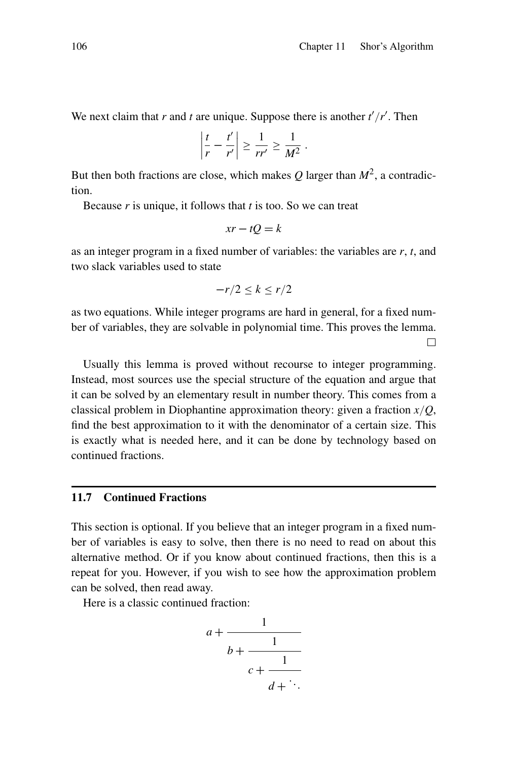We next claim that *r* and *t* are unique. Suppose there is another *t* /*r* . Then

$$
\left|\frac{t}{r}-\frac{t'}{r'}\right|\geq \frac{1}{rr'}\geq \frac{1}{M^2}.
$$

But then both fractions are close, which makes  $Q$  larger than  $M^2$ , a contradiction.

Because *r* is unique, it follows that *t* is too. So we can treat

$$
xr-tQ=k
$$

as an integer program in a fixed number of variables: the variables are *r*, *t*, and two slack variables used to state

$$
-r/2 \leq k \leq r/2
$$

as two equations. While integer programs are hard in general, for a fixed number of variables, they are solvable in polynomial time. This proves the lemma.  $\Box$ 

Usually this lemma is proved without recourse to integer programming. Instead, most sources use the special structure of the equation and argue that it can be solved by an elementary result in number theory. This comes from a classical problem in Diophantine approximation theory: given a fraction *x*/*Q*, find the best approximation to it with the denominator of a certain size. This is exactly what is needed here, and it can be done by technology based on continued fractions.

## 11.7 Continued Fractions

This section is optional. If you believe that an integer program in a fixed number of variables is easy to solve, then there is no need to read on about this alternative method. Or if you know about continued fractions, then this is a repeat for you. However, if you wish to see how the approximation problem can be solved, then read away.

Here is a classic continued fraction:

$$
a + \cfrac{1}{b + \cfrac{1}{c + \cfrac{1}{d + \ddots}}}
$$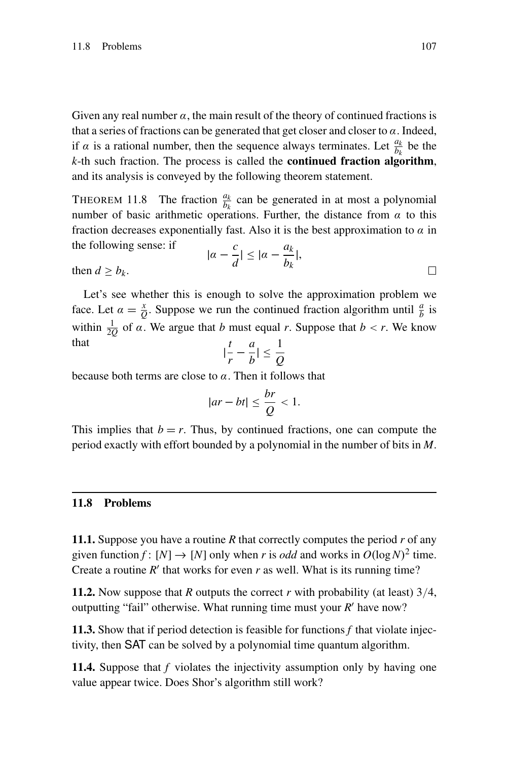Given any real number  $\alpha$ , the main result of the theory of continued fractions is that a series of fractions can be generated that get closer and closer to  $\alpha$ . Indeed, if  $\alpha$  is a rational number, then the sequence always terminates. Let  $\frac{a_k}{b_k}$  be the *k*-th such fraction. The process is called the continued fraction algorithm, and its analysis is conveyed by the following theorem statement.

THEOREM 11.8 The fraction  $\frac{a_k}{b_k}$  can be generated in at most a polynomial number of basic arithmetic operations. Further, the distance from  $\alpha$  to this fraction decreases exponentially fast. Also it is the best approximation to  $\alpha$  in the following sense: if  $|\alpha - \frac{c}{d}| \leq |\alpha - \frac{a_k}{b_k}|,$ 

then  $d > b_k$ .

Let's see whether this is enough to solve the approximation problem we face. Let  $\alpha = \frac{x}{Q}$ . Suppose we run the continued fraction algorithm until  $\frac{a}{b}$  is within  $\frac{1}{2Q}$  of  $\alpha$ . We argue that *b* must equal *r*. Suppose that  $b < r$ . We know that *t* 1

$$
|\frac{t}{r} - \frac{a}{b}| \le \frac{1}{Q}
$$

because both terms are close to  $\alpha$ . Then it follows that

$$
|ar - bt| \leq \frac{br}{Q} < 1.
$$

This implies that  $b = r$ . Thus, by continued fractions, one can compute the period exactly with effort bounded by a polynomial in the number of bits in *M*.

## 11.8 Problems

**11.1.** Suppose you have a routine  $R$  that correctly computes the period  $r$  of any given function  $f : [N] \to [N]$  only when *r* is *odd* and works in  $O(\log N)^2$  time. Create a routine  $R'$  that works for even  $r$  as well. What is its running time?

11.2. Now suppose that *R* outputs the correct *r* with probability (at least) 3/4, outputting "fail" otherwise. What running time must your  $R'$  have now?

11.3. Show that if period detection is feasible for functions *f* that violate injectivity, then SAT can be solved by a polynomial time quantum algorithm.

11.4. Suppose that *f* violates the injectivity assumption only by having one value appear twice. Does Shor's algorithm still work?

 $\Box$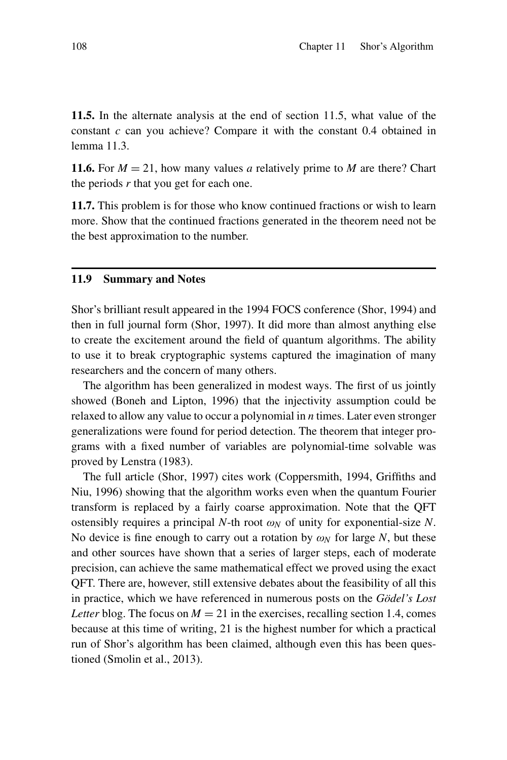11.5. In the alternate analysis at the end of section 11.5, what value of the constant *c* can you achieve? Compare it with the constant 0.4 obtained in lemma 11.3.

**11.6.** For  $M = 21$ , how many values *a* relatively prime to *M* are there? Chart the periods *r* that you get for each one.

11.7. This problem is for those who know continued fractions or wish to learn more. Show that the continued fractions generated in the theorem need not be the best approximation to the number.

### 11.9 Summary and Notes

Shor's brilliant result appeared in the 1994 FOCS conference (Shor, 1994) and then in full journal form (Shor, 1997). It did more than almost anything else to create the excitement around the field of quantum algorithms. The ability to use it to break cryptographic systems captured the imagination of many researchers and the concern of many others.

The algorithm has been generalized in modest ways. The first of us jointly showed (Boneh and Lipton, 1996) that the injectivity assumption could be relaxed to allow any value to occur a polynomial in *n* times. Later even stronger generalizations were found for period detection. The theorem that integer programs with a fixed number of variables are polynomial-time solvable was proved by Lenstra (1983).

The full article (Shor, 1997) cites work (Coppersmith, 1994, Griffiths and Niu, 1996) showing that the algorithm works even when the quantum Fourier transform is replaced by a fairly coarse approximation. Note that the QFT ostensibly requires a principal *N*-th root  $\omega_N$  of unity for exponential-size *N*. No device is fine enough to carry out a rotation by  $\omega_N$  for large N, but these and other sources have shown that a series of larger steps, each of moderate precision, can achieve the same mathematical effect we proved using the exact QFT. There are, however, still extensive debates about the feasibility of all this in practice, which we have referenced in numerous posts on the *Godel's Lost ¨ Letter* blog. The focus on  $M = 21$  in the exercises, recalling section 1.4, comes because at this time of writing, 21 is the highest number for which a practical run of Shor's algorithm has been claimed, although even this has been questioned (Smolin et al., 2013).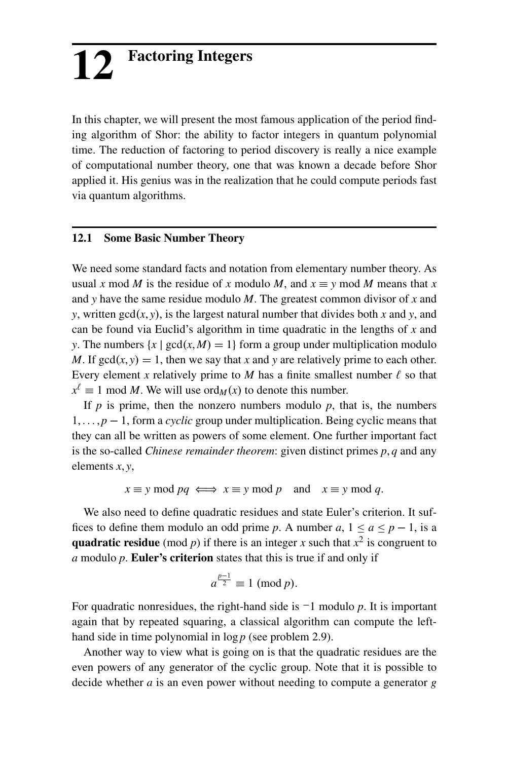# **Factoring Integers**

In this chapter, we will present the most famous application of the period finding algorithm of Shor: the ability to factor integers in quantum polynomial time. The reduction of factoring to period discovery is really a nice example of computational number theory, one that was known a decade before Shor applied it. His genius was in the realization that he could compute periods fast via quantum algorithms.

## 12.1 Some Basic Number Theory

We need some standard facts and notation from elementary number theory. As usual *x* mod *M* is the residue of *x* modulo *M*, and  $x \equiv y \mod M$  means that *x* and *y* have the same residue modulo *M*. The greatest common divisor of *x* and *y*, written  $gcd(x, y)$ , is the largest natural number that divides both *x* and *y*, and can be found via Euclid's algorithm in time quadratic in the lengths of *x* and *y*. The numbers  $\{x \mid \gcd(x, M) = 1\}$  form a group under multiplication modulo *M*. If  $gcd(x, y) = 1$ , then we say that *x* and *y* are relatively prime to each other. Every element *x* relatively prime to  $M$  has a finite smallest number  $\ell$  so that  $x^{\ell} \equiv 1 \text{ mod } M$ . We will use ord<sub>*M*</sub>(*x*) to denote this number.

If  $p$  is prime, then the nonzero numbers modulo  $p$ , that is, the numbers 1, ... , *p* − 1, form a *cyclic* group under multiplication. Being cyclic means that they can all be written as powers of some element. One further important fact is the so-called *Chinese remainder theorem*: given distinct primes *p*, *q* and any elements *x*, *y*,

 $x \equiv y \mod pq \iff x \equiv y \mod p \text{ and } x \equiv y \mod q.$ 

We also need to define quadratic residues and state Euler's criterion. It suffices to define them modulo an odd prime *p*. A number  $a, 1 \le a \le p - 1$ , is a **quadratic residue** (mod *p*) if there is an integer *x* such that  $x^2$  is congruent to *a* modulo *p*. Euler's criterion states that this is true if and only if

$$
a^{\frac{p-1}{2}} \equiv 1 \pmod{p}.
$$

For quadratic nonresidues, the right-hand side is −1 modulo *p*. It is important again that by repeated squaring, a classical algorithm can compute the lefthand side in time polynomial in  $\log p$  (see problem 2.9).

Another way to view what is going on is that the quadratic residues are the even powers of any generator of the cyclic group. Note that it is possible to decide whether *a* is an even power without needing to compute a generator *g*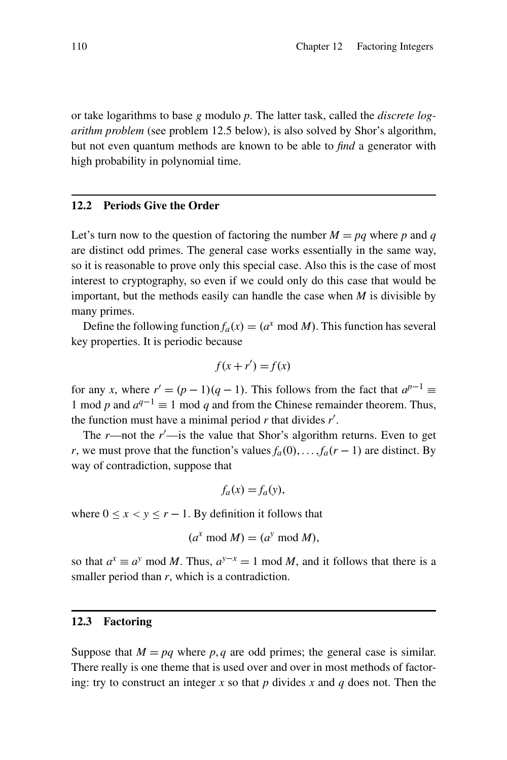or take logarithms to base *g* modulo *p*. The latter task, called the *discrete logarithm problem* (see problem 12.5 below), is also solved by Shor's algorithm, but not even quantum methods are known to be able to *find* a generator with high probability in polynomial time.

## 12.2 Periods Give the Order

Let's turn now to the question of factoring the number  $M = pq$  where p and q are distinct odd primes. The general case works essentially in the same way, so it is reasonable to prove only this special case. Also this is the case of most interest to cryptography, so even if we could only do this case that would be important, but the methods easily can handle the case when *M* is divisible by many primes.

Define the following function  $f_a(x) = (a^x \mod M)$ . This function has several key properties. It is periodic because

$$
f(x+r') = f(x)
$$

for any *x*, where  $r' = (p - 1)(q - 1)$ . This follows from the fact that  $a^{p-1} \equiv$ 1 mod *p* and  $a^{q-1} \equiv 1$  mod *q* and from the Chinese remainder theorem. Thus, the function must have a minimal period *r* that divides *r* .

The  $r$ —not the  $r'$ —is the value that Shor's algorithm returns. Even to get *r*, we must prove that the function's values  $f_a(0), \ldots, f_a(r-1)$  are distinct. By way of contradiction, suppose that

$$
f_a(x) = f_a(y),
$$

where  $0 \le x \le y \le r - 1$ . By definition it follows that

$$
(a^x \bmod M) = (a^y \bmod M),
$$

so that  $a^x \equiv a^y \mod M$ . Thus,  $a^{y-x} = 1 \mod M$ , and it follows that there is a smaller period than *r*, which is a contradiction.

#### 12.3 Factoring

Suppose that  $M = pq$  where  $p, q$  are odd primes; the general case is similar. There really is one theme that is used over and over in most methods of factoring: try to construct an integer *x* so that *p* divides *x* and *q* does not. Then the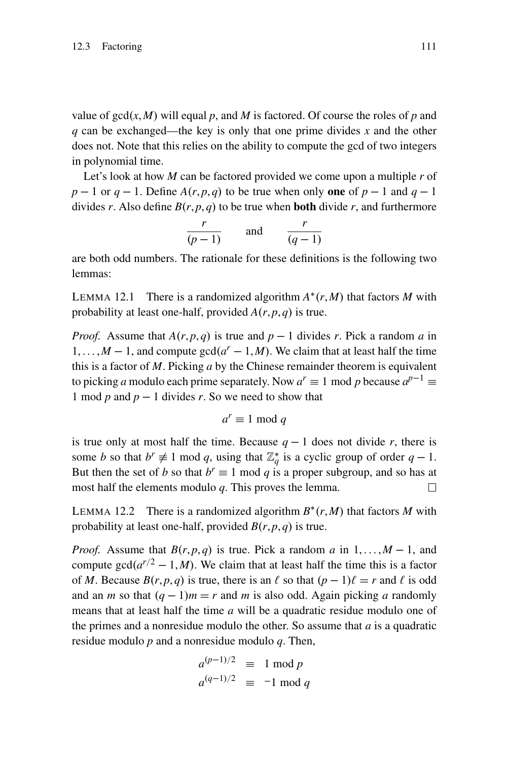value of  $gcd(x, M)$  will equal p, and M is factored. Of course the roles of p and *q* can be exchanged—the key is only that one prime divides *x* and the other does not. Note that this relies on the ability to compute the gcd of two integers in polynomial time.

Let's look at how *M* can be factored provided we come upon a multiple *r* of  $p-1$  or  $q-1$ . Define  $A(r, p, q)$  to be true when only **one** of  $p-1$  and  $q-1$ divides *r*. Also define  $B(r, p, q)$  to be true when **both** divide *r*, and furthermore

$$
\frac{r}{(p-1)} \qquad \text{and} \qquad \frac{r}{(q-1)}
$$

are both odd numbers. The rationale for these definitions is the following two lemmas:

LEMMA 12.1 There is a randomized algorithm  $A^*(r, M)$  that factors M with probability at least one-half, provided  $A(r, p, q)$  is true.

*Proof.* Assume that  $A(r, p, q)$  is true and  $p - 1$  divides *r*. Pick a random *a* in  $1, \ldots, M-1$ , and compute  $gcd(a^r-1, M)$ . We claim that at least half the time this is a factor of *M*. Picking *a* by the Chinese remainder theorem is equivalent to picking *a* modulo each prime separately. Now  $a^r \equiv 1 \text{ mod } p$  because  $a^{p-1} \equiv$ 1 mod *p* and *p* − 1 divides *r*. So we need to show that

$$
a^r \equiv 1 \bmod q
$$

is true only at most half the time. Because  $q - 1$  does not divide *r*, there is some *b* so that  $b^r \neq 1$  mod *q*, using that  $\mathbb{Z}_q^*$  is a cyclic group of order  $q - 1$ . But then the set of *b* so that  $b^r \equiv 1 \mod q$  is a proper subgroup, and so has at most half the elements modulo *q*. This proves the lemma.  $\Box$ 

LEMMA 12.2 There is a randomized algorithm  $B^*(r, M)$  that factors M with probability at least one-half, provided  $B(r, p, q)$  is true.

*Proof.* Assume that  $B(r, p, q)$  is true. Pick a random *a* in 1, ...,  $M - 1$ , and compute  $gcd(a^{r/2} - 1, M)$ . We claim that at least half the time this is a factor of *M*. Because  $B(r, p, q)$  is true, there is an  $\ell$  so that  $(p - 1)\ell = r$  and  $\ell$  is odd and an *m* so that  $(q - 1)m = r$  and *m* is also odd. Again picking *a* randomly means that at least half the time *a* will be a quadratic residue modulo one of the primes and a nonresidue modulo the other. So assume that *a* is a quadratic residue modulo *p* and a nonresidue modulo *q*. Then,

$$
a^{(p-1)/2} \equiv 1 \mod p
$$
  

$$
a^{(q-1)/2} \equiv -1 \mod q
$$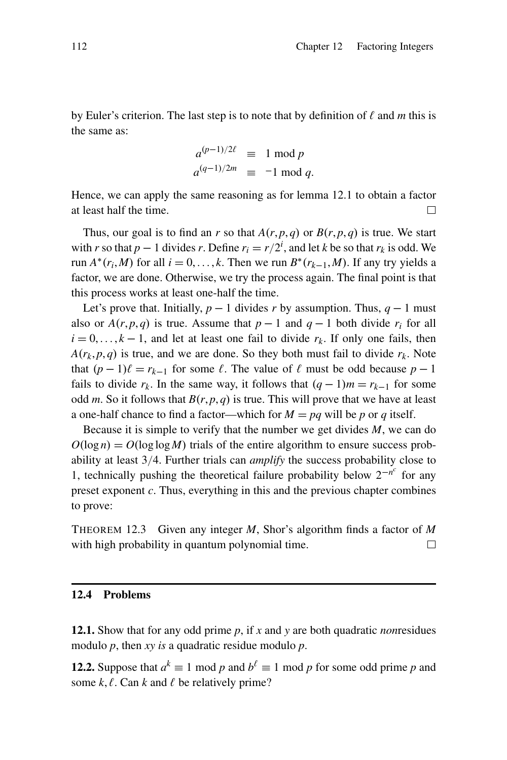by Euler's criterion. The last step is to note that by definition of  $\ell$  and  $m$  this is the same as:

$$
a^{(p-1)/2\ell} \equiv 1 \mod p
$$
  

$$
a^{(q-1)/2m} \equiv -1 \mod q.
$$

Hence, we can apply the same reasoning as for lemma 12.1 to obtain a factor at least half the time.  $\Box$ 

Thus, our goal is to find an *r* so that  $A(r, p, q)$  or  $B(r, p, q)$  is true. We start with *r* so that  $p - 1$  divides *r*. Define  $r_i = r/2^i$ , and let *k* be so that  $r_k$  is odd. We run  $A^*(r_i, M)$  for all  $i = 0, \ldots, k$ . Then we run  $B^*(r_{k-1}, M)$ . If any try yields a factor, we are done. Otherwise, we try the process again. The final point is that this process works at least one-half the time.

Let's prove that. Initially,  $p - 1$  divides  $r$  by assumption. Thus,  $q - 1$  must also or  $A(r, p, q)$  is true. Assume that  $p - 1$  and  $q - 1$  both divide  $r_i$  for all  $i = 0, \ldots, k - 1$ , and let at least one fail to divide  $r_k$ . If only one fails, then  $A(r_k, p, q)$  is true, and we are done. So they both must fail to divide  $r_k$ . Note that  $(p-1)\ell = r_{k-1}$  for some  $\ell$ . The value of  $\ell$  must be odd because  $p-1$ fails to divide  $r_k$ . In the same way, it follows that  $(q - 1)m = r_{k-1}$  for some odd *m*. So it follows that  $B(r, p, q)$  is true. This will prove that we have at least a one-half chance to find a factor—which for  $M = pq$  will be p or q itself.

Because it is simple to verify that the number we get divides *M*, we can do  $O(\log n) = O(\log \log M)$  trials of the entire algorithm to ensure success probability at least 3/4. Further trials can *amplify* the success probability close to 1, technically pushing the theoretical failure probability below  $2^{-n^c}$  for any preset exponent *c*. Thus, everything in this and the previous chapter combines to prove:

THEOREM 12.3 Given any integer *M*, Shor's algorithm finds a factor of *M* with high probability in quantum polynomial time.  $\Box$ 

### 12.4 Problems

12.1. Show that for any odd prime *p*, if *x* and *y* are both quadratic *non*residues modulo *p*, then *xy is* a quadratic residue modulo *p*.

**12.2.** Suppose that  $a^k \equiv 1 \mod p$  and  $b^{\ell} \equiv 1 \mod p$  for some odd prime *p* and some  $k, \ell$ . Can  $k$  and  $\ell$  be relatively prime?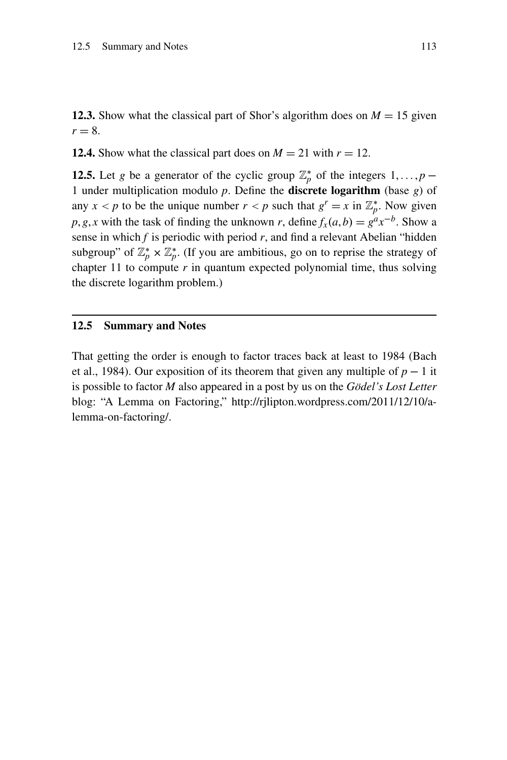**12.3.** Show what the classical part of Shor's algorithm does on  $M = 15$  given  $r = 8$ .

**12.4.** Show what the classical part does on  $M = 21$  with  $r = 12$ .

12.5. Let *g* be a generator of the cyclic group  $\mathbb{Z}_p^*$  of the integers  $1, \ldots, p - p$ 1 under multiplication modulo *p*. Define the discrete logarithm (base *g*) of any  $x < p$  to be the unique number  $r < p$  such that  $g^r = x$  in  $\mathbb{Z}_p^*$ . Now given *p*, *g*, *x* with the task of finding the unknown *r*, define  $f_x(a, b) = g^a x^{-b}$ . Show a sense in which  $f$  is periodic with period  $r$ , and find a relevant Abelian "hidden" subgroup" of  $\mathbb{Z}_p^* \times \mathbb{Z}_p^*$ . (If you are ambitious, go on to reprise the strategy of chapter 11 to compute *r* in quantum expected polynomial time, thus solving the discrete logarithm problem.)

### 12.5 Summary and Notes

That getting the order is enough to factor traces back at least to 1984 (Bach et al., 1984). Our exposition of its theorem that given any multiple of  $p - 1$  it is possible to factor *M* also appeared in a post by us on the *Godel's Lost Letter ¨* blog: "A Lemma on Factoring," http://rjlipton.wordpress.com/2011/12/10/alemma-on-factoring/.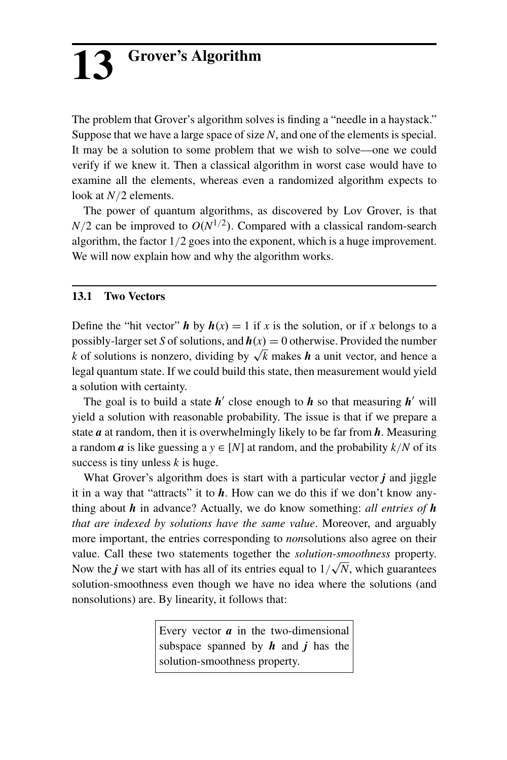# **Grover's Algorithm**

The problem that Grover's algorithm solves is finding a "needle in a haystack." Suppose that we have a large space of size *N*, and one of the elements is special. It may be a solution to some problem that we wish to solve—one we could verify if we knew it. Then a classical algorithm in worst case would have to examine all the elements, whereas even a randomized algorithm expects to look at *N*/2 elements.

The power of quantum algorithms, as discovered by Lov Grover, is that  $N/2$  can be improved to  $O(N^{1/2})$ . Compared with a classical random-search algorithm, the factor 1/2 goes into the exponent, which is a huge improvement. We will now explain how and why the algorithm works.

## 13.1 Two Vectors

Define the "hit vector" **h** by  $h(x) = 1$  if x is the solution, or if x belongs to a possibly-larger set *S* of solutions, and  $h(x) = 0$  otherwise. Provided the number *k* of solutions is nonzero, dividing by  $\sqrt{k}$  makes *h* a unit vector, and hence a legal quantum state. If we could build this state, then measurement would yield a solution with certainty.

The goal is to build a state  $h'$  close enough to  $h$  so that measuring  $h'$  will yield a solution with reasonable probability. The issue is that if we prepare a state *a* at random, then it is overwhelmingly likely to be far from *h*. Measuring a random *a* is like guessing a  $y \in [N]$  at random, and the probability  $k/N$  of its success is tiny unless *k* is huge.

What Grover's algorithm does is start with a particular vector *j* and jiggle it in a way that "attracts" it to *h*. How can we do this if we don't know anything about *h* in advance? Actually, we do know something: *all entries of h that are indexed by solutions have the same value*. Moreover, and arguably more important, the entries corresponding to *non*solutions also agree on their value. Call these two statements together the *solution-smoothness* property. Now the *j* we start with has all of its entries equal to  $1/\sqrt{N}$ , which guarantees solution-smoothness even though we have no idea where the solutions (and nonsolutions) are. By linearity, it follows that:

> Every vector  $a$  in the two-dimensional subspace spanned by  $h$  and  $j$  has the solution-smoothness property.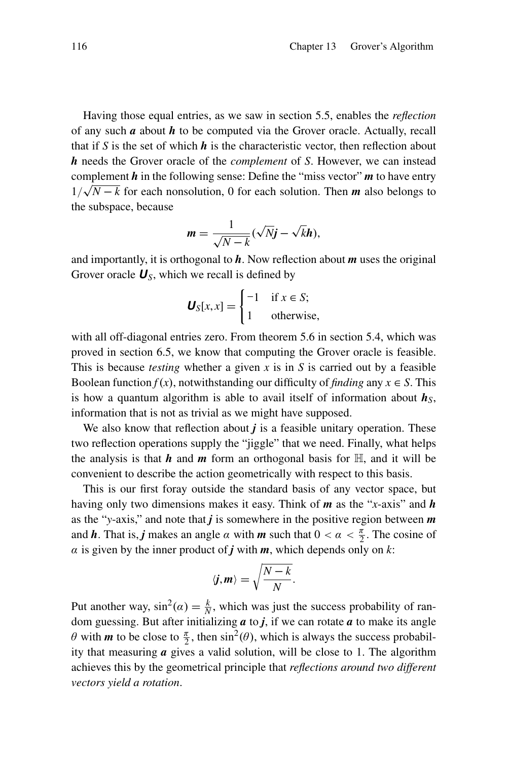Having those equal entries, as we saw in section 5.5, enables the *reflection* of any such *a* about *h* to be computed via the Grover oracle. Actually, recall that if *S* is the set of which  $h$  is the characteristic vector, then reflection about *h* needs the Grover oracle of the *complement* of *S*. However, we can instead complement *h* in the following sense: Define the "miss vector" *m* to have entry  $1/\sqrt{N-k}$  for each nonsolution, 0 for each solution. Then *m* also belongs to the subspace, because

$$
m=\frac{1}{\sqrt{N-k}}(\sqrt{N}j-\sqrt{k}h),
$$

and importantly, it is orthogonal to *h*. Now reflection about *m* uses the original Grover oracle  $U_s$ , which we recall is defined by

$$
\boldsymbol{U}_{S}[x,x] = \begin{cases} -1 & \text{if } x \in S; \\ 1 & \text{otherwise,} \end{cases}
$$

with all off-diagonal entries zero. From theorem 5.6 in section 5.4, which was proved in section 6.5, we know that computing the Grover oracle is feasible. This is because *testing* whether a given *x* is in *S* is carried out by a feasible Boolean function  $f(x)$ , notwithstanding our difficulty of *finding* any  $x \in S$ . This is how a quantum algorithm is able to avail itself of information about *hS*, information that is not as trivial as we might have supposed.

We also know that reflection about  $j$  is a feasible unitary operation. These two reflection operations supply the "jiggle" that we need. Finally, what helps the analysis is that  $h$  and  $m$  form an orthogonal basis for  $H$ , and it will be convenient to describe the action geometrically with respect to this basis.

This is our first foray outside the standard basis of any vector space, but having only two dimensions makes it easy. Think of *m* as the "*x*-axis" and *h* as the "*y*-axis," and note that *j* is somewhere in the positive region between *m* and *h*. That is, *j* makes an angle  $\alpha$  with *m* such that  $0 < \alpha < \frac{\pi}{2}$ . The cosine of  $\alpha$  is given by the inner product of *j* with *m*, which depends only on *k*:

$$
\langle \mathbf{j}, \mathbf{m} \rangle = \sqrt{\frac{N-k}{N}}.
$$

Put another way,  $\sin^2(\alpha) = \frac{k}{N}$ , which was just the success probability of random guessing. But after initializing  $a$  to  $j$ , if we can rotate  $a$  to make its angle  $\theta$  with *m* to be close to  $\frac{\pi}{2}$ , then sin<sup>2</sup>( $\theta$ ), which is always the success probability that measuring *a* gives a valid solution, will be close to 1. The algorithm achieves this by the geometrical principle that *reflections around two different vectors yield a rotation*.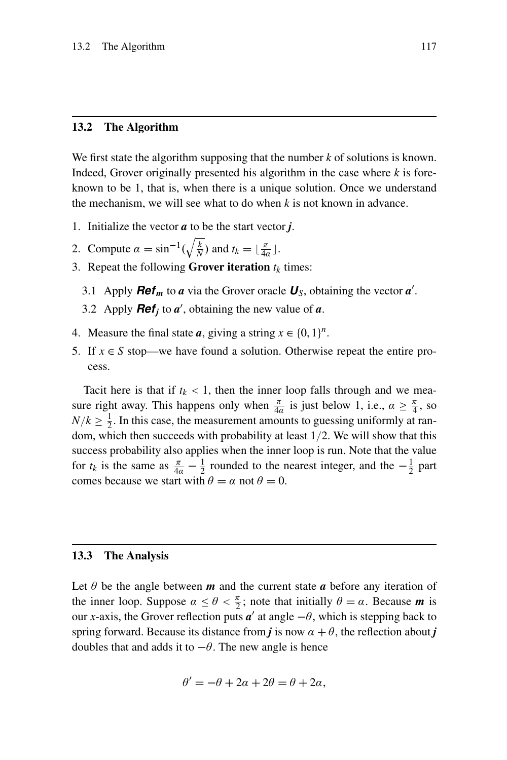## 13.2 The Algorithm

We first state the algorithm supposing that the number *k* of solutions is known. Indeed, Grover originally presented his algorithm in the case where *k* is foreknown to be 1, that is, when there is a unique solution. Once we understand the mechanism, we will see what to do when *k* is not known in advance.

- 1. Initialize the vector  $a$  to be the start vector  $j$ .
- 2. Compute  $\alpha = \sin^{-1}(\sqrt{\frac{k}{N}})$  and  $t_k = \lfloor \frac{\pi}{4\alpha} \rfloor$ .
- 3. Repeat the following **Grover iteration**  $t_k$  times:
	- 3.1 Apply  $\text{Ref}_m$  to  $a$  via the Grover oracle  $U_s$ , obtaining the vector  $a'$ .
	- 3.2 Apply  $\text{Ref}_i$  to  $a'$ , obtaining the new value of  $a$ .
- 4. Measure the final state  $a$ , giving a string  $x \in \{0, 1\}^n$ .
- 5. If  $x \in S$  stop—we have found a solution. Otherwise repeat the entire process.

Tacit here is that if  $t_k < 1$ , then the inner loop falls through and we measure right away. This happens only when  $\frac{\pi}{4\alpha}$  is just below 1, i.e.,  $\alpha \ge \frac{\pi}{4}$ , so  $N/k \geq \frac{1}{2}$ . In this case, the measurement amounts to guessing uniformly at random, which then succeeds with probability at least 1/2. We will show that this success probability also applies when the inner loop is run. Note that the value for  $t_k$  is the same as  $\frac{\pi}{4a} - \frac{1}{2}$  rounded to the nearest integer, and the  $-\frac{1}{2}$  part comes because we start with  $\theta = \alpha$  not  $\theta = 0$ .

### 13.3 The Analysis

Let  $\theta$  be the angle between  $m$  and the current state  $a$  before any iteration of the inner loop. Suppose  $\alpha \le \theta < \frac{\pi}{2}$ ; note that initially  $\theta = \alpha$ . Because *m* is our *x*-axis, the Grover reflection puts  $a'$  at angle  $-\theta$ , which is stepping back to spring forward. Because its distance from *j* is now  $\alpha + \theta$ , the reflection about *j* doubles that and adds it to  $-θ$ . The new angle is hence

$$
\theta' = -\theta + 2\alpha + 2\theta = \theta + 2\alpha,
$$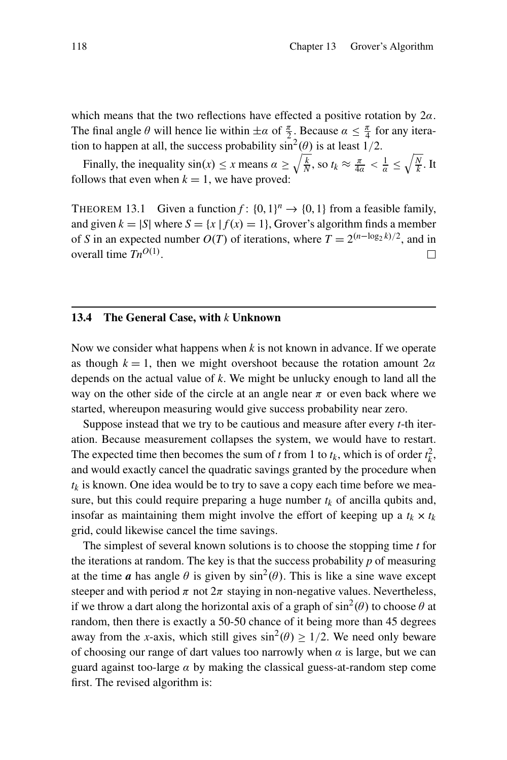which means that the two reflections have effected a positive rotation by  $2\alpha$ . The final angle  $\theta$  will hence lie within  $\pm \alpha$  of  $\frac{\pi}{2}$ . Because  $\alpha \leq \frac{\pi}{4}$  for any iteration to happen at all, the success probability  $sin^2(\theta)$  is at least 1/2.

Finally, the inequality  $sin(x) \le x$  means  $\alpha \ge \sqrt{\frac{k}{N}}$ , so  $t_k \approx \frac{\pi}{4a} < \frac{1}{\alpha} \le \sqrt{\frac{N}{k}}$ . It follows that even when  $k = 1$ , we have proved:

THEOREM 13.1 Given a function  $f: \{0, 1\}^n \to \{0, 1\}$  from a feasible family, and given  $k = |S|$  where  $S = \{x \mid f(x) = 1\}$ , Grover's algorithm finds a member of *S* in an expected number *O*(*T*) of iterations, where  $T = 2^{(n-\log_2 k)/2}$ , and in overall time  $Tn^{O(1)}$ . П

## 13.4 The General Case, with *k* Unknown

Now we consider what happens when *k* is not known in advance. If we operate as though  $k = 1$ , then we might overshoot because the rotation amount  $2\alpha$ depends on the actual value of *k*. We might be unlucky enough to land all the way on the other side of the circle at an angle near  $\pi$  or even back where we started, whereupon measuring would give success probability near zero.

Suppose instead that we try to be cautious and measure after every *t*-th iteration. Because measurement collapses the system, we would have to restart. The expected time then becomes the sum of *t* from 1 to  $t_k$ , which is of order  $t_k^2$ , and would exactly cancel the quadratic savings granted by the procedure when  $t_k$  is known. One idea would be to try to save a copy each time before we measure, but this could require preparing a huge number  $t_k$  of ancilla qubits and, insofar as maintaining them might involve the effort of keeping up a  $t_k \times t_k$ grid, could likewise cancel the time savings.

The simplest of several known solutions is to choose the stopping time *t* for the iterations at random. The key is that the success probability *p* of measuring at the time *a* has angle  $\theta$  is given by  $\sin^2(\theta)$ . This is like a sine wave except steeper and with period  $\pi$  not  $2\pi$  staying in non-negative values. Nevertheless, if we throw a dart along the horizontal axis of a graph of  $\sin^2(\theta)$  to choose  $\theta$  at random, then there is exactly a 50-50 chance of it being more than 45 degrees away from the *x*-axis, which still gives  $\sin^2(\theta) \ge 1/2$ . We need only beware of choosing our range of dart values too narrowly when  $\alpha$  is large, but we can guard against too-large  $\alpha$  by making the classical guess-at-random step come first. The revised algorithm is: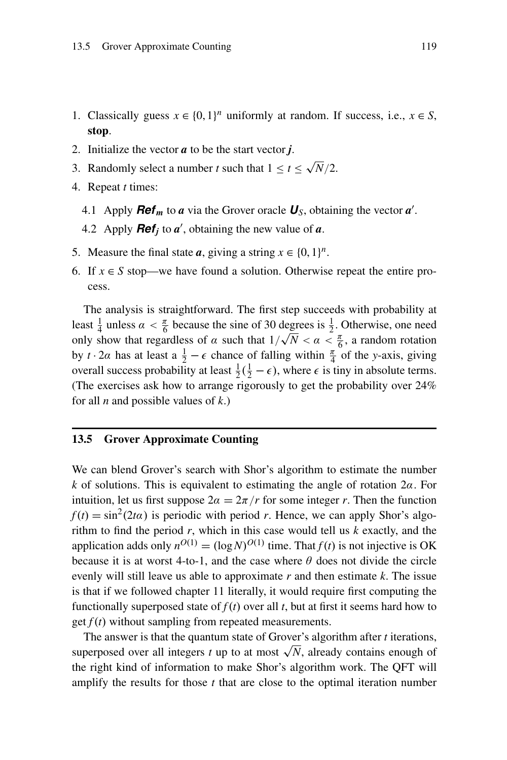- 1. Classically guess  $x \in \{0, 1\}^n$  uniformly at random. If success, i.e.,  $x \in S$ , stop.
- 2. Initialize the vector  $a$  to be the start vector  $j$ .
- 3. Randomly select a number *t* such that  $1 \le t \le \sqrt{N}/2$ .
- 4. Repeat *t* times:
	- 4.1 Apply  $\text{Ref}_m$  to  $a$  via the Grover oracle  $U_s$ , obtaining the vector  $a'$ .
	- 4.2 Apply  $\text{Ref}_j$  to  $a'$ , obtaining the new value of  $a$ .
- 5. Measure the final state  $a$ , giving a string  $x \in \{0, 1\}^n$ .
- 6. If  $x \in S$  stop—we have found a solution. Otherwise repeat the entire process.

The analysis is straightforward. The first step succeeds with probability at least  $\frac{1}{4}$  unless  $\alpha < \frac{\pi}{6}$  because the sine of 30 degrees is  $\frac{1}{2}$ . Otherwise, one need only show that regardless of  $\alpha$  such that  $1/\sqrt{N} < \alpha < \frac{\pi}{6}$ , a random rotation by *t* · 2*α* has at least a  $\frac{1}{2} - \epsilon$  chance of falling within  $\frac{\pi}{4}$  of the *y*-axis, giving overall success probability at least  $\frac{1}{2}(\frac{1}{2} - \epsilon)$ , where  $\epsilon$  is tiny in absolute terms. (The exercises ask how to arrange rigorously to get the probability over 24% for all *n* and possible values of *k*.)

## 13.5 Grover Approximate Counting

We can blend Grover's search with Shor's algorithm to estimate the number *k* of solutions. This is equivalent to estimating the angle of rotation  $2\alpha$ . For intuition, let us first suppose  $2\alpha = 2\pi/r$  for some integer *r*. Then the function  $f(t) = \sin^2(2t\alpha)$  is periodic with period *r*. Hence, we can apply Shor's algorithm to find the period *r*, which in this case would tell us *k* exactly, and the application adds only  $n^{O(1)} = (\log N)^{O(1)}$  time. That  $f(t)$  is not injective is OK because it is at worst 4-to-1, and the case where  $\theta$  does not divide the circle evenly will still leave us able to approximate *r* and then estimate *k*. The issue is that if we followed chapter 11 literally, it would require first computing the functionally superposed state of  $f(t)$  over all *t*, but at first it seems hard how to get  $f(t)$  without sampling from repeated measurements.

The answer is that the quantum state of Grover's algorithm after *t* iterations, superposed over all integers *t* up to at most  $\sqrt{N}$ , already contains enough of the right kind of information to make Shor's algorithm work. The QFT will amplify the results for those *t* that are close to the optimal iteration number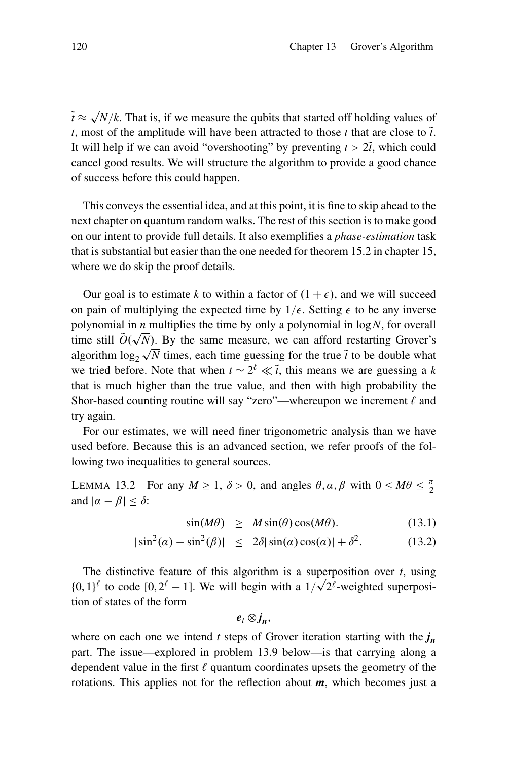$\tilde{t} \approx \sqrt{N/k}$ . That is, if we measure the qubits that started off holding values of *t*, most of the amplitude will have been attracted to those *t* that are close to  $\tilde{t}$ . It will help if we can avoid "overshooting" by preventing  $t > 2t$ <sup>*f*</sup>, which could cancel good results. We will structure the algorithm to provide a good chance of success before this could happen.

This conveys the essential idea, and at this point, it is fine to skip ahead to the next chapter on quantum random walks. The rest of this section is to make good on our intent to provide full details. It also exemplifies a *phase-estimation* task that is substantial but easier than the one needed for theorem 15.2 in chapter 15, where we do skip the proof details.

Our goal is to estimate *k* to within a factor of  $(1 + \epsilon)$ , and we will succeed on pain of multiplying the expected time by  $1/\epsilon$ . Setting  $\epsilon$  to be any inverse polynomial in *n* multiplies the time by only a polynomial in log*N*, for overall time still  $\tilde{O}(\sqrt{N})$ . By the same measure, we can afford restarting Grover's algorithm  $\log_2 \sqrt{N}$  times, each time guessing for the true  $\tilde{t}$  to be double what we tried before. Note that when  $t \sim 2^{\ell} \ll \tilde{t}$ , this means we are guessing a *k* that is much higher than the true value, and then with high probability the Shor-based counting routine will say "zero"—whereupon we increment  $\ell$  and try again.

For our estimates, we will need finer trigonometric analysis than we have used before. Because this is an advanced section, we refer proofs of the following two inequalities to general sources.

LEMMA 13.2 For any  $M \ge 1$ ,  $\delta > 0$ , and angles  $\theta$ ,  $\alpha$ ,  $\beta$  with  $0 \le M\theta \le \frac{\pi}{2}$ and  $|\alpha - \beta| \leq \delta$ :

 $\sin(M\theta) \geq M\sin(\theta)\cos(M\theta).$  (13.1)

$$
|\sin^2(\alpha) - \sin^2(\beta)| \le 2\delta |\sin(\alpha)\cos(\alpha)| + \delta^2. \tag{13.2}
$$

The distinctive feature of this algorithm is a superposition over *t*, using {0, 1}<sup>*e*</sup> to code [0,  $2^{\ell} - 1$ ]. We will begin with a  $1/\sqrt{2^{\ell}}$ -weighted superposition of states of the form

$$
e_t\otimes j_n,
$$

where on each one we intend *t* steps of Grover iteration starting with the  $j_n$ part. The issue—explored in problem 13.9 below—is that carrying along a dependent value in the first  $\ell$  quantum coordinates upsets the geometry of the rotations. This applies not for the reflection about *m*, which becomes just a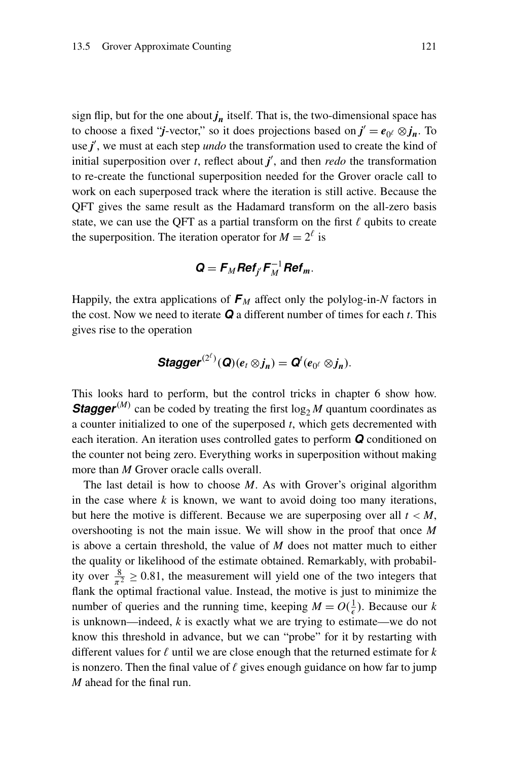sign flip, but for the one about  $j_n$  itself. That is, the two-dimensional space has to choose a fixed "*j*-vector," so it does projections based on  $j' = e_{0^{\ell}} \otimes j_n$ . To use *j'*, we must at each step *undo* the transformation used to create the kind of initial superposition over  $t$ , reflect about  $j'$ , and then *redo* the transformation to re-create the functional superposition needed for the Grover oracle call to work on each superposed track where the iteration is still active. Because the QFT gives the same result as the Hadamard transform on the all-zero basis state, we can use the QFT as a partial transform on the first  $\ell$  qubits to create the superposition. The iteration operator for  $M = 2^{\ell}$  is

$$
\mathbf{Q} = \boldsymbol{F}_M \boldsymbol{Ref}_j \boldsymbol{F}_M^{-1} \boldsymbol{Ref}_m.
$$

Happily, the extra applications of  $F_M$  affect only the polylog-in-*N* factors in the cost. Now we need to iterate *Q* a different number of times for each *t*. This gives rise to the operation

**Stagger**<sup>(2<sup>l</sup>)</sup>(**Q**)(
$$
e_t \otimes j_n
$$
) = **Q**<sup>*t*</sup>( $e_{0l} \otimes j_n$ ).

This looks hard to perform, but the control tricks in chapter 6 show how. **Stagger**<sup>(*M*)</sup> can be coded by treating the first  $\log_2 M$  quantum coordinates as a counter initialized to one of the superposed *t*, which gets decremented with each iteration. An iteration uses controlled gates to perform *Q* conditioned on the counter not being zero. Everything works in superposition without making more than *M* Grover oracle calls overall.

The last detail is how to choose *M*. As with Grover's original algorithm in the case where  $k$  is known, we want to avoid doing too many iterations, but here the motive is different. Because we are superposing over all  $t < M$ , overshooting is not the main issue. We will show in the proof that once *M* is above a certain threshold, the value of *M* does not matter much to either the quality or likelihood of the estimate obtained. Remarkably, with probability over  $\frac{8}{\pi^2} \ge 0.81$ , the measurement will yield one of the two integers that flank the optimal fractional value. Instead, the motive is just to minimize the number of queries and the running time, keeping  $M = O(\frac{1}{\epsilon})$ . Because our *k* is unknown—indeed, *k* is exactly what we are trying to estimate—we do not know this threshold in advance, but we can "probe" for it by restarting with different values for  $\ell$  until we are close enough that the returned estimate for  $k$ is nonzero. Then the final value of  $\ell$  gives enough guidance on how far to jump *M* ahead for the final run.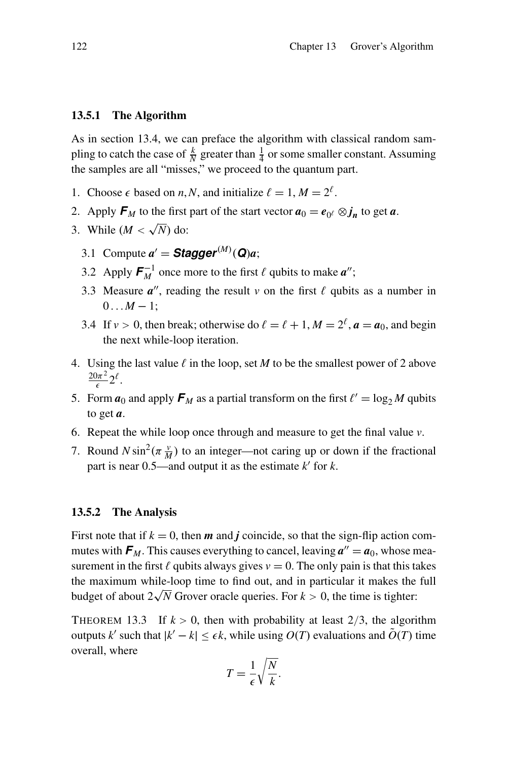### 13.5.1 The Algorithm

As in section 13.4, we can preface the algorithm with classical random sampling to catch the case of  $\frac{k}{N}$  greater than  $\frac{1}{4}$  or some smaller constant. Assuming the samples are all "misses," we proceed to the quantum part.

- 1. Choose  $\epsilon$  based on *n*,*N*, and initialize  $\ell = 1, M = 2^{\ell}$ .
- 2. Apply  $\mathbf{F}_M$  to the first part of the start vector  $\mathbf{a}_0 = \mathbf{e}_{0^{\ell}} \otimes \mathbf{j}_n$  to get  $\mathbf{a}$ .
- 3. While  $(M < \sqrt{N})$  do:
	- 3.1 Compute  $a' = Stagger^{(M)}(Q)a;$
	- 3.2 Apply  $\mathbf{F}_M^{-1}$  once more to the first  $\ell$  qubits to make  $\mathbf{a}''$ ;
	- 3.3 Measure  $a''$ , reading the result  $v$  on the first  $\ell$  qubits as a number in  $0...M-1;$
	- 3.4 If  $v > 0$ , then break; otherwise do  $\ell = \ell + 1$ ,  $M = 2^{\ell}$ ,  $a = a_0$ , and begin the next while-loop iteration.
- 4. Using the last value  $\ell$  in the loop, set M to be the smallest power of 2 above  $\frac{20\pi^2}{\epsilon}2^{\ell}.$
- 5. Form  $a_0$  and apply  $F_M$  as a partial transform on the first  $\ell' = \log_2 M$  qubits to get *a*.
- 6. Repeat the while loop once through and measure to get the final value *v*.
- 7. Round  $N \sin^2(\pi \frac{v}{M})$  to an integer—not caring up or down if the fractional part is near  $0.5$ —and output it as the estimate  $k'$  for  $k$ .

## 13.5.2 The Analysis

First note that if  $k = 0$ , then **m** and **j** coincide, so that the sign-flip action commutes with  $\boldsymbol{F}_M$ . This causes everything to cancel, leaving  $a'' = a_0$ , whose measurement in the first  $\ell$  qubits always gives  $v = 0$ . The only pain is that this takes the maximum while-loop time to find out, and in particular it makes the full budget of about  $2\sqrt{N}$  Grover oracle queries. For  $k > 0$ , the time is tighter:

THEOREM 13.3 If  $k > 0$ , then with probability at least  $2/3$ , the algorithm outputs *k'* such that  $|k' - k| < \epsilon k$ , while using *O*(*T*) evaluations and  $O(T)$  time overall, where

$$
T = \frac{1}{\epsilon} \sqrt{\frac{N}{k}}.
$$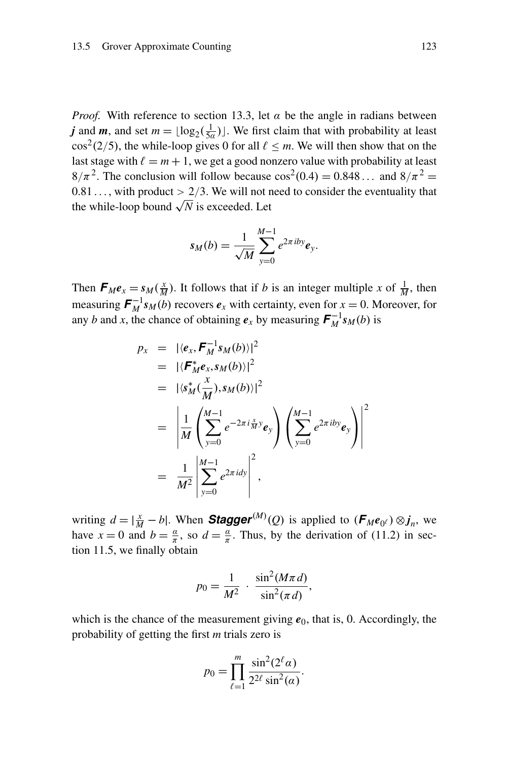*Proof.* With reference to section 13.3, let  $\alpha$  be the angle in radians between *j* and *m*, and set  $m = \lfloor \log_2(\frac{1}{5a}) \rfloor$ . We first claim that with probability at least  $cos<sup>2</sup>(2/5)$ , the while-loop gives 0 for all  $\ell \leq m$ . We will then show that on the last stage with  $\ell = m + 1$ , we get a good nonzero value with probability at least  $8/\pi^2$ . The conclusion will follow because  $\cos^2(0.4) = 0.848...$  and  $8/\pi^2 =$  $0.81\dots$ , with product  $> 2/3$ . We will not need to consider the eventuality that the while-loop bound  $\sqrt{N}$  is exceeded. Let

$$
s_M(b) = \frac{1}{\sqrt{M}} \sum_{y=0}^{M-1} e^{2\pi i b y} e_y.
$$

Then  $\mathbf{F}_M \mathbf{e}_x = \mathbf{s}_M(\frac{x}{M})$ . It follows that if *b* is an integer multiple *x* of  $\frac{1}{M}$ , then measuring  $\mathbf{F}_M^{-1} s_M(b)$  recovers  $e_x$  with certainty, even for  $x = 0$ . Moreover, for any *b* and *x*, the chance of obtaining  $e_x$  by measuring  $F_M^{-1} s_M(b)$  is

$$
p_{x} = |\langle e_{x}, \mathbf{F}_{M}^{-1} s_{M}(b)\rangle|^{2}
$$
  
\n
$$
= |\langle \mathbf{F}_{M}^{*} e_{x}, s_{M}(b)\rangle|^{2}
$$
  
\n
$$
= |\langle s_{M}^{*} (\frac{x}{M}), s_{M}(b)\rangle|^{2}
$$
  
\n
$$
= \left| \frac{1}{M} \left( \sum_{y=0}^{M-1} e^{-2\pi i \frac{x}{M} y} e_{y} \right) \left( \sum_{y=0}^{M-1} e^{2\pi i b y} e_{y} \right) \right|^{2}
$$
  
\n
$$
= \frac{1}{M^{2}} \left| \sum_{y=0}^{M-1} e^{2\pi i d y} \right|^{2},
$$

writing  $d = |\frac{x}{M} - b|$ . When **Stagger**<sup>(*M*</sup>)(*Q*) is applied to  $(F_M e_{0^{\ell}}) \otimes j_n$ , we have  $x = 0$  and  $b = \frac{a}{\pi}$ , so  $d = \frac{a}{\pi}$ . Thus, by the derivation of (11.2) in section 11.5, we finally obtain

$$
p_0 = \frac{1}{M^2} \cdot \frac{\sin^2(M\pi d)}{\sin^2(\pi d)},
$$

which is the chance of the measurement giving  $e_0$ , that is, 0. Accordingly, the probability of getting the first *m* trials zero is

$$
p_0 = \prod_{\ell=1}^m \frac{\sin^2(2^{\ell}\alpha)}{2^{2\ell}\sin^2(\alpha)}.
$$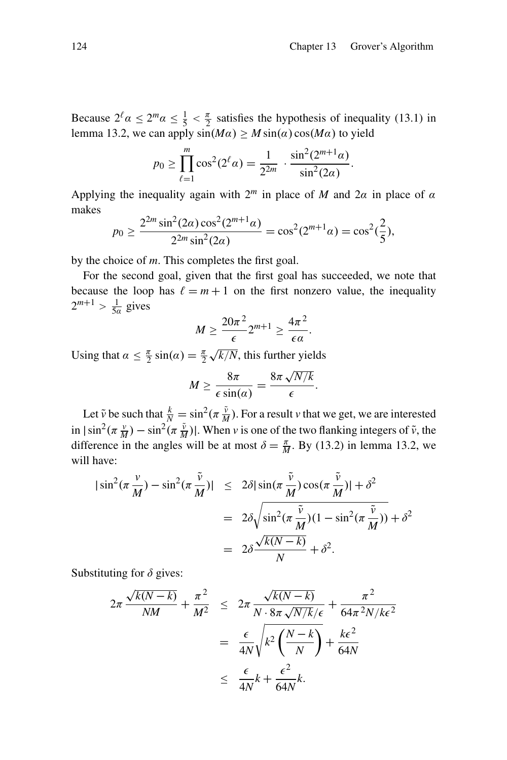Because  $2^{\ell} \alpha \leq 2^m \alpha \leq \frac{1}{5} < \frac{\pi}{2}$  satisfies the hypothesis of inequality (13.1) in lemma 13.2, we can apply  $sin(M\alpha) \geq M sin(\alpha) cos(M\alpha)$  to yield

$$
p_0 \ge \prod_{\ell=1}^m \cos^2(2^{\ell}\alpha) = \frac{1}{2^{2m}} \cdot \frac{\sin^2(2^{m+1}\alpha)}{\sin^2(2\alpha)}.
$$

Applying the inequality again with  $2^m$  in place of *M* and  $2\alpha$  in place of  $\alpha$ makes

$$
p_0 \ge \frac{2^{2m} \sin^2(2\alpha) \cos^2(2^{m+1}\alpha)}{2^{2m} \sin^2(2\alpha)} = \cos^2(2^{m+1}\alpha) = \cos^2(\frac{2}{5}),
$$

by the choice of *m*. This completes the first goal.

For the second goal, given that the first goal has succeeded, we note that because the loop has  $\ell = m + 1$  on the first nonzero value, the inequality  $2^{m+1} > \frac{1}{5\alpha}$  gives

$$
M \geq \frac{20\pi^2}{\epsilon} 2^{m+1} \geq \frac{4\pi^2}{\epsilon \alpha}.
$$

Using that  $\alpha \leq \frac{\pi}{2} \sin(\alpha) = \frac{\pi}{2} \sqrt{k/N}$ , this further yields

$$
M \geq \frac{8\pi}{\epsilon \sin(\alpha)} = \frac{8\pi \sqrt{N/k}}{\epsilon}.
$$

Let  $\tilde{v}$  be such that  $\frac{k}{N} = \sin^2(\pi \frac{\tilde{v}}{M})$ . For a result *v* that we get, we are interested  $\sin |\sin^2(\pi \frac{v}{M}) - \sin^2(\pi \frac{\tilde{v}}{M})|$ . When *v* is one of the two flanking integers of  $\tilde{v}$ , the difference in the angles will be at most  $\delta = \frac{\pi}{M}$ . By (13.2) in lemma 13.2, we will have:

$$
|\sin^2(\pi \frac{v}{M}) - \sin^2(\pi \frac{\tilde{v}}{M})| \le 2\delta |\sin(\pi \frac{\tilde{v}}{M}) \cos(\pi \frac{\tilde{v}}{M})| + \delta^2
$$
  
=  $2\delta \sqrt{\sin^2(\pi \frac{\tilde{v}}{M})(1 - \sin^2(\pi \frac{\tilde{v}}{M}))} + \delta^2$   
=  $2\delta \frac{\sqrt{k(N-k)}}{N} + \delta^2$ .

Substituting for  $\delta$  gives:

$$
2\pi \frac{\sqrt{k(N-k)}}{NM} + \frac{\pi^2}{M^2} \le 2\pi \frac{\sqrt{k(N-k)}}{N \cdot 8\pi \sqrt{N/k}/\epsilon} + \frac{\pi^2}{64\pi^2 N/k\epsilon^2}
$$

$$
= \frac{\epsilon}{4N} \sqrt{k^2 \left(\frac{N-k}{N}\right)} + \frac{k\epsilon^2}{64N}
$$

$$
\le \frac{\epsilon}{4N} k + \frac{\epsilon^2}{64N} k.
$$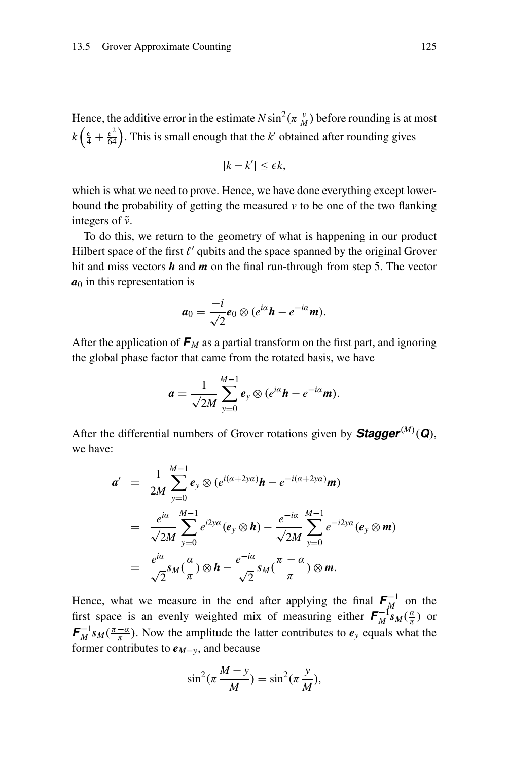Hence, the additive error in the estimate  $N \sin^2(\pi \frac{v}{M})$  before rounding is at most  $k\left(\frac{\epsilon}{4} + \frac{\epsilon^2}{64}\right)$ . This is small enough that the *k'* obtained after rounding gives

$$
|k - k'| \le \epsilon k,
$$

which is what we need to prove. Hence, we have done everything except lowerbound the probability of getting the measured  $\nu$  to be one of the two flanking integers of  $\tilde{v}$ .

To do this, we return to the geometry of what is happening in our product Hilbert space of the first  $\ell'$  qubits and the space spanned by the original Grover hit and miss vectors  $h$  and  $m$  on the final run-through from step 5. The vector  $a_0$  in this representation is

$$
a_0=\frac{-i}{\sqrt{2}}e_0\otimes(e^{i\alpha}\mathbf{h}-e^{-i\alpha}\mathbf{m}).
$$

After the application of  $F_M$  as a partial transform on the first part, and ignoring the global phase factor that came from the rotated basis, we have

$$
a=\frac{1}{\sqrt{2M}}\sum_{y=0}^{M-1}e_y\otimes(e^{i\alpha}h-e^{-i\alpha}m).
$$

After the differential numbers of Grover rotations given by *Stagger*(*M*) (*Q*), we have:

$$
a' = \frac{1}{2M} \sum_{y=0}^{M-1} e_y \otimes (e^{i(\alpha+2ya)}h - e^{-i(\alpha+2ya)}m)
$$
  
= 
$$
\frac{e^{ia}}{\sqrt{2M}} \sum_{y=0}^{M-1} e^{i2ya} (e_y \otimes h) - \frac{e^{-ia}}{\sqrt{2M}} \sum_{y=0}^{M-1} e^{-i2ya} (e_y \otimes m)
$$
  
= 
$$
\frac{e^{ia}}{\sqrt{2}} s_M(\frac{\alpha}{\pi}) \otimes h - \frac{e^{-ia}}{\sqrt{2}} s_M(\frac{\pi - \alpha}{\pi}) \otimes m.
$$

Hence, what we measure in the end after applying the final  $\mathbf{F}_{M}^{-1}$  on the first space is an evenly weighted mix of measuring either  $\mathbf{F}_{M}^{-1} \hat{s}_{M}(\frac{a}{\pi})$  or  $$ former contributes to  $e_{M-y}$ , and because

$$
\sin^2(\pi \frac{M-y}{M}) = \sin^2(\pi \frac{y}{M}),
$$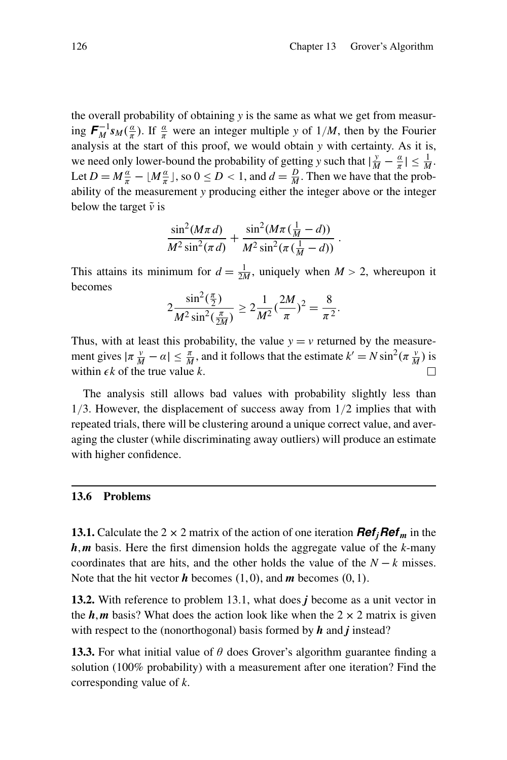the overall probability of obtaining *y* is the same as what we get from measuring  $\mathbf{F}_M^{-1} s_M(\frac{a}{\pi})$ . If  $\frac{a}{\pi}$  were an integer multiple *y* of  $1/M$ , then by the Fourier analysis at the start of this proof, we would obtain *y* with certainty. As it is, we need only lower-bound the probability of getting *y* such that  $|\frac{y}{M} - \frac{\alpha}{\pi}| \leq \frac{1}{M}$ . Let  $D = M \frac{\alpha}{\pi} - \lfloor M \frac{\alpha}{\pi} \rfloor$ , so  $0 \le D < 1$ , and  $d = \frac{D}{M}$ . Then we have that the probability of the measurement *y* producing either the integer above or the integer below the target  $\tilde{v}$  is

$$
\frac{\sin^2(M\pi d)}{M^2\sin^2(\pi d)} + \frac{\sin^2(M\pi(\frac{1}{M}-d))}{M^2\sin^2(\pi(\frac{1}{M}-d))}.
$$

This attains its minimum for  $d = \frac{1}{2M}$ , uniquely when  $M > 2$ , whereupon it becomes

$$
2\frac{\sin^2(\frac{\pi}{2})}{M^2\sin^2(\frac{\pi}{2M})} \ge 2\frac{1}{M^2}(\frac{2M}{\pi})^2 = \frac{8}{\pi^2}.
$$

Thus, with at least this probability, the value  $y = v$  returned by the measurement gives  $|\pi \frac{v}{M} - \alpha| \leq \frac{\pi}{M}$ , and it follows that the estimate  $k' = N \sin^2(\pi \frac{v}{M})$  is within  $\epsilon k$  of the true value *k*.

The analysis still allows bad values with probability slightly less than 1/3. However, the displacement of success away from 1/2 implies that with repeated trials, there will be clustering around a unique correct value, and averaging the cluster (while discriminating away outliers) will produce an estimate with higher confidence.

### 13.6 Problems

13.1. Calculate the 2  $\times$  2 matrix of the action of one iteration  $\text{Ref}_i \text{Ref}_m$  in the *h*,*m* basis. Here the first dimension holds the aggregate value of the *k*-many coordinates that are hits, and the other holds the value of the  $N - k$  misses. Note that the hit vector  $h$  becomes  $(1, 0)$ , and  $m$  becomes  $(0, 1)$ .

13.2. With reference to problem 13.1, what does *j* become as a unit vector in the  $h, m$  basis? What does the action look like when the  $2 \times 2$  matrix is given with respect to the (nonorthogonal) basis formed by *h* and *j* instead?

**13.3.** For what initial value of  $\theta$  does Grover's algorithm guarantee finding a solution (100% probability) with a measurement after one iteration? Find the corresponding value of *k*.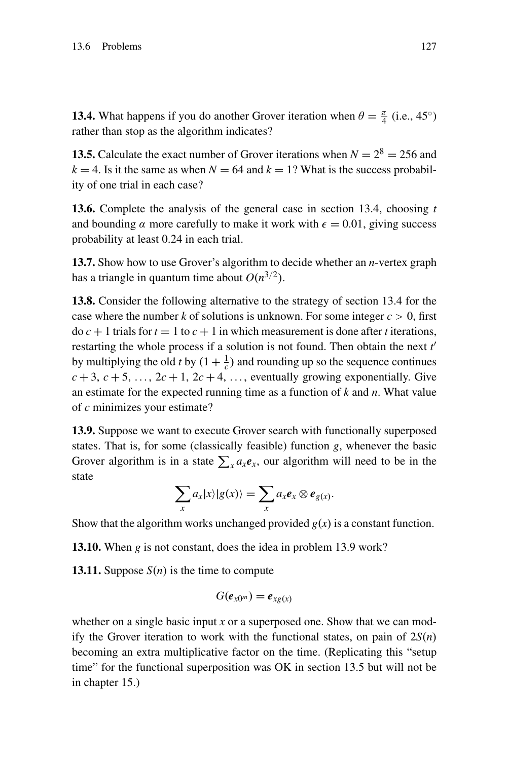**13.4.** What happens if you do another Grover iteration when  $\theta = \frac{\pi}{4}$  (i.e., 45<sup>°</sup>) rather than stop as the algorithm indicates?

**13.5.** Calculate the exact number of Grover iterations when  $N = 2^8 = 256$  and  $k = 4$ . Is it the same as when  $N = 64$  and  $k = 1$ ? What is the success probability of one trial in each case?

13.6. Complete the analysis of the general case in section 13.4, choosing *t* and bounding  $\alpha$  more carefully to make it work with  $\epsilon = 0.01$ , giving success probability at least 0.24 in each trial.

13.7. Show how to use Grover's algorithm to decide whether an *n*-vertex graph has a triangle in quantum time about  $O(n^{3/2})$ .

13.8. Consider the following alternative to the strategy of section 13.4 for the case where the number *k* of solutions is unknown. For some integer  $c > 0$ , first  $\frac{d\sigma}{dt}$  to  $t = 1$  to  $c + 1$  in which measurement is done after *t* iterations, restarting the whole process if a solution is not found. Then obtain the next *t* by multiplying the old *t* by  $(1 + \frac{1}{c})$  and rounding up so the sequence continues  $c + 3$ ,  $c + 5$ , ...,  $2c + 1$ ,  $2c + 4$ , ..., eventually growing exponentially. Give an estimate for the expected running time as a function of *k* and *n*. What value of *c* minimizes your estimate?

13.9. Suppose we want to execute Grover search with functionally superposed states. That is, for some (classically feasible) function *g*, whenever the basic Grover algorithm is in a state  $\sum_{x} a_{x}e_{x}$ , our algorithm will need to be in the state

$$
\sum_{x} a_{x}|x\rangle|g(x)\rangle = \sum_{x} a_{x}e_{x} \otimes e_{g(x)}.
$$

Show that the algorithm works unchanged provided  $g(x)$  is a constant function.

13.10. When *g* is not constant, does the idea in problem 13.9 work?

**13.11.** Suppose  $S(n)$  is the time to compute

$$
G(\boldsymbol{e}_{x0^m})=\boldsymbol{e}_{xg(x)}
$$

whether on a single basic input *x* or a superposed one. Show that we can modify the Grover iteration to work with the functional states, on pain of 2*S*(*n*) becoming an extra multiplicative factor on the time. (Replicating this "setup time" for the functional superposition was OK in section 13.5 but will not be in chapter 15.)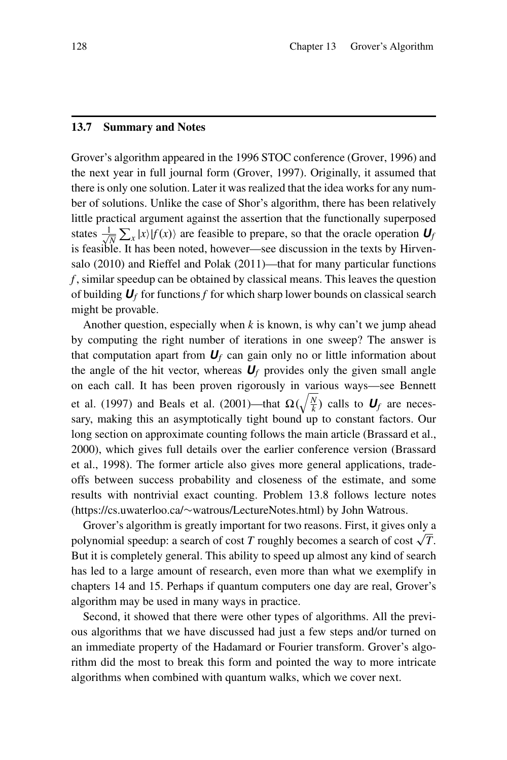### 13.7 Summary and Notes

Grover's algorithm appeared in the 1996 STOC conference (Grover, 1996) and the next year in full journal form (Grover, 1997). Originally, it assumed that there is only one solution. Later it was realized that the idea works for any number of solutions. Unlike the case of Shor's algorithm, there has been relatively little practical argument against the assertion that the functionally superposed states  $\frac{1}{\sqrt{2}}$  $\frac{1}{N}$   $\sum_{x} |x\rangle |f(x)\rangle$  are feasible to prepare, so that the oracle operation *U<sub>f</sub>* is feasible. It has been noted, however—see discussion in the texts by Hirvensalo (2010) and Rieffel and Polak (2011)—that for many particular functions *f* , similar speedup can be obtained by classical means. This leaves the question of building  $U_f$  for functions f for which sharp lower bounds on classical search might be provable.

Another question, especially when *k* is known, is why can't we jump ahead by computing the right number of iterations in one sweep? The answer is that computation apart from  $U_f$  can gain only no or little information about the angle of the hit vector, whereas  $U_f$  provides only the given small angle on each call. It has been proven rigorously in various ways—see Bennett et al. (1997) and Beals et al. (2001)—that  $\Omega(\sqrt{\frac{N}{k}})$  calls to  $U_f$  are necessary, making this an asymptotically tight bound up to constant factors. Our long section on approximate counting follows the main article (Brassard et al., 2000), which gives full details over the earlier conference version (Brassard et al., 1998). The former article also gives more general applications, tradeoffs between success probability and closeness of the estimate, and some results with nontrivial exact counting. Problem 13.8 follows lecture notes (https://cs.uwaterloo.ca/∼watrous/LectureNotes.html) by John Watrous.

Grover's algorithm is greatly important for two reasons. First, it gives only a polynomial speedup: a search of cost *T* roughly becomes a search of cost  $\sqrt{T}$ . But it is completely general. This ability to speed up almost any kind of search has led to a large amount of research, even more than what we exemplify in chapters 14 and 15. Perhaps if quantum computers one day are real, Grover's algorithm may be used in many ways in practice.

Second, it showed that there were other types of algorithms. All the previous algorithms that we have discussed had just a few steps and/or turned on an immediate property of the Hadamard or Fourier transform. Grover's algorithm did the most to break this form and pointed the way to more intricate algorithms when combined with quantum walks, which we cover next.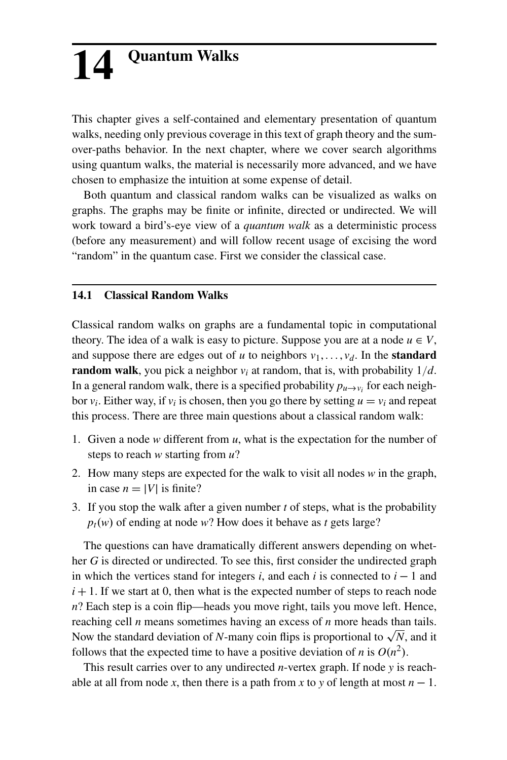# **Quantum Walks**

This chapter gives a self-contained and elementary presentation of quantum walks, needing only previous coverage in this text of graph theory and the sumover-paths behavior. In the next chapter, where we cover search algorithms using quantum walks, the material is necessarily more advanced, and we have chosen to emphasize the intuition at some expense of detail.

Both quantum and classical random walks can be visualized as walks on graphs. The graphs may be finite or infinite, directed or undirected. We will work toward a bird's-eye view of a *quantum walk* as a deterministic process (before any measurement) and will follow recent usage of excising the word "random" in the quantum case. First we consider the classical case.

## 14.1 Classical Random Walks

Classical random walks on graphs are a fundamental topic in computational theory. The idea of a walk is easy to picture. Suppose you are at a node  $u \in V$ , and suppose there are edges out of *u* to neighbors  $v_1, \ldots, v_d$ . In the **standard random walk**, you pick a neighbor  $v_i$  at random, that is, with probability  $1/d$ . In a general random walk, there is a specified probability  $p_{u\rightarrow v_i}$  for each neighbor  $v_i$ . Either way, if  $v_i$  is chosen, then you go there by setting  $u = v_i$  and repeat this process. There are three main questions about a classical random walk:

- 1. Given a node *w* different from *u*, what is the expectation for the number of steps to reach *w* starting from *u*?
- 2. How many steps are expected for the walk to visit all nodes *w* in the graph, in case  $n = |V|$  is finite?
- 3. If you stop the walk after a given number *t* of steps, what is the probability  $p_t(w)$  of ending at node *w*? How does it behave as *t* gets large?

The questions can have dramatically different answers depending on whether *G* is directed or undirected. To see this, first consider the undirected graph in which the vertices stand for integers *i*, and each *i* is connected to *i* − 1 and  $i + 1$ . If we start at 0, then what is the expected number of steps to reach node *n*? Each step is a coin flip—heads you move right, tails you move left. Hence, reaching cell *n* means sometimes having an excess of *n* more heads than tails. Now the standard deviation of *N*-many coin flips is proportional to  $\sqrt{N}$ , and it follows that the expected time to have a positive deviation of *n* is  $O(n^2)$ .

This result carries over to any undirected *n*-vertex graph. If node *y* is reachable at all from node *x*, then there is a path from *x* to *y* of length at most  $n - 1$ .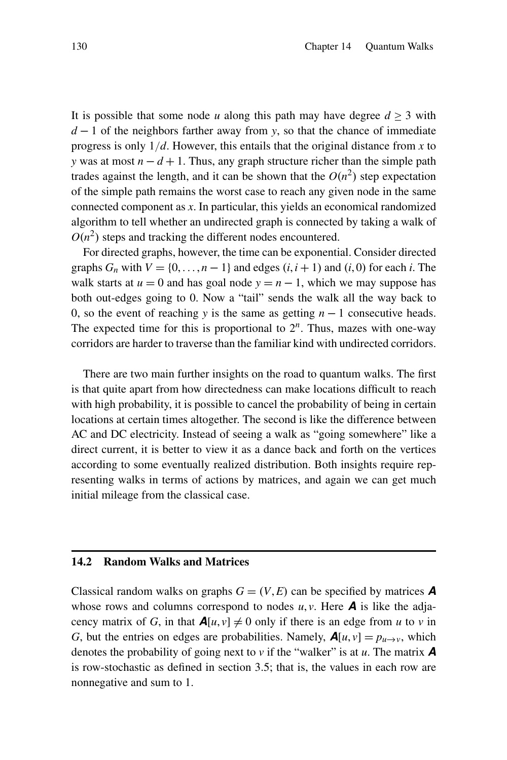It is possible that some node *u* along this path may have degree  $d \geq 3$  with *d* − 1 of the neighbors farther away from *y*, so that the chance of immediate progress is only 1/*d*. However, this entails that the original distance from *x* to *y* was at most  $n - d + 1$ . Thus, any graph structure richer than the simple path trades against the length, and it can be shown that the  $O(n^2)$  step expectation of the simple path remains the worst case to reach any given node in the same connected component as *x*. In particular, this yields an economical randomized algorithm to tell whether an undirected graph is connected by taking a walk of  $O(n^2)$  steps and tracking the different nodes encountered.

For directed graphs, however, the time can be exponential. Consider directed graphs  $G_n$  with  $V = \{0, \ldots, n-1\}$  and edges  $(i, i+1)$  and  $(i, 0)$  for each *i*. The walk starts at  $u = 0$  and has goal node  $y = n - 1$ , which we may suppose has both out-edges going to 0. Now a "tail" sends the walk all the way back to 0, so the event of reaching *y* is the same as getting  $n - 1$  consecutive heads. The expected time for this is proportional to  $2^n$ . Thus, mazes with one-way corridors are harder to traverse than the familiar kind with undirected corridors.

There are two main further insights on the road to quantum walks. The first is that quite apart from how directedness can make locations difficult to reach with high probability, it is possible to cancel the probability of being in certain locations at certain times altogether. The second is like the difference between AC and DC electricity. Instead of seeing a walk as "going somewhere" like a direct current, it is better to view it as a dance back and forth on the vertices according to some eventually realized distribution. Both insights require representing walks in terms of actions by matrices, and again we can get much initial mileage from the classical case.

## 14.2 Random Walks and Matrices

Classical random walks on graphs  $G = (V, E)$  can be specified by matrices **A** whose rows and columns correspond to nodes  $u, v$ . Here  $\boldsymbol{A}$  is like the adjacency matrix of *G*, in that  $A[u, v] \neq 0$  only if there is an edge from *u* to *v* in *G*, but the entries on edges are probabilities. Namely,  $\mathbf{A}[u, v] = p_{u \to v}$ , which denotes the probability of going next to *v* if the "walker" is at *u*. The matrix *A* is row-stochastic as defined in section 3.5; that is, the values in each row are nonnegative and sum to 1.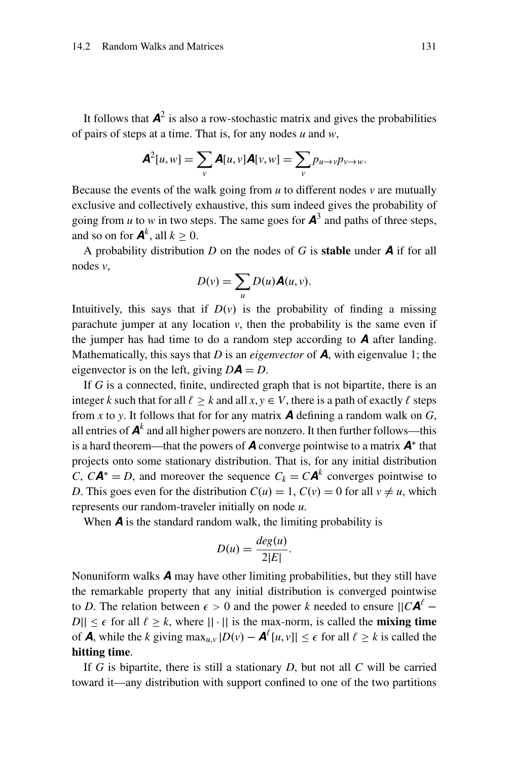It follows that  $A^2$  is also a row-stochastic matrix and gives the probabilities of pairs of steps at a time. That is, for any nodes *u* and *w*,

$$
\mathbf{A}^2[u,w] = \sum_{v} \mathbf{A}[u,v] \mathbf{A}[v,w] = \sum_{v} p_{u \to v} p_{v \to w}.
$$

Because the events of the walk going from  $u$  to different nodes  $v$  are mutually exclusive and collectively exhaustive, this sum indeed gives the probability of going from *u* to *w* in two steps. The same goes for  $A^3$  and paths of three steps, and so on for  $A^k$ , all  $k \geq 0$ .

A probability distribution *D* on the nodes of *G* is stable under *A* if for all nodes *v*,

$$
D(v) = \sum_{u} D(u) \mathbf{A}(u, v).
$$

Intuitively, this says that if  $D(v)$  is the probability of finding a missing parachute jumper at any location  $v$ , then the probability is the same even if the jumper has had time to do a random step according to *A* after landing. Mathematically, this says that *D* is an *eigenvector* of *A*, with eigenvalue 1; the eigenvector is on the left, giving  $D\mathbf{A} = D$ .

If *G* is a connected, finite, undirected graph that is not bipartite, there is an integer *k* such that for all  $\ell \geq k$  and all  $x, y \in V$ , there is a path of exactly  $\ell$  steps from *x* to *y*. It follows that for for any matrix *A* defining a random walk on *G*, all entries of  $A^k$  and all higher powers are nonzero. It then further follows—this is a hard theorem—that the powers of *A* converge pointwise to a matrix *A*∗ that projects onto some stationary distribution. That is, for any initial distribution *C*,  $C A^* = D$ , and moreover the sequence  $C_k = C A^k$  converges pointwise to *D*. This goes even for the distribution  $C(u) = 1$ ,  $C(v) = 0$  for all  $v \neq u$ , which represents our random-traveler initially on node *u*.

When **A** is the standard random walk, the limiting probability is

$$
D(u) = \frac{deg(u)}{2|E|}.
$$

Nonuniform walks *A* may have other limiting probabilities, but they still have the remarkable property that any initial distribution is converged pointwise to *D*. The relation between  $\epsilon > 0$  and the power *k* needed to ensure  $||C\mathbf{A}^{\ell} |D|| \leq \epsilon$  for all  $\ell \geq k$ , where  $|| \cdot ||$  is the max-norm, is called the **mixing time** of *A*, while the *k* giving  $\max_{u,v} |D(v) - A^{\ell}[u, v]| \le \epsilon$  for all  $\ell \ge k$  is called the hitting time.

If *G* is bipartite, there is still a stationary *D*, but not all *C* will be carried toward it—any distribution with support confined to one of the two partitions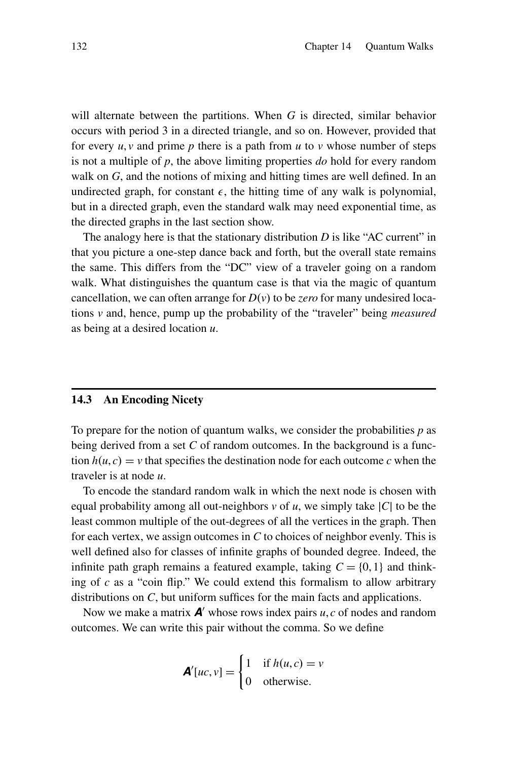will alternate between the partitions. When *G* is directed, similar behavior occurs with period 3 in a directed triangle, and so on. However, provided that for every  $u, v$  and prime  $p$  there is a path from  $u$  to  $v$  whose number of steps is not a multiple of *p*, the above limiting properties *do* hold for every random walk on *G*, and the notions of mixing and hitting times are well defined. In an undirected graph, for constant  $\epsilon$ , the hitting time of any walk is polynomial, but in a directed graph, even the standard walk may need exponential time, as the directed graphs in the last section show.

The analogy here is that the stationary distribution *D* is like "AC current" in that you picture a one-step dance back and forth, but the overall state remains the same. This differs from the "DC" view of a traveler going on a random walk. What distinguishes the quantum case is that via the magic of quantum cancellation, we can often arrange for  $D(v)$  to be *zero* for many undesired locations *v* and, hence, pump up the probability of the "traveler" being *measured* as being at a desired location *u*.

### 14.3 An Encoding Nicety

To prepare for the notion of quantum walks, we consider the probabilities *p* as being derived from a set *C* of random outcomes. In the background is a function  $h(u, c) = v$  that specifies the destination node for each outcome *c* when the traveler is at node *u*.

To encode the standard random walk in which the next node is chosen with equal probability among all out-neighbors  $\nu$  of  $\mu$ , we simply take  $|C|$  to be the least common multiple of the out-degrees of all the vertices in the graph. Then for each vertex, we assign outcomes in *C* to choices of neighbor evenly. This is well defined also for classes of infinite graphs of bounded degree. Indeed, the infinite path graph remains a featured example, taking  $C = \{0, 1\}$  and thinking of *c* as a "coin flip." We could extend this formalism to allow arbitrary distributions on *C*, but uniform suffices for the main facts and applications.

Now we make a matrix  $\mathbf{A}'$  whose rows index pairs  $u, c$  of nodes and random outcomes. We can write this pair without the comma. So we define

$$
\mathbf{A}'[uc, v] = \begin{cases} 1 & \text{if } h(u, c) = v \\ 0 & \text{otherwise.} \end{cases}
$$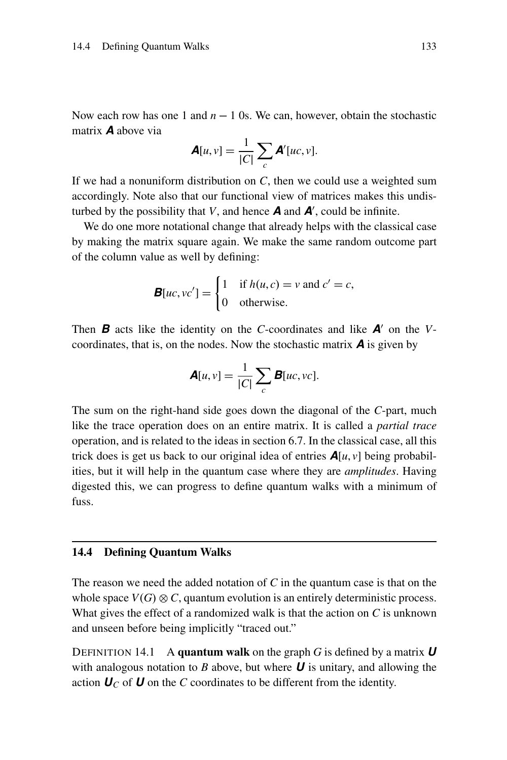Now each row has one 1 and  $n - 1$  0s. We can, however, obtain the stochastic matrix *A* above via

$$
\mathbf{A}[u,v] = \frac{1}{|C|} \sum_{c} \mathbf{A}'[uc,v].
$$

If we had a nonuniform distribution on *C*, then we could use a weighted sum accordingly. Note also that our functional view of matrices makes this undisturbed by the possibility that *V*, and hence *A* and *A* , could be infinite.

We do one more notational change that already helps with the classical case by making the matrix square again. We make the same random outcome part of the column value as well by defining:

$$
\mathbf{B}[uc, vc'] = \begin{cases} 1 & \text{if } h(u, c) = v \text{ and } c' = c, \\ 0 & \text{otherwise.} \end{cases}
$$

Then *B* acts like the identity on the *C*-coordinates and like *A* on the *V*coordinates, that is, on the nodes. Now the stochastic matrix *A* is given by

$$
\mathbf{A}[u,v] = \frac{1}{|C|} \sum_{c} \mathbf{B}[uc,vc].
$$

The sum on the right-hand side goes down the diagonal of the *C*-part, much like the trace operation does on an entire matrix. It is called a *partial trace* operation, and is related to the ideas in section 6.7. In the classical case, all this trick does is get us back to our original idea of entries  $\mathbf{A}[u, v]$  being probabilities, but it will help in the quantum case where they are *amplitudes*. Having digested this, we can progress to define quantum walks with a minimum of fuss.

# 14.4 Defining Quantum Walks

The reason we need the added notation of *C* in the quantum case is that on the whole space  $V(G) \otimes C$ , quantum evolution is an entirely deterministic process. What gives the effect of a randomized walk is that the action on *C* is unknown and unseen before being implicitly "traced out."

DEFINITION 14.1 A **quantum walk** on the graph *G* is defined by a matrix  $U$ with analogous notation to *B* above, but where *U* is unitary, and allowing the action  $U_C$  of U on the C coordinates to be different from the identity.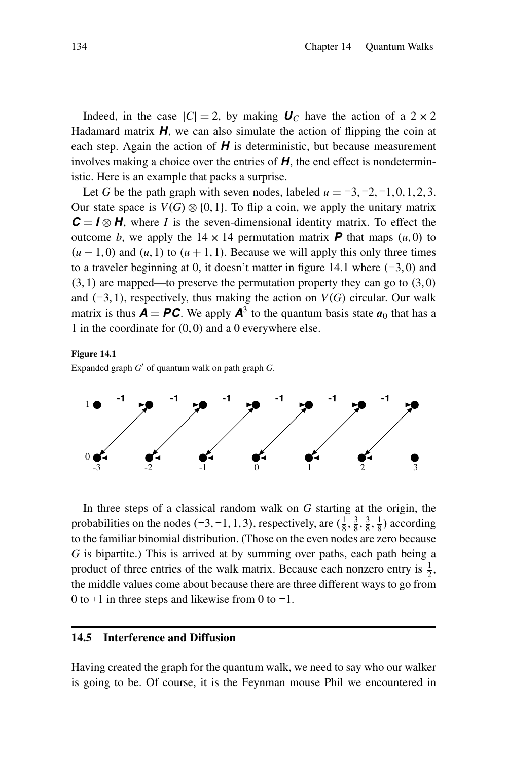Indeed, in the case  $|C| = 2$ , by making  $U_C$  have the action of a  $2 \times 2$ Hadamard matrix  $H$ , we can also simulate the action of flipping the coin at each step. Again the action of  $H$  is deterministic, but because measurement involves making a choice over the entries of  $H$ , the end effect is nondeterministic. Here is an example that packs a surprise.

Let *G* be the path graph with seven nodes, labeled  $u = -3, -2, -1, 0, 1, 2, 3$ . Our state space is  $V(G) \otimes \{0, 1\}$ . To flip a coin, we apply the unitary matrix  $C = I \otimes H$ , where *I* is the seven-dimensional identity matrix. To effect the outcome *b*, we apply the 14  $\times$  14 permutation matrix **P** that maps  $(u, 0)$  to  $(u - 1, 0)$  and  $(u, 1)$  to  $(u + 1, 1)$ . Because we will apply this only three times to a traveler beginning at 0, it doesn't matter in figure 14.1 where (−3, 0) and  $(3, 1)$  are mapped—to preserve the permutation property they can go to  $(3, 0)$ and (−3, 1), respectively, thus making the action on *V*(*G*) circular. Our walk matrix is thus  $\mathbf{A} = \mathbf{PC}$ . We apply  $\mathbf{A}^3$  to the quantum basis state  $\mathbf{a}_0$  that has a 1 in the coordinate for  $(0, 0)$  and a 0 everywhere else.

#### Figure 14.1

Expanded graph  $G'$  of quantum walk on path graph  $G$ .



In three steps of a classical random walk on *G* starting at the origin, the probabilities on the nodes (-3, -1, 1, 3), respectively, are  $(\frac{1}{8}, \frac{3}{8}, \frac{3}{8}, \frac{1}{8})$  according to the familiar binomial distribution. (Those on the even nodes are zero because *G* is bipartite.) This is arrived at by summing over paths, each path being a product of three entries of the walk matrix. Because each nonzero entry is  $\frac{1}{2}$ , the middle values come about because there are three different ways to go from 0 to <sup>+</sup>1 in three steps and likewise from 0 to −1.

# 14.5 Interference and Diffusion

Having created the graph for the quantum walk, we need to say who our walker is going to be. Of course, it is the Feynman mouse Phil we encountered in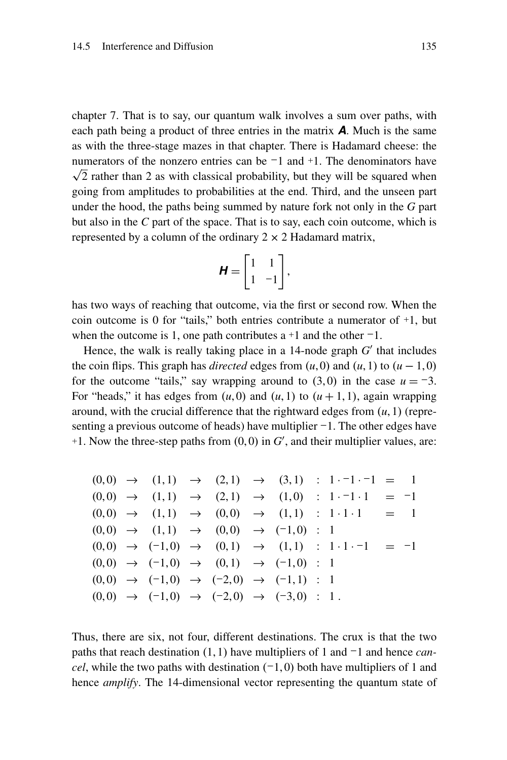chapter 7. That is to say, our quantum walk involves a sum over paths, with each path being a product of three entries in the matrix *A*. Much is the same as with the three-stage mazes in that chapter. There is Hadamard cheese: the numerators of the nonzero entries can be −1 and <sup>+</sup>1. The denominators have  $\sqrt{2}$  rather than 2 as with classical probability, but they will be squared when going from amplitudes to probabilities at the end. Third, and the unseen part under the hood, the paths being summed by nature fork not only in the *G* part but also in the *C* part of the space. That is to say, each coin outcome, which is represented by a column of the ordinary  $2 \times 2$  Hadamard matrix,

$$
\mathbf{H} = \begin{bmatrix} 1 & 1 \\ 1 & -1 \end{bmatrix},
$$

has two ways of reaching that outcome, via the first or second row. When the coin outcome is 0 for "tails," both entries contribute a numerator of <sup>+</sup>1, but when the outcome is 1, one path contributes a +1 and the other  $-1$ .

Hence, the walk is really taking place in a 14-node graph  $G'$  that includes the coin flips. This graph has *directed* edges from  $(u, 0)$  and  $(u, 1)$  to  $(u - 1, 0)$ for the outcome "tails," say wrapping around to  $(3, 0)$  in the case  $u = -3$ . For "heads," it has edges from  $(u, 0)$  and  $(u, 1)$  to  $(u + 1, 1)$ , again wrapping around, with the crucial difference that the rightward edges from (*u*, 1) (representing a previous outcome of heads) have multiplier −1. The other edges have  $+1$ . Now the three-step paths from  $(0,0)$  in  $G'$ , and their multiplier values, are:

|  |  |                                                                       |  | $(0,0) \rightarrow (1,1) \rightarrow (2,1) \rightarrow (3,1) : 1 \cdot -1 \cdot -1 = 1$  |  |
|--|--|-----------------------------------------------------------------------|--|------------------------------------------------------------------------------------------|--|
|  |  |                                                                       |  | $(0,0) \rightarrow (1,1) \rightarrow (2,1) \rightarrow (1,0) : 1 \cdot -1 \cdot 1 = -1$  |  |
|  |  |                                                                       |  | $(0,0) \rightarrow (1,1) \rightarrow (0,0) \rightarrow (1,1) : 1 \cdot 1 \cdot 1 = 1$    |  |
|  |  | $(0,0) \rightarrow (1,1) \rightarrow (0,0) \rightarrow (-1,0) : 1$    |  |                                                                                          |  |
|  |  |                                                                       |  | $(0,0) \rightarrow (-1,0) \rightarrow (0,1) \rightarrow (1,1) : 1 \cdot 1 \cdot -1 = -1$ |  |
|  |  | $(0,0) \rightarrow (-1,0) \rightarrow (0,1) \rightarrow (-1,0) : 1$   |  |                                                                                          |  |
|  |  | $(0,0) \rightarrow (-1,0) \rightarrow (-2,0) \rightarrow (-1,1) : 1$  |  |                                                                                          |  |
|  |  | $(0,0) \rightarrow (-1,0) \rightarrow (-2,0) \rightarrow (-3,0) : 1.$ |  |                                                                                          |  |
|  |  |                                                                       |  |                                                                                          |  |

Thus, there are six, not four, different destinations. The crux is that the two paths that reach destination (1, 1) have multipliers of 1 and −1 and hence *cancel*, while the two paths with destination (−1, 0) both have multipliers of 1 and hence *amplify*. The 14-dimensional vector representing the quantum state of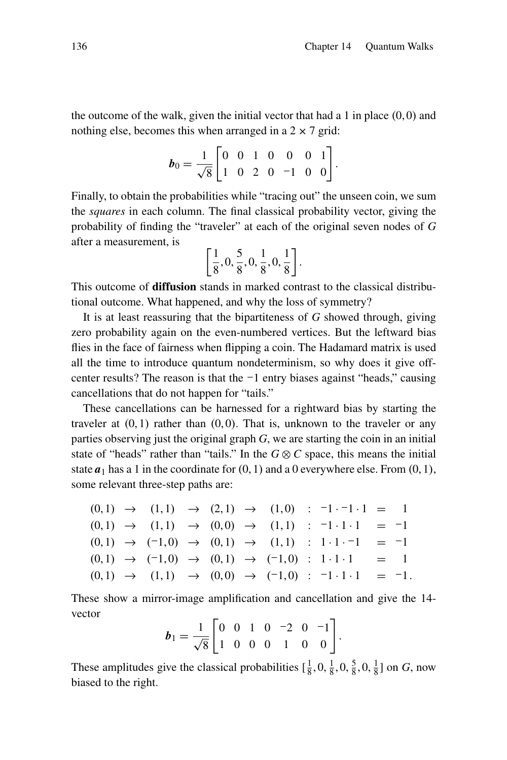the outcome of the walk, given the initial vector that had a 1 in place  $(0,0)$  and nothing else, becomes this when arranged in a  $2 \times 7$  grid:

$$
b_0 = \frac{1}{\sqrt{8}} \begin{bmatrix} 0 & 0 & 1 & 0 & 0 & 0 & 1 \\ 1 & 0 & 2 & 0 & -1 & 0 & 0 \end{bmatrix}.
$$

Finally, to obtain the probabilities while "tracing out" the unseen coin, we sum the *squares* in each column. The final classical probability vector, giving the probability of finding the "traveler" at each of the original seven nodes of *G* after a measurement, is

$$
\left[\frac{1}{8}, 0, \frac{5}{8}, 0, \frac{1}{8}, 0, \frac{1}{8}\right].
$$

This outcome of diffusion stands in marked contrast to the classical distributional outcome. What happened, and why the loss of symmetry?

It is at least reassuring that the bipartiteness of *G* showed through, giving zero probability again on the even-numbered vertices. But the leftward bias flies in the face of fairness when flipping a coin. The Hadamard matrix is used all the time to introduce quantum nondeterminism, so why does it give offcenter results? The reason is that the −1 entry biases against "heads," causing cancellations that do not happen for "tails."

These cancellations can be harnessed for a rightward bias by starting the traveler at  $(0, 1)$  rather than  $(0, 0)$ . That is, unknown to the traveler or any parties observing just the original graph *G*, we are starting the coin in an initial state of "heads" rather than "tails." In the  $G \otimes C$  space, this means the initial state  $a_1$  has a 1 in the coordinate for  $(0, 1)$  and a 0 everywhere else. From  $(0, 1)$ , some relevant three-step paths are:

$$
(0,1) \rightarrow (1,1) \rightarrow (2,1) \rightarrow (1,0) : -1 \cdot -1 \cdot 1 = 1
$$
  
\n
$$
(0,1) \rightarrow (1,1) \rightarrow (0,0) \rightarrow (1,1) : -1 \cdot 1 \cdot 1 = -1
$$
  
\n
$$
(0,1) \rightarrow (-1,0) \rightarrow (0,1) \rightarrow (1,1) : 1 \cdot 1 \cdot -1 = -1
$$
  
\n
$$
(0,1) \rightarrow (-1,0) \rightarrow (0,1) \rightarrow (-1,0) : 1 \cdot 1 \cdot 1 = 1
$$
  
\n
$$
(0,1) \rightarrow (1,1) \rightarrow (0,0) \rightarrow (-1,0) : -1 \cdot 1 \cdot 1 = -1.
$$

These show a mirror-image amplification and cancellation and give the 14 vector

$$
\boldsymbol{b}_1 = \frac{1}{\sqrt{8}} \begin{bmatrix} 0 & 0 & 1 & 0 & -2 & 0 & -1 \\ 1 & 0 & 0 & 0 & 1 & 0 & 0 \end{bmatrix}.
$$

These amplitudes give the classical probabilities  $[\frac{1}{8}, 0, \frac{1}{8}, 0, \frac{5}{8}, 0, \frac{1}{8}]$  on *G*, now biased to the right.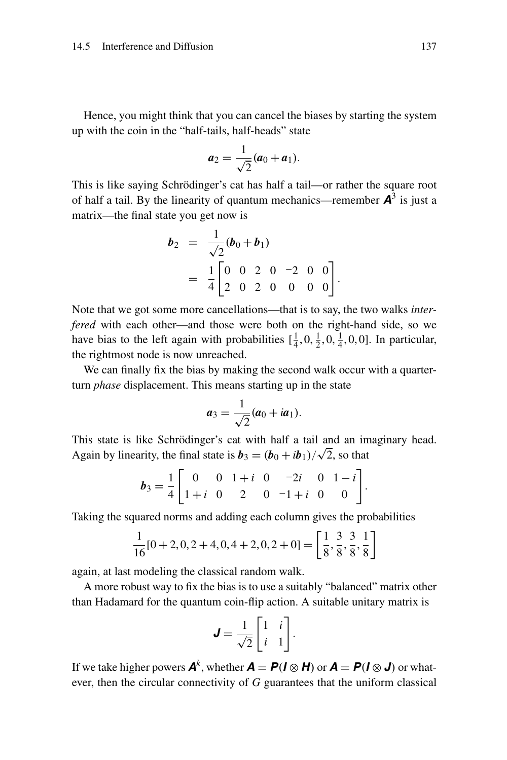Hence, you might think that you can cancel the biases by starting the system up with the coin in the "half-tails, half-heads" state

$$
a_2 = \frac{1}{\sqrt{2}}(a_0 + a_1).
$$

This is like saying Schrödinger's cat has half a tail—or rather the square root of half a tail. By the linearity of quantum mechanics—remember  $A^3$  is just a matrix—the final state you get now is

$$
b_2 = \frac{1}{\sqrt{2}} (b_0 + b_1)
$$
  
=  $\frac{1}{4} \begin{bmatrix} 0 & 0 & 2 & 0 & -2 & 0 & 0 \\ 2 & 0 & 2 & 0 & 0 & 0 & 0 \end{bmatrix}$ 

.

Note that we got some more cancellations—that is to say, the two walks *interfered* with each other—and those were both on the right-hand side, so we have bias to the left again with probabilities  $[\frac{1}{4}, 0, \frac{1}{2}, 0, \frac{1}{4}, 0, 0]$ . In particular, the rightmost node is now unreached.

We can finally fix the bias by making the second walk occur with a quarterturn *phase* displacement. This means starting up in the state

$$
a_3 = \frac{1}{\sqrt{2}}(a_0 + ia_1).
$$

This state is like Schrödinger's cat with half a tail and an imaginary head. Again by linearity, the final state is  $b_3 = (b_0 + ib_1)/\sqrt{2}$ , so that

$$
b_3 = \frac{1}{4} \begin{bmatrix} 0 & 0 & 1+i & 0 & -2i & 0 & 1-i \\ 1+i & 0 & 2 & 0 & -1+i & 0 & 0 \end{bmatrix}.
$$

Taking the squared norms and adding each column gives the probabilities

$$
\frac{1}{16}[0+2, 0, 2+4, 0, 4+2, 0, 2+0] = \left[\frac{1}{8}, \frac{3}{8}, \frac{3}{8}, \frac{1}{8}\right]
$$

again, at last modeling the classical random walk.

A more robust way to fix the bias is to use a suitably "balanced" matrix other than Hadamard for the quantum coin-flip action. A suitable unitary matrix is

$$
\mathbf{J} = \frac{1}{\sqrt{2}} \begin{bmatrix} 1 & i \\ i & 1 \end{bmatrix}.
$$

If we take higher powers  $A^k$ , whether  $A = P(I \otimes H)$  or  $A = P(I \otimes J)$  or whatever, then the circular connectivity of *G* guarantees that the uniform classical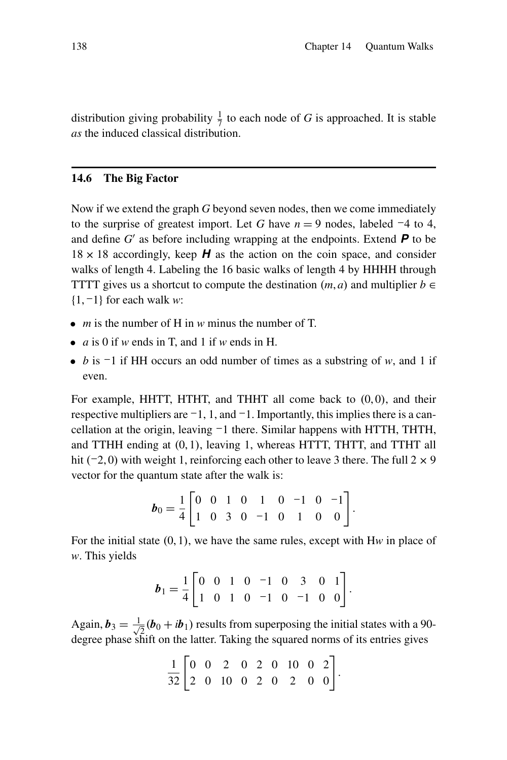distribution giving probability  $\frac{1}{7}$  to each node of *G* is approached. It is stable *as* the induced classical distribution.

#### 14.6 The Big Factor

Now if we extend the graph *G* beyond seven nodes, then we come immediately to the surprise of greatest import. Let *G* have  $n = 9$  nodes, labeled  $-4$  to 4, and define  $G'$  as before including wrapping at the endpoints. Extend  $\boldsymbol{P}$  to be  $18 \times 18$  accordingly, keep  $H$  as the action on the coin space, and consider walks of length 4. Labeling the 16 basic walks of length 4 by HHHH through TTTT gives us a shortcut to compute the destination  $(m, a)$  and multiplier  $b \in$ {1, <sup>−</sup>1} for each walk *w*:

- *m* is the number of H in *w* minus the number of T.
- *a* is 0 if *w* ends in T, and 1 if *w* ends in H.
- *b* is <sup>−</sup>1 if HH occurs an odd number of times as a substring of *w*, and 1 if even.

For example, HHTT, HTHT, and THHT all come back to  $(0, 0)$ , and their respective multipliers are −1, 1, and −1. Importantly, this implies there is a cancellation at the origin, leaving −1 there. Similar happens with HTTH, THTH, and TTHH ending at (0, 1), leaving 1, whereas HTTT, THTT, and TTHT all hit ( $-2$ , 0) with weight 1, reinforcing each other to leave 3 there. The full 2  $\times$  9 vector for the quantum state after the walk is:

$$
b_0 = \frac{1}{4} \begin{bmatrix} 0 & 0 & 1 & 0 & 1 & 0 & -1 & 0 & -1 \\ 1 & 0 & 3 & 0 & -1 & 0 & 1 & 0 & 0 \end{bmatrix}.
$$

For the initial state (0, 1), we have the same rules, except with H*w* in place of *w*. This yields

$$
\boldsymbol{b}_1 = \frac{1}{4} \begin{bmatrix} 0 & 0 & 1 & 0 & -1 & 0 & 3 & 0 & 1 \\ 1 & 0 & 1 & 0 & -1 & 0 & -1 & 0 & 0 \end{bmatrix}.
$$

Again,  $\mathbf{b}_3 = \frac{1}{\sqrt{2}}$  $\frac{1}{2}$  ( $\bm{b}_0 + i\bm{b}_1$ ) results from superposing the initial states with a 90degree phase shift on the latter. Taking the squared norms of its entries gives

$$
\frac{1}{32} \begin{bmatrix} 0 & 0 & 2 & 0 & 2 & 0 & 10 & 0 & 2 \\ 2 & 0 & 10 & 0 & 2 & 0 & 2 & 0 & 0 \end{bmatrix}.
$$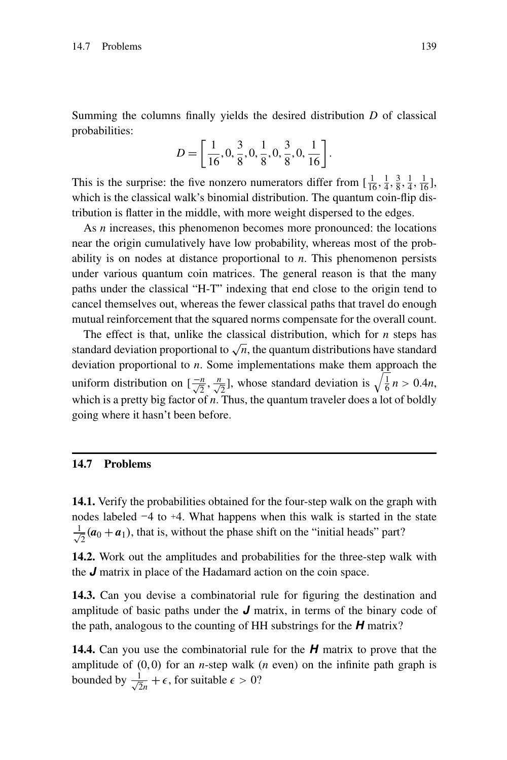Summing the columns finally yields the desired distribution *D* of classical probabilities:

$$
D = \left[ \frac{1}{16}, 0, \frac{3}{8}, 0, \frac{1}{8}, 0, \frac{3}{8}, 0, \frac{1}{16} \right].
$$

This is the surprise: the five nonzero numerators differ from  $[\frac{1}{16}, \frac{1}{4}, \frac{3}{8}, \frac{1}{4}, \frac{1}{16}]$ , which is the classical walk's binomial distribution. The quantum coin-flip distribution is flatter in the middle, with more weight dispersed to the edges.

As *n* increases, this phenomenon becomes more pronounced: the locations near the origin cumulatively have low probability, whereas most of the probability is on nodes at distance proportional to *n*. This phenomenon persists under various quantum coin matrices. The general reason is that the many paths under the classical "H-T" indexing that end close to the origin tend to cancel themselves out, whereas the fewer classical paths that travel do enough mutual reinforcement that the squared norms compensate for the overall count.

The effect is that, unlike the classical distribution, which for *n* steps has standard deviation proportional to  $\sqrt{n}$ , the quantum distributions have standard deviation proportional to *n*. Some implementations make them approach the uniform distribution on  $\left[\frac{-n}{\sqrt{2}}, \frac{n}{\sqrt{2}}\right]$ , whose standard deviation is  $\sqrt{\frac{1}{6}}n > 0.4n$ , which is a pretty big factor of *n*. Thus, the quantum traveler does a lot of boldly going where it hasn't been before.

#### 14.7 Problems

14.1. Verify the probabilities obtained for the four-step walk on the graph with nodes labeled −4 to <sup>+</sup>4. What happens when this walk is started in the state  $\frac{1}{\sqrt{2}}$  $\frac{1}{2}(a_0 + a_1)$ , that is, without the phase shift on the "initial heads" part?

14.2. Work out the amplitudes and probabilities for the three-step walk with the *J* matrix in place of the Hadamard action on the coin space.

14.3. Can you devise a combinatorial rule for figuring the destination and amplitude of basic paths under the  $J$  matrix, in terms of the binary code of the path, analogous to the counting of HH substrings for the *H* matrix?

14.4. Can you use the combinatorial rule for the *H* matrix to prove that the amplitude of (0, 0) for an *n*-step walk (*n* even) on the infinite path graph is bounded by  $\frac{1}{\sqrt{2}n} + \epsilon$ , for suitable  $\epsilon > 0$ ?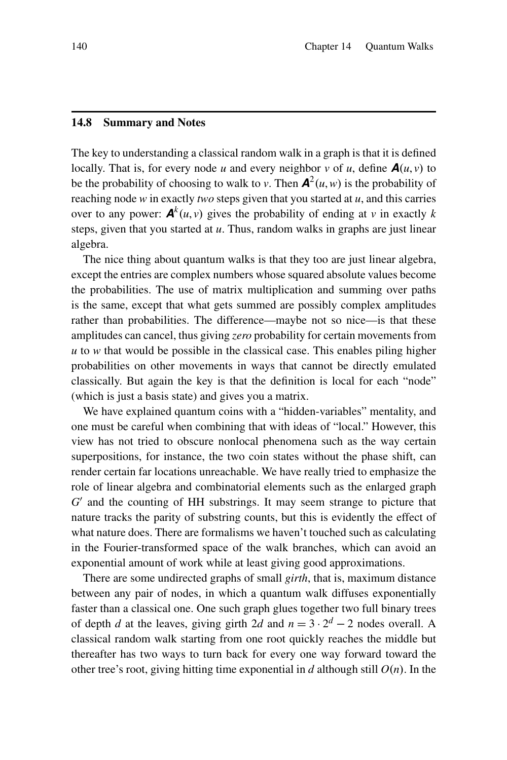#### 14.8 Summary and Notes

The key to understanding a classical random walk in a graph is that it is defined locally. That is, for every node *u* and every neighbor *v* of *u*, define  $A(u, v)$  to be the probability of choosing to walk to *v*. Then  $\mathbf{A}^2(u, w)$  is the probability of reaching node *w* in exactly *two* steps given that you started at *u*, and this carries over to any power:  $\mathbf{A}^k(u, v)$  gives the probability of ending at *v* in exactly *k* steps, given that you started at *u*. Thus, random walks in graphs are just linear algebra.

The nice thing about quantum walks is that they too are just linear algebra, except the entries are complex numbers whose squared absolute values become the probabilities. The use of matrix multiplication and summing over paths is the same, except that what gets summed are possibly complex amplitudes rather than probabilities. The difference—maybe not so nice—is that these amplitudes can cancel, thus giving *zero* probability for certain movements from *u* to *w* that would be possible in the classical case. This enables piling higher probabilities on other movements in ways that cannot be directly emulated classically. But again the key is that the definition is local for each "node" (which is just a basis state) and gives you a matrix.

We have explained quantum coins with a "hidden-variables" mentality, and one must be careful when combining that with ideas of "local." However, this view has not tried to obscure nonlocal phenomena such as the way certain superpositions, for instance, the two coin states without the phase shift, can render certain far locations unreachable. We have really tried to emphasize the role of linear algebra and combinatorial elements such as the enlarged graph *G* and the counting of HH substrings. It may seem strange to picture that nature tracks the parity of substring counts, but this is evidently the effect of what nature does. There are formalisms we haven't touched such as calculating in the Fourier-transformed space of the walk branches, which can avoid an exponential amount of work while at least giving good approximations.

There are some undirected graphs of small *girth*, that is, maximum distance between any pair of nodes, in which a quantum walk diffuses exponentially faster than a classical one. One such graph glues together two full binary trees of depth *d* at the leaves, giving girth 2*d* and  $n = 3 \cdot 2^d - 2$  nodes overall. A classical random walk starting from one root quickly reaches the middle but thereafter has two ways to turn back for every one way forward toward the other tree's root, giving hitting time exponential in *d* although still  $O(n)$ . In the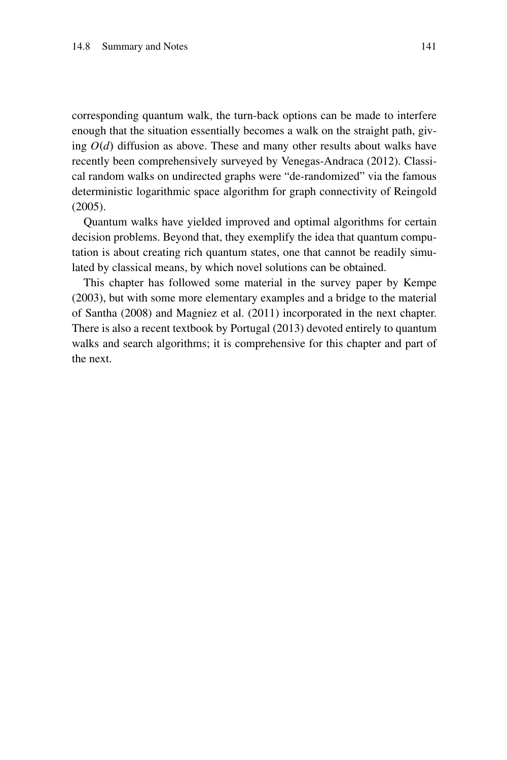corresponding quantum walk, the turn-back options can be made to interfere enough that the situation essentially becomes a walk on the straight path, giving  $O(d)$  diffusion as above. These and many other results about walks have recently been comprehensively surveyed by Venegas-Andraca (2012). Classical random walks on undirected graphs were "de-randomized" via the famous deterministic logarithmic space algorithm for graph connectivity of Reingold (2005).

Quantum walks have yielded improved and optimal algorithms for certain decision problems. Beyond that, they exemplify the idea that quantum computation is about creating rich quantum states, one that cannot be readily simulated by classical means, by which novel solutions can be obtained.

This chapter has followed some material in the survey paper by Kempe (2003), but with some more elementary examples and a bridge to the material of Santha (2008) and Magniez et al. (2011) incorporated in the next chapter. There is also a recent textbook by Portugal (2013) devoted entirely to quantum walks and search algorithms; it is comprehensive for this chapter and part of the next.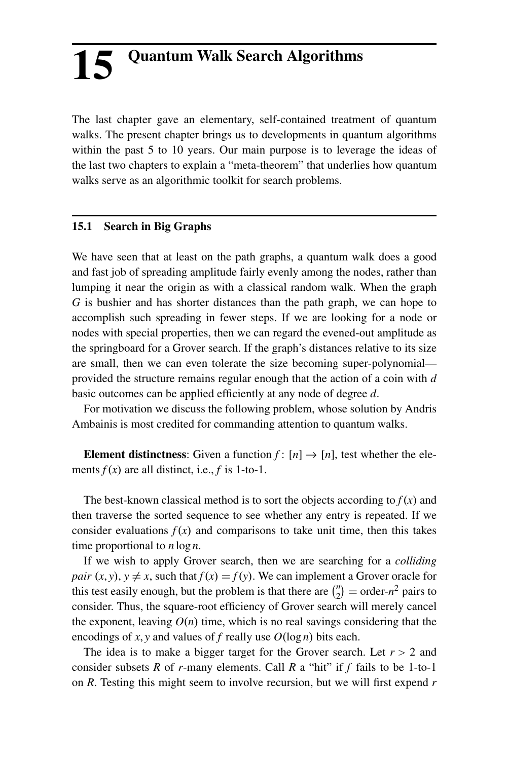# Quantum Walk Search Algorithms

The last chapter gave an elementary, self-contained treatment of quantum walks. The present chapter brings us to developments in quantum algorithms within the past 5 to 10 years. Our main purpose is to leverage the ideas of the last two chapters to explain a "meta-theorem" that underlies how quantum walks serve as an algorithmic toolkit for search problems.

# 15.1 Search in Big Graphs

We have seen that at least on the path graphs, a quantum walk does a good and fast job of spreading amplitude fairly evenly among the nodes, rather than lumping it near the origin as with a classical random walk. When the graph *G* is bushier and has shorter distances than the path graph, we can hope to accomplish such spreading in fewer steps. If we are looking for a node or nodes with special properties, then we can regard the evened-out amplitude as the springboard for a Grover search. If the graph's distances relative to its size are small, then we can even tolerate the size becoming super-polynomial provided the structure remains regular enough that the action of a coin with *d* basic outcomes can be applied efficiently at any node of degree *d*.

For motivation we discuss the following problem, whose solution by Andris Ambainis is most credited for commanding attention to quantum walks.

Element distinctness: Given a function  $f: [n] \rightarrow [n]$ , test whether the elements  $f(x)$  are all distinct, i.e., f is 1-to-1.

The best-known classical method is to sort the objects according to  $f(x)$  and then traverse the sorted sequence to see whether any entry is repeated. If we consider evaluations  $f(x)$  and comparisons to take unit time, then this takes time proportional to *n* log *n*.

If we wish to apply Grover search, then we are searching for a *colliding pair*  $(x, y)$ ,  $y \neq x$ , such that  $f(x) = f(y)$ . We can implement a Grover oracle for this test easily enough, but the problem is that there are  $\binom{n}{2}$  = order- $n^2$  pairs to consider. Thus, the square-root efficiency of Grover search will merely cancel the exponent, leaving  $O(n)$  time, which is no real savings considering that the encodings of *x*, *y* and values of *f* really use  $O(\log n)$  bits each.

The idea is to make a bigger target for the Grover search. Let  $r > 2$  and consider subsets  $R$  of  $r$ -many elements. Call  $R$  a "hit" if  $f$  fails to be 1-to-1 on *R*. Testing this might seem to involve recursion, but we will first expend *r*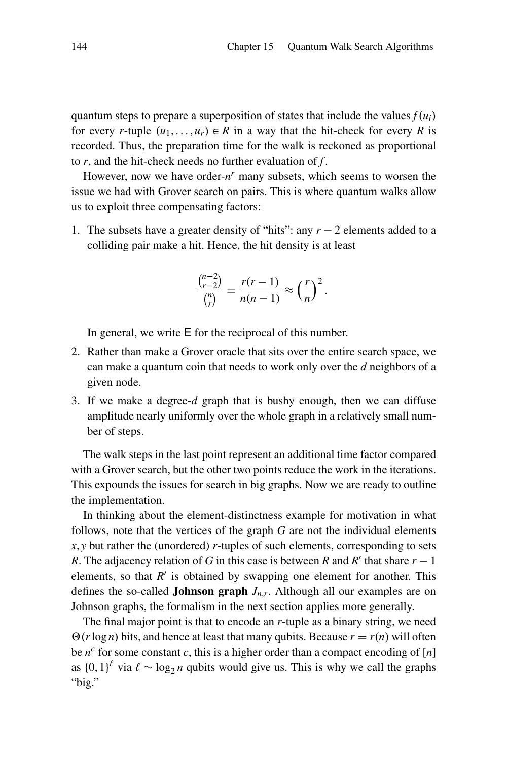quantum steps to prepare a superposition of states that include the values  $f(u_i)$ for every *r*-tuple  $(u_1, \ldots, u_r) \in R$  in a way that the hit-check for every R is recorded. Thus, the preparation time for the walk is reckoned as proportional to *r*, and the hit-check needs no further evaluation of *f* .

However, now we have order- $n<sup>r</sup>$  many subsets, which seems to worsen the issue we had with Grover search on pairs. This is where quantum walks allow us to exploit three compensating factors:

1. The subsets have a greater density of "hits": any *r* − 2 elements added to a colliding pair make a hit. Hence, the hit density is at least

$$
\frac{\binom{n-2}{r-2}}{\binom{n}{r}} = \frac{r(r-1)}{n(n-1)} \approx \left(\frac{r}{n}\right)^2.
$$

In general, we write  $E$  for the reciprocal of this number.

- 2. Rather than make a Grover oracle that sits over the entire search space, we can make a quantum coin that needs to work only over the *d* neighbors of a given node.
- 3. If we make a degree-*d* graph that is bushy enough, then we can diffuse amplitude nearly uniformly over the whole graph in a relatively small number of steps.

The walk steps in the last point represent an additional time factor compared with a Grover search, but the other two points reduce the work in the iterations. This expounds the issues for search in big graphs. Now we are ready to outline the implementation.

In thinking about the element-distinctness example for motivation in what follows, note that the vertices of the graph *G* are not the individual elements *x*, *y* but rather the (unordered) *r*-tuples of such elements, corresponding to sets *R*. The adjacency relation of *G* in this case is between *R* and *R'* that share  $r - 1$ elements, so that  $R'$  is obtained by swapping one element for another. This defines the so-called **Johnson graph**  $J_{n,r}$ . Although all our examples are on Johnson graphs, the formalism in the next section applies more generally.

The final major point is that to encode an *r*-tuple as a binary string, we need  $\Theta(r \log n)$  bits, and hence at least that many qubits. Because  $r = r(n)$  will often be  $n^c$  for some constant *c*, this is a higher order than a compact encoding of  $[n]$ as  $\{0, 1\}^{\ell}$  via  $\ell \sim \log_2 n$  qubits would give us. This is why we call the graphs "big."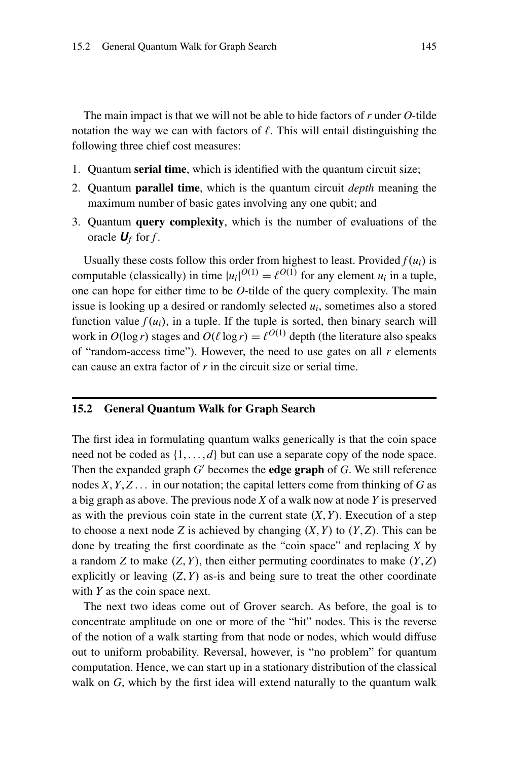The main impact is that we will not be able to hide factors of *r* under *O*-tilde notation the way we can with factors of  $\ell$ . This will entail distinguishing the following three chief cost measures:

- 1. Quantum serial time, which is identified with the quantum circuit size;
- 2. Quantum parallel time, which is the quantum circuit *depth* meaning the maximum number of basic gates involving any one qubit; and
- 3. Quantum query complexity, which is the number of evaluations of the oracle  $U_f$  for *f*.

Usually these costs follow this order from highest to least. Provided  $f(u_i)$  is computable (classically) in time  $|u_i|^{O(1)} = \ell^{O(1)}$  for any element  $u_i$  in a tuple, one can hope for either time to be *O*-tilde of the query complexity. The main issue is looking up a desired or randomly selected *ui*, sometimes also a stored function value  $f(u_i)$ , in a tuple. If the tuple is sorted, then binary search will work in  $O(\log r)$  stages and  $O(\ell \log r) = \ell^{O(1)}$  depth (the literature also speaks of "random-access time"). However, the need to use gates on all  $r$  elements can cause an extra factor of *r* in the circuit size or serial time.

#### 15.2 General Quantum Walk for Graph Search

The first idea in formulating quantum walks generically is that the coin space need not be coded as  $\{1, \ldots, d\}$  but can use a separate copy of the node space. Then the expanded graph  $G'$  becomes the **edge graph** of  $G$ . We still reference nodes *X*,*Y*,*Z* ... in our notation; the capital letters come from thinking of *G* as a big graph as above. The previous node *X* of a walk now at node *Y* is preserved as with the previous coin state in the current state  $(X, Y)$ . Execution of a step to choose a next node *Z* is achieved by changing  $(X, Y)$  to  $(Y, Z)$ . This can be done by treating the first coordinate as the "coin space" and replacing *X* by a random *Z* to make (*Z*,*Y*), then either permuting coordinates to make (*Y*,*Z*) explicitly or leaving  $(Z, Y)$  as-is and being sure to treat the other coordinate with *Y* as the coin space next.

The next two ideas come out of Grover search. As before, the goal is to concentrate amplitude on one or more of the "hit" nodes. This is the reverse of the notion of a walk starting from that node or nodes, which would diffuse out to uniform probability. Reversal, however, is "no problem" for quantum computation. Hence, we can start up in a stationary distribution of the classical walk on *G*, which by the first idea will extend naturally to the quantum walk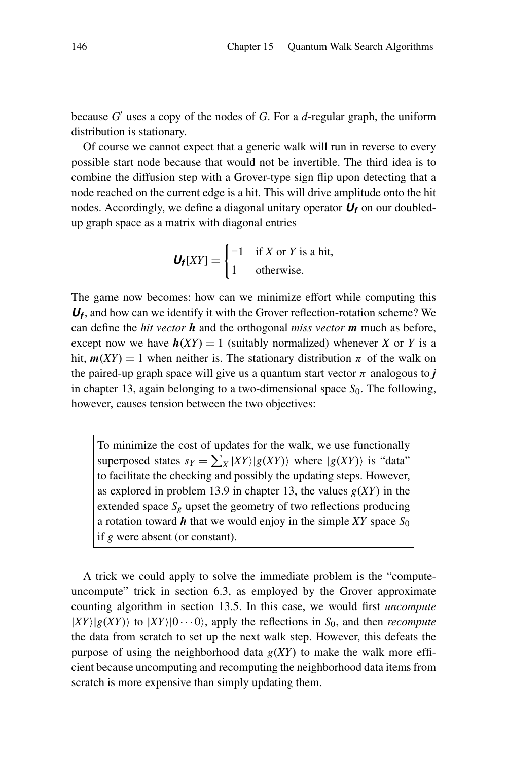because *G* uses a copy of the nodes of *G*. For a *d*-regular graph, the uniform distribution is stationary.

Of course we cannot expect that a generic walk will run in reverse to every possible start node because that would not be invertible. The third idea is to combine the diffusion step with a Grover-type sign flip upon detecting that a node reached on the current edge is a hit. This will drive amplitude onto the hit nodes. Accordingly, we define a diagonal unitary operator  $U_f$  on our doubledup graph space as a matrix with diagonal entries

$$
U_f[XY] = \begin{cases} -1 & \text{if } X \text{ or } Y \text{ is a hit,} \\ 1 & \text{otherwise.} \end{cases}
$$

The game now becomes: how can we minimize effort while computing this  $U_f$ , and how can we identify it with the Grover reflection-rotation scheme? We can define the *hit vector h* and the orthogonal *miss vector m* much as before, except now we have  $h(XY) = 1$  (suitably normalized) whenever *X* or *Y* is a hit,  $m(XY) = 1$  when neither is. The stationary distribution  $\pi$  of the walk on the paired-up graph space will give us a quantum start vector  $\pi$  analogous to *j* in chapter 13, again belonging to a two-dimensional space  $S_0$ . The following, however, causes tension between the two objectives:

To minimize the cost of updates for the walk, we use functionally superposed states  $s_Y = \sum_X |XY\rangle|g(XY)\rangle$  where  $|g(XY)\rangle$  is "data" to facilitate the checking and possibly the updating steps. However, as explored in problem 13.9 in chapter 13, the values  $g(XY)$  in the extended space  $S_g$  upset the geometry of two reflections producing a rotation toward  $h$  that we would enjoy in the simple *XY* space  $S_0$ if *g* were absent (or constant).

A trick we could apply to solve the immediate problem is the "computeuncompute" trick in section 6.3, as employed by the Grover approximate counting algorithm in section 13.5. In this case, we would first *uncompute*  $|XY\rangle|g(XY)\rangle$  to  $|XY\rangle|0\cdots0\rangle$ , apply the reflections in *S*<sub>0</sub>, and then *recompute* the data from scratch to set up the next walk step. However, this defeats the purpose of using the neighborhood data  $g(XY)$  to make the walk more efficient because uncomputing and recomputing the neighborhood data items from scratch is more expensive than simply updating them.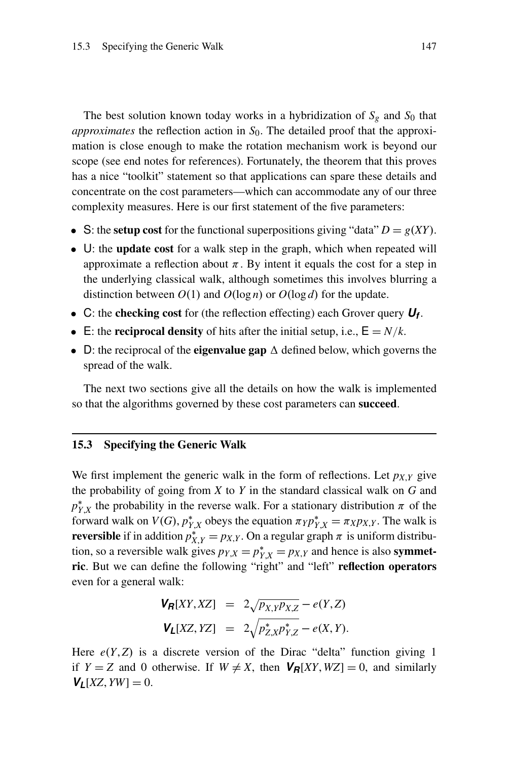The best solution known today works in a hybridization of  $S_g$  and  $S_0$  that *approximates* the reflection action in *S*0. The detailed proof that the approximation is close enough to make the rotation mechanism work is beyond our scope (see end notes for references). Fortunately, the theorem that this proves has a nice "toolkit" statement so that applications can spare these details and concentrate on the cost parameters—which can accommodate any of our three complexity measures. Here is our first statement of the five parameters:

- S: the setup cost for the functional superpositions giving "data"  $D = g(XY)$ .
- U: the update cost for a walk step in the graph, which when repeated will approximate a reflection about  $\pi$ . By intent it equals the cost for a step in the underlying classical walk, although sometimes this involves blurring a distinction between  $O(1)$  and  $O(\log n)$  or  $O(\log d)$  for the update.
- C: the **checking cost** for (the reflection effecting) each Grover query  $U_f$ .
- E: the **reciprocal density** of hits after the initial setup, i.e.,  $E = N/k$ .
- D: the reciprocal of the **eigenvalue gap**  $\Delta$  defined below, which governs the spread of the walk.

The next two sections give all the details on how the walk is implemented so that the algorithms governed by these cost parameters can succeed.

#### 15.3 Specifying the Generic Walk

We first implement the generic walk in the form of reflections. Let  $p_{X,Y}$  give the probability of going from *X* to *Y* in the standard classical walk on *G* and  $p_{Y,X}^*$  the probability in the reverse walk. For a stationary distribution  $\pi$  of the forward walk on  $V(G)$ ,  $p_{Y,X}^*$  obeys the equation  $\pi_Y p_{Y,X}^* = \pi_X p_{X,Y}$ . The walk is **reversible** if in addition  $p_{X,Y}^* = p_{X,Y}$ . On a regular graph  $\pi$  is uniform distribution, so a reversible walk gives  $p_{Y,X} = p_{Y,X}^* = p_{X,Y}$  and hence is also **symmet**ric. But we can define the following "right" and "left" reflection operators even for a general walk:

$$
V_R[XY, XZ] = 2\sqrt{p_{X,Y}p_{X,Z}} - e(Y, Z)
$$
  

$$
V_L[XZ, YZ] = 2\sqrt{p_{Z,X}^*p_{Y,Z}^*} - e(X, Y).
$$

Here  $e(Y, Z)$  is a discrete version of the Dirac "delta" function giving 1 if  $Y = Z$  and 0 otherwise. If  $W \neq X$ , then  $V_R[XY, WZ] = 0$ , and similarly  $V_{I}$ [*XZ*, *YW*] = 0.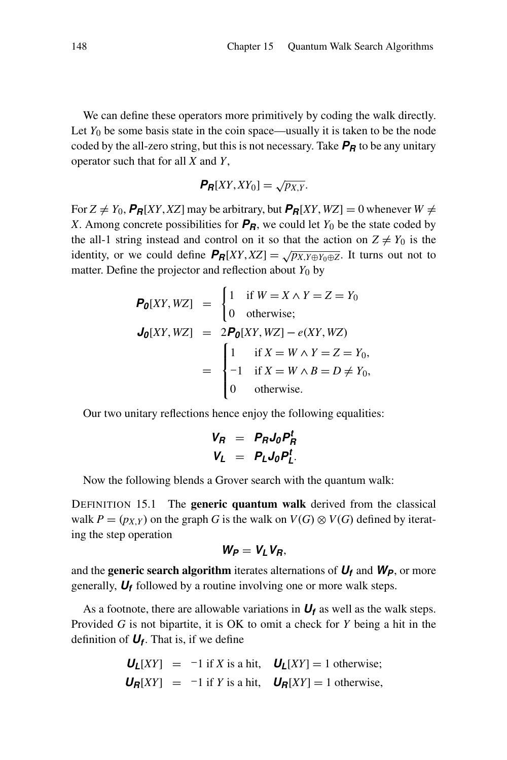We can define these operators more primitively by coding the walk directly. Let  $Y_0$  be some basis state in the coin space—usually it is taken to be the node coded by the all-zero string, but this is not necessary. Take  $P<sub>R</sub>$  to be any unitary operator such that for all *X* and *Y*,

$$
\mathbf{P}_{\mathbf{R}}[XY,XY_0]=\sqrt{p_{X,Y}}.
$$

For  $Z \neq Y_0$ ,  $P_R[XY, XZ]$  may be arbitrary, but  $P_R[XY, WZ] = 0$  whenever  $W \neq$ *X*. Among concrete possibilities for  $P_R$ , we could let  $Y_0$  be the state coded by the all-1 string instead and control on it so that the action on  $Z \neq Y_0$  is the identity, or we could define  $P_R[XY, XZ] = \sqrt{p_{X,Y \oplus Y_0 \oplus Z}}$ . It turns out not to matter. Define the projector and reflection about  $Y_0$  by

$$
\begin{aligned}\n\mathbf{P}_{\mathbf{0}}[XY, WZ] &= \begin{cases}\n1 & \text{if } W = X \wedge Y = Z = Y_0 \\
0 & \text{otherwise;} \n\end{cases} \\
\mathbf{J}_{\mathbf{0}}[XY, WZ] &= 2\mathbf{P}_{\mathbf{0}}[XY, WZ] - e(XY, WZ) \\
&= \begin{cases}\n1 & \text{if } X = W \wedge Y = Z = Y_0, \\
-1 & \text{if } X = W \wedge B = D \neq Y_0, \\
0 & \text{otherwise.}\n\end{cases}\n\end{aligned}
$$

Our two unitary reflections hence enjoy the following equalities:

$$
V_R = P_R J_0 P_R^t
$$
  

$$
V_L = P_L J_0 P_L^t
$$

Now the following blends a Grover search with the quantum walk:

DEFINITION 15.1 The **generic quantum walk** derived from the classical walk  $P = (p_{X,Y})$  on the graph *G* is the walk on  $V(G) \otimes V(G)$  defined by iterating the step operation

$$
W_P=V_LV_R,
$$

and the **generic search algorithm** iterates alternations of  $U_f$  and  $W_p$ , or more generally,  $U_f$  followed by a routine involving one or more walk steps.

As a footnote, there are allowable variations in  $U_f$  as well as the walk steps. Provided *G* is not bipartite, it is OK to omit a check for *Y* being a hit in the definition of  $U_f$ . That is, if we define

$$
U_L[XY] = -1
$$
 if X is a hit,  $U_L[XY] = 1$  otherwise;  

$$
U_R[XY] = -1
$$
 if Y is a hit,  $U_R[XY] = 1$  otherwise,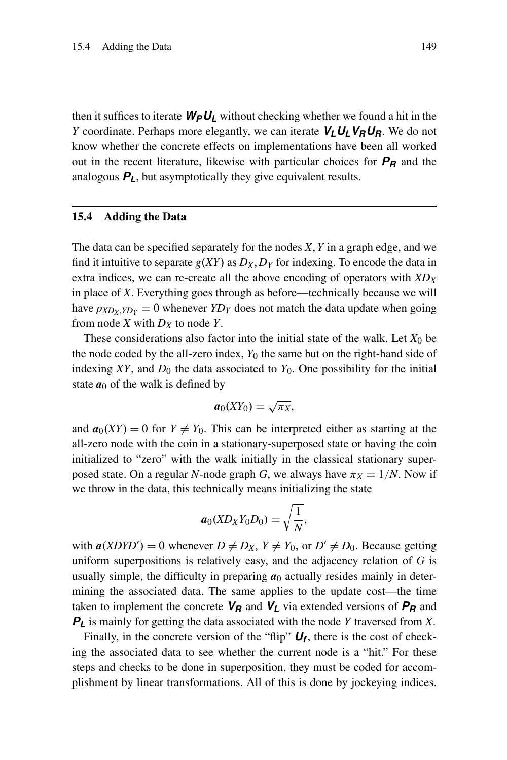then it suffices to iterate  $W_P U_L$  without checking whether we found a hit in the *Y* coordinate. Perhaps more elegantly, we can iterate  $V_L U_L V_R U_R$ . We do not know whether the concrete effects on implementations have been all worked out in the recent literature, likewise with particular choices for *PR* and the analogous *PL*, but asymptotically they give equivalent results.

### 15.4 Adding the Data

The data can be specified separately for the nodes *X*,*Y* in a graph edge, and we find it intuitive to separate  $g(XY)$  as  $D_X, D_Y$  for indexing. To encode the data in extra indices, we can re-create all the above encoding of operators with *XDX* in place of *X*. Everything goes through as before—technically because we will have  $p_{XD_x, YD_y} = 0$  whenever  $YD_y$  does not match the data update when going from node *X* with  $D_X$  to node *Y*.

These considerations also factor into the initial state of the walk. Let  $X_0$  be the node coded by the all-zero index,  $Y_0$  the same but on the right-hand side of indexing  $XY$ , and  $D_0$  the data associated to  $Y_0$ . One possibility for the initial state  $a_0$  of the walk is defined by

$$
a_0(XY_0)=\sqrt{\pi_X},
$$

and  $a_0(XY) = 0$  for  $Y \neq Y_0$ . This can be interpreted either as starting at the all-zero node with the coin in a stationary-superposed state or having the coin initialized to "zero" with the walk initially in the classical stationary superposed state. On a regular *N*-node graph *G*, we always have  $\pi_X = 1/N$ . Now if we throw in the data, this technically means initializing the state

$$
a_0(XD_XY_0D_0)=\sqrt{\frac{1}{N}},
$$

with  $a(XDYD') = 0$  whenever  $D \neq D_X$ ,  $Y \neq Y_0$ , or  $D' \neq D_0$ . Because getting uniform superpositions is relatively easy, and the adjacency relation of *G* is usually simple, the difficulty in preparing  $a_0$  actually resides mainly in determining the associated data. The same applies to the update cost—the time taken to implement the concrete  $V_R$  and  $V_L$  via extended versions of  $P_R$  and *PL* is mainly for getting the data associated with the node *Y* traversed from *X*.

Finally, in the concrete version of the "flip"  $U_f$ , there is the cost of checking the associated data to see whether the current node is a "hit." For these steps and checks to be done in superposition, they must be coded for accomplishment by linear transformations. All of this is done by jockeying indices.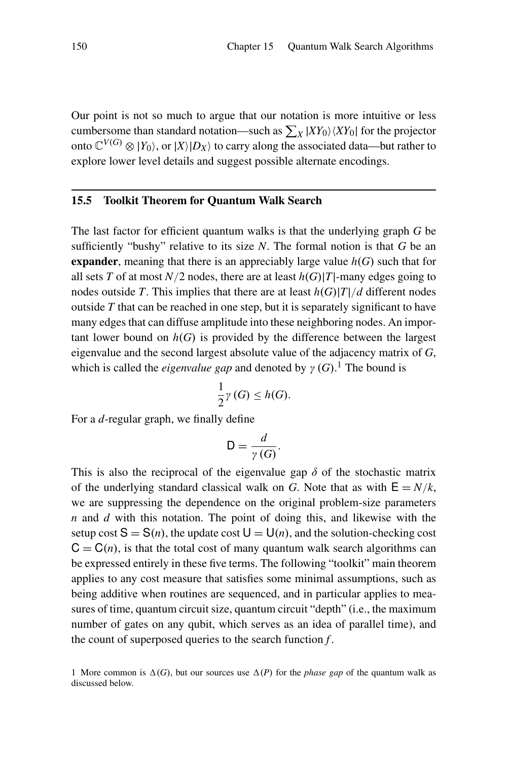Our point is not so much to argue that our notation is more intuitive or less cumbersome than standard notation—such as  $\sum_X |XY_0\rangle \langle XY_0|$  for the projector onto  $\mathbb{C}^{V(G)} \otimes |Y_0\rangle$ , or  $|X\rangle|D_X\rangle$  to carry along the associated data—but rather to explore lower level details and suggest possible alternate encodings.

#### 15.5 Toolkit Theorem for Quantum Walk Search

The last factor for efficient quantum walks is that the underlying graph *G* be sufficiently "bushy" relative to its size *N*. The formal notion is that *G* be an expander, meaning that there is an appreciably large value  $h(G)$  such that for all sets *T* of at most  $N/2$  nodes, there are at least  $h(G)|T|$ -many edges going to nodes outside *T*. This implies that there are at least  $h(G)|T|/d$  different nodes outside  $T$  that can be reached in one step, but it is separately significant to have many edges that can diffuse amplitude into these neighboring nodes. An important lower bound on  $h(G)$  is provided by the difference between the largest eigenvalue and the second largest absolute value of the adjacency matrix of *G*, which is called the *eigenvalue gap* and denoted by  $\gamma(G)$ .<sup>1</sup> The bound is

$$
\frac{1}{2}\gamma(G) \leq h(G).
$$

For a *d*-regular graph, we finally define

$$
\mathsf{D}=\frac{d}{\gamma(G)}.
$$

This is also the reciprocal of the eigenvalue gap  $\delta$  of the stochastic matrix of the underlying standard classical walk on *G*. Note that as with  $E = N/k$ , we are suppressing the dependence on the original problem-size parameters *n* and *d* with this notation. The point of doing this, and likewise with the setup cost  $S = S(n)$ , the update cost  $U = U(n)$ , and the solution-checking cost  $C = C(n)$ , is that the total cost of many quantum walk search algorithms can be expressed entirely in these five terms. The following "toolkit" main theorem applies to any cost measure that satisfies some minimal assumptions, such as being additive when routines are sequenced, and in particular applies to measures of time, quantum circuit size, quantum circuit "depth" (i.e., the maximum number of gates on any qubit, which serves as an idea of parallel time), and the count of superposed queries to the search function *f* .

<sup>1</sup> More common is  $\Delta(G)$ , but our sources use  $\Delta(P)$  for the *phase gap* of the quantum walk as discussed below.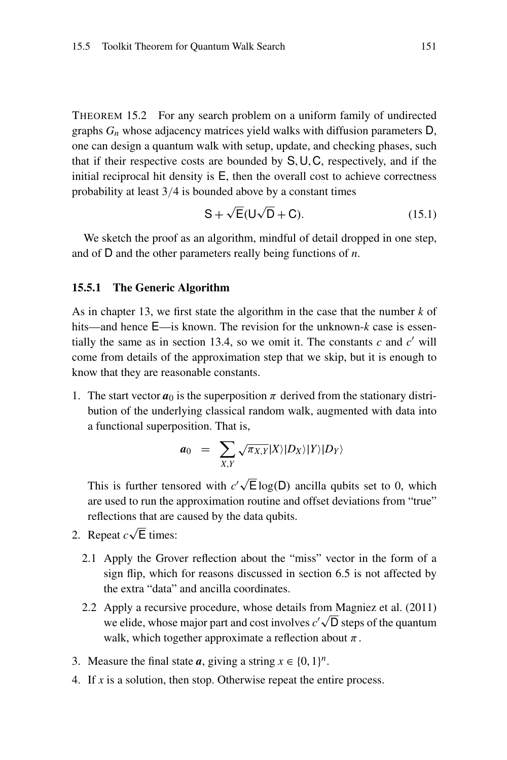THEOREM 15.2 For any search problem on a uniform family of undirected graphs  $G_n$  whose adjacency matrices yield walks with diffusion parameters  $D$ , one can design a quantum walk with setup, update, and checking phases, such that if their respective costs are bounded by S,U,C, respectively, and if the initial reciprocal hit density is  $E$ , then the overall cost to achieve correctness probability at least 3/4 is bounded above by a constant times

$$
S + \sqrt{E}(U\sqrt{D} + C). \tag{15.1}
$$

We sketch the proof as an algorithm, mindful of detail dropped in one step, and of D and the other parameters really being functions of *n*.

#### 15.5.1 The Generic Algorithm

As in chapter 13, we first state the algorithm in the case that the number *k* of hits—and hence **E**—is known. The revision for the unknown-*k* case is essentially the same as in section 13.4, so we omit it. The constants  $c$  and  $c'$  will come from details of the approximation step that we skip, but it is enough to know that they are reasonable constants.

1. The start vector  $a_0$  is the superposition  $\pi$  derived from the stationary distribution of the underlying classical random walk, augmented with data into a functional superposition. That is,

$$
a_0 = \sum_{X,Y} \sqrt{\pi_{X,Y}} |X\rangle |D_X\rangle |Y\rangle |D_Y\rangle
$$

This is further tensored with  $c' \sqrt{E} \log(D)$  ancilla qubits set to 0, which are used to run the approximation routine and offset deviations from "true" reflections that are caused by the data qubits.

- 2. Repeat  $c\sqrt{E}$  times:
	- 2.1 Apply the Grover reflection about the "miss" vector in the form of a sign flip, which for reasons discussed in section 6.5 is not affected by the extra "data" and ancilla coordinates.
	- 2.2 Apply a recursive procedure, whose details from Magniez et al. (2011) we elide, whose major part and cost involves  $c' \sqrt{D}$  steps of the quantum walk, which together approximate a reflection about  $\pi$ .
- 3. Measure the final state  $a$ , giving a string  $x \in \{0, 1\}^n$ .
- 4. If *x* is a solution, then stop. Otherwise repeat the entire process.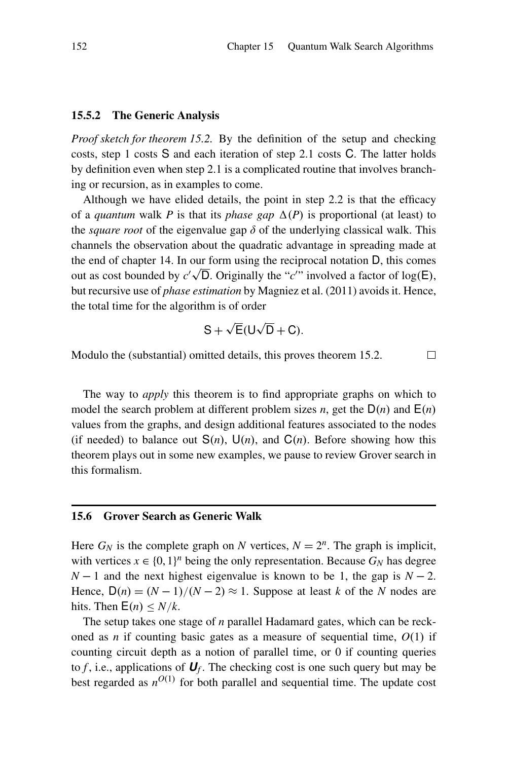#### 15.5.2 The Generic Analysis

*Proof sketch for theorem 15.2.* By the definition of the setup and checking costs, step 1 costs S and each iteration of step 2.1 costs C. The latter holds by definition even when step 2.1 is a complicated routine that involves branching or recursion, as in examples to come.

Although we have elided details, the point in step 2.2 is that the efficacy of a *quantum* walk *P* is that its *phase gap*  $\Delta(P)$  is proportional (at least) to the *square root* of the eigenvalue gap  $\delta$  of the underlying classical walk. This channels the observation about the quadratic advantage in spreading made at the end of chapter 14. In our form using the reciprocal notation D, this comes out as cost bounded by  $c' \sqrt{D}$ . Originally the " $c''$ " involved a factor of log(E), but recursive use of *phase estimation* by Magniez et al. (2011) avoids it. Hence, the total time for the algorithm is of order

$$
S + \sqrt{E}(U\sqrt{D} + C).
$$

Modulo the (substantial) omitted details, this proves theorem 15.2.  $\Box$ 

The way to *apply* this theorem is to find appropriate graphs on which to model the search problem at different problem sizes *n*, get the  $D(n)$  and  $E(n)$ values from the graphs, and design additional features associated to the nodes (if needed) to balance out  $S(n)$ ,  $U(n)$ , and  $C(n)$ . Before showing how this theorem plays out in some new examples, we pause to review Grover search in this formalism.

#### 15.6 Grover Search as Generic Walk

Here  $G_N$  is the complete graph on *N* vertices,  $N = 2^n$ . The graph is implicit, with vertices  $x \in \{0, 1\}^n$  being the only representation. Because  $G_N$  has degree  $N-1$  and the next highest eigenvalue is known to be 1, the gap is  $N-2$ . Hence,  $D(n) = (N-1)/(N-2) \approx 1$ . Suppose at least *k* of the *N* nodes are hits. Then  $E(n) \leq N/k$ .

The setup takes one stage of *n* parallel Hadamard gates, which can be reckoned as *n* if counting basic gates as a measure of sequential time, *O*(1) if counting circuit depth as a notion of parallel time, or 0 if counting queries to *f*, i.e., applications of  $U_f$ . The checking cost is one such query but may be best regarded as  $n^{O(1)}$  for both parallel and sequential time. The update cost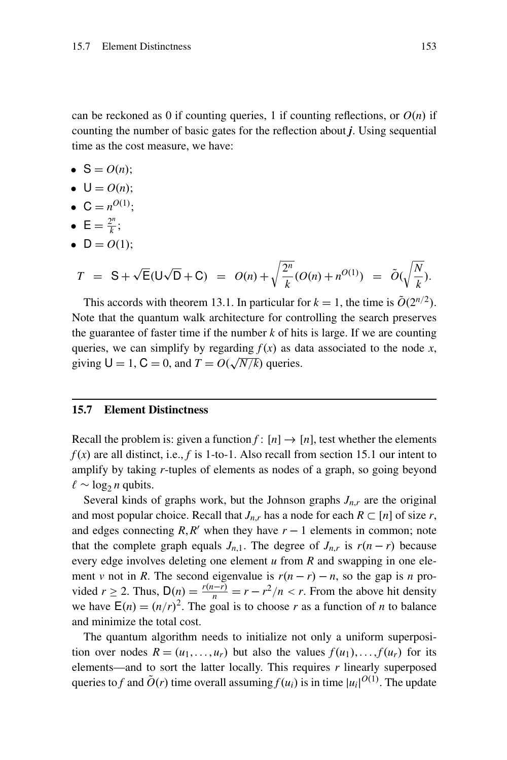can be reckoned as 0 if counting queries, 1 if counting reflections, or  $O(n)$  if counting the number of basic gates for the reflection about *j*. Using sequential time as the cost measure, we have:

- $S = O(n)$ ;
- $\bullet \quad \mathsf{U} = O(n)$ :
- $C = n^{O(1)}$ ;
- $E = \frac{2^n}{k};$
- $D = O(1)$ :

$$
T = S + \sqrt{E}(U\sqrt{D} + C) = O(n) + \sqrt{\frac{2^n}{k}}(O(n) + n^{O(1)}) = \tilde{O}(\sqrt{\frac{N}{k}}).
$$

This accords with theorem 13.1. In particular for  $k = 1$ , the time is  $O(2^{n/2})$ . Note that the quantum walk architecture for controlling the search preserves the guarantee of faster time if the number  $k$  of hits is large. If we are counting queries, we can simplify by regarding  $f(x)$  as data associated to the node *x*, giving  $U = 1$ ,  $C = 0$ , and  $T = O(\sqrt{N/k})$  queries.

# 15.7 Element Distinctness

Recall the problem is: given a function  $f : [n] \rightarrow [n]$ , test whether the elements  $f(x)$  are all distinct, i.e., *f* is 1-to-1. Also recall from section 15.1 our intent to amplify by taking *r*-tuples of elements as nodes of a graph, so going beyond  $\ell \sim \log_2 n$  qubits.

Several kinds of graphs work, but the Johnson graphs  $J_{n,r}$  are the original and most popular choice. Recall that  $J_{n,r}$  has a node for each  $R \subset [n]$  of size  $r$ , and edges connecting  $R$ , $R'$  when they have  $r - 1$  elements in common; note that the complete graph equals  $J_{n,1}$ . The degree of  $J_{n,r}$  is  $r(n-r)$  because every edge involves deleting one element *u* from *R* and swapping in one element *v* not in *R*. The second eigenvalue is  $r(n - r) - n$ , so the gap is *n* provided *r* ≥ 2. Thus,  $D(n) = \frac{r(n-r)}{n} = r - r^2/n < r$ . From the above hit density we have  $E(n) = (n/r)^2$ . The goal is to choose *r* as a function of *n* to balance and minimize the total cost.

The quantum algorithm needs to initialize not only a uniform superposition over nodes  $R = (u_1, \ldots, u_r)$  but also the values  $f(u_1), \ldots, f(u_r)$  for its elements—and to sort the latter locally. This requires *r* linearly superposed queries to *f* and  $\tilde{O}(r)$  time overall assuming  $f(u_i)$  is in time  $|u_i|^{O(1)}$ . The update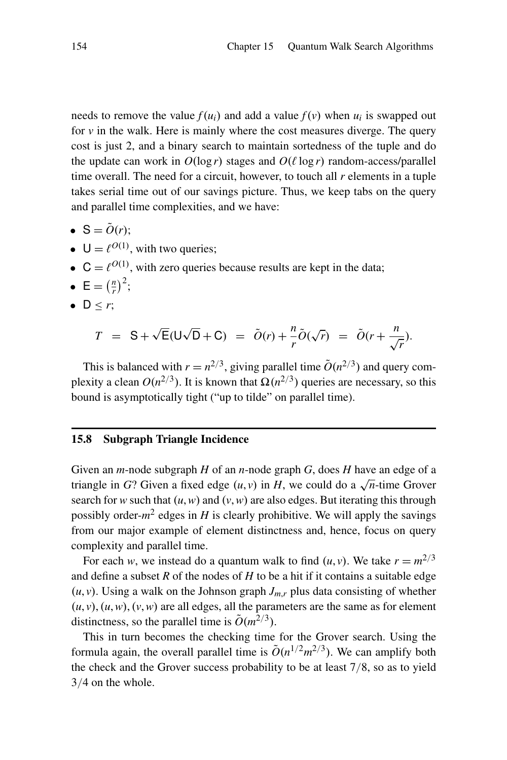needs to remove the value  $f(u_i)$  and add a value  $f(v)$  when  $u_i$  is swapped out for  $\nu$  in the walk. Here is mainly where the cost measures diverge. The query cost is just 2, and a binary search to maintain sortedness of the tuple and do the update can work in  $O(\log r)$  stages and  $O(\ell \log r)$  random-access/parallel time overall. The need for a circuit, however, to touch all *r* elements in a tuple takes serial time out of our savings picture. Thus, we keep tabs on the query and parallel time complexities, and we have:

- $S = \tilde{O}(r)$ :
- $\bullet \ \mathsf{U} = \ell^{O(1)}$ , with two queries;
- $C = \ell^{O(1)}$ , with zero queries because results are kept in the data;
- $E = \left(\frac{n}{r}\right)^2;$
- $\bullet$  D < *r*;

$$
T = S + \sqrt{E}(U\sqrt{D} + C) = \tilde{O}(r) + \frac{n}{r}\tilde{O}(\sqrt{r}) = \tilde{O}(r + \frac{n}{\sqrt{r}}).
$$

This is balanced with  $r = n^{2/3}$ , giving parallel time  $O(n^{2/3})$  and query complexity a clean  $O(n^{2/3})$ . It is known that  $\Omega(n^{2/3})$  queries are necessary, so this bound is asymptotically tight ("up to tilde" on parallel time).

# 15.8 Subgraph Triangle Incidence

Given an *m*-node subgraph *H* of an *n*-node graph *G*, does *H* have an edge of a triangle in *G*? Given a fixed edge  $(u, v)$  in *H*, we could do a  $\sqrt{n}$ -time Grover search for *w* such that  $(u, w)$  and  $(v, w)$  are also edges. But iterating this through possibly order- $m^2$  edges in *H* is clearly prohibitive. We will apply the savings from our major example of element distinctness and, hence, focus on query complexity and parallel time.

For each *w*, we instead do a quantum walk to find  $(u, v)$ . We take  $r = m^{2/3}$ and define a subset  $R$  of the nodes of  $H$  to be a hit if it contains a suitable edge  $(u, v)$ . Using a walk on the Johnson graph  $J_{m,r}$  plus data consisting of whether  $(u, v)$ ,  $(u, w)$ ,  $(v, w)$  are all edges, all the parameters are the same as for element distinctness, so the parallel time is  $\tilde{O}(m^{2/3})$ .

This in turn becomes the checking time for the Grover search. Using the formula again, the overall parallel time is  $\tilde{O}(n^{1/2}m^{2/3})$ . We can amplify both the check and the Grover success probability to be at least 7/8, so as to yield 3/4 on the whole.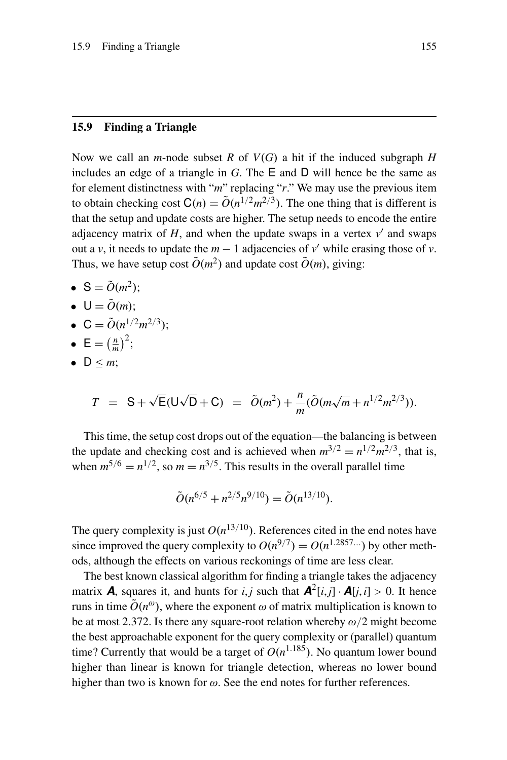# 15.9 Finding a Triangle

Now we call an *m*-node subset *R* of *V*(*G*) a hit if the induced subgraph *H* includes an edge of a triangle in *G*. The E and D will hence be the same as for element distinctness with "*m*" replacing "*r*." We may use the previous item to obtain checking cost  $C(n) = \tilde{O}(n^{1/2}m^{2/3})$ . The one thing that is different is that the setup and update costs are higher. The setup needs to encode the entire adjacency matrix of  $H$ , and when the update swaps in a vertex  $v'$  and swaps out a *v*, it needs to update the  $m - 1$  adjacencies of  $v'$  while erasing those of *v*. Thus, we have setup cost  $\tilde{O}(m^2)$  and update cost  $\tilde{O}(m)$ , giving:

- $S = \tilde{O}(m^2)$ :
- $U = \tilde{O}(m)$ :
- $C = \tilde{O}(n^{1/2}m^{2/3});$
- $E = (\frac{n}{m})^2;$
- $\bullet$  D  $\leq m$ ;

$$
T = S + \sqrt{E}(U\sqrt{D} + C) = \tilde{O}(m^2) + \frac{n}{m}(\tilde{O}(m\sqrt{m} + n^{1/2}m^{2/3})).
$$

This time, the setup cost drops out of the equation—the balancing is between the update and checking cost and is achieved when  $m^{3/2} = n^{1/2} m^{2/3}$ , that is, when  $m^{5/6} = n^{1/2}$ , so  $m = n^{3/5}$ . This results in the overall parallel time

$$
\tilde{O}(n^{6/5} + n^{2/5}n^{9/10}) = \tilde{O}(n^{13/10}).
$$

The query complexity is just  $O(n^{13/10})$ . References cited in the end notes have since improved the query complexity to  $O(n^{9/7}) = O(n^{1.2857...})$  by other methods, although the effects on various reckonings of time are less clear.

The best known classical algorithm for finding a triangle takes the adjacency matrix *A*, squares it, and hunts for *i*,*j* such that  $A^2[i, j] \cdot A[j, i] > 0$ . It hence runs in time  $O(n^{\omega})$ , where the exponent  $\omega$  of matrix multiplication is known to be at most 2.372. Is there any square-root relation whereby  $\omega/2$  might become the best approachable exponent for the query complexity or (parallel) quantum time? Currently that would be a target of  $O(n^{1.185})$ . No quantum lower bound higher than linear is known for triangle detection, whereas no lower bound higher than two is known for  $\omega$ . See the end notes for further references.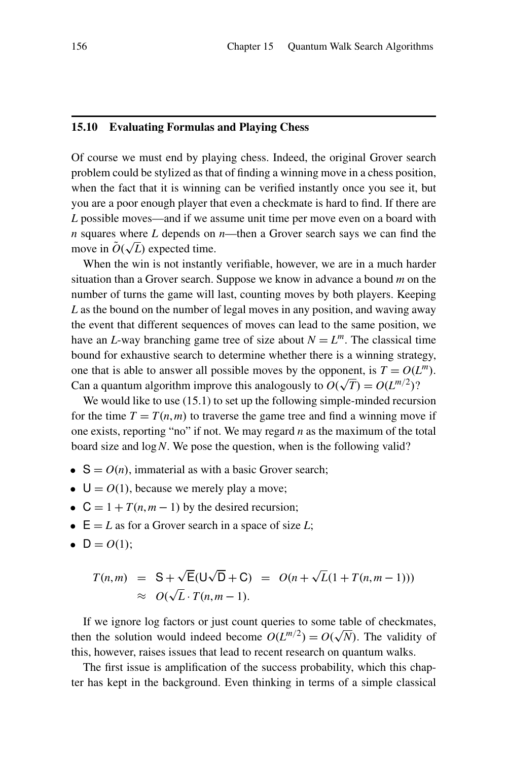### 15.10 Evaluating Formulas and Playing Chess

Of course we must end by playing chess. Indeed, the original Grover search problem could be stylized as that of finding a winning move in a chess position, when the fact that it is winning can be verified instantly once you see it, but you are a poor enough player that even a checkmate is hard to find. If there are *L* possible moves—and if we assume unit time per move even on a board with *n* squares where *L* depends on *n*—then a Grover search says we can find the move in  $\tilde{O}(\sqrt{L})$  expected time.

When the win is not instantly verifiable, however, we are in a much harder situation than a Grover search. Suppose we know in advance a bound *m* on the number of turns the game will last, counting moves by both players. Keeping *L* as the bound on the number of legal moves in any position, and waving away the event that different sequences of moves can lead to the same position, we have an *L*-way branching game tree of size about  $N = L^m$ . The classical time bound for exhaustive search to determine whether there is a winning strategy, one that is able to answer all possible moves by the opponent, is  $T = O(L^m)$ . Can a quantum algorithm improve this analogously to  $O(\sqrt{T}) = O(L^{m/2})$ ?

We would like to use (15.1) to set up the following simple-minded recursion for the time  $T = T(n,m)$  to traverse the game tree and find a winning move if one exists, reporting "no" if not. We may regard *n* as the maximum of the total board size and log*N*. We pose the question, when is the following valid?

- $S = O(n)$ , immaterial as with a basic Grover search;
- $U = O(1)$ , because we merely play a move;
- $C = 1 + T(n, m 1)$  by the desired recursion;
- $E = L$  as for a Grover search in a space of size *L*;
- $D = O(1);$

$$
T(n,m) = S + \sqrt{E}(U\sqrt{D} + C) = O(n + \sqrt{L}(1 + T(n,m-1)))
$$
  
 
$$
\approx O(\sqrt{L} \cdot T(n,m-1)).
$$

If we ignore log factors or just count queries to some table of checkmates, then the solution would indeed become  $O(L^{m/2}) = O(\sqrt{N})$ . The validity of this, however, raises issues that lead to recent research on quantum walks.

The first issue is amplification of the success probability, which this chapter has kept in the background. Even thinking in terms of a simple classical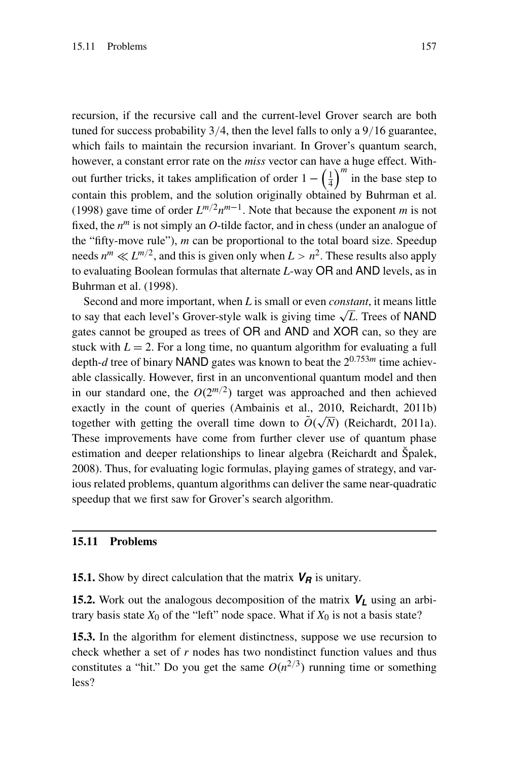recursion, if the recursive call and the current-level Grover search are both tuned for success probability  $3/4$ , then the level falls to only a  $9/16$  guarantee, which fails to maintain the recursion invariant. In Grover's quantum search, however, a constant error rate on the *miss* vector can have a huge effect. Without further tricks, it takes amplification of order  $1 - \left(\frac{1}{4}\right)^m$  in the base step to contain this problem, and the solution originally obtained by Buhrman et al. (1998) gave time of order  $L^{m/2}n^{m-1}$ . Note that because the exponent *m* is not fixed, the  $n^m$  is not simply an *O*-tilde factor, and in chess (under an analogue of the "fifty-move rule"), *m* can be proportional to the total board size. Speedup needs  $n^m \ll L^{m/2}$ , and this is given only when  $L > n^2$ . These results also apply to evaluating Boolean formulas that alternate *L*-way OR and AND levels, as in Buhrman et al. (1998).

Second and more important, when *L* is small or even *constant*, it means little to say that each level's Grover-style walk is giving time  $\sqrt{L}$ . Trees of NAND gates cannot be grouped as trees of OR and AND and XOR can, so they are stuck with  $L = 2$ . For a long time, no quantum algorithm for evaluating a full depth-*d* tree of binary NAND gates was known to beat the 20.753*<sup>m</sup>* time achievable classically. However, first in an unconventional quantum model and then in our standard one, the  $O(2^{m/2})$  target was approached and then achieved exactly in the count of queries (Ambainis et al., 2010, Reichardt, 2011b) together with getting the overall time down to  $\tilde{O}(\sqrt{N})$  (Reichardt, 2011a). These improvements have come from further clever use of quantum phase estimation and deeper relationships to linear algebra (Reichardt and Špalek, 2008). Thus, for evaluating logic formulas, playing games of strategy, and various related problems, quantum algorithms can deliver the same near-quadratic speedup that we first saw for Grover's search algorithm.

### 15.11 Problems

15.1. Show by direct calculation that the matrix  $V_R$  is unitary.

15.2. Work out the analogous decomposition of the matrix  $V_L$  using an arbitrary basis state  $X_0$  of the "left" node space. What if  $X_0$  is not a basis state?

15.3. In the algorithm for element distinctness, suppose we use recursion to check whether a set of *r* nodes has two nondistinct function values and thus constitutes a "hit." Do you get the same  $O(n^{2/3})$  running time or something less?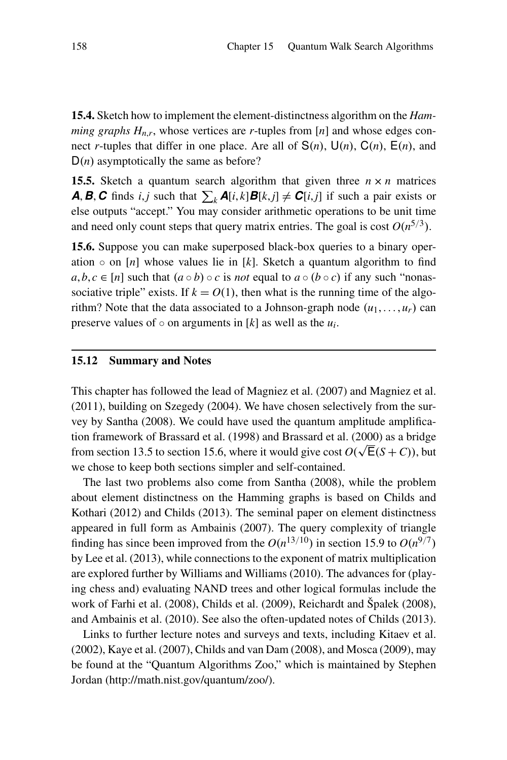15.4. Sketch how to implement the element-distinctness algorithm on the *Hamming graphs*  $H_{n,r}$ , whose vertices are *r*-tuples from [*n*] and whose edges connect *r*-tuples that differ in one place. Are all of  $S(n)$ ,  $U(n)$ ,  $C(n)$ ,  $E(n)$ , and  $D(n)$  asymptotically the same as before?

**15.5.** Sketch a quantum search algorithm that given three  $n \times n$  matrices *A*, *B*, *C* finds *i*,*j* such that  $\sum_{k} A[i, k]B[k, j] \neq C[i, j]$  if such a pair exists or else outputs "accept." You may consider arithmetic operations to be unit time and need only count steps that query matrix entries. The goal is cost  $O(n^{5/3})$ .

15.6. Suppose you can make superposed black-box queries to a binary operation  $\circ$  on [*n*] whose values lie in [*k*]. Sketch a quantum algorithm to find *a*, *b*, *c* ∈ [*n*] such that  $(a \circ b) \circ c$  is *not* equal to  $a \circ (b \circ c)$  if any such "nonassociative triple" exists. If  $k = O(1)$ , then what is the running time of the algorithm? Note that the data associated to a Johnson-graph node  $(u_1, \ldots, u_r)$  can preserve values of  $\circ$  on arguments in [k] as well as the  $u_i$ .

#### 15.12 Summary and Notes

This chapter has followed the lead of Magniez et al. (2007) and Magniez et al. (2011), building on Szegedy (2004). We have chosen selectively from the survey by Santha (2008). We could have used the quantum amplitude amplification framework of Brassard et al. (1998) and Brassard et al. (2000) as a bridge from section 13.5 to section 15.6, where it would give cost  $O(\sqrt{E}(S+C))$ , but we chose to keep both sections simpler and self-contained.

The last two problems also come from Santha (2008), while the problem about element distinctness on the Hamming graphs is based on Childs and Kothari (2012) and Childs (2013). The seminal paper on element distinctness appeared in full form as Ambainis (2007). The query complexity of triangle finding has since been improved from the  $O(n^{13/10})$  in section 15.9 to  $O(n^{9/7})$ by Lee et al. (2013), while connections to the exponent of matrix multiplication are explored further by Williams and Williams (2010). The advances for (playing chess and) evaluating NAND trees and other logical formulas include the work of Farhi et al.  $(2008)$ , Childs et al.  $(2009)$ , Reichardt and Špalek  $(2008)$ , and Ambainis et al. (2010). See also the often-updated notes of Childs (2013).

Links to further lecture notes and surveys and texts, including Kitaev et al. (2002), Kaye et al. (2007), Childs and van Dam (2008), and Mosca (2009), may be found at the "Quantum Algorithms Zoo," which is maintained by Stephen Jordan (http://math.nist.gov/quantum/zoo/).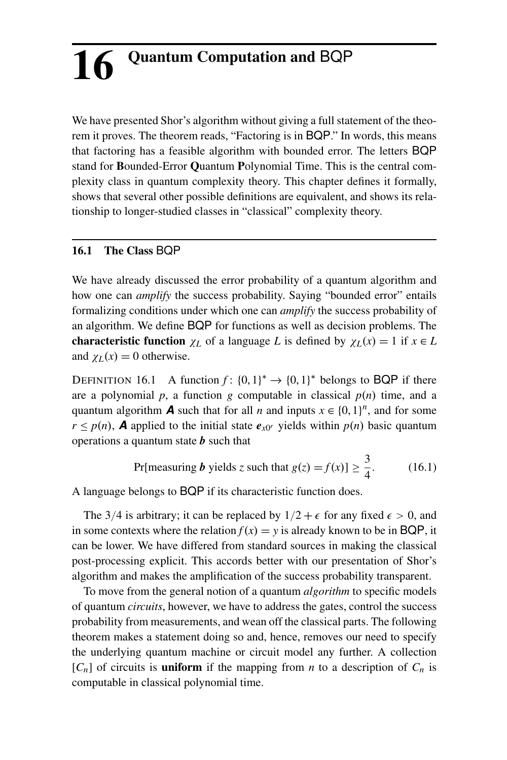# Quantum Computation and BQP

We have presented Shor's algorithm without giving a full statement of the theorem it proves. The theorem reads, "Factoring is in BQP." In words, this means that factoring has a feasible algorithm with bounded error. The letters BQP stand for Bounded-Error Quantum Polynomial Time. This is the central complexity class in quantum complexity theory. This chapter defines it formally, shows that several other possible definitions are equivalent, and shows its relationship to longer-studied classes in "classical" complexity theory.

# 16.1 The Class BQP

We have already discussed the error probability of a quantum algorithm and how one can *amplify* the success probability. Saying "bounded error" entails formalizing conditions under which one can *amplify* the success probability of an algorithm. We define BQP for functions as well as decision problems. The characteristic function  $\chi_L$  of a language *L* is defined by  $\chi_L(x) = 1$  if  $x \in L$ and  $\chi_L(x) = 0$  otherwise.

DEFINITION 16.1 A function  $f: \{0, 1\}^* \rightarrow \{0, 1\}^*$  belongs to BQP if there are a polynomial  $p$ , a function  $g$  computable in classical  $p(n)$  time, and a quantum algorithm **A** such that for all *n* and inputs  $x \in \{0, 1\}^n$ , and for some  $r \leq p(n)$ , **A** applied to the initial state  $e_{x0}$ <sup>*r*</sup> yields within  $p(n)$  basic quantum operations a quantum state *b* such that

Pr[measuring ***b*** yields z such that 
$$
g(z) = f(x) \ge \frac{3}{4}
$$
. (16.1)

A language belongs to BQP if its characteristic function does.

The 3/4 is arbitrary; it can be replaced by  $1/2 + \epsilon$  for any fixed  $\epsilon > 0$ , and in some contexts where the relation  $f(x) = y$  is already known to be in BQP, it can be lower. We have differed from standard sources in making the classical post-processing explicit. This accords better with our presentation of Shor's algorithm and makes the amplification of the success probability transparent.

To move from the general notion of a quantum *algorithm* to specific models of quantum *circuits*, however, we have to address the gates, control the success probability from measurements, and wean off the classical parts. The following theorem makes a statement doing so and, hence, removes our need to specify the underlying quantum machine or circuit model any further. A collection  $[C_n]$  of circuits is **uniform** if the mapping from *n* to a description of  $C_n$  is computable in classical polynomial time.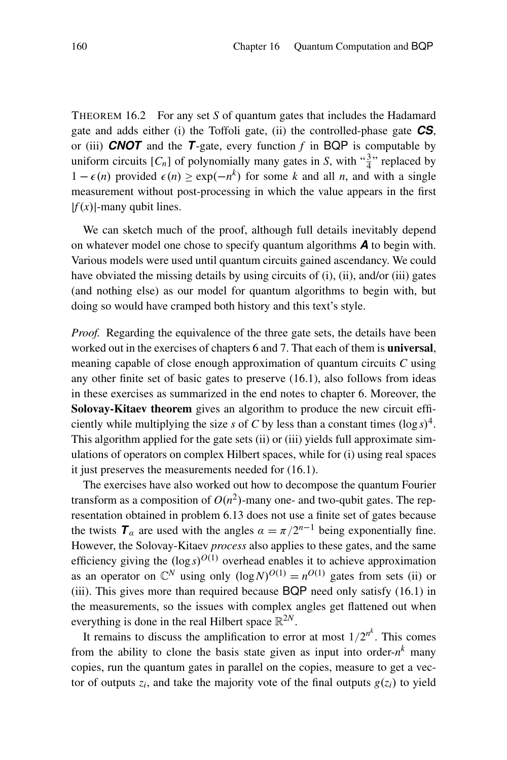THEOREM 16.2 For any set *S* of quantum gates that includes the Hadamard gate and adds either (i) the Toffoli gate, (ii) the controlled-phase gate *CS*, or (iii) **CNOT** and the  $T$ -gate, every function  $f$  in BQP is computable by uniform circuits  $[C_n]$  of polynomially many gates in *S*, with " $\frac{3}{4}$ " replaced by 1 −  $\epsilon(n)$  provided  $\epsilon(n) \geq \exp(-n^k)$  for some *k* and all *n*, and with a single measurement without post-processing in which the value appears in the first  $|f(x)|$ -many qubit lines.

We can sketch much of the proof, although full details inevitably depend on whatever model one chose to specify quantum algorithms *A* to begin with. Various models were used until quantum circuits gained ascendancy. We could have obviated the missing details by using circuits of (i), (ii), and/or (iii) gates (and nothing else) as our model for quantum algorithms to begin with, but doing so would have cramped both history and this text's style.

*Proof.* Regarding the equivalence of the three gate sets, the details have been worked out in the exercises of chapters 6 and 7. That each of them is **universal**, meaning capable of close enough approximation of quantum circuits *C* using any other finite set of basic gates to preserve (16.1), also follows from ideas in these exercises as summarized in the end notes to chapter 6. Moreover, the Solovay-Kitaev theorem gives an algorithm to produce the new circuit efficiently while multiplying the size *s* of *C* by less than a constant times  $(\log s)^4$ . This algorithm applied for the gate sets (ii) or (iii) yields full approximate simulations of operators on complex Hilbert spaces, while for (i) using real spaces it just preserves the measurements needed for (16.1).

The exercises have also worked out how to decompose the quantum Fourier transform as a composition of  $O(n^2)$ -many one- and two-qubit gates. The representation obtained in problem 6.13 does not use a finite set of gates because the twists  $T_a$  are used with the angles  $\alpha = \pi/2^{n-1}$  being exponentially fine. However, the Solovay-Kitaev *process* also applies to these gates, and the same efficiency giving the  $(\log s)^{O(1)}$  overhead enables it to achieve approximation as an operator on  $\mathbb{C}^N$  using only  $(\log N)^{O(1)} = n^{O(1)}$  gates from sets (ii) or (iii). This gives more than required because BQP need only satisfy (16.1) in the measurements, so the issues with complex angles get flattened out when everything is done in the real Hilbert space  $\mathbb{R}^{2N}$ .

It remains to discuss the amplification to error at most  $1/2^{n^k}$ . This comes from the ability to clone the basis state given as input into order- $n^k$  many copies, run the quantum gates in parallel on the copies, measure to get a vector of outputs  $z_i$ , and take the majority vote of the final outputs  $g(z_i)$  to yield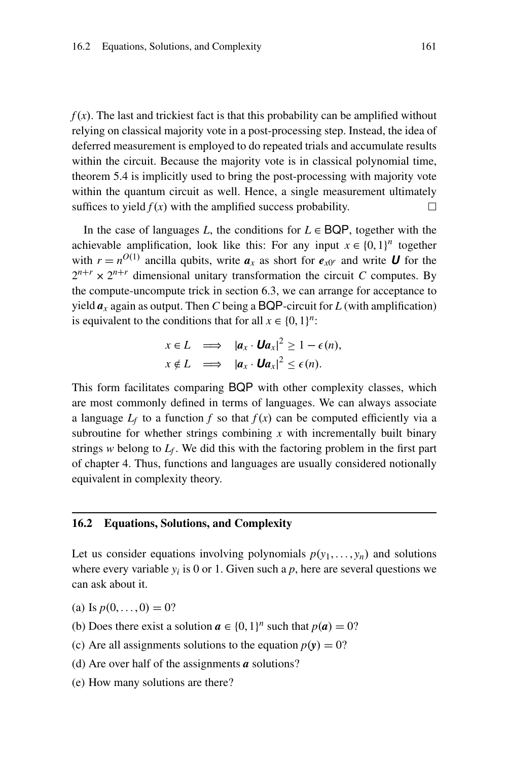$f(x)$ . The last and trickiest fact is that this probability can be amplified without relying on classical majority vote in a post-processing step. Instead, the idea of deferred measurement is employed to do repeated trials and accumulate results within the circuit. Because the majority vote is in classical polynomial time, theorem 5.4 is implicitly used to bring the post-processing with majority vote within the quantum circuit as well. Hence, a single measurement ultimately suffices to yield  $f(x)$  with the amplified success probability.  $\Box$ 

In the case of languages *L*, the conditions for  $L \in BQP$ , together with the achievable amplification, look like this: For any input  $x \in \{0, 1\}^n$  together with  $r = n^{O(1)}$  ancilla qubits, write  $a_x$  as short for  $e_{x0}$ <sup>*r*</sup> and write **U** for the  $2^{n+r} \times 2^{n+r}$  dimensional unitary transformation the circuit *C* computes. By the compute-uncompute trick in section 6.3, we can arrange for acceptance to yield  $a_x$  again as output. Then *C* being a BQP-circuit for *L* (with amplification) is equivalent to the conditions that for all  $x \in \{0, 1\}^n$ :

$$
x \in L \implies |a_x \cdot \mathbf{U} a_x|^2 \ge 1 - \epsilon(n),
$$
  

$$
x \notin L \implies |a_x \cdot \mathbf{U} a_x|^2 \le \epsilon(n).
$$

This form facilitates comparing BQP with other complexity classes, which are most commonly defined in terms of languages. We can always associate a language  $L_f$  to a function f so that  $f(x)$  can be computed efficiently via a subroutine for whether strings combining  $x$  with incrementally built binary strings  $w$  belong to  $L_f$ . We did this with the factoring problem in the first part of chapter 4. Thus, functions and languages are usually considered notionally equivalent in complexity theory.

# 16.2 Equations, Solutions, and Complexity

Let us consider equations involving polynomials  $p(y_1, \ldots, y_n)$  and solutions where every variable  $y_i$  is 0 or 1. Given such a  $p$ , here are several questions we can ask about it.

- (a) Is  $p(0, \ldots, 0) = 0$ ?
- (b) Does there exist a solution  $a \in \{0, 1\}^n$  such that  $p(a) = 0$ ?
- (c) Are all assignments solutions to the equation  $p(y) = 0$ ?
- (d) Are over half of the assignments *a* solutions?
- (e) How many solutions are there?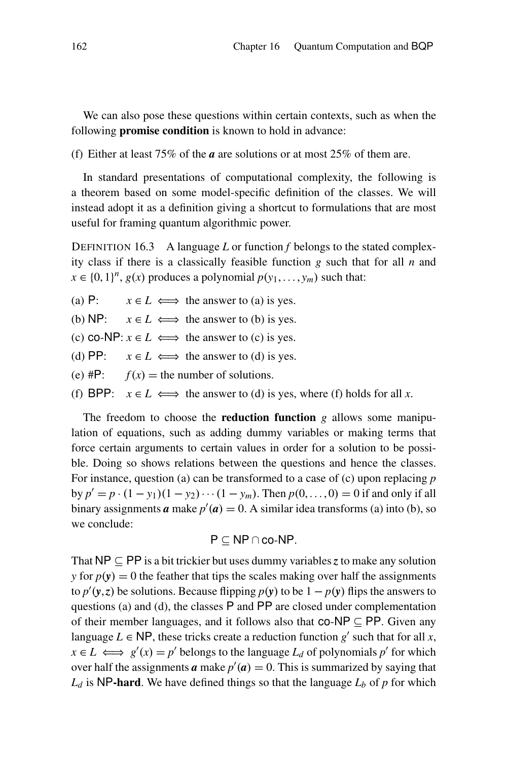We can also pose these questions within certain contexts, such as when the following **promise condition** is known to hold in advance:

(f) Either at least 75% of the *a* are solutions or at most 25% of them are.

In standard presentations of computational complexity, the following is a theorem based on some model-specific definition of the classes. We will instead adopt it as a definition giving a shortcut to formulations that are most useful for framing quantum algorithmic power.

DEFINITION 16.3 A language *L* or function *f* belongs to the stated complexity class if there is a classically feasible function *g* such that for all *n* and  $x \in \{0, 1\}^n$ ,  $g(x)$  produces a polynomial  $p(y_1, \ldots, y_m)$  such that:

- (a) P:  $x \in L \iff$  the answer to (a) is yes.
- (b) NP:  $x \in L \iff$  the answer to (b) is yes.
- (c) co-NP:  $x \in L \iff$  the answer to (c) is yes.
- (d) PP:  $x \in L \iff$  the answer to (d) is yes.
- (e)  $#P$ :  $f(x) =$  the number of solutions.
- (f) BPP:  $x \in L \iff$  the answer to (d) is yes, where (f) holds for all *x*.

The freedom to choose the **reduction function**  $g$  allows some manipulation of equations, such as adding dummy variables or making terms that force certain arguments to certain values in order for a solution to be possible. Doing so shows relations between the questions and hence the classes. For instance, question (a) can be transformed to a case of (c) upon replacing *p* by  $p' = p \cdot (1 - y_1)(1 - y_2) \cdots (1 - y_m)$ . Then  $p(0, \ldots, 0) = 0$  if and only if all binary assignments  $\boldsymbol{a}$  make  $p'(\boldsymbol{a}) = 0$ . A similar idea transforms (a) into (b), so we conclude:

$$
P \subseteq NP \cap co-NP.
$$

That  $NP \subset PP$  is a bit trickier but uses dummy variables z to make any solution *y* for  $p(y) = 0$  the feather that tips the scales making over half the assignments to  $p'$ (**y**,*z*) be solutions. Because flipping  $p$ (**y**) to be  $1 - p$ (**y**) flips the answers to questions (a) and (d), the classes P and PP are closed under complementation of their member languages, and it follows also that  $co-NP \subset PP$ . Given any language  $L \in \mathsf{NP}$ , these tricks create a reduction function  $g'$  such that for all x,  $x \in L \iff g'(x) = p'$  belongs to the language  $L_d$  of polynomials  $p'$  for which over half the assignments  $\boldsymbol{a}$  make  $p'(\boldsymbol{a}) = 0$ . This is summarized by saying that  $L_d$  is NP-hard. We have defined things so that the language  $L_b$  of p for which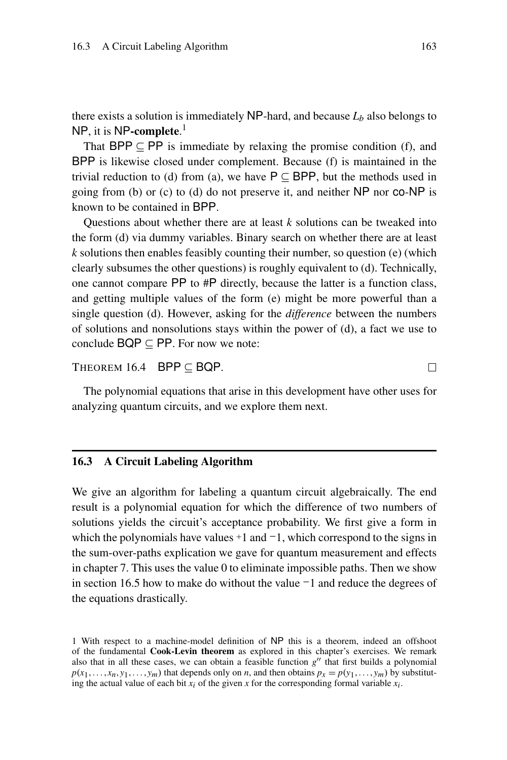there exists a solution is immediately  $NP$ -hard, and because  $L_b$  also belongs to NP, it is NP-complete.<sup>1</sup>

That BPP  $\subseteq$  PP is immediate by relaxing the promise condition (f), and BPP is likewise closed under complement. Because (f) is maintained in the trivial reduction to (d) from (a), we have  $P \subset BPP$ , but the methods used in going from (b) or (c) to (d) do not preserve it, and neither NP nor co-NP is known to be contained in BPP.

Questions about whether there are at least *k* solutions can be tweaked into the form (d) via dummy variables. Binary search on whether there are at least *k* solutions then enables feasibly counting their number, so question (e) (which clearly subsumes the other questions) is roughly equivalent to (d). Technically, one cannot compare PP to #P directly, because the latter is a function class, and getting multiple values of the form (e) might be more powerful than a single question (d). However, asking for the *difference* between the numbers of solutions and nonsolutions stays within the power of (d), a fact we use to conclude  $BQP \subseteq PP$ . For now we note:

```
THEOREM 16.4 BPP \subseteq BQP.
```
The polynomial equations that arise in this development have other uses for analyzing quantum circuits, and we explore them next.

# 16.3 A Circuit Labeling Algorithm

We give an algorithm for labeling a quantum circuit algebraically. The end result is a polynomial equation for which the difference of two numbers of solutions yields the circuit's acceptance probability. We first give a form in which the polynomials have values <sup>+</sup>1 and −1, which correspond to the signs in the sum-over-paths explication we gave for quantum measurement and effects in chapter 7. This uses the value 0 to eliminate impossible paths. Then we show in section 16.5 how to make do without the value −1 and reduce the degrees of the equations drastically.

 $\Box$ 

<sup>1</sup> With respect to a machine-model definition of NP this is a theorem, indeed an offshoot of the fundamental Cook-Levin theorem as explored in this chapter's exercises. We remark also that in all these cases, we can obtain a feasible function  $g''$  that first builds a polynomial  $p(x_1, \ldots, x_n, y_1, \ldots, y_m)$  that depends only on *n*, and then obtains  $p_x = p(y_1, \ldots, y_m)$  by substituting the actual value of each bit  $x_i$  of the given  $x$  for the corresponding formal variable  $x_i$ .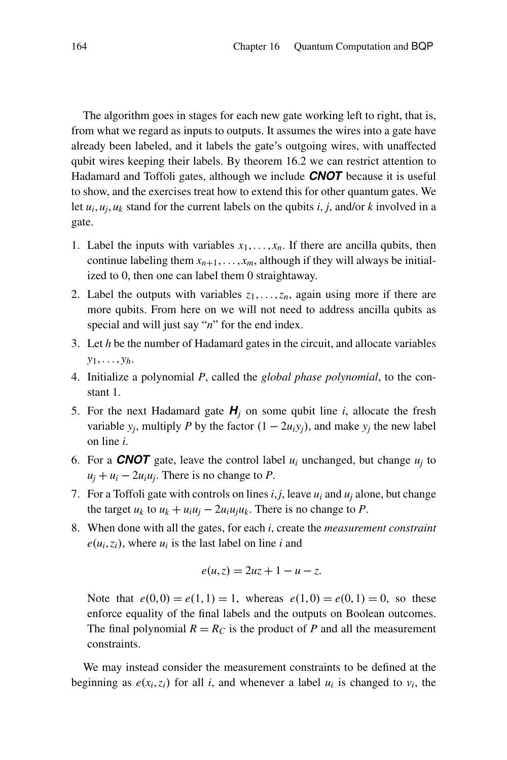The algorithm goes in stages for each new gate working left to right, that is, from what we regard as inputs to outputs. It assumes the wires into a gate have already been labeled, and it labels the gate's outgoing wires, with unaffected qubit wires keeping their labels. By theorem 16.2 we can restrict attention to Hadamard and Toffoli gates, although we include *CNOT* because it is useful to show, and the exercises treat how to extend this for other quantum gates. We let  $u_i, u_j, u_k$  stand for the current labels on the qubits  $i, j$ , and/or  $k$  involved in a gate.

- 1. Label the inputs with variables  $x_1, \ldots, x_n$ . If there are ancilla qubits, then continue labeling them  $x_{n+1}, \ldots, x_m$ , although if they will always be initialized to 0, then one can label them 0 straightaway.
- 2. Label the outputs with variables  $z_1, \ldots, z_n$ , again using more if there are more qubits. From here on we will not need to address ancilla qubits as special and will just say "*n*" for the end index.
- 3. Let *h* be the number of Hadamard gates in the circuit, and allocate variables  $y_1, \ldots, y_h$ .
- 4. Initialize a polynomial *P*, called the *global phase polynomial*, to the constant 1.
- 5. For the next Hadamard gate  $H_i$  on some qubit line *i*, allocate the fresh variable  $y_i$ , multiply *P* by the factor  $(1 - 2u_i y_i)$ , and make  $y_i$  the new label on line *i*.
- 6. For a **CNOT** gate, leave the control label  $u_i$  unchanged, but change  $u_i$  to  $u_i + u_i - 2u_iu_j$ . There is no change to *P*.
- 7. For a Toffoli gate with controls on lines  $i, j$ , leave  $u_i$  and  $u_j$  alone, but change the target  $u_k$  to  $u_k + u_i u_j - 2u_i u_j u_k$ . There is no change to *P*.
- 8. When done with all the gates, for each *i*, create the *measurement constraint*  $e(u_i, z_i)$ , where  $u_i$  is the last label on line *i* and

$$
e(u,z) = 2uz + 1 - u - z.
$$

Note that  $e(0,0) = e(1,1) = 1$ , whereas  $e(1,0) = e(0,1) = 0$ , so these enforce equality of the final labels and the outputs on Boolean outcomes. The final polynomial  $R = R_C$  is the product of *P* and all the measurement constraints.

We may instead consider the measurement constraints to be defined at the beginning as  $e(x_i, z_i)$  for all *i*, and whenever a label  $u_i$  is changed to  $v_i$ , the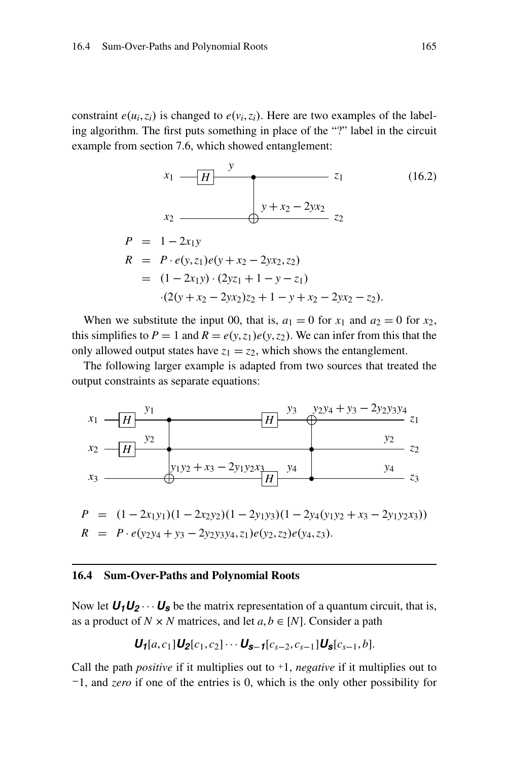constraint  $e(u_i, z_i)$  is changed to  $e(v_i, z_i)$ . Here are two examples of the labeling algorithm. The first puts something in place of the "?" label in the circuit example from section 7.6, which showed entanglement:

*x*<sup>1</sup> *H y* • *z*<sup>1</sup> *x*2 *y* + *x*<sup>2</sup> − 2*yx*<sup>2</sup> *z*2 (16.2) *P* = 1 − 2*x*1*y R* = *P* · *e*(*y*,*z*1)*e*(*y* + *x*<sup>2</sup> − 2*yx*2,*z*2) = (1 − 2*x*1*y*) · (2*yz*<sup>1</sup> + 1 − *y* − *z*1) ·(2(*y* + *x*<sup>2</sup> − 2*yx*2)*z*<sup>2</sup> + 1 − *y* + *x*<sup>2</sup> − 2*yx*<sup>2</sup> − *z*2).

When we substitute the input 00, that is,  $a_1 = 0$  for  $x_1$  and  $a_2 = 0$  for  $x_2$ , this simplifies to  $P = 1$  and  $R = e(y, z_1)e(y, z_2)$ . We can infer from this that the only allowed output states have  $z_1 = z_2$ , which shows the entanglement.

The following larger example is adapted from two sources that treated the output constraints as separate equations:



#### 16.4 Sum-Over-Paths and Polynomial Roots

Now let  $U_1U_2 \cdots U_s$  be the matrix representation of a quantum circuit, that is, as a product of  $N \times N$  matrices, and let  $a, b \in [N]$ . Consider a path

$$
\boldsymbol{U_1}[a,c_1] \boldsymbol{U_2}[c_1,c_2] \cdots \boldsymbol{U_{s-1}}[c_{s-2},c_{s-1}] \boldsymbol{U_s}[c_{s-1},b].
$$

Call the path *positive* if it multiplies out to <sup>+</sup>1, *negative* if it multiplies out to −1, and *zero* if one of the entries is 0, which is the only other possibility for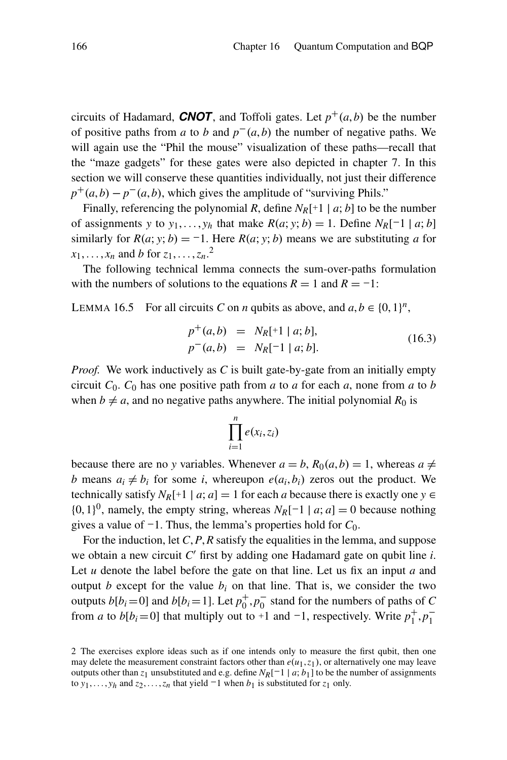circuits of Hadamard, **CNOT**, and Toffoli gates. Let  $p^+(a, b)$  be the number of positive paths from *a* to *b* and  $p^-(a, b)$  the number of negative paths. We will again use the "Phil the mouse" visualization of these paths—recall that the "maze gadgets" for these gates were also depicted in chapter 7. In this section we will conserve these quantities individually, not just their difference  $p^+(a, b) - p^-(a, b)$ , which gives the amplitude of "surviving Phils."

Finally, referencing the polynomial *R*, define  $N_R[+1 \mid a; b]$  to be the number of assignments *y* to  $y_1, \ldots, y_h$  that make  $R(a; y; b) = 1$ . Define  $N_R[-1 \mid a; b]$ similarly for  $R(a; y; b) = -1$ . Here  $R(a; y; b)$  means we are substituting *a* for  $x_1, \ldots, x_n$  and *b* for  $z_1, \ldots, z_n$ .<sup>2</sup>

The following technical lemma connects the sum-over-paths formulation with the numbers of solutions to the equations  $R = 1$  and  $R = -1$ :

LEMMA 16.5 For all circuits *C* on *n* qubits as above, and  $a, b \in \{0, 1\}^n$ ,

$$
p^{+}(a,b) = N_R[+1 | a;b],
$$
  
\n
$$
p^{-}(a,b) = N_R[-1 | a;b].
$$
\n(16.3)

*Proof.* We work inductively as *C* is built gate-by-gate from an initially empty circuit  $C_0$ .  $C_0$  has one positive path from *a* to *a* for each *a*, none from *a* to *b* when  $b \neq a$ , and no negative paths anywhere. The initial polynomial  $R_0$  is

$$
\prod_{i=1}^n e(x_i,z_i)
$$

because there are no *y* variables. Whenever  $a = b$ ,  $R_0(a, b) = 1$ , whereas  $a \neq b$ *b* means  $a_i \neq b_i$  for some *i*, whereupon  $e(a_i, b_i)$  zeros out the product. We technically satisfy  $N_R[+1 \mid a; a] = 1$  for each *a* because there is exactly one  $y \in$  ${0, 1}^0$ , namely, the empty string, whereas  $N_R[-1 \mid a; a] = 0$  because nothing gives a value of <sup>−</sup>1. Thus, the lemma's properties hold for *C*0.

For the induction, let *C*,*P*,*R* satisfy the equalities in the lemma, and suppose we obtain a new circuit *C'* first by adding one Hadamard gate on qubit line *i*. Let *u* denote the label before the gate on that line. Let us fix an input *a* and output *b* except for the value  $b_i$  on that line. That is, we consider the two outputs *b*[ $b_i$  = 0] and *b*[ $b_i$  = 1]. Let  $p_0^+, p_0^-$  stand for the numbers of paths of *C* from *a* to *b*[ $b_i$  = 0] that multiply out to +1 and -1, respectively. Write  $p_1^+, p_1^-$ 

<sup>2</sup> The exercises explore ideas such as if one intends only to measure the first qubit, then one may delete the measurement constraint factors other than  $e(u_1, z_1)$ , or alternatively one may leave outputs other than  $z_1$  unsubstituted and e.g. define  $N_R[-1 \mid a, b_1]$  to be the number of assignments to  $y_1, \ldots, y_h$  and  $z_2, \ldots, z_n$  that yield  $-1$  when  $b_1$  is substituted for  $z_1$  only.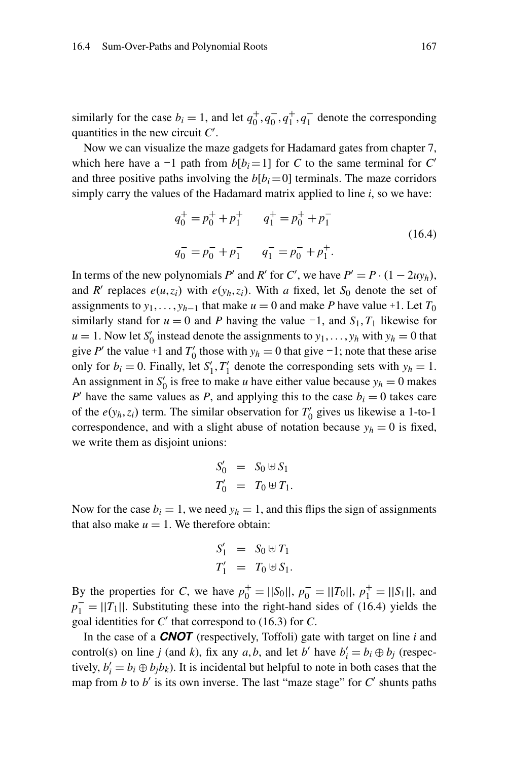similarly for the case  $b_i = 1$ , and let  $q_0^+, q_0^-, q_1^+, q_1^-$  denote the corresponding quantities in the new circuit *C* .

Now we can visualize the maze gadgets for Hadamard gates from chapter 7, which here have a  $-1$  path from  $b[b_i = 1]$  for *C* to the same terminal for *C'* and three positive paths involving the  $b[b_i=0]$  terminals. The maze corridors simply carry the values of the Hadamard matrix applied to line *i*, so we have:

$$
q_0^+ = p_0^+ + p_1^+ \t q_1^+ = p_0^+ + p_1^-
$$
  
\n
$$
q_0^- = p_0^- + p_1^- \t q_1^- = p_0^- + p_1^+.
$$
\n(16.4)

In terms of the new polynomials *P'* and *R'* for *C'*, we have  $P' = P \cdot (1 - 2uy_h)$ , and *R'* replaces  $e(u, z_i)$  with  $e(y_h, z_i)$ . With *a* fixed, let  $S_0$  denote the set of assignments to  $y_1, \ldots, y_{h-1}$  that make  $u = 0$  and make *P* have value +1. Let  $T_0$ similarly stand for  $u = 0$  and *P* having the value  $-1$ , and  $S_1$ ,  $T_1$  likewise for  $u = 1$ . Now let  $S'_0$  instead denote the assignments to  $y_1, \ldots, y_h$  with  $y_h = 0$  that give *P*<sup> $\prime$ </sup> the value +1 and *T*<sup> $\prime$ </sup> those with *y<sub>h</sub>* = 0 that give −1; note that these arise only for  $b_i = 0$ . Finally, let  $S'_1$ ,  $T'_1$  denote the corresponding sets with  $y_h = 1$ . An assignment in  $S'_0$  is free to make *u* have either value because  $y_h = 0$  makes  $P'$  have the same values as *P*, and applying this to the case  $b_i = 0$  takes care of the  $e(y_h, z_i)$  term. The similar observation for  $T'_0$  gives us likewise a 1-to-1 correspondence, and with a slight abuse of notation because  $y_h = 0$  is fixed, we write them as disjoint unions:

$$
S'_0 = S_0 \uplus S_1
$$
  

$$
T'_0 = T_0 \uplus T_1.
$$

Now for the case  $b_i = 1$ , we need  $y_h = 1$ , and this flips the sign of assignments that also make  $u = 1$ . We therefore obtain:

$$
S'_1 = S_0 \uplus T_1
$$
  

$$
T'_1 = T_0 \uplus S_1.
$$

By the properties for *C*, we have  $p_0^+ = ||S_0||$ ,  $p_0^- = ||T_0||$ ,  $p_1^+ = ||S_1||$ , and  $p_1^- = ||T_1||$ . Substituting these into the right-hand sides of (16.4) yields the goal identities for *C* that correspond to (16.3) for *C*.

In the case of a *CNOT* (respectively, Toffoli) gate with target on line *i* and control(s) on line *j* (and *k*), fix any *a*, *b*, and let *b*<sup> $\prime$ </sup> have  $b_i' = b_i \oplus b_j$  (respectively,  $b'_i = b_i \oplus b_j b_k$ ). It is incidental but helpful to note in both cases that the map from *b* to *b'* is its own inverse. The last "maze stage" for  $C'$  shunts paths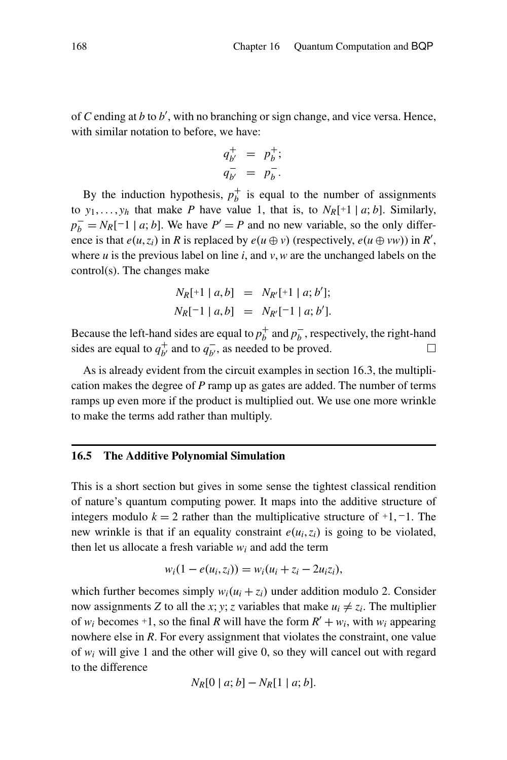of *C* ending at *b* to *b* , with no branching or sign change, and vice versa. Hence, with similar notation to before, we have:

$$
q_{b'}^+ = p_b^+;
$$
  

$$
q_{b'}^- = p_b^-.
$$

By the induction hypothesis,  $p_b^+$  is equal to the number of assignments to  $y_1, \ldots, y_h$  that make *P* have value 1, that is, to  $N_R[+1 \mid a; b]$ . Similarly,  $p_b^- = N_R[-1 \mid a; b]$ . We have  $P' = P$  and no new variable, so the only difference is that  $e(u, z_i)$  in *R* is replaced by  $e(u \oplus v)$  (respectively,  $e(u \oplus vw)$ ) in *R'*, where *u* is the previous label on line *i*, and *v*, *w* are the unchanged labels on the control(s). The changes make

$$
N_R[+1 | a, b] = N_{R'}[+1 | a, b'],
$$
  

$$
N_R[-1 | a, b] = N_{R'}[-1 | a, b'].
$$

Because the left-hand sides are equal to  $p_b^+$  and  $p_b^-$ , respectively, the right-hand sides are equal to  $q_{b'}^+$  and to  $q_{b'}^-$ , as needed to be proved.  $\Box$ 

As is already evident from the circuit examples in section 16.3, the multiplication makes the degree of *P* ramp up as gates are added. The number of terms ramps up even more if the product is multiplied out. We use one more wrinkle to make the terms add rather than multiply.

#### 16.5 The Additive Polynomial Simulation

This is a short section but gives in some sense the tightest classical rendition of nature's quantum computing power. It maps into the additive structure of integers modulo  $k = 2$  rather than the multiplicative structure of  $+1, -1$ . The new wrinkle is that if an equality constraint  $e(u_i, z_i)$  is going to be violated, then let us allocate a fresh variable  $w_i$  and add the term

$$
w_i(1 - e(u_i, z_i)) = w_i(u_i + z_i - 2u_i z_i),
$$

which further becomes simply  $w_i(u_i + z_i)$  under addition modulo 2. Consider now assignments *Z* to all the *x*; *y*; *z* variables that make  $u_i \neq z_i$ . The multiplier of  $w_i$  becomes +1, so the final *R* will have the form  $R' + w_i$ , with  $w_i$  appearing nowhere else in *R*. For every assignment that violates the constraint, one value of  $w_i$  will give 1 and the other will give 0, so they will cancel out with regard to the difference

$$
N_R[0 \mid a; b] - N_R[1 \mid a; b].
$$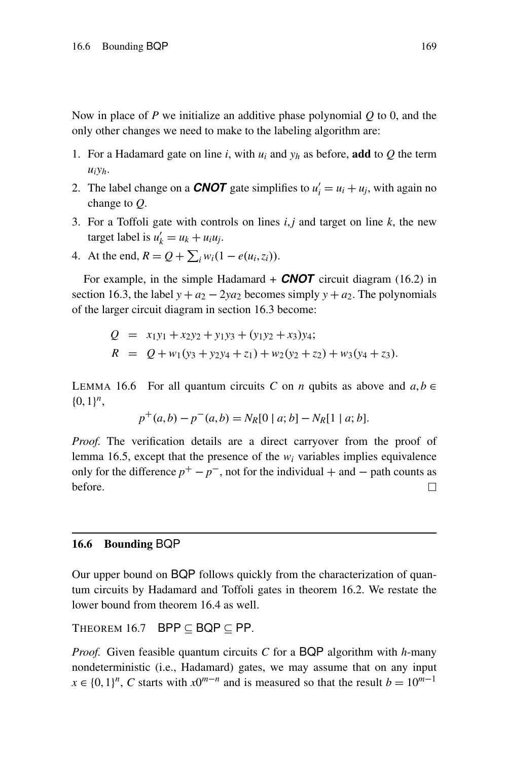Now in place of *P* we initialize an additive phase polynomial *Q* to 0, and the only other changes we need to make to the labeling algorithm are:

- 1. For a Hadamard gate on line  $i$ , with  $u_i$  and  $y_h$  as before, **add** to  $Q$  the term *uiyh*.
- 2. The label change on a **CNOT** gate simplifies to  $u'_i = u_i + u_j$ , with again no change to *Q*.
- 3. For a Toffoli gate with controls on lines *i*,*j* and target on line *k*, the new target label is  $u'_k = u_k + u_i u_j$ .
- 4. At the end,  $R = Q + \sum_{i} w_i (1 e(u_i, z_i)).$

For example, in the simple Hadamard + *CNOT* circuit diagram (16.2) in section 16.3, the label  $y + a_2 - 2ya_2$  becomes simply  $y + a_2$ . The polynomials of the larger circuit diagram in section 16.3 become:

$$
Q = x_1y_1 + x_2y_2 + y_1y_3 + (y_1y_2 + x_3)y_4;
$$
  
\n
$$
R = Q + w_1(y_3 + y_2y_4 + z_1) + w_2(y_2 + z_2) + w_3(y_4 + z_3).
$$

LEMMA 16.6 For all quantum circuits *C* on *n* qubits as above and  $a, b \in$  $\{0,1\}^n$ ,

$$
p^+(a,b) - p^-(a,b) = N_R[0 \mid a;b] - N_R[1 \mid a;b].
$$

*Proof.* The verification details are a direct carryover from the proof of lemma 16.5, except that the presence of the  $w_i$  variables implies equivalence only for the difference  $p^+ - p^-$ , not for the individual + and  $-$  path counts as before.  $\Box$ 

#### 16.6 Bounding BQP

Our upper bound on BQP follows quickly from the characterization of quantum circuits by Hadamard and Toffoli gates in theorem 16.2. We restate the lower bound from theorem 16.4 as well.

### THEOREM 16.7 BPP  $\subseteq$  BQP  $\subseteq$  PP.

*Proof.* Given feasible quantum circuits *C* for a BQP algorithm with *h*-many nondeterministic (i.e., Hadamard) gates, we may assume that on any input  $x \in \{0, 1\}^n$ , *C* starts with  $x0^{m-n}$  and is measured so that the result  $b = 10^{m-1}$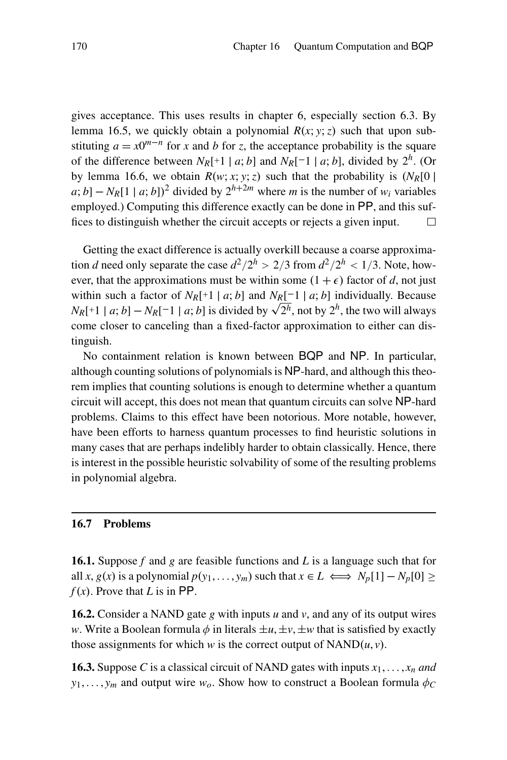gives acceptance. This uses results in chapter 6, especially section 6.3. By lemma 16.5, we quickly obtain a polynomial  $R(x, y; z)$  such that upon substituting  $a = x0^{m-n}$  for *x* and *b* for *z*, the acceptance probability is the square of the difference between  $N_R[+1 \mid a; b]$  and  $N_R[-1 \mid a; b]$ , divided by  $2^h$ . (Or by lemma 16.6, we obtain  $R(w; x; y; z)$  such that the probability is  $(N_R[0])$  $a; b] - N_R[1 \mid a; b]$ <sup>2</sup> divided by  $2^{h+2m}$  where *m* is the number of *w<sub>i</sub>* variables employed.) Computing this difference exactly can be done in PP, and this suffices to distinguish whether the circuit accepts or rejects a given input.  $\Box$ 

Getting the exact difference is actually overkill because a coarse approximation *d* need only separate the case  $d^2/2^h > 2/3$  from  $d^2/2^h < 1/3$ . Note, however, that the approximations must be within some  $(1 + \epsilon)$  factor of *d*, not just within such a factor of  $N_R[+1 \mid a; b]$  and  $N_R[-1 \mid a; b]$  individually. Because *NR*[+1 | *a*; *b*] − *NR*[-1 | *a*; *b*] is divided by  $\sqrt{2h}$ , not by  $2^h$ , the two will always come closer to canceling than a fixed-factor approximation to either can distinguish.

No containment relation is known between BQP and NP. In particular, although counting solutions of polynomials is NP-hard, and although this theorem implies that counting solutions is enough to determine whether a quantum circuit will accept, this does not mean that quantum circuits can solve NP-hard problems. Claims to this effect have been notorious. More notable, however, have been efforts to harness quantum processes to find heuristic solutions in many cases that are perhaps indelibly harder to obtain classically. Hence, there is interest in the possible heuristic solvability of some of the resulting problems in polynomial algebra.

#### 16.7 Problems

16.1. Suppose *f* and *g* are feasible functions and *L* is a language such that for all *x*, *g*(*x*) is a polynomial  $p(y_1, \ldots, y_m)$  such that  $x \in L \iff N_p[1] - N_p[0] \ge$  $f(x)$ . Prove that *L* is in PP.

16.2. Consider a NAND gate *g* with inputs *u* and *v*, and any of its output wires *w*. Write a Boolean formula  $\phi$  in literals  $\pm u, \pm v, \pm w$  that is satisfied by exactly those assignments for which *w* is the correct output of  $NAND(u, v)$ .

**16.3.** Suppose *C* is a classical circuit of NAND gates with inputs  $x_1, \ldots, x_n$  and  $y_1, \ldots, y_m$  and output wire  $w_o$ . Show how to construct a Boolean formula  $\phi_C$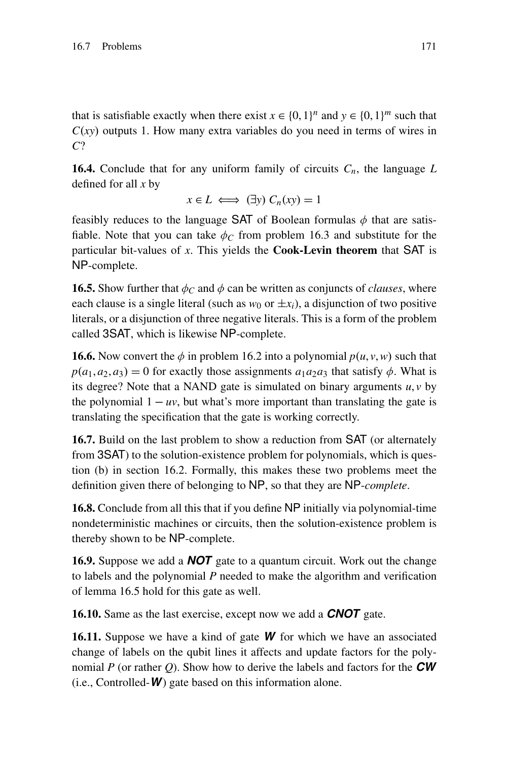that is satisfiable exactly when there exist  $x \in \{0, 1\}^n$  and  $y \in \{0, 1\}^m$  such that  $C(xy)$  outputs 1. How many extra variables do you need in terms of wires in *C*?

16.4. Conclude that for any uniform family of circuits *Cn*, the language *L* defined for all *x* by

$$
x \in L \iff (\exists y) \ C_n(xy) = 1
$$

feasibly reduces to the language SAT of Boolean formulas  $\phi$  that are satisfiable. Note that you can take  $\phi_C$  from problem 16.3 and substitute for the particular bit-values of *x*. This yields the Cook-Levin theorem that SAT is NP-complete.

**16.5.** Show further that  $\phi_C$  and  $\phi$  can be written as conjuncts of *clauses*, where each clause is a single literal (such as  $w_0$  or  $\pm x_i$ ), a disjunction of two positive literals, or a disjunction of three negative literals. This is a form of the problem called 3SAT, which is likewise NP-complete.

**16.6.** Now convert the  $\phi$  in problem 16.2 into a polynomial  $p(u, v, w)$  such that  $p(a_1, a_2, a_3) = 0$  for exactly those assignments  $a_1 a_2 a_3$  that satisfy  $\phi$ . What is its degree? Note that a NAND gate is simulated on binary arguments  $u, v$  by the polynomial  $1 - uv$ , but what's more important than translating the gate is translating the specification that the gate is working correctly.

16.7. Build on the last problem to show a reduction from SAT (or alternately from 3SAT) to the solution-existence problem for polynomials, which is question (b) in section 16.2. Formally, this makes these two problems meet the definition given there of belonging to NP, so that they are NP-*complete*.

16.8. Conclude from all this that if you define NP initially via polynomial-time nondeterministic machines or circuits, then the solution-existence problem is thereby shown to be NP-complete.

16.9. Suppose we add a *NOT* gate to a quantum circuit. Work out the change to labels and the polynomial *P* needed to make the algorithm and verification of lemma 16.5 hold for this gate as well.

16.10. Same as the last exercise, except now we add a *CNOT* gate.

16.11. Suppose we have a kind of gate *W* for which we have an associated change of labels on the qubit lines it affects and update factors for the polynomial *P* (or rather *Q*). Show how to derive the labels and factors for the *CW* (i.e., Controlled-*W*) gate based on this information alone.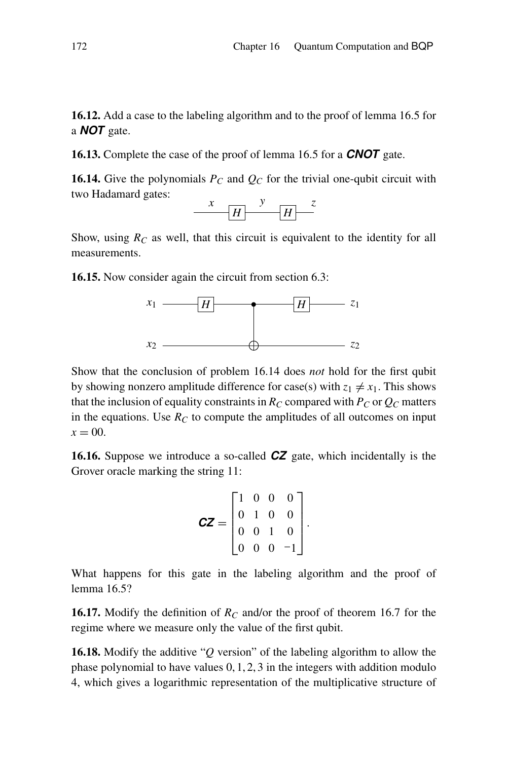16.12. Add a case to the labeling algorithm and to the proof of lemma 16.5 for a *NOT* gate.

16.13. Complete the case of the proof of lemma 16.5 for a *CNOT* gate.

**16.14.** Give the polynomials  $P_C$  and  $Q_C$  for the trivial one-qubit circuit with two Hadamard gates:  $\frac{x}{H}$  *y* 



Show, using  $R_C$  as well, that this circuit is equivalent to the identity for all measurements.

16.15. Now consider again the circuit from section 6.3:



Show that the conclusion of problem 16.14 does *not* hold for the first qubit by showing nonzero amplitude difference for case(s) with  $z_1 \neq x_1$ . This shows that the inclusion of equality constraints in  $R_C$  compared with  $P_C$  or  $Q_C$  matters in the equations. Use  $R_C$  to compute the amplitudes of all outcomes on input  $x = 00$ .

16.16. Suppose we introduce a so-called *CZ* gate, which incidentally is the Grover oracle marking the string 11:

$$
\mathbf{CZ} = \begin{bmatrix} 1 & 0 & 0 & 0 \\ 0 & 1 & 0 & 0 \\ 0 & 0 & 1 & 0 \\ 0 & 0 & 0 & -1 \end{bmatrix}.
$$

What happens for this gate in the labeling algorithm and the proof of lemma 16.5?

**16.17.** Modify the definition of  $R_C$  and/or the proof of theorem 16.7 for the regime where we measure only the value of the first qubit.

16.18. Modify the additive "*Q* version" of the labeling algorithm to allow the phase polynomial to have values 0, 1, 2, 3 in the integers with addition modulo 4, which gives a logarithmic representation of the multiplicative structure of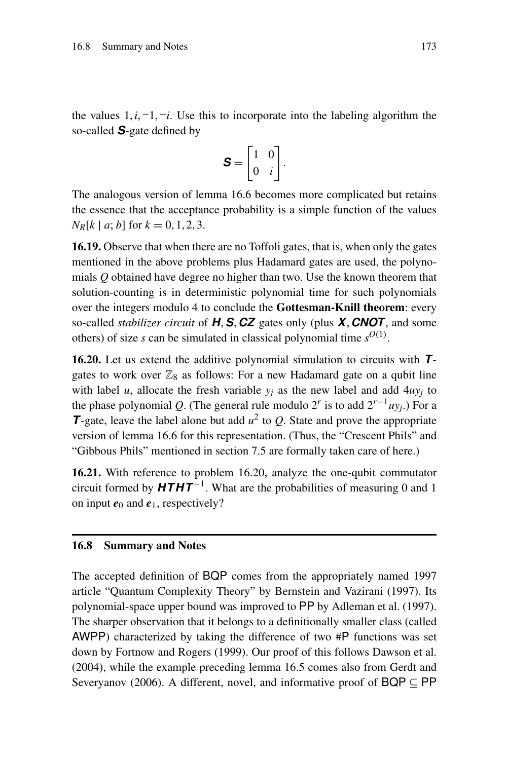the values  $1, i, -1, -i$ . Use this to incorporate into the labeling algorithm the so-called *S*-gate defined by

$$
\mathbf{S} = \begin{bmatrix} 1 & 0 \\ 0 & i \end{bmatrix}.
$$

The analogous version of lemma 16.6 becomes more complicated but retains the essence that the acceptance probability is a simple function of the values  $N_R[k \mid a; b]$  for  $k = 0, 1, 2, 3$ .

16.19. Observe that when there are no Toffoli gates, that is, when only the gates mentioned in the above problems plus Hadamard gates are used, the polynomials *Q* obtained have degree no higher than two. Use the known theorem that solution-counting is in deterministic polynomial time for such polynomials over the integers modulo 4 to conclude the Gottesman-Knill theorem: every so-called *stabilizer circuit* of *H*,*S*,*CZ* gates only (plus *X*,*CNOT*, and some others) of size *s* can be simulated in classical polynomial time  $s^{O(1)}$ .

16.20. Let us extend the additive polynomial simulation to circuits with *T*gates to work over  $\mathbb{Z}_8$  as follows: For a new Hadamard gate on a qubit line with label *u*, allocate the fresh variable  $y_i$  as the new label and add  $4uy_i$  to the phase polynomial *Q*. (The general rule modulo 2<sup>*r*</sup> is to add  $2^{r-1}uy_i$ .) For a *T*-gate, leave the label alone but add *u*<sup>2</sup> to *Q*. State and prove the appropriate version of lemma 16.6 for this representation. (Thus, the "Crescent Phils" and "Gibbous Phils" mentioned in section 7.5 are formally taken care of here.)

16.21. With reference to problem 16.20, analyze the one-qubit commutator circuit formed by  $HTHT^{-1}$ . What are the probabilities of measuring 0 and 1 on input  $e_0$  and  $e_1$ , respectively?

#### 16.8 Summary and Notes

The accepted definition of BQP comes from the appropriately named 1997 article "Quantum Complexity Theory" by Bernstein and Vazirani (1997). Its polynomial-space upper bound was improved to PP by Adleman et al. (1997). The sharper observation that it belongs to a definitionally smaller class (called AWPP) characterized by taking the difference of two #P functions was set down by Fortnow and Rogers (1999). Our proof of this follows Dawson et al. (2004), while the example preceding lemma 16.5 comes also from Gerdt and Severyanov (2006). A different, novel, and informative proof of  $BQP \subset PP$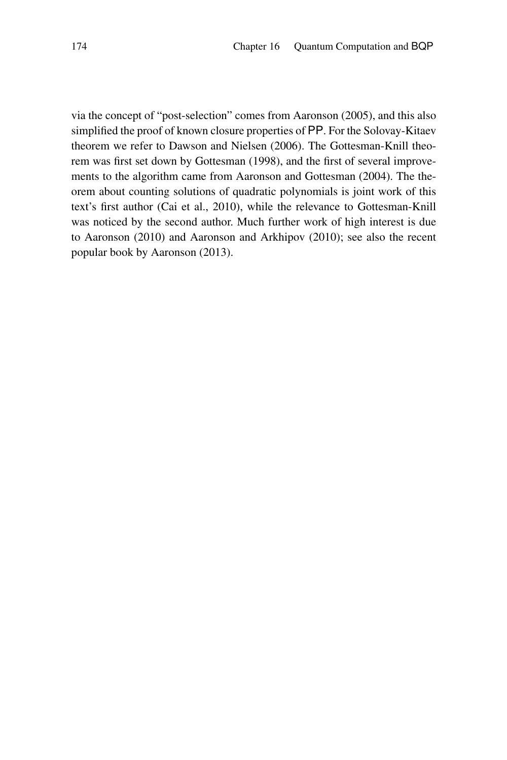via the concept of "post-selection" comes from Aaronson (2005), and this also simplified the proof of known closure properties of PP. For the Solovay-Kitaev theorem we refer to Dawson and Nielsen (2006). The Gottesman-Knill theorem was first set down by Gottesman (1998), and the first of several improvements to the algorithm came from Aaronson and Gottesman (2004). The theorem about counting solutions of quadratic polynomials is joint work of this text's first author (Cai et al., 2010), while the relevance to Gottesman-Knill was noticed by the second author. Much further work of high interest is due to Aaronson (2010) and Aaronson and Arkhipov (2010); see also the recent popular book by Aaronson (2013).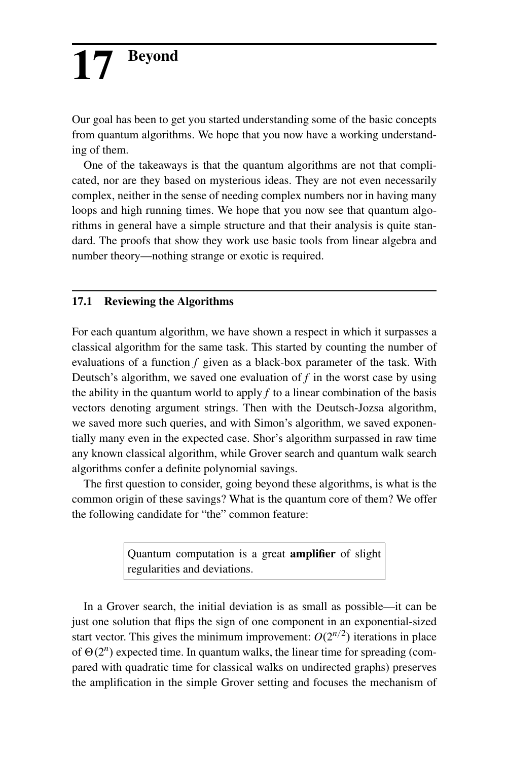# **Beyond**

Our goal has been to get you started understanding some of the basic concepts from quantum algorithms. We hope that you now have a working understanding of them.

One of the takeaways is that the quantum algorithms are not that complicated, nor are they based on mysterious ideas. They are not even necessarily complex, neither in the sense of needing complex numbers nor in having many loops and high running times. We hope that you now see that quantum algorithms in general have a simple structure and that their analysis is quite standard. The proofs that show they work use basic tools from linear algebra and number theory—nothing strange or exotic is required.

## 17.1 Reviewing the Algorithms

For each quantum algorithm, we have shown a respect in which it surpasses a classical algorithm for the same task. This started by counting the number of evaluations of a function *f* given as a black-box parameter of the task. With Deutsch's algorithm, we saved one evaluation of *f* in the worst case by using the ability in the quantum world to apply  $f$  to a linear combination of the basis vectors denoting argument strings. Then with the Deutsch-Jozsa algorithm, we saved more such queries, and with Simon's algorithm, we saved exponentially many even in the expected case. Shor's algorithm surpassed in raw time any known classical algorithm, while Grover search and quantum walk search algorithms confer a definite polynomial savings.

The first question to consider, going beyond these algorithms, is what is the common origin of these savings? What is the quantum core of them? We offer the following candidate for "the" common feature:

> Quantum computation is a great **amplifier** of slight regularities and deviations.

In a Grover search, the initial deviation is as small as possible—it can be just one solution that flips the sign of one component in an exponential-sized start vector. This gives the minimum improvement:  $O(2^{n/2})$  iterations in place of  $\Theta(2^n)$  expected time. In quantum walks, the linear time for spreading (compared with quadratic time for classical walks on undirected graphs) preserves the amplification in the simple Grover setting and focuses the mechanism of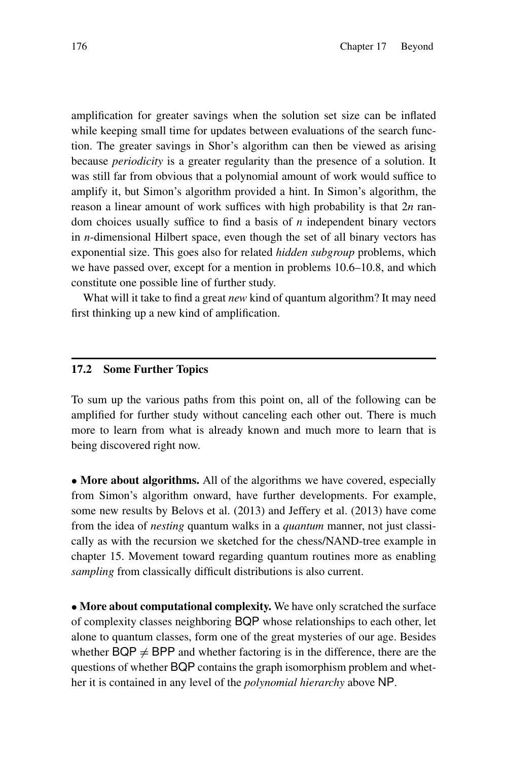amplification for greater savings when the solution set size can be inflated while keeping small time for updates between evaluations of the search function. The greater savings in Shor's algorithm can then be viewed as arising because *periodicity* is a greater regularity than the presence of a solution. It was still far from obvious that a polynomial amount of work would suffice to amplify it, but Simon's algorithm provided a hint. In Simon's algorithm, the reason a linear amount of work suffices with high probability is that 2*n* random choices usually suffice to find a basis of *n* independent binary vectors in *n*-dimensional Hilbert space, even though the set of all binary vectors has exponential size. This goes also for related *hidden subgroup* problems, which we have passed over, except for a mention in problems 10.6–10.8, and which constitute one possible line of further study.

What will it take to find a great *new* kind of quantum algorithm? It may need first thinking up a new kind of amplification.

#### 17.2 Some Further Topics

To sum up the various paths from this point on, all of the following can be amplified for further study without canceling each other out. There is much more to learn from what is already known and much more to learn that is being discovered right now.

• More about algorithms. All of the algorithms we have covered, especially from Simon's algorithm onward, have further developments. For example, some new results by Belovs et al. (2013) and Jeffery et al. (2013) have come from the idea of *nesting* quantum walks in a *quantum* manner, not just classically as with the recursion we sketched for the chess/NAND-tree example in chapter 15. Movement toward regarding quantum routines more as enabling *sampling* from classically difficult distributions is also current.

• More about computational complexity. We have only scratched the surface of complexity classes neighboring BQP whose relationships to each other, let alone to quantum classes, form one of the great mysteries of our age. Besides whether  $BQP \neq BPP$  and whether factoring is in the difference, there are the questions of whether BQP contains the graph isomorphism problem and whether it is contained in any level of the *polynomial hierarchy* above NP.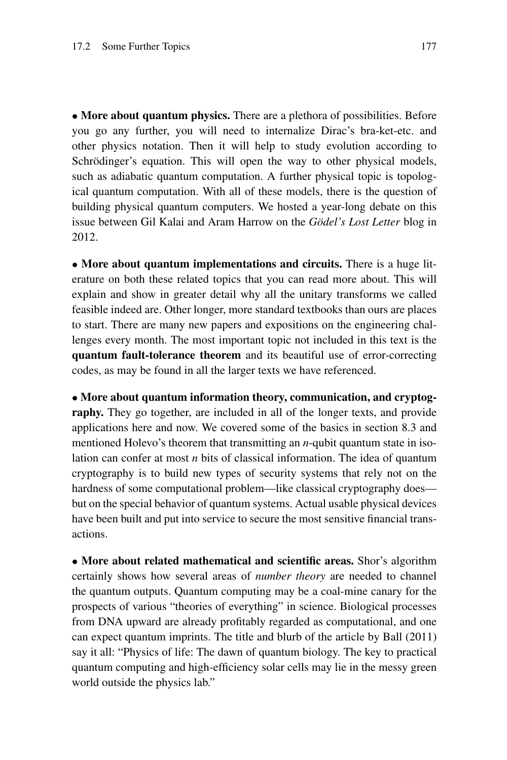• More about quantum physics. There are a plethora of possibilities. Before you go any further, you will need to internalize Dirac's bra-ket-etc. and other physics notation. Then it will help to study evolution according to Schrödinger's equation. This will open the way to other physical models, such as adiabatic quantum computation. A further physical topic is topological quantum computation. With all of these models, there is the question of building physical quantum computers. We hosted a year-long debate on this issue between Gil Kalai and Aram Harrow on the *Gödel's Lost Letter* blog in 2012.

• More about quantum implementations and circuits. There is a huge literature on both these related topics that you can read more about. This will explain and show in greater detail why all the unitary transforms we called feasible indeed are. Other longer, more standard textbooks than ours are places to start. There are many new papers and expositions on the engineering challenges every month. The most important topic not included in this text is the quantum fault-tolerance theorem and its beautiful use of error-correcting codes, as may be found in all the larger texts we have referenced.

• More about quantum information theory, communication, and cryptography. They go together, are included in all of the longer texts, and provide applications here and now. We covered some of the basics in section 8.3 and mentioned Holevo's theorem that transmitting an *n*-qubit quantum state in isolation can confer at most *n* bits of classical information. The idea of quantum cryptography is to build new types of security systems that rely not on the hardness of some computational problem—like classical cryptography does but on the special behavior of quantum systems. Actual usable physical devices have been built and put into service to secure the most sensitive financial transactions.

• More about related mathematical and scientific areas. Shor's algorithm certainly shows how several areas of *number theory* are needed to channel the quantum outputs. Quantum computing may be a coal-mine canary for the prospects of various "theories of everything" in science. Biological processes from DNA upward are already profitably regarded as computational, and one can expect quantum imprints. The title and blurb of the article by Ball (2011) say it all: "Physics of life: The dawn of quantum biology. The key to practical quantum computing and high-efficiency solar cells may lie in the messy green world outside the physics lab."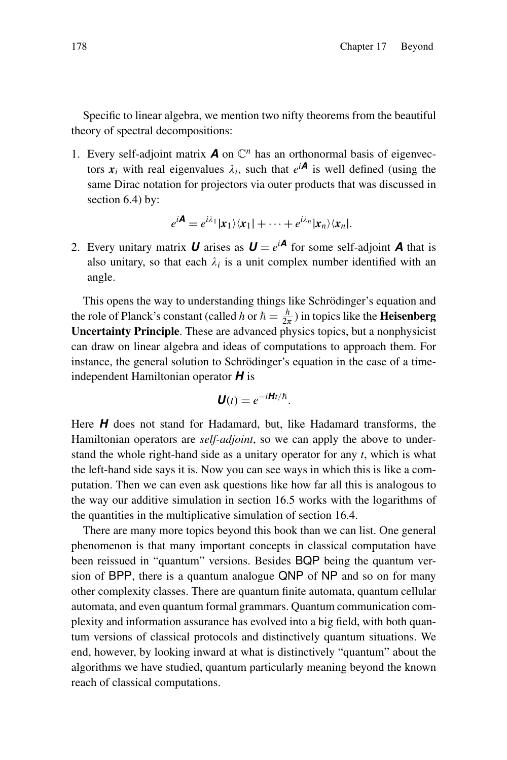Specific to linear algebra, we mention two nifty theorems from the beautiful theory of spectral decompositions:

1. Every self-adjoint matrix  $\boldsymbol{A}$  on  $\mathbb{C}^n$  has an orthonormal basis of eigenvectors  $x_i$  with real eigenvalues  $\lambda_i$ , such that  $e^{iA}$  is well defined (using the same Dirac notation for projectors via outer products that was discussed in section 6.4) by:

$$
e^{i\mathbf{A}}=e^{i\lambda_1}|\mathbf{x}_1\rangle\langle\mathbf{x}_1|+\cdots+e^{i\lambda_n}|\mathbf{x}_n\rangle\langle\mathbf{x}_n|.
$$

2. Every unitary matrix *U* arises as  $U = e^{iA}$  for some self-adjoint *A* that is also unitary, so that each  $\lambda_i$  is a unit complex number identified with an angle.

This opens the way to understanding things like Schrödinger's equation and the role of Planck's constant (called *h* or  $\hbar = \frac{h}{2\pi}$ ) in topics like the **Heisenberg** Uncertainty Principle. These are advanced physics topics, but a nonphysicist can draw on linear algebra and ideas of computations to approach them. For instance, the general solution to Schrödinger's equation in the case of a timeindependent Hamiltonian operator *H* is

$$
\boldsymbol{U}(t)=e^{-i\boldsymbol{H}t/\hbar}.
$$

Here **H** does not stand for Hadamard, but, like Hadamard transforms, the Hamiltonian operators are *self-adjoint*, so we can apply the above to understand the whole right-hand side as a unitary operator for any *t*, which is what the left-hand side says it is. Now you can see ways in which this is like a computation. Then we can even ask questions like how far all this is analogous to the way our additive simulation in section 16.5 works with the logarithms of the quantities in the multiplicative simulation of section 16.4.

There are many more topics beyond this book than we can list. One general phenomenon is that many important concepts in classical computation have been reissued in "quantum" versions. Besides BQP being the quantum version of BPP, there is a quantum analogue QNP of NP and so on for many other complexity classes. There are quantum finite automata, quantum cellular automata, and even quantum formal grammars. Quantum communication complexity and information assurance has evolved into a big field, with both quantum versions of classical protocols and distinctively quantum situations. We end, however, by looking inward at what is distinctively "quantum" about the algorithms we have studied, quantum particularly meaning beyond the known reach of classical computations.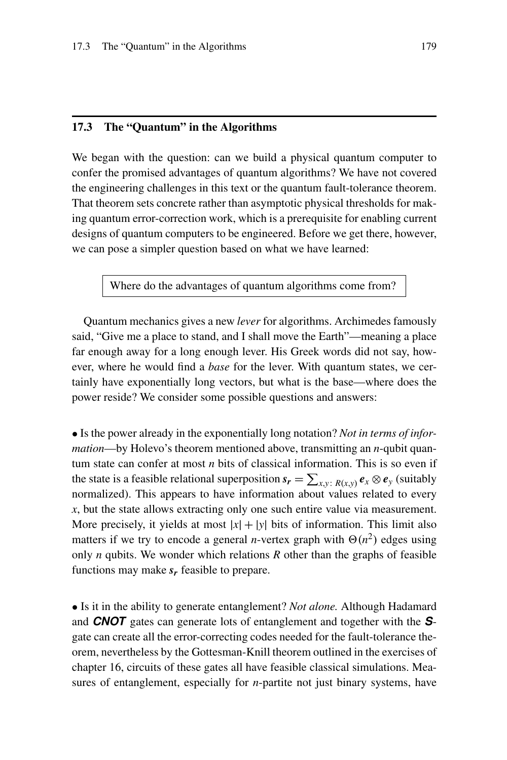## 17.3 The "Quantum" in the Algorithms

We began with the question: can we build a physical quantum computer to confer the promised advantages of quantum algorithms? We have not covered the engineering challenges in this text or the quantum fault-tolerance theorem. That theorem sets concrete rather than asymptotic physical thresholds for making quantum error-correction work, which is a prerequisite for enabling current designs of quantum computers to be engineered. Before we get there, however, we can pose a simpler question based on what we have learned:

Where do the advantages of quantum algorithms come from?

Quantum mechanics gives a new *lever* for algorithms. Archimedes famously said, "Give me a place to stand, and I shall move the Earth"—meaning a place far enough away for a long enough lever. His Greek words did not say, however, where he would find a *base* for the lever. With quantum states, we certainly have exponentially long vectors, but what is the base—where does the power reside? We consider some possible questions and answers:

• Is the power already in the exponentially long notation? *Not in terms of information*—by Holevo's theorem mentioned above, transmitting an *n*-qubit quantum state can confer at most *n* bits of classical information. This is so even if the state is a feasible relational superposition  $s_r = \sum_{x,y: R(x,y)} e_x \otimes e_y$  (suitably normalized). This appears to have information about values related to every *x*, but the state allows extracting only one such entire value via measurement. More precisely, it yields at most  $|x| + |y|$  bits of information. This limit also matters if we try to encode a general *n*-vertex graph with  $\Theta(n^2)$  edges using only  $n$  qubits. We wonder which relations  $R$  other than the graphs of feasible functions may make *sr* feasible to prepare.

• Is it in the ability to generate entanglement? *Not alone.* Although Hadamard and *CNOT* gates can generate lots of entanglement and together with the *S*gate can create all the error-correcting codes needed for the fault-tolerance theorem, nevertheless by the Gottesman-Knill theorem outlined in the exercises of chapter 16, circuits of these gates all have feasible classical simulations. Measures of entanglement, especially for *n*-partite not just binary systems, have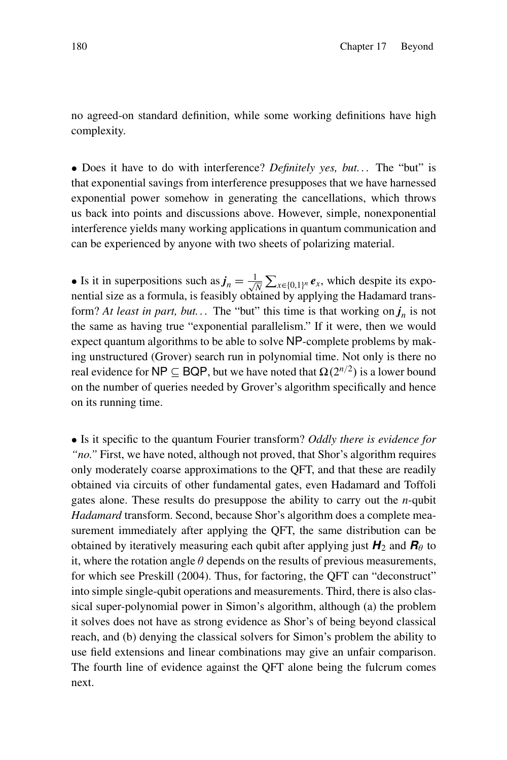no agreed-on standard definition, while some working definitions have high complexity.

• Does it have to do with interference? *Definitely yes, but...* The "but" is that exponential savings from interference presupposes that we have harnessed exponential power somehow in generating the cancellations, which throws us back into points and discussions above. However, simple, nonexponential interference yields many working applications in quantum communication and can be experienced by anyone with two sheets of polarizing material.

• Is it in superpositions such as  $j_n = \frac{1}{\sqrt{n}}$  $\frac{1}{N} \sum_{x \in \{0,1\}^n} e_x$ , which despite its exponential size as a formula, is feasibly obtained by applying the Hadamard transform? At least in part, but... The "but" this time is that working on  $j_n$  is not the same as having true "exponential parallelism." If it were, then we would expect quantum algorithms to be able to solve NP-complete problems by making unstructured (Grover) search run in polynomial time. Not only is there no real evidence for NP  $\subseteq$  BQP, but we have noted that  $\Omega(2^{n/2})$  is a lower bound on the number of queries needed by Grover's algorithm specifically and hence on its running time.

• Is it specific to the quantum Fourier transform? *Oddly there is evidence for "no."* First, we have noted, although not proved, that Shor's algorithm requires only moderately coarse approximations to the QFT, and that these are readily obtained via circuits of other fundamental gates, even Hadamard and Toffoli gates alone. These results do presuppose the ability to carry out the *n*-qubit *Hadamard* transform. Second, because Shor's algorithm does a complete measurement immediately after applying the QFT, the same distribution can be obtained by iteratively measuring each qubit after applying just  $H_2$  and  $R_\theta$  to it, where the rotation angle  $\theta$  depends on the results of previous measurements, for which see Preskill (2004). Thus, for factoring, the QFT can "deconstruct" into simple single-qubit operations and measurements. Third, there is also classical super-polynomial power in Simon's algorithm, although (a) the problem it solves does not have as strong evidence as Shor's of being beyond classical reach, and (b) denying the classical solvers for Simon's problem the ability to use field extensions and linear combinations may give an unfair comparison. The fourth line of evidence against the QFT alone being the fulcrum comes next.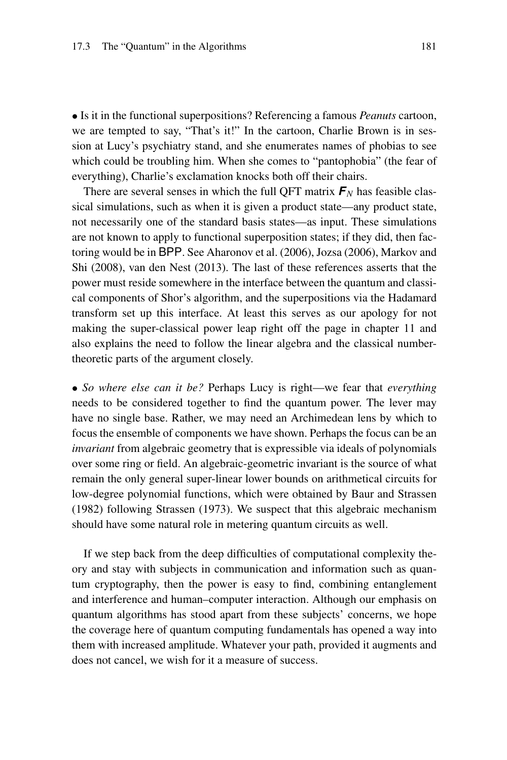• Is it in the functional superpositions? Referencing a famous *Peanuts* cartoon, we are tempted to say, "That's it!" In the cartoon, Charlie Brown is in session at Lucy's psychiatry stand, and she enumerates names of phobias to see which could be troubling him. When she comes to "pantophobia" (the fear of everything), Charlie's exclamation knocks both off their chairs.

There are several senses in which the full QFT matrix  $\boldsymbol{F}_N$  has feasible classical simulations, such as when it is given a product state—any product state, not necessarily one of the standard basis states—as input. These simulations are not known to apply to functional superposition states; if they did, then factoring would be in BPP. See Aharonov et al. (2006), Jozsa (2006), Markov and Shi (2008), van den Nest (2013). The last of these references asserts that the power must reside somewhere in the interface between the quantum and classical components of Shor's algorithm, and the superpositions via the Hadamard transform set up this interface. At least this serves as our apology for not making the super-classical power leap right off the page in chapter 11 and also explains the need to follow the linear algebra and the classical numbertheoretic parts of the argument closely.

• *So where else can it be?* Perhaps Lucy is right—we fear that *everything* needs to be considered together to find the quantum power. The lever may have no single base. Rather, we may need an Archimedean lens by which to focus the ensemble of components we have shown. Perhaps the focus can be an *invariant* from algebraic geometry that is expressible via ideals of polynomials over some ring or field. An algebraic-geometric invariant is the source of what remain the only general super-linear lower bounds on arithmetical circuits for low-degree polynomial functions, which were obtained by Baur and Strassen (1982) following Strassen (1973). We suspect that this algebraic mechanism should have some natural role in metering quantum circuits as well.

If we step back from the deep difficulties of computational complexity theory and stay with subjects in communication and information such as quantum cryptography, then the power is easy to find, combining entanglement and interference and human–computer interaction. Although our emphasis on quantum algorithms has stood apart from these subjects' concerns, we hope the coverage here of quantum computing fundamentals has opened a way into them with increased amplitude. Whatever your path, provided it augments and does not cancel, we wish for it a measure of success.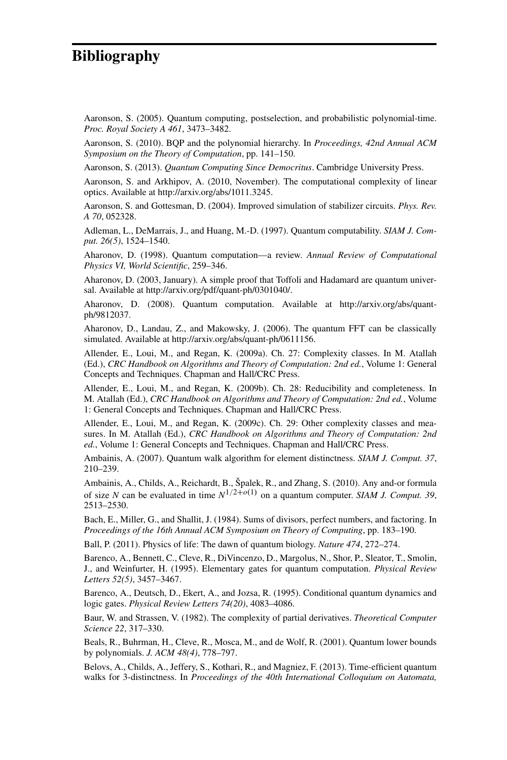# **Bibliography**

Aaronson, S. (2005). Quantum computing, postselection, and probabilistic polynomial-time. *Proc. Royal Society A 461*, 3473–3482.

Aaronson, S. (2010). BQP and the polynomial hierarchy. In *Proceedings, 42nd Annual ACM Symposium on the Theory of Computation*, pp. 141–150.

Aaronson, S. (2013). *Quantum Computing Since Democritus*. Cambridge University Press.

Aaronson, S. and Arkhipov, A. (2010, November). The computational complexity of linear optics. Available at http://arxiv.org/abs/1011.3245.

Aaronson, S. and Gottesman, D. (2004). Improved simulation of stabilizer circuits. *Phys. Rev. A 70*, 052328.

Adleman, L., DeMarrais, J., and Huang, M.-D. (1997). Quantum computability. *SIAM J. Comput. 26(5)*, 1524–1540.

Aharonov, D. (1998). Quantum computation—a review. *Annual Review of Computational Physics VI, World Scientific*, 259–346.

Aharonov, D. (2003, January). A simple proof that Toffoli and Hadamard are quantum universal. Available at http://arxiv.org/pdf/quant-ph/0301040/.

Aharonov, D. (2008). Quantum computation. Available at http://arxiv.org/abs/quantph/9812037.

Aharonov, D., Landau, Z., and Makowsky, J. (2006). The quantum FFT can be classically simulated. Available at http://arxiv.org/abs/quant-ph/0611156.

Allender, E., Loui, M., and Regan, K. (2009a). Ch. 27: Complexity classes. In M. Atallah (Ed.), *CRC Handbook on Algorithms and Theory of Computation: 2nd ed.*, Volume 1: General Concepts and Techniques. Chapman and Hall/CRC Press.

Allender, E., Loui, M., and Regan, K. (2009b). Ch. 28: Reducibility and completeness. In M. Atallah (Ed.), *CRC Handbook on Algorithms and Theory of Computation: 2nd ed.*, Volume 1: General Concepts and Techniques. Chapman and Hall/CRC Press.

Allender, E., Loui, M., and Regan, K. (2009c). Ch. 29: Other complexity classes and measures. In M. Atallah (Ed.), *CRC Handbook on Algorithms and Theory of Computation: 2nd ed.*, Volume 1: General Concepts and Techniques. Chapman and Hall/CRC Press.

Ambainis, A. (2007). Quantum walk algorithm for element distinctness. *SIAM J. Comput. 37*, 210–239.

Ambainis, A., Childs, A., Reichardt, B., Spalek, R., and Zhang, S. (2010). Any and-or formula of size *N* can be evaluated in time  $N^{1/2+o(1)}$  on a quantum computer. *SIAM J. Comput.* 39, 2513–2530.

Bach, E., Miller, G., and Shallit, J. (1984). Sums of divisors, perfect numbers, and factoring. In *Proceedings of the 16th Annual ACM Symposium on Theory of Computing*, pp. 183–190.

Ball, P. (2011). Physics of life: The dawn of quantum biology. *Nature 474*, 272–274.

Barenco, A., Bennett, C., Cleve, R., DiVincenzo, D., Margolus, N., Shor, P., Sleator, T., Smolin, J., and Weinfurter, H. (1995). Elementary gates for quantum computation. *Physical Review Letters 52(5)*, 3457–3467.

Barenco, A., Deutsch, D., Ekert, A., and Jozsa, R. (1995). Conditional quantum dynamics and logic gates. *Physical Review Letters 74(20)*, 4083–4086.

Baur, W. and Strassen, V. (1982). The complexity of partial derivatives. *Theoretical Computer Science 22*, 317–330.

Beals, R., Buhrman, H., Cleve, R., Mosca, M., and de Wolf, R. (2001). Quantum lower bounds by polynomials. *J. ACM 48(4)*, 778–797.

Belovs, A., Childs, A., Jeffery, S., Kothari, R., and Magniez, F. (2013). Time-efficient quantum walks for 3-distinctness. In *Proceedings of the 40th International Colloquium on Automata,*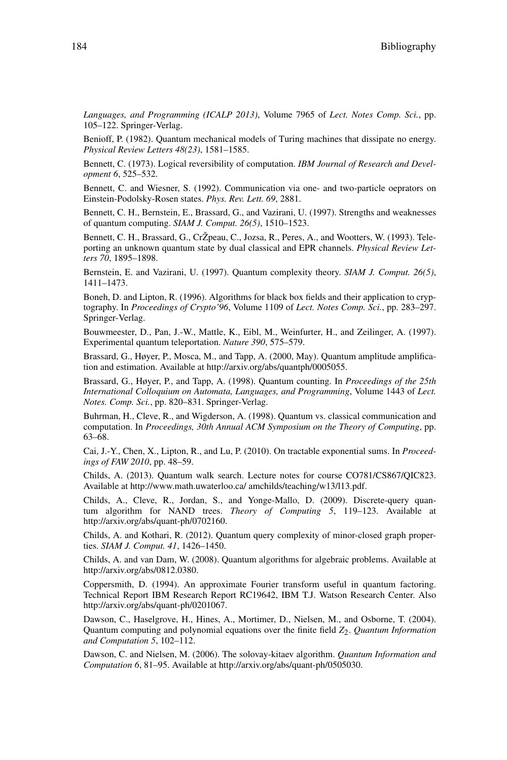*Languages, and Programming (ICALP 2013)*, Volume 7965 of *Lect. Notes Comp. Sci.*, pp. 105–122. Springer-Verlag.

Benioff, P. (1982). Quantum mechanical models of Turing machines that dissipate no energy. *Physical Review Letters 48(23)*, 1581–1585.

Bennett, C. (1973). Logical reversibility of computation. *IBM Journal of Research and Development 6*, 525–532.

Bennett, C. and Wiesner, S. (1992). Communication via one- and two-particle oeprators on Einstein-Podolsky-Rosen states. *Phys. Rev. Lett. 69*, 2881.

Bennett, C. H., Bernstein, E., Brassard, G., and Vazirani, U. (1997). Strengths and weaknesses of quantum computing. *SIAM J. Comput. 26(5)*, 1510–1523.

Bennett, C. H., Brassard, G., CrŽpeau, C., Jozsa, R., Peres, A., and Wootters, W. (1993). Teleporting an unknown quantum state by dual classical and EPR channels. *Physical Review Letters 70*, 1895–1898.

Bernstein, E. and Vazirani, U. (1997). Quantum complexity theory. *SIAM J. Comput. 26(5)*, 1411–1473.

Boneh, D. and Lipton, R. (1996). Algorithms for black box fields and their application to cryptography. In *Proceedings of Crypto'96*, Volume 1109 of *Lect. Notes Comp. Sci.*, pp. 283–297. Springer-Verlag.

Bouwmeester, D., Pan, J.-W., Mattle, K., Eibl, M., Weinfurter, H., and Zeilinger, A. (1997). Experimental quantum teleportation. *Nature 390*, 575–579.

Brassard, G., Høyer, P., Mosca, M., and Tapp, A. (2000, May). Quantum amplitude amplification and estimation. Available at http://arxiv.org/abs/quantph/0005055.

Brassard, G., Høyer, P., and Tapp, A. (1998). Quantum counting. In *Proceedings of the 25th International Colloquium on Automata, Languages, and Programming*, Volume 1443 of *Lect. Notes. Comp. Sci.*, pp. 820–831. Springer-Verlag.

Buhrman, H., Cleve, R., and Wigderson, A. (1998). Quantum vs. classical communication and computation. In *Proceedings, 30th Annual ACM Symposium on the Theory of Computing*, pp. 63–68.

Cai, J.-Y., Chen, X., Lipton, R., and Lu, P. (2010). On tractable exponential sums. In *Proceedings of FAW 2010*, pp. 48–59.

Childs, A. (2013). Quantum walk search. Lecture notes for course CO781/CS867/QIC823. Available at http://www.math.uwaterloo.ca/ amchilds/teaching/w13/l13.pdf.

Childs, A., Cleve, R., Jordan, S., and Yonge-Mallo, D. (2009). Discrete-query quantum algorithm for NAND trees. *Theory of Computing 5*, 119–123. Available at http://arxiv.org/abs/quant-ph/0702160.

Childs, A. and Kothari, R. (2012). Quantum query complexity of minor-closed graph properties. *SIAM J. Comput. 41*, 1426–1450.

Childs, A. and van Dam, W. (2008). Quantum algorithms for algebraic problems. Available at http://arxiv.org/abs/0812.0380.

Coppersmith, D. (1994). An approximate Fourier transform useful in quantum factoring. Technical Report IBM Research Report RC19642, IBM T.J. Watson Research Center. Also http://arxiv.org/abs/quant-ph/0201067.

Dawson, C., Haselgrove, H., Hines, A., Mortimer, D., Nielsen, M., and Osborne, T. (2004). Quantum computing and polynomial equations over the finite field *Z*2. *Quantum Information and Computation 5*, 102–112.

Dawson, C. and Nielsen, M. (2006). The solovay-kitaev algorithm. *Quantum Information and Computation 6*, 81–95. Available at http://arxiv.org/abs/quant-ph/0505030.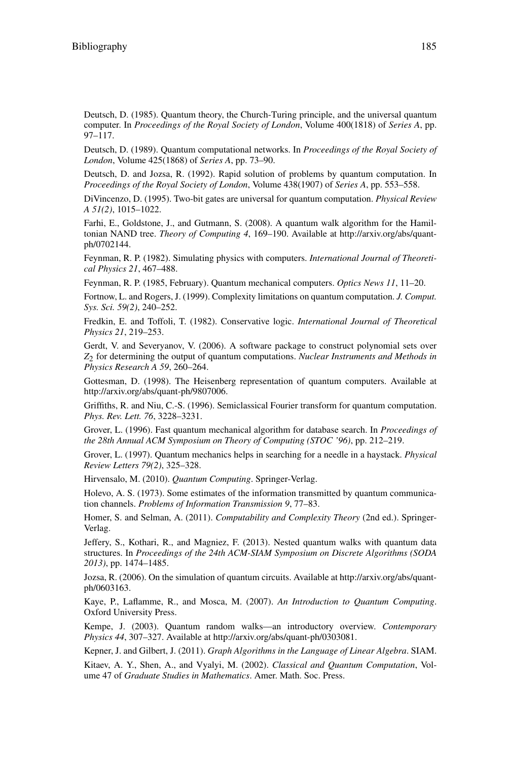Deutsch, D. (1985). Quantum theory, the Church-Turing principle, and the universal quantum computer. In *Proceedings of the Royal Society of London*, Volume 400(1818) of *Series A*, pp. 97–117.

Deutsch, D. (1989). Quantum computational networks. In *Proceedings of the Royal Society of London*, Volume 425(1868) of *Series A*, pp. 73–90.

Deutsch, D. and Jozsa, R. (1992). Rapid solution of problems by quantum computation. In *Proceedings of the Royal Society of London*, Volume 438(1907) of *Series A*, pp. 553–558.

DiVincenzo, D. (1995). Two-bit gates are universal for quantum computation. *Physical Review A 51(2)*, 1015–1022.

Farhi, E., Goldstone, J., and Gutmann, S. (2008). A quantum walk algorithm for the Hamiltonian NAND tree. *Theory of Computing 4*, 169–190. Available at http://arxiv.org/abs/quantph/0702144.

Feynman, R. P. (1982). Simulating physics with computers. *International Journal of Theoretical Physics 21*, 467–488.

Feynman, R. P. (1985, February). Quantum mechanical computers. *Optics News 11*, 11–20.

Fortnow, L. and Rogers, J. (1999). Complexity limitations on quantum computation. *J. Comput. Sys. Sci. 59(2)*, 240–252.

Fredkin, E. and Toffoli, T. (1982). Conservative logic. *International Journal of Theoretical Physics 21*, 219–253.

Gerdt, V. and Severyanov, V. (2006). A software package to construct polynomial sets over *Z*2 for determining the output of quantum computations. *Nuclear Instruments and Methods in Physics Research A 59*, 260–264.

Gottesman, D. (1998). The Heisenberg representation of quantum computers. Available at http://arxiv.org/abs/quant-ph/9807006.

Griffiths, R. and Niu, C.-S. (1996). Semiclassical Fourier transform for quantum computation. *Phys. Rev. Lett. 76*, 3228–3231.

Grover, L. (1996). Fast quantum mechanical algorithm for database search. In *Proceedings of the 28th Annual ACM Symposium on Theory of Computing (STOC '96)*, pp. 212–219.

Grover, L. (1997). Quantum mechanics helps in searching for a needle in a haystack. *Physical Review Letters 79(2)*, 325–328.

Hirvensalo, M. (2010). *Quantum Computing*. Springer-Verlag.

Holevo, A. S. (1973). Some estimates of the information transmitted by quantum communication channels. *Problems of Information Transmission 9*, 77–83.

Homer, S. and Selman, A. (2011). *Computability and Complexity Theory* (2nd ed.). Springer-Verlag.

Jeffery, S., Kothari, R., and Magniez, F. (2013). Nested quantum walks with quantum data structures. In *Proceedings of the 24th ACM-SIAM Symposium on Discrete Algorithms (SODA 2013)*, pp. 1474–1485.

Jozsa, R. (2006). On the simulation of quantum circuits. Available at http://arxiv.org/abs/quantph/0603163.

Kaye, P., Laflamme, R., and Mosca, M. (2007). *An Introduction to Quantum Computing*. Oxford University Press.

Kempe, J. (2003). Quantum random walks—an introductory overview. *Contemporary Physics 44*, 307–327. Available at http://arxiv.org/abs/quant-ph/0303081.

Kepner, J. and Gilbert, J. (2011). *Graph Algorithms in the Language of Linear Algebra*. SIAM.

Kitaev, A. Y., Shen, A., and Vyalyi, M. (2002). *Classical and Quantum Computation*, Volume 47 of *Graduate Studies in Mathematics*. Amer. Math. Soc. Press.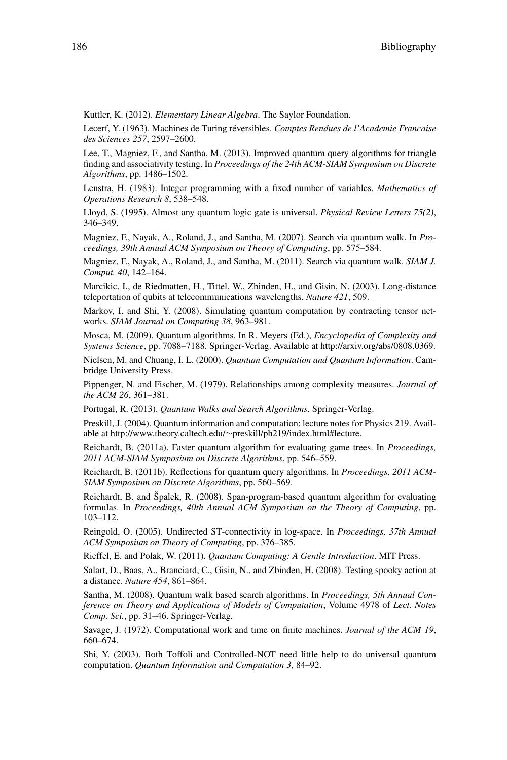Kuttler, K. (2012). *Elementary Linear Algebra*. The Saylor Foundation.

Lecerf, Y. (1963). Machines de Turing réversibles. Comptes Rendues de l'Academie Francaise *des Sciences 257*, 2597–2600.

Lee, T., Magniez, F., and Santha, M. (2013). Improved quantum query algorithms for triangle finding and associativity testing. In *Proceedings of the 24th ACM-SIAM Symposium on Discrete Algorithms*, pp. 1486–1502.

Lenstra, H. (1983). Integer programming with a fixed number of variables. *Mathematics of Operations Research 8*, 538–548.

Lloyd, S. (1995). Almost any quantum logic gate is universal. *Physical Review Letters 75(2)*, 346–349.

Magniez, F., Nayak, A., Roland, J., and Santha, M. (2007). Search via quantum walk. In *Proceedings, 39th Annual ACM Symposium on Theory of Computing*, pp. 575–584.

Magniez, F., Nayak, A., Roland, J., and Santha, M. (2011). Search via quantum walk. *SIAM J. Comput. 40*, 142–164.

Marcikic, I., de Riedmatten, H., Tittel, W., Zbinden, H., and Gisin, N. (2003). Long-distance teleportation of qubits at telecommunications wavelengths. *Nature 421*, 509.

Markov, I. and Shi, Y. (2008). Simulating quantum computation by contracting tensor networks. *SIAM Journal on Computing 38*, 963–981.

Mosca, M. (2009). Quantum algorithms. In R. Meyers (Ed.), *Encyclopedia of Complexity and Systems Science*, pp. 7088–7188. Springer-Verlag. Available at http://arxiv.org/abs/0808.0369.

Nielsen, M. and Chuang, I. L. (2000). *Quantum Computation and Quantum Information*. Cambridge University Press.

Pippenger, N. and Fischer, M. (1979). Relationships among complexity measures. *Journal of the ACM 26*, 361–381.

Portugal, R. (2013). *Quantum Walks and Search Algorithms*. Springer-Verlag.

Preskill, J. (2004). Quantum information and computation: lecture notes for Physics 219. Available at http://www.theory.caltech.edu/∼preskill/ph219/index.html#lecture.

Reichardt, B. (2011a). Faster quantum algorithm for evaluating game trees. In *Proceedings, 2011 ACM-SIAM Symposium on Discrete Algorithms*, pp. 546–559.

Reichardt, B. (2011b). Reflections for quantum query algorithms. In *Proceedings, 2011 ACM-SIAM Symposium on Discrete Algorithms*, pp. 560–569.

Reichardt, B. and Špalek, R. (2008). Span-program-based quantum algorithm for evaluating formulas. In *Proceedings, 40th Annual ACM Symposium on the Theory of Computing*, pp. 103–112.

Reingold, O. (2005). Undirected ST-connectivity in log-space. In *Proceedings, 37th Annual ACM Symposium on Theory of Computing*, pp. 376–385.

Rieffel, E. and Polak, W. (2011). *Quantum Computing: A Gentle Introduction*. MIT Press.

Salart, D., Baas, A., Branciard, C., Gisin, N., and Zbinden, H. (2008). Testing spooky action at a distance. *Nature 454*, 861–864.

Santha, M. (2008). Quantum walk based search algorithms. In *Proceedings, 5th Annual Conference on Theory and Applications of Models of Computation*, Volume 4978 of *Lect. Notes Comp. Sci.*, pp. 31–46. Springer-Verlag.

Savage, J. (1972). Computational work and time on finite machines. *Journal of the ACM 19*, 660–674.

Shi, Y. (2003). Both Toffoli and Controlled-NOT need little help to do universal quantum computation. *Quantum Information and Computation 3*, 84–92.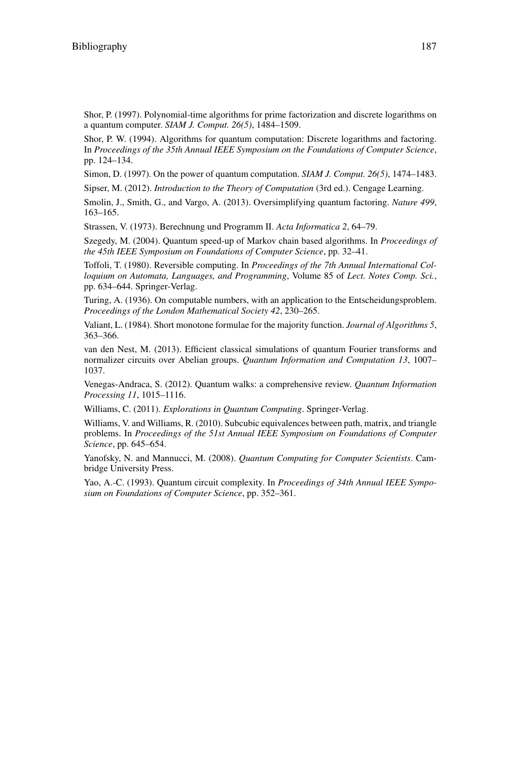Shor, P. (1997). Polynomial-time algorithms for prime factorization and discrete logarithms on a quantum computer. *SIAM J. Comput. 26(5)*, 1484–1509.

Shor, P. W. (1994). Algorithms for quantum computation: Discrete logarithms and factoring. In *Proceedings of the 35th Annual IEEE Symposium on the Foundations of Computer Science*, pp. 124–134.

Simon, D. (1997). On the power of quantum computation. *SIAM J. Comput. 26(5)*, 1474–1483.

Sipser, M. (2012). *Introduction to the Theory of Computation* (3rd ed.). Cengage Learning.

Smolin, J., Smith, G., and Vargo, A. (2013). Oversimplifying quantum factoring. *Nature 499*, 163–165.

Strassen, V. (1973). Berechnung und Programm II. *Acta Informatica 2*, 64–79.

Szegedy, M. (2004). Quantum speed-up of Markov chain based algorithms. In *Proceedings of the 45th IEEE Symposium on Foundations of Computer Science*, pp. 32–41.

Toffoli, T. (1980). Reversible computing. In *Proceedings of the 7th Annual International Colloquium on Automata, Languages, and Programming*, Volume 85 of *Lect. Notes Comp. Sci.*, pp. 634–644. Springer-Verlag.

Turing, A. (1936). On computable numbers, with an application to the Entscheidungsproblem. *Proceedings of the London Mathematical Society 42*, 230–265.

Valiant, L. (1984). Short monotone formulae for the majority function. *Journal of Algorithms 5*, 363–366.

van den Nest, M. (2013). Efficient classical simulations of quantum Fourier transforms and normalizer circuits over Abelian groups. *Quantum Information and Computation 13*, 1007– 1037.

Venegas-Andraca, S. (2012). Quantum walks: a comprehensive review. *Quantum Information Processing 11*, 1015–1116.

Williams, C. (2011). *Explorations in Quantum Computing*. Springer-Verlag.

Williams, V. and Williams, R. (2010). Subcubic equivalences between path, matrix, and triangle problems. In *Proceedings of the 51st Annual IEEE Symposium on Foundations of Computer Science*, pp. 645–654.

Yanofsky, N. and Mannucci, M. (2008). *Quantum Computing for Computer Scientists*. Cambridge University Press.

Yao, A.-C. (1993). Quantum circuit complexity. In *Proceedings of 34th Annual IEEE Symposium on Foundations of Computer Science*, pp. 352–361.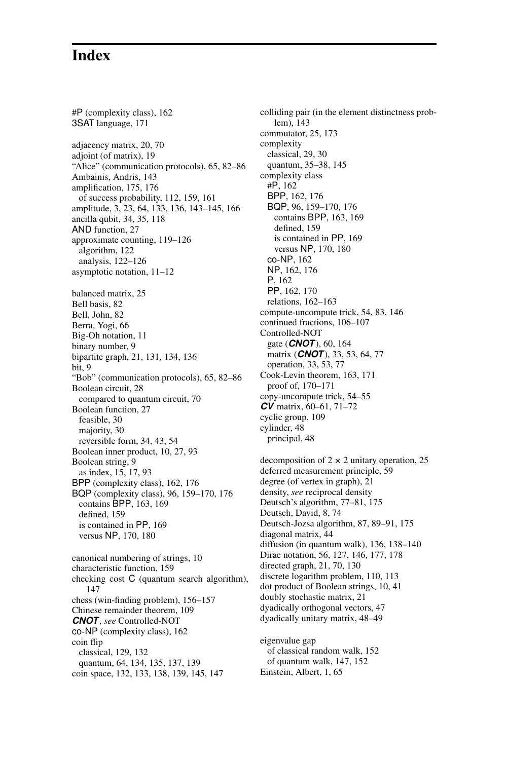## Index

#P (complexity class), 162 3SAT language, 171 adjacency matrix, 20, 70 adjoint (of matrix), 19 "Alice" (communication protocols), 65, 82–86 Ambainis, Andris, 143 amplification, 175, 176 of success probability, 112, 159, 161 amplitude, 3, 23, 64, 133, 136, 143–145, 166 ancilla qubit, 34, 35, 118 AND function, 27 approximate counting, 119–126 algorithm, 122 analysis, 122–126 asymptotic notation, 11–12 balanced matrix, 25 Bell basis, 82 Bell, John, 82 Berra, Yogi, 66 Big-Oh notation, 11 binary number, 9 bipartite graph, 21, 131, 134, 136 bit, 9 "Bob" (communication protocols), 65, 82–86 Boolean circuit, 28 compared to quantum circuit, 70 Boolean function, 27 feasible, 30 majority, 30 reversible form, 34, 43, 54 Boolean inner product, 10, 27, 93 Boolean string, 9 as index, 15, 17, 93 BPP (complexity class), 162, 176 BQP (complexity class), 96, 159–170, 176 contains BPP, 163, 169 defined, 159 is contained in PP, 169 versus NP, 170, 180 canonical numbering of strings, 10 characteristic function, 159 checking cost C (quantum search algorithm), 147 chess (win-finding problem), 156–157 Chinese remainder theorem, 109 *CNOT*, *see* Controlled-NOT co-NP (complexity class), 162 coin flip classical, 129, 132 quantum, 64, 134, 135, 137, 139 coin space, 132, 133, 138, 139, 145, 147

colliding pair (in the element distinctness problem), 143 commutator, 25, 173 complexity classical, 29, 30 quantum, 35–38, 145 complexity class #P, 162 BPP, 162, 176 BQP, 96, 159–170, 176 contains BPP, 163, 169 defined, 159 is contained in PP, 169 versus NP, 170, 180 co-NP, 162 NP, 162, 176 P, 162 PP, 162, 170 relations, 162–163 compute-uncompute trick, 54, 83, 146 continued fractions, 106–107 Controlled-NOT gate (*CNOT*), 60, 164 matrix (*CNOT*), 33, 53, 64, 77 operation, 33, 53, 77 Cook-Levin theorem, 163, 171 proof of, 170–171 copy-uncompute trick, 54–55 *CV* matrix, 60–61, 71–72 cyclic group, 109 cylinder, 48 principal, 48 decomposition of  $2 \times 2$  unitary operation, 25 deferred measurement principle, 59 degree (of vertex in graph), 21 density, *see* reciprocal density Deutsch's algorithm, 77–81, 175 Deutsch, David, 8, 74 Deutsch-Jozsa algorithm, 87, 89–91, 175 diagonal matrix, 44 diffusion (in quantum walk), 136, 138–140 Dirac notation, 56, 127, 146, 177, 178 directed graph, 21, 70, 130 discrete logarithm problem, 110, 113 dot product of Boolean strings, 10, 41 doubly stochastic matrix, 21 dyadically orthogonal vectors, 47 dyadically unitary matrix, 48–49

eigenvalue gap of classical random walk, 152 of quantum walk, 147, 152 Einstein, Albert, 1, 65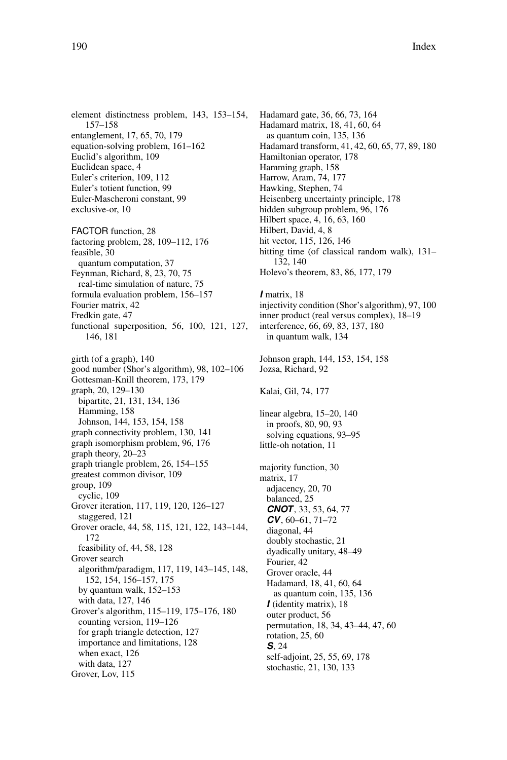element distinctness problem, 143, 153–154, 157–158 entanglement, 17, 65, 70, 179 equation-solving problem, 161–162 Euclid's algorithm, 109 Euclidean space, 4 Euler's criterion, 109, 112 Euler's totient function, 99 Euler-Mascheroni constant, 99 exclusive-or, 10 FACTOR function, 28 factoring problem, 28, 109–112, 176 feasible, 30 quantum computation, 37 Feynman, Richard, 8, 23, 70, 75 real-time simulation of nature, 75 formula evaluation problem, 156–157 Fourier matrix, 42 Fredkin gate, 47 functional superposition, 56, 100, 121, 127, 146, 181 girth (of a graph), 140 good number (Shor's algorithm), 98, 102–106 Gottesman-Knill theorem, 173, 179 graph, 20, 129–130 bipartite, 21, 131, 134, 136 Hamming, 158 Johnson, 144, 153, 154, 158 graph connectivity problem, 130, 141 graph isomorphism problem, 96, 176 graph theory, 20–23 graph triangle problem, 26, 154–155 greatest common divisor, 109 group, 109 cyclic, 109 Grover iteration, 117, 119, 120, 126–127 staggered, 121 Grover oracle, 44, 58, 115, 121, 122, 143–144, 172 feasibility of, 44, 58, 128 Grover search algorithm/paradigm, 117, 119, 143–145, 148, 152, 154, 156–157, 175 by quantum walk, 152–153 with data, 127, 146 Grover's algorithm, 115–119, 175–176, 180 counting version, 119–126 for graph triangle detection, 127 importance and limitations, 128 when exact, 126 with data, 127 Grover, Lov, 115

Hadamard gate, 36, 66, 73, 164 Hadamard matrix, 18, 41, 60, 64 as quantum coin, 135, 136 Hadamard transform, 41, 42, 60, 65, 77, 89, 180 Hamiltonian operator, 178 Hamming graph, 158 Harrow, Aram, 74, 177 Hawking, Stephen, 74 Heisenberg uncertainty principle, 178 hidden subgroup problem, 96, 176 Hilbert space, 4, 16, 63, 160 Hilbert, David, 4, 8 hit vector, 115, 126, 146 hitting time (of classical random walk), 131– 132, 140 Holevo's theorem, 83, 86, 177, 179 *I* matrix, 18 injectivity condition (Shor's algorithm), 97, 100 inner product (real versus complex), 18–19 interference, 66, 69, 83, 137, 180 in quantum walk, 134 Johnson graph, 144, 153, 154, 158 Jozsa, Richard, 92 Kalai, Gil, 74, 177 linear algebra, 15–20, 140 in proofs, 80, 90, 93 solving equations, 93–95 little-oh notation, 11 majority function, 30 matrix, 17 adjacency, 20, 70 balanced, 25 *CNOT*, 33, 53, 64, 77 *CV*, 60–61, 71–72 diagonal, 44 doubly stochastic, 21 dyadically unitary, 48–49 Fourier, 42 Grover oracle, 44 Hadamard, 18, 41, 60, 64 as quantum coin, 135, 136 *I* (identity matrix), 18 outer product, 56 permutation, 18, 34, 43–44, 47, 60 rotation, 25, 60 *S*, 24 self-adjoint, 25, 55, 69, 178 stochastic, 21, 130, 133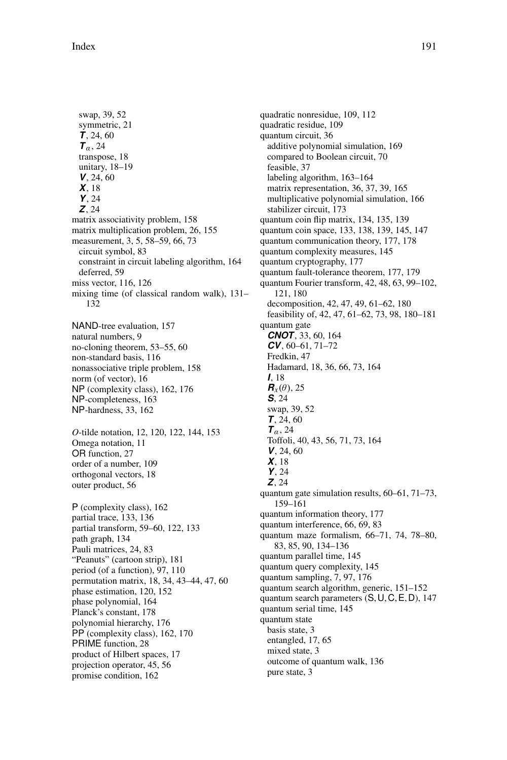swap, 39, 52 symmetric, 21 *T*, 24, 60 *T*α, 24 transpose, 18 unitary, 18–19 *V*, 24, 60 *X*, 18 *Y*, 24 *Z*, 24 matrix associativity problem, 158 matrix multiplication problem, 26, 155 measurement, 3, 5, 58–59, 66, 73 circuit symbol, 83 constraint in circuit labeling algorithm, 164 deferred, 59 miss vector, 116, 126 mixing time (of classical random walk), 131– 132 NAND-tree evaluation, 157 natural numbers, 9 no-cloning theorem, 53–55, 60 non-standard basis, 116 nonassociative triple problem, 158 norm (of vector), 16 NP (complexity class), 162, 176 NP-completeness, 163 NP-hardness, 33, 162 *O*-tilde notation, 12, 120, 122, 144, 153 Omega notation, 11 OR function, 27 order of a number, 109 orthogonal vectors, 18 outer product, 56 P (complexity class), 162 partial trace, 133, 136 partial transform, 59–60, 122, 133 path graph, 134 Pauli matrices, 24, 83 "Peanuts" (cartoon strip), 181 period (of a function), 97, 110 permutation matrix, 18, 34, 43–44, 47, 60 phase estimation, 120, 152 phase polynomial, 164 Planck's constant, 178 polynomial hierarchy, 176 PP (complexity class), 162, 170 PRIME function, 28 product of Hilbert spaces, 17 projection operator, 45, 56 promise condition, 162

quadratic nonresidue, 109, 112 quadratic residue, 109 quantum circuit, 36 additive polynomial simulation, 169 compared to Boolean circuit, 70 feasible, 37 labeling algorithm, 163–164 matrix representation, 36, 37, 39, 165 multiplicative polynomial simulation, 166 stabilizer circuit, 173 quantum coin flip matrix, 134, 135, 139 quantum coin space, 133, 138, 139, 145, 147 quantum communication theory, 177, 178 quantum complexity measures, 145 quantum cryptography, 177 quantum fault-tolerance theorem, 177, 179 quantum Fourier transform, 42, 48, 63, 99–102, 121, 180 decomposition, 42, 47, 49, 61–62, 180 feasibility of, 42, 47, 61–62, 73, 98, 180–181 quantum gate *CNOT*, 33, 60, 164 *CV*, 60–61, 71–72 Fredkin, 47 Hadamard, 18, 36, 66, 73, 164 *I*, 18  $\mathbf{R}_x(\theta)$ , 25 *S*, 24 swap, 39, 52 *T*, 24, 60 *T*α, 24 Toffoli, 40, 43, 56, 71, 73, 164 *V*, 24, 60 *X*, 18 *Y*, 24 *Z*, 24 quantum gate simulation results, 60–61, 71–73, 159–161 quantum information theory, 177 quantum interference, 66, 69, 83 quantum maze formalism, 66–71, 74, 78–80, 83, 85, 90, 134–136 quantum parallel time, 145 quantum query complexity, 145 quantum sampling, 7, 97, 176 quantum search algorithm, generic, 151–152 quantum search parameters (S,U,C,E,D), 147 quantum serial time, 145 quantum state basis state, 3 entangled, 17, 65 mixed state, 3 outcome of quantum walk, 136 pure state, 3